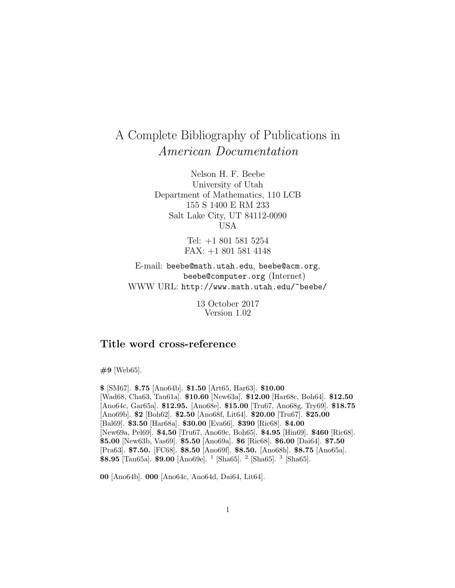# A Complete Bibliography of Publications in American Documentation

Nelson H. F. Beebe University of Utah Department of Mathematics, 110 LCB 155 S 1400 E RM 233 Salt Lake City, UT 84112-0090 USA

> Tel: +1 801 581 5254 FAX: +1 801 581 4148

E-mail: beebe@math.utah.edu, beebe@acm.org, beebe@computer.org (Internet) WWW URL: http://www.math.utah.edu/~beebe/

> 13 October 2017 Version 1.02

## **Title word cross-reference**

**#9** [Web65].

**\$** [SM67]. **\$.75** [Ano64b]. **\$1.50** [Art65, Har63]. **\$10.00** [Wad68, Cha63, Tau61a]. **\$10.60** [New63a]. **\$12.00** [Har68c, Boh64]. **\$12.50** [Ano64c, Gar65a]. **\$12.95.** [Ano68e]. **\$15.00** [Tru67, Ano68g, Try69]. **\$18.75** [Ano69b]. **\$2** [Boh62]. **\$2.50** [Ano68f, Lit64]. **\$20.00** [Tru67]. **\$25.00** [Bal69]. **\$3.50** [Har68a]. **\$30.00** [Eva66]. **\$390** [Ric68]. **\$4.00** [New69a, Pel69]. **\$4.50** [Tru67, Ano69c, Boh65]. **\$4.95** [Hin69]. **\$460** [Ric68]. **\$5.00** [New63b, Vas69]. **\$5.50** [Ano69a]. **\$6** [Ric68]. **\$6.00** [Dai64]. **\$7.50** [Pra63]. **\$7.50.** [FC68]. **\$8.50** [Ano69f]. **\$8.50.** [Ano68h]. **\$8.75** [Ano65a]. **\$8.95** [Tau65a]. **\$9.00** [Ano69e]. <sup>1</sup> [Sha65]. <sup>2</sup> [Sha65]. <sup>3</sup> [Sha65].

**00** [Ano64b]. **000** [Ano64c, Ano64d, Dai64, Lit64].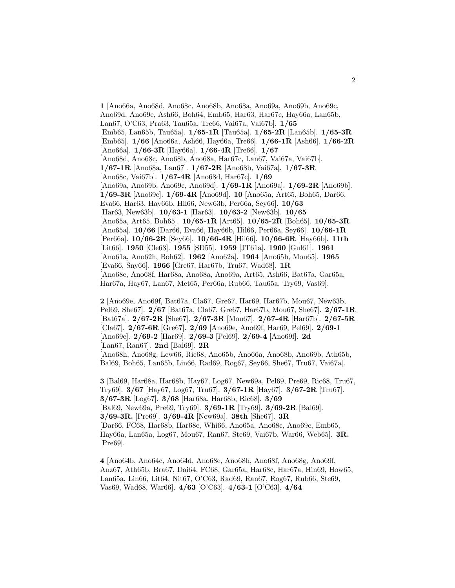**1** [Ano66a, Ano68d, Ano68c, Ano68b, Ano68a, Ano69a, Ano69b, Ano69c, Ano69d, Ano69e, Ash66, Boh64, Emb65, Har63, Har67c, Hay66a, Lan65b, Lan67, O'C63, Pra63, Tau65a, Tre66, Vai67a, Vai67b]. **1/65** [Emb65, Lan65b, Tau65a]. **1/65-1R** [Tau65a]. **1/65-2R** [Lan65b]. **1/65-3R** [Emb65]. **1/66** [Ano66a, Ash66, Hay66a, Tre66]. **1/66-1R** [Ash66]. **1/66-2R** [Ano66a]. **1/66-3R** [Hay66a]. **1/66-4R** [Tre66]. **1/67** [Ano68d, Ano68c, Ano68b, Ano68a, Har67c, Lan67, Vai67a, Vai67b]. **1/67-1R** [Ano68a, Lan67]. **1/67-2R** [Ano68b, Vai67a]. **1/67-3R** [Ano68c, Vai67b]. **1/67-4R** [Ano68d, Har67c]. **1/69** [Ano69a, Ano69b, Ano69c, Ano69d]. **1/69-1R** [Ano69a]. **1/69-2R** [Ano69b]. **1/69-3R** [Ano69c]. **1/69-4R** [Ano69d]. **10** [Ano65a, Art65, Boh65, Dar66, Eva66, Har63, Hay66b, Hil66, New63b, Per66a, Sey66]. **10/63** [Har63, New63b]. **10/63-1** [Har63]. **10/63-2** [New63b]. **10/65** [Ano65a, Art65, Boh65]. **10/65-1R** [Art65]. **10/65-2R** [Boh65]. **10/65-3R** [Ano65a]. **10/66** [Dar66, Eva66, Hay66b, Hil66, Per66a, Sey66]. **10/66-1R** [Per66a]. **10/66-2R** [Sey66]. **10/66-4R** [Hil66]. **10/66-6R** [Hay66b]. **11th** [Lit66]. **1950** [Cle63]. **1955** [SD55]. **1959** [JT61a]. **1960** [Gul61]. **1961** [Ano61a, Ano62h, Boh62]. **1962** [Ano62a]. **1964** [Ano65b, Mou65]. **1965** [Eva66, Sny66]. **1966** [Gre67, Har67b, Tru67, Wad68]. **1R** [Ano68e, Ano68f, Har68a, Ano68a, Ano69a, Art65, Ash66, Bat67a, Gar65a, Har67a, Hay67, Lan67, Met65, Per66a, Rub66, Tau65a, Try69, Vas69].

**2** [Ano69e, Ano69f, Bat67a, Cla67, Gre67, Har69, Har67b, Mou67, New63b, Pel69, She67]. **2/67** [Bat67a, Cla67, Gre67, Har67b, Mou67, She67]. **2/67-1R** [Bat67a]. **2/67-2R** [She67]. **2/67-3R** [Mou67]. **2/67-4R** [Har67b]. **2/67-5R** [Cla67]. **2/67-6R** [Gre67]. **2/69** [Ano69e, Ano69f, Har69, Pel69]. **2/69-1** [Ano69e]. **2/69-2** [Har69]. **2/69-3** [Pel69]. **2/69-4** [Ano69f]. **2d** [Lan67, Ran67]. **2nd** [Bal69]. **2R** [Ano68h, Ano68g, Lew66, Ric68, Ano65b, Ano66a, Ano68b, Ano69b, Ath65b, Bal69, Boh65, Lan65b, Lin66, Rad69, Rog67, Sey66, She67, Tru67, Vai67a].

**3** [Bal69, Har68a, Har68b, Hay67, Log67, New69a, Pel69, Pre69, Ric68, Tru67, Try69]. **3/67** [Hay67, Log67, Tru67]. **3/67-1R** [Hay67]. **3/67-2R** [Tru67]. **3/67-3R** [Log67]. **3/68** [Har68a, Har68b, Ric68]. **3/69** [Bal69, New69a, Pre69, Try69]. **3/69-1R** [Try69]. **3/69-2R** [Bal69]. **3/69-3R.** [Pre69]. **3/69-4R** [New69a]. **38th** [She67]. **3R** [Dar66, FC68, Har68b, Har68c, Whi66, Ano65a, Ano68c, Ano69c, Emb65, Hay66a, Lan65a, Log67, Mou67, Ran67, Ste69, Vai67b, War66, Web65]. **3R.** [Pre69].

**4** [Ano64b, Ano64c, Ano64d, Ano68e, Ano68h, Ano68f, Ano68g, Ano69f, Anz67, Ath65b, Bra67, Dai64, FC68, Gar65a, Har68c, Har67a, Hin69, How65, Lan65a, Lin66, Lit64, Nit67, O'C63, Rad69, Ran67, Rog67, Rub66, Ste69, Vas69, Wad68, War66]. **4/63** [O'C63]. **4/63-1** [O'C63]. **4/64**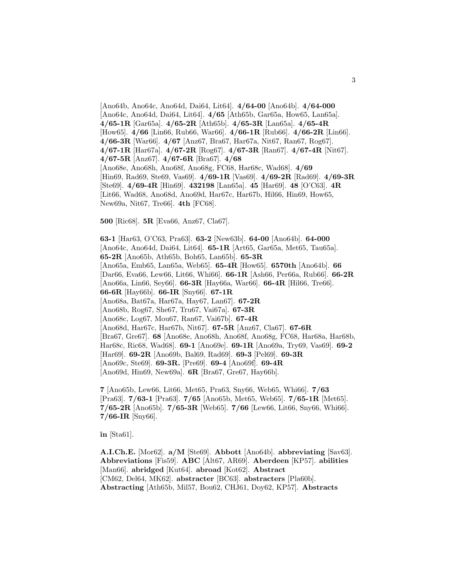[Ano64b, Ano64c, Ano64d, Dai64, Lit64]. **4/64-00** [Ano64b]. **4/64-000** [Ano64c, Ano64d, Dai64, Lit64]. **4/65** [Ath65b, Gar65a, How65, Lan65a]. **4/65-1R** [Gar65a]. **4/65-2R** [Ath65b]. **4/65-3R** [Lan65a]. **4/65-4R** [How65]. **4/66** [Lin66, Rub66, War66]. **4/66-1R** [Rub66]. **4/66-2R** [Lin66]. **4/66-3R** [War66]. **4/67** [Anz67, Bra67, Har67a, Nit67, Ran67, Rog67]. **4/67-1R** [Har67a]. **4/67-2R** [Rog67]. **4/67-3R** [Ran67]. **4/67-4R** [Nit67]. **4/67-5R** [Anz67]. **4/67-6R** [Bra67]. **4/68** [Ano68e, Ano68h, Ano68f, Ano68g, FC68, Har68c, Wad68]. **4/69** [Hin69, Rad69, Ste69, Vas69]. **4/69-1R** [Vas69]. **4/69-2R** [Rad69]. **4/69-3R** [Ste69]. **4/69-4R** [Hin69]. **432198** [Lan65a]. **45** [Har69]. **48** [O'C63]. **4R** [Lit66, Wad68, Ano68d, Ano69d, Har67c, Har67b, Hil66, Hin69, How65, New69a, Nit67, Tre66]. **4th** [FC68].

**500** [Ric68]. **5R** [Eva66, Anz67, Cla67].

**63-1** [Har63, O'C63, Pra63]. **63-2** [New63b]. **64-00** [Ano64b]. **64-000** [Ano64c, Ano64d, Dai64, Lit64]. **65-1R** [Art65, Gar65a, Met65, Tau65a]. **65-2R** [Ano65b, Ath65b, Boh65, Lan65b]. **65-3R** [Ano65a, Emb65, Lan65a, Web65]. **65-4R** [How65]. **6570th** [Ano64b]. **66** [Dar66, Eva66, Lew66, Lit66, Whi66]. **66-1R** [Ash66, Per66a, Rub66]. **66-2R** [Ano66a, Lin66, Sey66]. **66-3R** [Hay66a, War66]. **66-4R** [Hil66, Tre66]. **66-6R** [Hay66b]. **66-IR** [Sny66]. **67-1R** [Ano68a, Bat67a, Har67a, Hay67, Lan67]. **67-2R** [Ano68b, Rog67, She67, Tru67, Vai67a]. **67-3R** [Ano68c, Log67, Mou67, Ran67, Vai67b]. **67-4R** [Ano68d, Har67c, Har67b, Nit67]. **67-5R** [Anz67, Cla67]. **67-6R** [Bra67, Gre67]. **68** [Ano68e, Ano68h, Ano68f, Ano68g, FC68, Har68a, Har68b, Har68c, Ric68, Wad68]. **69-1** [Ano69e]. **69-1R** [Ano69a, Try69, Vas69]. **69-2** [Har69]. **69-2R** [Ano69b, Bal69, Rad69]. **69-3** [Pel69]. **69-3R** [Ano69c, Ste69]. **69-3R.** [Pre69]. **69-4** [Ano69f]. **69-4R** [Ano69d, Hin69, New69a]. **6R** [Bra67, Gre67, Hay66b].

**7** [Ano65b, Lew66, Lit66, Met65, Pra63, Sny66, Web65, Whi66]. **7/63** [Pra63]. **7/63-1** [Pra63]. **7/65** [Ano65b, Met65, Web65]. **7/65-1R** [Met65]. **7/65-2R** [Ano65b]. **7/65-3R** [Web65]. **7/66** [Lew66, Lit66, Sny66, Whi66]. **7/66-IR** [Sny66].

**ˆın** [Sta61].

**A.I.Ch.E.** [Mor62]. **a/M** [Ste69]. **Abbott** [Ano64b]. **abbreviating** [Sav63]. **Abbreviations** [Fis59]. **ABC** [Alt67, AR69]. **Aberdeen** [KP57]. **abilities** [Man66]. **abridged** [Kut64]. **abroad** [Kot62]. **Abstract** [CM62, Del64, MK62]. **abstracter** [BC63]. **abstracters** [Pla60b]. **Abstracting** [Ath65b, Mil57, Bou62, CHJ61, Doy62, KP57]. **Abstracts**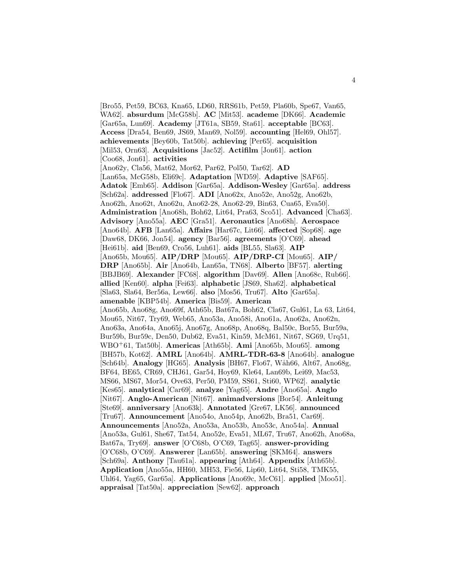[Bro55, Pet59, BC63, Kna65, LD60, RRS61b, Pet59, Pla60b, Spe67, Van65, WA62]. **absurdum** [McG58b]. **AC** [Mit53]. **academe** [DK66]. **Academic** [Gar65a, Lun69]. **Academy** [JT61a, SB59, Sta61]. **acceptable** [BC63]. **Access** [Dra54, Ben69, JS69, Man69, Nol59]. **accounting** [Hel69, Ohl57]. **achievements** [Bey60b, Tat50b]. **achieving** [Per65]. **acquisition** [Mil53, Orn63]. **Acquisitions** [Jac52]. **Actifilm** [Jon61]. **action** [Coo68, Jon61]. **activities** [Ano62y, Cla56, Mat62, Mor62, Par62, Pol50, Tar62]. **AD** [Lan65a, McG58b, Eli69c]. **Adaptation** [WD59]. **Adaptive** [SAF65]. **Adatok** [Emb65]. **Addison** [Gar65a]. **Addison-Wesley** [Gar65a]. **address** [Sch62a]. **addressed** [Flo67]. **ADI** [Ano62x, Ano52e, Ano52g, Ano62b, Ano62h, Ano62t, Ano62u, Ano62-28, Ano62-29, Bin63, Cua65, Eva50]. **Administration** [Ano68h, Boh62, Lit64, Pra63, Sco51]. **Advanced** [Cha63]. **Advisory** [Ano55a]. **AEC** [Gra51]. **Aeronautics** [Ano68h]. **Aerospace** [Ano64b]. **AFB** [Lan65a]. **Affairs** [Har67c, Lit66]. **affected** [Sop68]. **age** [Daw68, DK66, Jon54]. **agency** [Bar56]. **agreements** [O'C69]. **ahead** [Hei61b]. **aid** [Ben69, Cro56, Luh61]. **aids** [BL55, Sla63]. **AIP** [Ano65b, Mou65]. **AIP/DRP** [Mou65]. **AIP/DRP-CI** [Mou65]. **AIP/ DRP** [Ano65b]. **Air** [Ano64b, Lan65a, TN68]. **Alberto** [BF57]. **alerting** [BBJB69]. **Alexander** [FC68]. **algorithm** [Dav69]. **Allen** [Ano68c, Rub66]. **allied** [Ken60]. **alpha** [Fei63]. **alphabetic** [JS69, Sha62]. **alphabetical** [Sla63, Sla64, Ber56a, Lew66]. **also** [Mos56, Tru67]. **Alto** [Gar65a]. **amenable** [KBP54b]. **America** [Bis59]. **American** [Ano65b, Ano68g, Ano69f, Ath65b, Bat67a, Boh62, Cla67, Gul61, La 63, Lit64, Mou65, Nit67, Try69, Web65, Ano53a, Ano58i, Ano61a, Ano62a, Ano62n, Ano63a, Ano64a, Ano65j, Ano67g, Ano68p, Ano68q, Bal50c, Bor55, Bur59a, Bur59b, Bur59c, Den50, Dub62, Eva51, Kin59, McM61, Nit67, SG69, Urq51, WBO<sup>+</sup>61, Tat50b]. **Americas** [Ath65b]. **Ami** [Ano65b, Mou65]. **among** [BH57b, Kot62]. **AMRL** [Ano64b]. **AMRL-TDR-63-8** [Ano64b]. **analogue** [Sch64b]. **Analogy** [HG65]. **Analysis** [BH67, Flo67, W˚ah66, Alt67, Ano68g, BF64, BE65, CR69, CHJ61, Gar54, Hoy69, Kle64, Lan69b, Lei69, Mac53, MS66, MS67, Mor54, Ove63, Per50, PM59, SS61, Sti60, WP62]. **analytic** [Kes65]. **analytical** [Car69]. **analyze** [Yag65]. **Andre** [Ano65a]. **Anglo** [Nit67]. **Anglo-American** [Nit67]. **animadversions** [Bor54]. **Anleitung** [Ste69]. **anniversary** [Ano63k]. **Annotated** [Gre67, LK56]. **announced** [Tru67]. **Announcement** [Ano54o, Ano54p, Ano62b, Bra51, Car69]. **Announcements** [Ano52a, Ano53a, Ano53b, Ano53c, Ano54a]. **Annual** [Ano53a, Gul61, She67, Tat54, Ano52e, Eva51, ML67, Tru67, Ano62h, Ano68a, Bat67a, Try69]. **answer** [O'C68b, O'C69, Tag65]. **answer-providing** [O'C68b, O'C69]. **Answerer** [Lan65b]. **answering** [SKM64]. **answers** [Sch69a]. **Anthony** [Tau61a]. **appearing** [Ath64]. **Appendix** [Ath65b]. **Application** [Ano55a, HH60, MH53, Fie56, Lip60, Lit64, Sti58, TMK55, Uhl64, Yag65, Gar65a]. **Applications** [Ano69c, McC61]. **applied** [Moo51]. **appraisal** [Tat50a]. **appreciation** [Sew62]. **approach**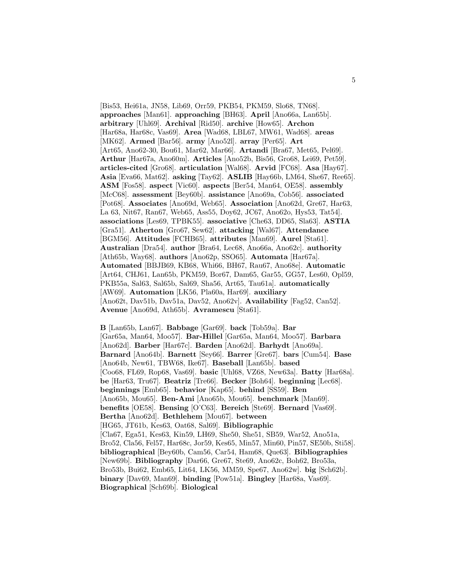[Bis53, Hei61a, JN58, Lib69, Orr59, PKB54, PKM59, Slo68, TN68]. **approaches** [Man61]. **approaching** [BH63]. **April** [Ano66a, Lan65b]. **arbitrary** [Uhl69]. **Archival** [Rid50]. **archive** [How65]. **Archon** [Har68a, Har68c, Vas69]. **Area** [Wad68, LBL67, MW61, Wad68]. **areas** [MK62]. **Armed** [Bar56]. **army** [Ano52l]. **array** [Per65]. **Art** [Art65, Ano62-30, Bou61, Mar62, Mar66]. **Artandi** [Bra67, Met65, Pel69]. **Arthur** [Har67a, Ano60m]. **Articles** [Ano52b, Bis56, Gro68, Lei69, Pet59]. **articles-cited** [Gro68]. **articulation** [Wal68]. **Arvid** [FC68]. **Asa** [Hay67]. **Asia** [Eva66, Mat62]. **asking** [Tay62]. **ASLIB** [Hay66b, LM64, She67, Ree65]. **ASM** [Fos58]. **aspect** [Vic60]. **aspects** [Ber54, Man64, OE58]. **assembly** [McC68]. **assessment** [Bey60b]. **assistance** [Ano69a, Cob56]. **associated** [Pot68]. **Associates** [Ano69d, Web65]. **Association** [Ano62d, Gre67, Har63, La 63, Nit67, Ran67, Web65, Ass55, Doy62, JC67, Ano62o, Hys53, Tat54]. **associations** [Les69, TPBK55]. **associative** [Che63, DD65, Sla63]. **ASTIA** [Gra51]. **Atherton** [Gro67, Sew62]. **attacking** [Wal67]. **Attendance** [BGM56]. **Attitudes** [FCHB65]. **attributes** [Man69]. **Aurel** [Sta61]. **Australian** [Dra54]. **author** [Bra64, Lec68, Ano66a, Ano62c]. **authority** [Ath65b, Way68]. **authors** [Ano62p, SSO65]. **Automata** [Har67a]. **Automated** [BBJB69, KB68, Whi66, BH67, Rau67, Ano68e]. **Automatic** [Art64, CHJ61, Lan65b, PKM59, Bor67, Dam65, Gar55, GG57, Les60, Opl59, PKB55a, Sal63, Sal65b, Sal69, Sha56, Art65, Tau61a]. **automatically** [AW69]. **Automation** [LK56, Pla60a, Har69]. **auxiliary** [Ano62t, Dav51b, Dav51a, Dav52, Ano62v]. **Availability** [Fag52, Can52]. **Avenue** [Ano69d, Ath65b]. **Avramescu** [Sta61].

**B** [Lan65b, Lan67]. **Babbage** [Gar69]. **back** [Tob59a]. **Bar** [Gar65a, Man64, Moo57]. **Bar-Hillel** [Gar65a, Man64, Moo57]. **Barbara** [Ano62d]. **Barber** [Har67c]. **Barden** [Ano62d]. **Barhydt** [Ano69a]. **Barnard** [Ano64b]. **Barnett** [Sey66]. **Barrer** [Gre67]. **bars** [Cum54]. **Base** [Ano64b, New61, TBW68, Ike67]. **Baseball** [Lan65b]. **based** [Coo68, FL69, Rop68, Vas69]. **basic** [Uhl68, VZ68, New63a]. **Batty** [Har68a]. **be** [Har63, Tru67]. **Beatriz** [Tre66]. **Becker** [Boh64]. **beginning** [Lec68]. **beginnings** [Emb65]. **behavior** [Kap65]. **behind** [SS59]. **Ben** [Ano65b, Mou65]. **Ben-Ami** [Ano65b, Mou65]. **benchmark** [Man69]. **benefits** [OE58]. **Bensing** [O'C63]. **Bereich** [Ste69]. **Bernard** [Vas69]. **Bertha** [Ano62d]. **Bethlehem** [Mou67]. **between** [HG65, JT61b, Kes63, Oat68, Sal69]. **Bibliographic** [Cla67, Ega51, Kes63, Kin59, LH69, She50, She51, SB59, War52, Ano51a, Bro52, Cla56, Fel57, Har68c, Jor59, Kes65, Min57, Min60, Pin57, SE50b, Sti58]. **bibliographical** [Bey60b, Cam56, Car54, Ham68, Que63]. **Bibliographies** [New69b]. **Bibliography** [Dar66, Gre67, Ste69, Ano62c, Boh62, Bro53a, Bro53b, Bui62, Emb65, Lit64, LK56, MM59, Spe67, Ano62w]. **big** [Sch62b]. **binary** [Dav69, Man69]. **binding** [Pow51a]. **Bingley** [Har68a, Vas69]. **Biographical** [Sch69b]. **Biological**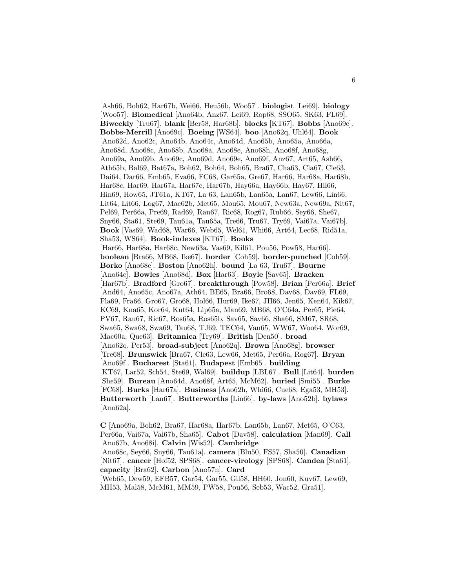[Ash66, Boh62, Har67b, Wei66, Heu56b, Woo57]. **biologist** [Lei69]. **biology** [Woo57]. **Biomedical** [Ano64b, Anz67, Lei69, Rop68, SSO65, SK63, FL69]. **Biweekly** [Tru67]. **blank** [Ber58, Har68b]. **blocks** [KT67]. **Bobbs** [Ano69c]. **Bobbs-Merrill** [Ano69c]. **Boeing** [WS64]. **boo** [Ano62q, Uhl64]. **Book** [Ano62d, Ano62c, Ano64b, Ano64c, Ano64d, Ano65b, Ano65a, Ano66a, Ano68d, Ano68c, Ano68b, Ano68a, Ano68e, Ano68h, Ano68f, Ano68g, Ano69a, Ano69b, Ano69c, Ano69d, Ano69e, Ano69f, Anz67, Art65, Ash66, Ath65b, Bal69, Bat67a, Boh62, Boh64, Boh65, Bra67, Cha63, Cla67, Cle63, Dai64, Dar66, Emb65, Eva66, FC68, Gar65a, Gre67, Har66, Har68a, Har68b, Har68c, Har69, Har67a, Har67c, Har67b, Hay66a, Hay66b, Hay67, Hil66, Hin69, How65, JT61a, KT67, La 63, Lan65b, Lan65a, Lan67, Lew66, Lin66, Lit64, Lit66, Log67, Mac62b, Met65, Mou65, Mou67, New63a, New69a, Nit67, Pel69, Per66a, Pre69, Rad69, Ran67, Ric68, Rog67, Rub66, Sey66, She67, Sny66, Sta61, Ste69, Tau61a, Tau65a, Tre66, Tru67, Try69, Vai67a, Vai67b]. **Book** [Vas69, Wad68, War66, Web65, Wel61, Whi66, Art64, Lec68, Rid51a, Sha53, WS64]. **Book-indexes** [KT67]. **Books** [Har66, Har68a, Har68c, New63a, Vas69, Kil61, Pou56, Pow58, Har66]. **boolean** [Bra66, MB68, Ike67]. **border** [Coh59]. **border-punched** [Coh59]. **Borko** [Ano68e]. **Boston** [Ano62h]. **bound** [La 63, Tru67]. **Bourne** [Ano64c]. **Bowles** [Ano68d]. **Box** [Har63]. **Boyle** [Sav65]. **Bracken** [Har67b]. **Bradford** [Gro67]. **breakthrough** [Pow58]. **Brian** [Per66a]. **Brief** [And64, Ano65c, Ano67a, Ath64, BE65, Bra66, Bro68, Dav68, Dav69, FL69, Fla69, Fra66, Gro67, Gro68, Hol66, Hur69, Ike67, JH66, Jen65, Ken64, Kik67, KC69, Kna65, Kor64, Kut64, Lip65a, Man69, MB68, O'C64a, Per65, Pie64, PV67, Rau67, Ric67, Ros65a, Ros65b, Sav65, Sav66, Sha66, SM67, SR68, Swa65, Swa68, Swa69, Tau68, TJ69, TEC64, Van65, WW67, Woo64, Wor69, Mac60a, Que63]. **Britannica** [Try69]. **British** [Den50]. **broad** [Ano62q, Per53]. **broad-subject** [Ano62q]. **Brown** [Ano68g]. **browser** [Tre68]. **Brunswick** [Bra67, Cle63, Lew66, Met65, Per66a, Rog67]. **Bryan** [Ano69f]. **Bucharest** [Sta61]. **Budapest** [Emb65]. **building** [KT67, Lar52, Sch54, Ste69, Wal69]. **buildup** [LBL67]. **Bull** [Lit64]. **burden** [She59]. **Bureau** [Ano64d, Ano68f, Art65, McM62]. **buried** [Smi55]. **Burke** [FC68]. **Burks** [Har67a]. **Business** [Ano62h, Whi66, Cue68, Ega53, MH53]. **Butterworth** [Lan67]. **Butterworths** [Lin66]. **by-laws** [Ano52b]. **bylaws** [Ano62a].

**C** [Ano69a, Boh62, Bra67, Har68a, Har67b, Lan65b, Lan67, Met65, O'C63, Per66a, Vai67a, Vai67b, Sha65]. **Cabot** [Dav58]. **calculation** [Man69]. **Call** [Ano67b, Ano68i]. **Calvin** [Wis52]. **Cambridge** [Ano68c, Sey66, Sny66, Tau61a]. **camera** [Blu50, FS57, Sha50]. **Canadian** [Nit67]. **cancer** [Hof52, SPS68]. **cancer-virology** [SPS68]. **Candea** [Sta61]. **capacity** [Bra62]. **Carbon** [Ano57n]. **Card** [Web65, Dew59, EFB57, Gar54, Gar55, Gil58, HH60, Jon60, Kuv67, Lew69, MH53, Mal58, McM61, MM59, PW58, Pou56, Seb53, Wac52, Gra51].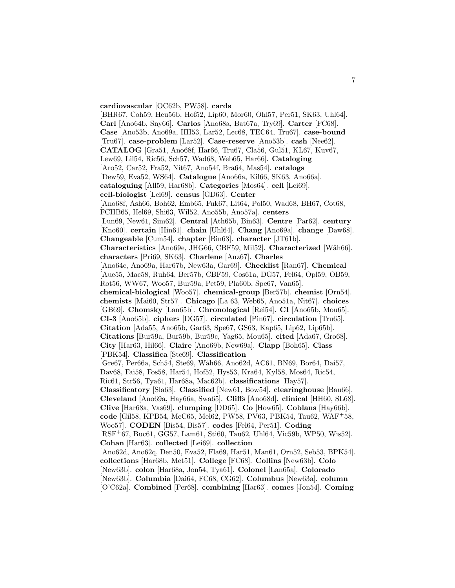**cardiovascular** [OC62b, PW58]. **cards** [BHR67, Coh59, Heu56b, Hof52, Lip60, Mor60, Ohl57, Per51, SK63, Uhl64]. **Carl** [Ano64b, Sny66]. **Carlos** [Ano68a, Bat67a, Try69]. **Carter** [FC68]. **Case** [Ano53b, Ano69a, HH53, Lar52, Lec68, TEC64, Tru67]. **case-bound** [Tru67]. **case-problem** [Lar52]. **Case-reserve** [Ano53b]. **cash** [Nee62]. **CATALOG** [Gra51, Ano68f, Har66, Tru67, Cla56, Gul51, KL67, Kuv67, Lew69, Lil54, Ric56, Sch57, Wad68, Web65, Har66]. **Cataloging** [Aro52, Car52, Fra52, Nit67, Ano54f, Bra64, Mas54]. **catalogs** [Dew59, Eva52, WS64]. **Catalogue** [Ano66a, Kil66, SK63, Ano66a]. **cataloguing** [All59, Har68b]. **Categories** [Mos64]. **cell** [Lei69]. **cell-biologist** [Lei69]. **census** [GD63]. **Center** [Ano68f, Ash66, Boh62, Emb65, Fuk67, Lit64, Pol50, Wad68, BH67, Cot68, FCHB65, Hel69, Shi63, Wil52, Ano55b, Ano57a]. **centers** [Lun69, New61, Sim62]. **Central** [Ath65b, Bin63]. **Centre** [Par62]. **century** [Kno60]. **certain** [Hin61]. **chain** [Uhl64]. **Chang** [Ano69a]. **change** [Daw68]. **Changeable** [Cum54]. **chapter** [Bin63]. **character** [JT61b]. **Characteristics** [Ano69e, JHG66, CBF59, Mil52]. **Characterized** [W˚ah66]. **characters** [Pri69, SK63]. **Charlene** [Anz67]. **Charles** [Ano64c, Ano69a, Har67b, New63a, Gar69]. **Checklist** [Ran67]. **Chemical** [Aue55, Mac58, Ruh64, Ber57b, CBF59, Cos61a, DG57, Fel64, Opl59, OB59, Rot56, WW67, Woo57, Bur59a, Pet59, Pla60b, Spe67, Van65]. **chemical-biological** [Woo57]. **chemical-group** [Ber57b]. **chemist** [Orn54]. **chemists** [Mai60, Str57]. **Chicago** [La 63, Web65, Ano51a, Nit67]. **choices** [GB69]. **Chomsky** [Lan65b]. **Chronological** [Rei54]. **CI** [Ano65b, Mou65]. **CI-3** [Ano65b]. **ciphers** [DG57]. **circulated** [Pin67]. **circulation** [Tru65]. **Citation** [Ada55, Ano65b, Gar63, Spe67, GS63, Kap65, Lip62, Lip65b]. **Citations** [Bur59a, Bur59b, Bur59c, Yag65, Mou65]. **cited** [Ada67, Gro68]. **City** [Har63, Hil66]. **Claire** [Ano69b, New69a]. **Clapp** [Boh65]. **Class** [PBK54]. **Classifica** [Ste69]. **Classification** [Gre67, Per66a, Sch54, Ste69, Wåh66, Ano62d, AC61, BN69, Bor64, Dai57, Dav68, Fai58, Fos58, Har54, Hof52, Hys53, Kra64, Kyl58, Mos64, Ric54, Ric61, Str56, Tya61, Har68a, Mac62b]. **classifications** [Hay57]. **Classificatory** [Sla63]. **Classified** [New61, Bow54]. **clearinghouse** [Bau66]. **Cleveland** [Ano69a, Hay66a, Swa65]. **Cliffs** [Ano68d]. **clinical** [HH60, SL68]. **Clive** [Har68a, Vas69]. **clumping** [DD65]. **Co** [How65]. **Coblans** [Hay66b]. **code** [Gil58, KPB54, McC65, Mel62, PW58, PV63, PBK54, Tau62, WAF<sup>+</sup>58, Woo57]. **CODEN** [Bis54, Bis57]. **codes** [Fel64, Per51]. **Coding** [RSF<sup>+</sup>67, Buc61, GG57, Lam61, Sti60, Tau62, Uhl64, Vic59b, WP50, Wis52]. **Cohan** [Har63]. **collected** [Lei69]. **collection** [Ano62d, Ano62q, Den50, Eva52, Fla69, Har51, Man61, Orn52, Seb53, BPK54]. **collections** [Har68b, Met51]. **College** [FC68]. **Collins** [New63b]. **Colo** [New63b]. **colon** [Har68a, Jon54, Tya61]. **Colonel** [Lan65a]. **Colorado** [New63b]. **Columbia** [Dai64, FC68, CG62]. **Columbus** [New63a]. **column** [O'C62a]. **Combined** [Per68]. **combining** [Har63]. **comes** [Jon54]. **Coming**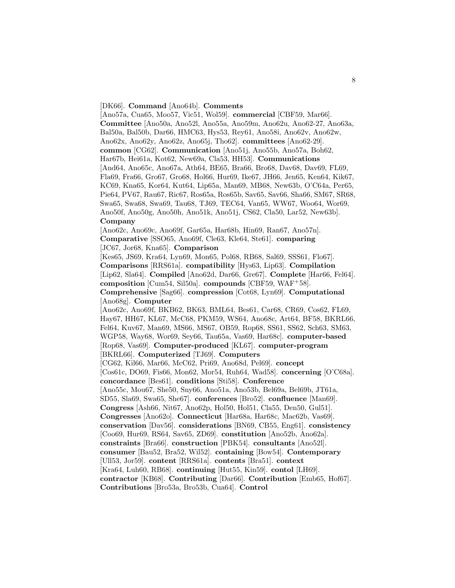#### [DK66]. **Command** [Ano64b]. **Comments**

[Ano57a, Cua65, Moo57, Vic51, Wol59]. **commercial** [CBF59, Mar66]. **Committee** [Ano50a, Ano52l, Ano55a, Ano59m, Ano62u, Ano62-27, Ano63a, Bal50a, Bal50b, Dar66, HMC63, Hys53, Rey61, Ano58i, Ano62v, Ano62w, Ano62x, Ano62y, Ano62z, Ano65j, Tho62]. **committees** [Ano62-29]. **common** [CG62]. **Communication** [Ano51j, Ano55b, Ano57a, Boh62, Har67b, Hei61a, Kot62, New69a, Cla53, HH53]. **Communications** [And64, Ano65c, Ano67a, Ath64, BE65, Bra66, Bro68, Dav68, Dav69, FL69, Fla69, Fra66, Gro67, Gro68, Hol66, Hur69, Ike67, JH66, Jen65, Ken64, Kik67, KC69, Kna65, Kor64, Kut64, Lip65a, Man69, MB68, New63b, O'C64a, Per65, Pie64, PV67, Rau67, Ric67, Ros65a, Ros65b, Sav65, Sav66, Sha66, SM67, SR68, Swa65, Swa68, Swa69, Tau68, TJ69, TEC64, Van65, WW67, Woo64, Wor69, Ano50f, Ano50g, Ano50h, Ano51k, Ano51j, CS62, Cla50, Lar52, New63b]. **Company**

[Ano62c, Ano69c, Ano69f, Gar65a, Har68b, Hin69, Ran67, Ano57n]. **Comparative** [SSO65, Ano69f, Cle63, Kle64, Ste61]. **comparing** [JC67, Jor68, Kna65]. **Comparison**

[Kes65, JS69, Kra64, Lyn69, Mon65, Pol68, RB68, Sal69, SSS61, Flo67]. **Comparisons** [RRS61a]. **compatibility** [Hys63, Lip63]. **Compilation** [Lip62, Sla64]. **Compiled** [Ano62d, Dar66, Gre67]. **Complete** [Har66, Fel64]. **composition** [Cum54, Sil50a]. **compounds** [CBF59, WAF<sup>+</sup>58]. **Comprehensive** [Sag66]. **compression** [Cot68, Lyn69]. **Computational** [Ano68g]. **Computer**

[Ano62c, Ano69f, BKB62, BK63, BML64, Bes61, Car68, CR69, Cos62, FL69, Hay67, HH67, KL67, McC68, PKM59, WS64, Ano68c, Art64, BF58, BKRL66, Fel64, Kuv67, Man69, MS66, MS67, OB59, Rop68, SS61, SS62, Sch63, SM63, WGP58, Way68, Wor69, Sey66, Tau65a, Vas69, Har68c]. **computer-based** [Rop68, Vas69]. **Computer-produced** [KL67]. **computer-program** [BKRL66]. **Computerized** [TJ69]. **Computers** [CG62, Kil66, Mar66, McC62, Pri69, Ano68d, Pel69]. **concept** [Cos61c, DO69, Fis66, Mon62, Mor54, Ruh64, Wad58]. **concerning** [O'C68a]. **concordance** [Bes61]. **conditions** [Sti58]. **Conference** [Ano55c, Mou67, She50, Sny66, Ano51a, Ano53b, Bel69a, Bel69b, JT61a, SD55, Sla69, Swa65, She67]. **conferences** [Bro52]. **confluence** [Man69]. **Congress** [Ash66, Nit67, Ano62p, Hol50, Hol51, Cla55, Den50, Gul51]. **Congresses** [Ano62o]. **Connecticut** [Har68a, Har68c, Mac62b, Vas69]. **conservation** [Dav56]. **considerations** [BN69, CB55, Eng61]. **consistency** [Coo69, Hur69, RS64, Sav65, ZD69]. **constitution** [Ano52b, Ano62a]. **constraints** [Bra66]. **construction** [PBK54]. **consultants** [Ano52l]. **consumer** [Bau52, Bra52, Wil52]. **containing** [Bow54]. **Contemporary** [Ull53, Jor59]. **content** [RRS61a]. **contents** [Bra51]. **context** [Kra64, Luh60, RB68]. **continuing** [Hut55, Kin59]. **contol** [LH69]. **contractor** [KB68]. **Contributing** [Dar66]. **Contribution** [Emb65, Hof67]. **Contributions** [Bro53a, Bro53b, Cua64]. **Control**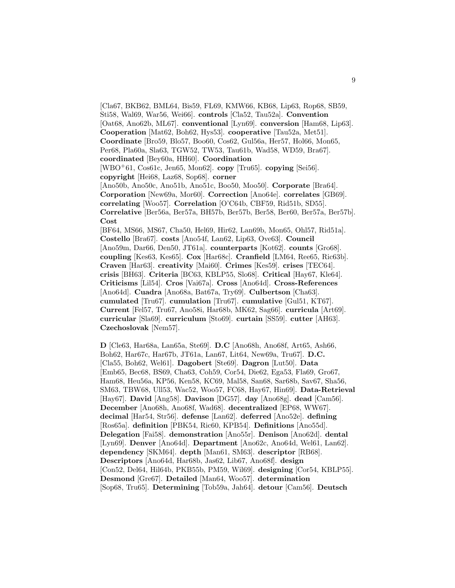[Cla67, BKB62, BML64, Bis59, FL69, KMW66, KB68, Lip63, Rop68, SB59, Sti58, Wal69, War56, Wei66]. **controls** [Cla52, Tau52a]. **Convention** [Oat68, Ano62b, ML67]. **conventional** [Lyn69]. **conversion** [Ham68, Lip63]. **Cooperation** [Mat62, Boh62, Hys53]. **cooperative** [Tau52a, Met51]. **Coordinate** [Bro59, Blo57, Boo60, Cos62, Gul56a, Her57, Hol66, Mon65, Per68, Pla60a, Sla63, TGW52, TW53, Tau61b, Wad58, WD59, Bra67]. **coordinated** [Bey60a, HH60]. **Coordination** [WBO<sup>+</sup>61, Cos61c, Jen65, Mon62]. **copy** [Tru65]. **copying** [Sei56]. **copyright** [Hei68, Laz68, Sop68]. **corner** [Ano50b, Ano50c, Ano51b, Ano51c, Boo50, Moo50]. **Corporate** [Bra64]. **Corporation** [New69a, Mor60]. **Correction** [Ano64e]. **correlates** [GB69]. **correlating** [Woo57]. **Correlation** [O'C64b, CBF59, Rid51b, SD55]. **Correlative** [Ber56a, Ber57a, BH57b, Ber57b, Ber58, Ber60, Ber57a, Ber57b]. **Cost** [BF64, MS66, MS67, Cha50, Hel69, Hir62, Lan69b, Mon65, Ohl57, Rid51a]. **Costello** [Bra67]. **costs** [Ano54f, Lan62, Lip63, Ove63]. **Council** [Ano59m, Dar66, Den50, JT61a]. **counterparts** [Kot62]. **counts** [Gro68]. **coupling** [Kes63, Kes65]. **Cox** [Har68c]. **Cranfield** [LM64, Ree65, Ric63b]. **Craven** [Har63]. **creativity** [Mai60]. **Crimes** [Kes59]. **crises** [TEC64]. **crisis** [BH63]. **Criteria** [BC63, KBLP55, Slo68]. **Critical** [Hay67, Kle64]. **Criticisms** [Lil54]. **Cros** [Vai67a]. **Cross** [Ano64d]. **Cross-References** [Ano64d]. **Cuadra** [Ano68a, Bat67a, Try69]. **Culbertson** [Cha63]. **cumulated** [Tru67]. **cumulation** [Tru67]. **cumulative** [Gul51, KT67]. **Current** [Fel57, Tru67, Ano58i, Har68b, MK62, Sag66]. **curricula** [Art69]. **curricular** [Sla69]. **curriculum** [Sto69]. **curtain** [SS59]. **cutter** [AH63]. **Czechoslovak** [Nem57].

**D** [Cle63, Har68a, Lan65a, Ste69]. **D.C** [Ano68h, Ano68f, Art65, Ash66, Boh62, Har67c, Har67b, JT61a, Lan67, Lit64, New69a, Tru67]. **D.C.** [Cla55, Boh62, Wel61]. **Dagobert** [Ste69]. **Dagron** [Lut50]. **Data** [Emb65, Bec68, BS69, Cha63, Coh59, Cor54, Die62, Ega53, Fla69, Gro67, Ham68, Heu56a, KP56, Ken58, KC69, Mal58, San68, Sar68b, Sav67, Sha56, SM63, TBW68, Ull53, Wac52, Woo57, FC68, Hay67, Hin69]. **Data-Retrieval** [Hay67]. **David** [Ang58]. **Davison** [DG57]. **day** [Ano68g]. **dead** [Cam56]. **December** [Ano68h, Ano68f, Wad68]. **decentralized** [EP68, WW67]. **decimal** [Har54, Str56]. **defense** [Lan62]. **deferred** [Ano52e]. **defining** [Ros65a]. **definition** [PBK54, Ric60, KPB54]. **Definitions** [Ano55d]. **Delegation** [Fai58]. **demonstration** [Ano55r]. **Denison** [Ano62d]. **dental** [Lyn69]. **Denver** [Ano64d]. **Department** [Ano62c, Ano64d, Wel61, Lan62]. **dependency** [SKM64]. **depth** [Man61, SM63]. **descriptor** [RB68]. **Descriptors** [Ano64d, Har68b, Jas62, Lib67, Ano68f]. **design** [Con52, Del64, Hil64b, PKB55b, PM59, Wil69]. **designing** [Cor54, KBLP55]. **Desmond** [Gre67]. **Detailed** [Man64, Woo57]. **determination** [Sop68, Tru65]. **Determining** [Tob59a, Jah64]. **detour** [Cam56]. **Deutsch**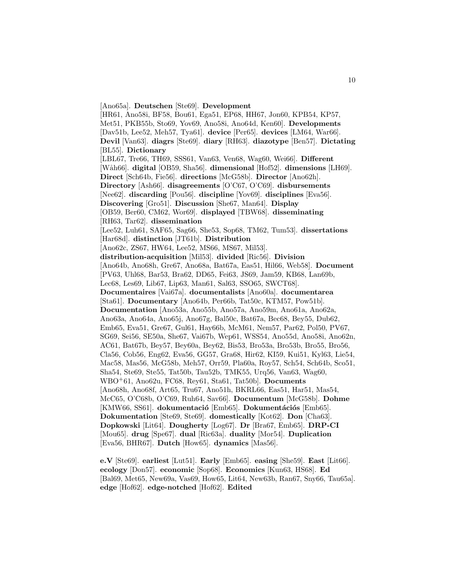[Ano65a]. **Deutschen** [Ste69]. **Development** [HR61, Ano58i, BF58, Bou61, Ega51, EP68, HH67, Jon60, KPB54, KP57, Met51, PKB55b, Sto69, Yov69, Ano58i, Ano64d, Ken60]. **Developments** [Dav51b, Lee52, Meh57, Tya61]. **device** [Per65]. **devices** [LM64, War66]. **Devil** [Van63]. **diagrs** [Ste69]. **diary** [RH63]. **diazotype** [Ben57]. **Dictating** [BL55]. **Dictionary** [LBL67, Tre66, TH69, SSS61, Van63, Ven68, Wag60, Wei66]. **Different** [W˚ah66]. **digital** [OB59, Sha56]. **dimensional** [Hof52]. **dimensions** [LH69]. **Direct** [Sch64b, Fie56]. **directions** [McG58b]. **Director** [Ano62h]. **Directory** [Ash66]. **disagreements** [O'C67, O'C69]. **disbursements** [Nee62]. **discarding** [Pou56]. **discipline** [Yov69]. **disciplines** [Eva56]. **Discovering** [Gro51]. **Discussion** [She67, Man64]. **Display** [OB59, Ber60, CM62, Wor69]. **displayed** [TBW68]. **disseminating** [RH63, Tar62]. **dissemination** [Lee52, Luh61, SAF65, Sag66, She53, Sop68, TM62, Tum53]. **dissertations** [Har68d]. **distinction** [JT61b]. **Distribution** [Ano62c, ZS67, HW64, Lee52, MS66, MS67, Mil53]. **distribution-acquisition** [Mil53]. **divided** [Ric56]. **Division** [Ano64b, Ano68h, Gre67, Ano68a, Bat67a, Eas51, Hil66, Web58]. **Document** [PV63, Uhl68, Bar53, Bra62, DD65, Fei63, JS69, Jam59, KB68, Lan69b, Lec68, Les69, Lib67, Lip63, Man61, Sal63, SSO65, SWCT68]. **Documentaires** [Vai67a]. **documentalists** [Ano60a]. **documentarea** [Sta61]. **Documentary** [Ano64b, Per66b, Tat50c, KTM57, Pow51b]. **Documentation** [Ano53a, Ano55b, Ano57a, Ano59m, Ano61a, Ano62a, Ano63a, Ano64a, Ano65j, Ano67g, Bal50c, Bat67a, Bec68, Bey55, Dub62, Emb65, Eva51, Gre67, Gul61, Hay66b, McM61, Nem57, Par62, Pol50, PV67, SG69, Sei56, SE50a, She67, Vai67b, Wep61, WSS54, Ano55d, Ano58i, Ano62n, AC61, Bat67b, Bey57, Bey60a, Bey62, Bis53, Bro53a, Bro53b, Bro55, Bro56, Cla56, Cob56, Eng62, Eva56, GG57, Gra68, Hir62, KI59, Kui51, Kyl63, Lie54, Mac58, Mas56, McG58b, Meh57, Orr59, Pla60a, Roy57, Sch54, Sch64b, Sco51, Sha54, Ste69, Ste55, Tat50b, Tau52b, TMK55, Urq56, Van63, Wag60, WBO<sup>+</sup>61, Ano62u, FC68, Rey61, Sta61, Tat50b]. **Documents** [Ano68h, Ano68f, Art65, Tru67, Ano51h, BKRL66, Eas51, Har51, Mas54, McC65, O'C68b, O'C69, Ruh64, Sav66]. **Documentum** [McG58b]. **Dohme** [KMW66, SS61]. **dokumentació** [Emb65]. **Dokumentációs** [Emb65]. **Dokumentation** [Ste69, Ste69]. **domestically** [Kot62]. **Don** [Cha63]. **Dopkowski** [Lit64]. **Dougherty** [Log67]. **Dr** [Bra67, Emb65]. **DRP-CI** [Mou65]. **drug** [Spe67]. **dual** [Ric63a]. **duality** [Mor54]. **Duplication** [Eva56, BHR67]. **Dutch** [How65]. **dynamics** [Mas56].

**e.V** [Ste69]. **earliest** [Lut51]. **Early** [Emb65]. **easing** [She59]. **East** [Lit66]. **ecology** [Don57]. **economic** [Sop68]. **Economics** [Kun63, HS68]. **Ed** [Bal69, Met65, New69a, Vas69, How65, Lit64, New63b, Ran67, Sny66, Tau65a]. **edge** [Hof62]. **edge-notched** [Hof62]. **Edited**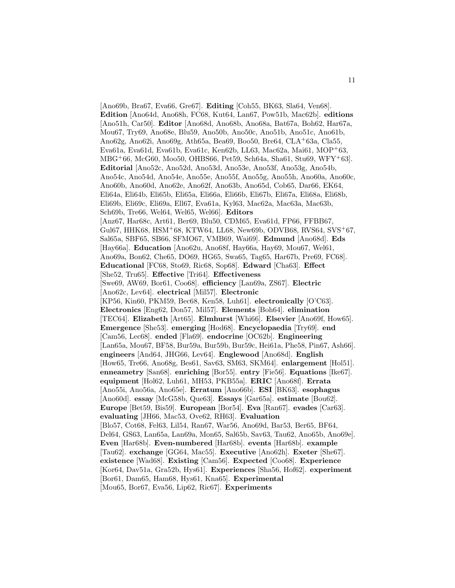[Ano69b, Bra67, Eva66, Gre67]. **Editing** [Coh55, BK63, Sla64, Ven68]. **Edition** [Ano64d, Ano68h, FC68, Kut64, Lan67, Pow51b, Mac62b]. **editions** [Ano51h, Car50]. **Editor** [Ano68d, Ano68b, Ano68a, Bat67a, Boh62, Har67a, Mou67, Try69, Ano68e, Blu59, Ano50b, Ano50c, Ano51b, Ano51c, Ano61b, Ano62g, Ano62i, Ano69g, Ath65a, Bea69, Boo50, Bre64, CLA<sup>+</sup>63a, Cla55, Eva61a, Eva61d, Eva61b, Eva61c, Ken62b, LL63, Mac62a, Mai61, MOP<sup>+</sup>63, MBG<sup>+</sup>66, McG60, Moo50, OHBS66, Pet59, Sch64a, Sha61, Stu69, WFY<sup>+</sup>63]. **Editorial** [Ano52c, Ano52d, Ano53d, Ano53e, Ano53f, Ano53g, Ano54b, Ano54c, Ano54d, Ano54e, Ano55e, Ano55f, Ano55g, Ano55h, Ano60a, Ano60c, Ano60b, Ano60d, Ano62e, Ano62f, Ano63b, Ano65d, Cob65, Dar66, EK64, Eli64a, Eli64b, Eli65b, Eli65a, Eli66a, Eli66b, Eli67b, Eli67a, Eli68a, Eli68b, Eli69b, Eli69c, Eli69a, Ell67, Eva61a, Kyl63, Mac62a, Mac63a, Mac63b, Sch69b, Tre66, Wel64, Wel65, Wel66]. **Editors** [Anz67, Har68c, Art61, Ber69, Blu50, CDM65, Eva61d, FP66, FFBB67, Gul67, HHK68, HSM<sup>+</sup>68, KTW64, LL68, New69b, ODVB68, RVS64, SVS<sup>+</sup>67, Sal65a, SBF65, SB66, SFMO67, VMB69, Wai69]. **Edmund** [Ano68d]. **Eds** [Hay66a]. **Education** [Ano62u, Ano68f, Hay66a, Hay69, Mou67, Wel61, Ano69a, Bon62, Che65, DO69, HG65, Swa65, Tag65, Har67b, Pre69, FC68]. **Educational** [FC68, Sto69, Ric68, Sop68]. **Edward** [Cha63]. **Effect** [She52, Tru65]. **Effective** [Tri64]. **Effectiveness** [Swe69, AW69, Bor61, Coo68]. **efficiency** [Lan69a, ZS67]. **Electric** [Ano62c, Lev64]. **electrical** [Mil57]. **Electronic** [KP56, Kin60, PKM59, Bec68, Ken58, Luh61]. **electronically** [O'C63]. **Electronics** [Eng62, Don57, Mil57]. **Elements** [Boh64]. **elimination** [TEC64]. **Elizabeth** [Art65]. **Elmhurst** [Whi66]. **Elsevier** [Ano69f, How65]. **Emergence** [She53]. **emerging** [Hod68]. **Encyclopaedia** [Try69]. **end** [Cam56, Lec68]. **ended** [Fla69]. **endocrine** [OC62b]. **Engineering** [Lan65a, Mou67, BF58, Bur59a, Bur59b, Bur59c, Hei61a, Phe58, Pin67, Ash66]. **engineers** [And64, JHG66, Lev64]. **Englewood** [Ano68d]. **English** [How65, Tre66, Ano68g, Bes61, Sav63, SM63, SKM64]. **enlargement** [Hol51]. **enneametry** [San68]. **enriching** [Bor55]. **entry** [Fie56]. **Equations** [Ike67]. **equipment** [Hol62, Luh61, MH53, PKB55a]. **ERIC** [Ano68f]. **Errata** [Ano55i, Ano56a, Ano65e]. **Erratum** [Ano66b]. **ESI** [BK63]. **esophagus** [Ano60d]. **essay** [McG58b, Que63]. **Essays** [Gar65a]. **estimate** [Bou62]. **Europe** [Bet59, Bis59]. **European** [Bor54]. **Eva** [Ran67]. **evades** [Car63]. **evaluating** [JH66, Mac53, Ove62, RH63]. **Evaluation** [Blo57, Cot68, Fel63, Lil54, Ran67, War56, Ano69d, Bar53, Ber65, BF64, Del64, GS63, Lan65a, Lan69a, Mon65, Sal65b, Sav63, Tau62, Ano65b, Ano69e]. **Even** [Har68b]. **Even-numbered** [Har68b]. **events** [Har68b]. **example** [Tau62]. **exchange** [GG64, Mac55]. **Executive** [Ano62h]. **Exeter** [She67]. **existence** [Wad68]. **Existing** [Cam56]. **Expected** [Coo68]. **Experience** [Kor64, Dav51a, Gra52b, Hys61]. **Experiences** [Sha56, Hof62]. **experiment** [Bor61, Dam65, Ham68, Hys61, Kna65]. **Experimental** [Mou65, Bor67, Eva56, Lip62, Ric67]. **Experiments**

11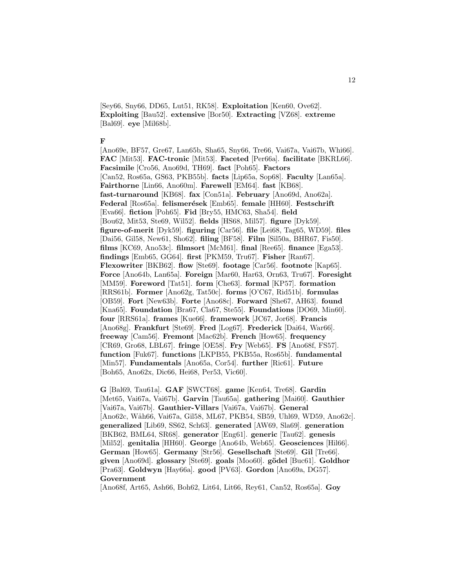[Sey66, Sny66, DD65, Lut51, RK58]. **Exploitation** [Ken60, Ove62]. **Exploiting** [Bau52]. **extensive** [Bor50]. **Extracting** [VZ68]. **extreme** [Bal69]. **eye** [Mil68b].

## **F**

[Ano69e, BF57, Gre67, Lan65b, Sha65, Sny66, Tre66, Vai67a, Vai67b, Whi66]. **FAC** [Mit53]. **FAC-tronic** [Mit53]. **Faceted** [Per66a]. **facilitate** [BKRL66]. **Facsimile** [Cro56, Ano69d, TH69]. **fact** [Poh65]. **Factors** [Can52, Ros65a, GS63, PKB55b]. **facts** [Lip65a, Sop68]. **Faculty** [Lan65a]. **Fairthorne** [Lin66, Ano60m]. **Farewell** [EM64]. **fast** [KB68]. **fast-turnaround** [KB68]. **fax** [Con51a]. **February** [Ano69d, Ano62a]. **Federal** [Ros65a]. **felismer´esek** [Emb65]. **female** [HH60]. **Festschrift** [Eva66]. **fiction** [Poh65]. **Fid** [Bry55, HMC63, Sha54]. **field** [Bou62, Mit53, Ste69, Wil52]. **fields** [HS68, Mil57]. **figure** [Dyk59]. **figure-of-merit** [Dyk59]. **figuring** [Car56]. **file** [Lei68, Tag65, WD59]. **files** [Dai56, Gil58, New61, Sho62]. **filing** [BF58]. **Film** [Sil50a, BHR67, Fis50]. **films** [KC69, Ano53c]. **filmsort** [McM61]. **final** [Ree65]. **finance** [Ega53]. **findings** [Emb65, GG64]. **first** [PKM59, Tru67]. **Fisher** [Ran67]. **Flexowriter** [BKB62]. **flow** [Ste69]. **footage** [Car56]. **footnote** [Kap65]. **Force** [Ano64b, Lan65a]. **Foreign** [Mar60, Har63, Orn63, Tru67]. **Foresight** [MM59]. **Foreword** [Tat51]. **form** [Che63]. **formal** [KP57]. **formation** [RRS61b]. **Former** [Ano62g, Tat50c]. **forms** [O'C67, Rid51b]. **formulas** [OB59]. **Fort** [New63b]. **Forte** [Ano68c]. **Forward** [She67, AH63]. **found** [Kna65]. **Foundation** [Bra67, Cla67, Ste55]. **Foundations** [DO69, Min60]. **four** [RRS61a]. **frames** [Kue66]. **framework** [JC67, Jor68]. **Francis** [Ano68g]. **Frankfurt** [Ste69]. **Fred** [Log67]. **Frederick** [Dai64, War66]. **freeway** [Cam56]. **Fremont** [Mac62b]. **French** [How65]. **frequency** [CR69, Gro68, LBL67]. **fringe** [OE58]. **Fry** [Web65]. **FS** [Ano68f, FS57]. **function** [Fuk67]. **functions** [LKPB55, PKB55a, Ros65b]. **fundamental** [Min57]. **Fundamentals** [Ano65a, Cor54]. **further** [Ric61]. **Future** [Boh65, Ano62x, Dic66, Hei68, Per53, Vic60].

**G** [Bal69, Tau61a]. **GAF** [SWCT68]. **game** [Ken64, Tre68]. **Gardin** [Met65, Vai67a, Vai67b]. **Garvin** [Tau65a]. **gathering** [Mai60]. **Gauthier** [Vai67a, Vai67b]. **Gauthier-Villars** [Vai67a, Vai67b]. **General** [Ano62c, Wåh66, Vai67a, Gil58, ML67, PKB54, SB59, Uhl69, WD59, Ano62c]. **generalized** [Lib69, SS62, Sch63]. **generated** [AW69, Sla69]. **generation** [BKB62, BML64, SR68]. **generator** [Eng61]. **generic** [Tau62]. **genesis** [Mil52]. **genitalia** [HH60]. **George** [Ano64b, Web65]. **Geosciences** [Hil66]. **German** [How65]. **Germany** [Str56]. **Gesellschaft** [Ste69]. **Gil** [Tre66]. **given** [Ano69d]. **glossary** [Ste69]. **goals** [Moo60]. **g¨odel** [Buc61]. **Goldhor** [Pra63]. **Goldwyn** [Hay66a]. **good** [PV63]. **Gordon** [Ano69a, DG57]. **Government**

[Ano68f, Art65, Ash66, Boh62, Lit64, Lit66, Rey61, Can52, Ros65a]. **Goy**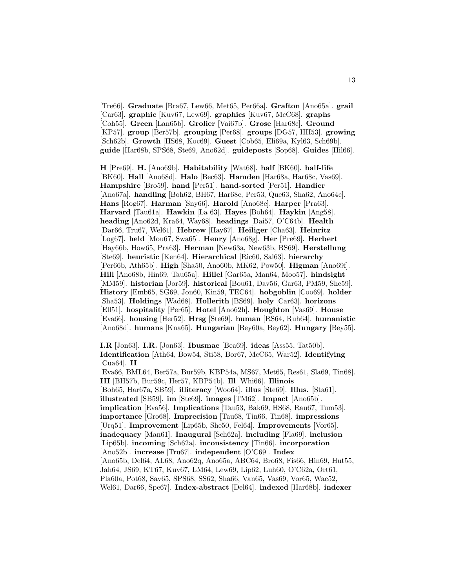[Tre66]. **Graduate** [Bra67, Lew66, Met65, Per66a]. **Grafton** [Ano65a]. **grail** [Car63]. **graphic** [Kuv67, Lew69]. **graphics** [Kuv67, McC68]. **graphs** [Coh55]. **Green** [Lan65b]. **Grolier** [Vai67b]. **Grose** [Har68c]. **Ground** [KP57]. **group** [Ber57b]. **grouping** [Per68]. **groups** [DG57, HH53]. **growing** [Sch62b]. **Growth** [HS68, Koc69]. **Guest** [Cob65, Eli69a, Kyl63, Sch69b]. **guide** [Har68b, SPS68, Ste69, Ano62d]. **guideposts** [Sop68]. **Guides** [Hil66].

**H** [Pre69]. **H.** [Ano69b]. **Habitability** [Wat68]. **half** [BK60]. **half-life** [BK60]. **Hall** [Ano68d]. **Halo** [Bec63]. **Hamden** [Har68a, Har68c, Vas69]. **Hampshire** [Bro59]. **hand** [Per51]. **hand-sorted** [Per51]. **Handier** [Ano67a]. **handling** [Boh62, BH67, Har68c, Per53, Que63, Sha62, Ano64c]. **Hans** [Rog67]. **Harman** [Sny66]. **Harold** [Ano68e]. **Harper** [Pra63]. **Harvard** [Tau61a]. **Hawkin** [La 63]. **Hayes** [Boh64]. **Haykin** [Ang58]. **heading** [Ano62d, Kra64, Way68]. **headings** [Dai57, O'C64b]. **Health** [Dar66, Tru67, Wel61]. **Hebrew** [Hay67]. **Heiliger** [Cha63]. **Heinritz** [Log67]. **held** [Mou67, Swa65]. **Henry** [Ano68g]. **Her** [Pre69]. **Herbert** [Hay66b, How65, Pra63]. **Herman** [New63a, New63b, BS69]. **Herstellung** [Ste69]. **heuristic** [Ken64]. **Hierarchical** [Ric60, Sal63]. **hierarchy** [Per66b, Ath65b]. **High** [Sha50, Ano60b, MK62, Pow50]. **Higman** [Ano69f]. **Hill** [Ano68b, Hin69, Tau65a]. **Hillel** [Gar65a, Man64, Moo57]. **hindsight** [MM59]. **historian** [Jor59]. **historical** [Bou61, Dav56, Gar63, PM59, She59]. **History** [Emb65, SG69, Jon60, Kin59, TEC64]. **hobgoblin** [Coo69]. **holder** [Sha53]. **Holdings** [Wad68]. **Hollerith** [BS69]. **holy** [Car63]. **horizons** [Ell51]. **hospitality** [Per65]. **Hotel** [Ano62h]. **Houghton** [Vas69]. **House** [Eva66]. **housing** [Her52]. **Hrsg** [Ste69]. **human** [RS64, Ruh64]. **humanistic** [Ano68d]. **humans** [Kna65]. **Hungarian** [Bey60a, Bey62]. **Hungary** [Bey55].

**I.R** [Jon63]. **I.R.** [Jon63]. **Ibusmae** [Bea69]. **ideas** [Ass55, Tat50b]. **Identification** [Ath64, Bow54, Sti58, Bor67, McC65, War52]. **Identifying** [Cua64]. **II** [Eva66, BML64, Ber57a, Bur59b, KBP54a, MS67, Met65, Res61, Sla69, Tin68]. **III** [BH57b, Bur59c, Her57, KBP54b]. **Ill** [Whi66]. **Illinois** [Boh65, Har67a, SB59]. **illiteracy** [Woo64]. **illus** [Ste69]. **Illus.** [Sta61]. **illustrated** [SB59]. **im** [Ste69]. **images** [TM62]. **Impact** [Ano65b]. **implication** [Eva56]. **Implications** [Tau53, Bak69, HS68, Rau67, Tum53]. **importance** [Gro68]. **Imprecision** [Tau68, Tin66, Tin68]. **impressions** [Urq51]. **Improvement** [Lip65b, She50, Fel64]. **Improvements** [Vor65]. **inadequacy** [Man61]. **Inaugural** [Sch62a]. **including** [Fla69]. **inclusion** [Lip65b]. **incoming** [Sch62a]. **inconsistency** [Tin66]. **incorporation** [Ano52b]. **increase** [Tru67]. **independent** [O'C69]. **Index** [Ano65b, Del64, AL68, Ano62q, Ano65a, ABC64, Bro68, Fis66, Hin69, Hut55, Jah64, JS69, KT67, Kuv67, LM64, Lew69, Lip62, Luh60, O'C62a, Ort61, Pla60a, Pot68, Sav65, SPS68, SS62, Sha66, Van65, Vas69, Vor65, Wac52, Wel61, Dar66, Spe67]. **Index-abstract** [Del64]. **indexed** [Har68b]. **indexer**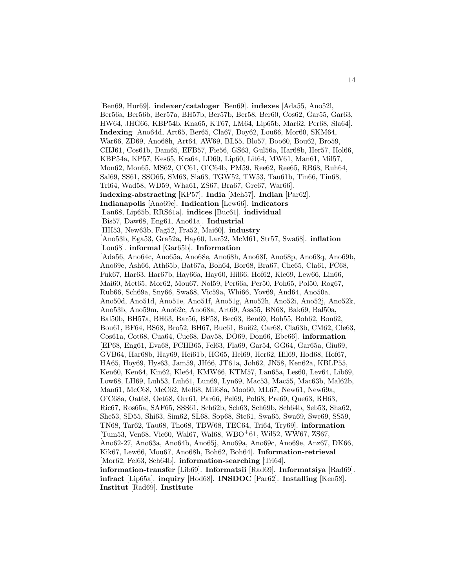[Ben69, Hur69]. **indexer/cataloger** [Ben69]. **indexes** [Ada55, Ano52l, Ber56a, Ber56b, Ber57a, BH57b, Ber57b, Ber58, Ber60, Cos62, Gar55, Gar63, HW64, JHG66, KBP54b, Kna65, KT67, LM64, Lip65b, Mar62, Per68, Sla64]. **Indexing** [Ano64d, Art65, Ber65, Cla67, Doy62, Lou66, Mor60, SKM64, War66, ZD69, Ano68h, Art64, AW69, BL55, Blo57, Boo60, Bou62, Bro59, CHJ61, Cos61b, Dam65, EFB57, Fie56, GS63, Gul56a, Har68b, Her57, Hol66, KBP54a, KP57, Kes65, Kra64, LD60, Lip60, Lit64, MW61, Man61, Mil57, Mon62, Mon65, MS62, O'C61, O'C64b, PM59, Ree62, Ree65, RB68, Ruh64, Sal69, SS61, SSO65, SM63, Sla63, TGW52, TW53, Tau61b, Tin66, Tin68, Tri64, Wad58, WD59, Wha61, ZS67, Bra67, Gre67, War66]. **indexing-abstracting** [KP57]. **India** [Meh57]. **Indian** [Par62]. **Indianapolis** [Ano69c]. **Indication** [Lew66]. **indicators** [Lan68, Lip65b, RRS61a]. **indices** [Buc61]. **individual** [Bis57, Daw68, Eng61, Ano61a]. **Industrial** [HH53, New63b, Fag52, Fra52, Mai60]. **industry** [Ano53b, Ega53, Gra52a, Hay60, Lar52, McM61, Str57, Swa68]. **inflation** [Lon68]. **informal** [Gar65b]. **Information** [Ada56, Ano64c, Ano65a, Ano68e, Ano68h, Ano68f, Ano68p, Ano68q, Ano69b, Ano69e, Ash66, Ath65b, Bat67a, Boh64, Bor68, Bra67, Che65, Cla61, FC68, Fuk67, Har63, Har67b, Hay66a, Hay60, Hil66, Hof62, Kle69, Lew66, Lin66, Mai60, Met65, Mor62, Mou67, Nol59, Per66a, Per50, Poh65, Pol50, Rog67, Rub66, Sch69a, Sny66, Swa68, Vic59a, Whi66, Yov69, And64, Ano50a, Ano50d, Ano51d, Ano51e, Ano51f, Ano51g, Ano52h, Ano52i, Ano52j, Ano52k, Ano53b, Ano59m, Ano62c, Ano68a, Art69, Ass55, BN68, Bak69, Bal50a, Bal50b, BH57a, BH63, Bar56, BF58, Bec63, Ben69, Boh55, Boh62, Bon62, Bou61, BF64, BS68, Bro52, BH67, Buc61, Bui62, Car68, Cla63b, CM62, Cle63, Cos61a, Cot68, Cua64, Cue68, Dav58, DO69, Don66, Ebe66]. **information** [EP68, Eng61, Eva68, FCHB65, Fel63, Fla69, Gar54, GG64, Gar65a, Giu69, GVB64, Har68b, Hay69, Hei61b, HG65, Hel69, Her62, Hil69, Hod68, Hof67, HA65, Hoy69, Hys63, Jam59, JH66, JT61a, Joh62, JN58, Ken62a, KBLP55, Ken60, Ken64, Kin62, Kle64, KMW66, KTM57, Lan65a, Les60, Lev64, Lib69, Low68, LH69, Luh53, Luh61, Lun69, Lyn69, Mac53, Mac55, Mac63b, Mal62b, Man61, McC68, McC62, Mel68, Mil68a, Moo60, ML67, New61, New69a, O'C68a, Oat68, Oet68, Orr61, Par66, Pel69, Pol68, Pre69, Que63, RH63, Ric67, Ros65a, SAF65, SSS61, Sch62b, Sch63, Sch69b, Sch64b, Seb53, Sha62, She53, SD55, Shi63, Sim62, SL68, Sop68, Ste61, Swa65, Swa69, Swe69, SS59, TN68, Tar62, Tau68, Tho68, TBW68, TEC64, Tri64, Try69]. **information** [Tum53, Ven68, Vic60, Wal67, Wal68, WBO<sup>+</sup>61, Wil52, WW67, ZS67, Ano62-27, Ano63a, Ano64b, Ano65j, Ano69a, Ano69c, Ano69e, Anz67, DK66, Kik67, Lew66, Mou67, Ano68h, Boh62, Boh64]. **Information-retrieval** [Mor62, Fel63, Sch64b]. **information-searching** [Tri64]. **information-transfer** [Lib69]. **Informatsii** [Rad69]. **Informatsiya** [Rad69]. **infract** [Lip65a]. **inquiry** [Hod68]. **INSDOC** [Par62]. **Installing** [Ken58]. **Institut** [Rad69]. **Institute**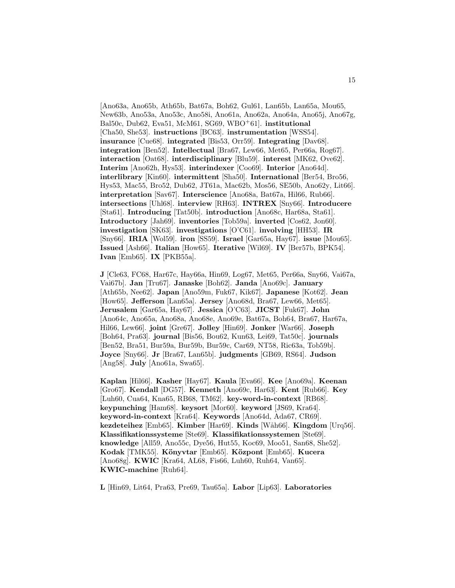[Ano63a, Ano65b, Ath65b, Bat67a, Boh62, Gul61, Lan65b, Lan65a, Mou65, New63b, Ano53a, Ano53c, Ano58i, Ano61a, Ano62a, Ano64a, Ano65j, Ano67g, Bal50c, Dub62, Eva51, McM61, SG69, WBO<sup>+</sup>61]. **institutional** [Cha50, She53]. **instructions** [BC63]. **instrumentation** [WSS54]. **insurance** [Cue68]. **integrated** [Bis53, Orr59]. **Integrating** [Dav68]. **integration** [Ben52]. **Intellectual** [Bra67, Lew66, Met65, Per66a, Rog67]. **interaction** [Oat68]. **interdisciplinary** [Blu59]. **interest** [MK62, Ove62]. **Interim** [Ano62h, Hys53]. **interindexer** [Coo69]. **Interior** [Ano64d]. **interlibrary** [Kin60]. **intermittent** [Sha50]. **International** [Ber54, Bro56, Hys53, Mac55, Bro52, Dub62, JT61a, Mac62b, Mos56, SE50b, Ano62y, Lit66]. **interpretation** [Sav67]. **Interscience** [Ano68a, Bat67a, Hil66, Rub66]. **intersections** [Uhl68]. **interview** [RH63]. **INTREX** [Sny66]. **Introducere** [Sta61]. **Introducing** [Tat50b]. **introduction** [Ano68c, Har68a, Sta61]. **Introductory** [Jah69]. **inventories** [Tob59a]. **inverted** [Cos62, Jon60]. **investigation** [SK63]. **investigations** [O'C61]. **involving** [HH53]. **IR** [Sny66]. **IRIA** [Wol59]. **iron** [SS59]. **Israel** [Gar65a, Hay67]. **issue** [Mou65]. **Issued** [Ash66]. **Italian** [How65]. **Iterative** [Wil69]. **IV** [Ber57b, BPK54]. **Ivan** [Emb65]. **IX** [PKB55a].

**J** [Cle63, FC68, Har67c, Hay66a, Hin69, Log67, Met65, Per66a, Sny66, Vai67a, Vai67b]. **Jan** [Tru67]. **Janaske** [Boh62]. **Janda** [Ano69c]. **January** [Ath65b, Nee62]. **Japan** [Ano59m, Fuk67, Kik67]. **Japanese** [Kot62]. **Jean** [How65]. **Jefferson** [Lan65a]. **Jersey** [Ano68d, Bra67, Lew66, Met65]. **Jerusalem** [Gar65a, Hay67]. **Jessica** [O'C63]. **JICST** [Fuk67]. **John** [Ano64c, Ano65a, Ano68a, Ano68e, Ano69e, Bat67a, Boh64, Bra67, Har67a, Hil66, Lew66]. **joint** [Gre67]. **Jolley** [Hin69]. **Jonker** [War66]. **Joseph** [Boh64, Pra63]. **journal** [Bis56, Bou62, Kun63, Lei69, Tat50c]. **journals** [Ben52, Bra51, Bur59a, Bur59b, Bur59c, Car69, NT58, Ric63a, Tob59b]. **Joyce** [Sny66]. **Jr** [Bra67, Lan65b]. **judgments** [GB69, RS64]. **Judson** [Ang58]. **July** [Ano61a, Swa65].

**Kaplan** [Hil66]. **Kasher** [Hay67]. **Kaula** [Eva66]. **Kee** [Ano69a]. **Keenan** [Gro67]. **Kendall** [DG57]. **Kenneth** [Ano69c, Har63]. **Kent** [Rub66]. **Key** [Luh60, Cua64, Kna65, RB68, TM62]. **key-word-in-context** [RB68]. **keypunching** [Ham68]. **keysort** [Mor60]. **keyword** [JS69, Kra64]. **keyword-in-context** [Kra64]. **Keywords** [Ano64d, Ada67, CR69]. **kezdeteihez** [Emb65]. **Kimber** [Har69]. **Kinds** [W˚ah66]. **Kingdom** [Urq56]. **Klassifikationssysteme** [Ste69]. **Klassifikationssystemen** [Ste69]. **knowledge** [All59, Ano55c, Dye56, Hut55, Koc69, Moo51, San68, She52]. **Kodak** [TMK55]. **K¨onyvtar** [Emb65]. **K¨ozpont** [Emb65]. **Kucera** [Ano68g]. **KWIC** [Kra64, AL68, Fis66, Luh60, Ruh64, Van65]. **KWIC-machine** [Ruh64].

**L** [Hin69, Lit64, Pra63, Pre69, Tau65a]. **Labor** [Lip63]. **Laboratories**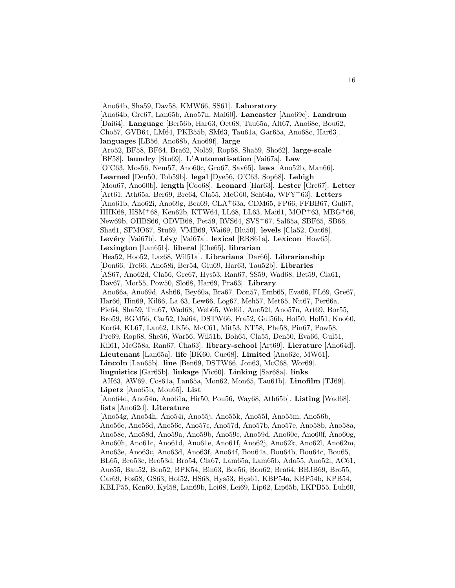[Ano64b, Sha59, Dav58, KMW66, SS61]. **Laboratory** [Ano64b, Gre67, Lan65b, Ano57n, Mai60]. **Lancaster** [Ano69e]. **Landrum** [Dai64]. **Language** [Ber56b, Har63, Oet68, Tau65a, Alt67, Ano68e, Bou62, Cho57, GVB64, LM64, PKB55b, SM63, Tau61a, Gar65a, Ano68c, Har63]. **languages** [LB56, Ano68b, Ano69f]. **large** [Aro52, BF58, BF64, Bra62, Nol59, Rop68, Sha59, Sho62]. **large-scale** [BF58]. **laundry** [Stu69]. **L'Automatisation** [Vai67a]. **Law** [O'C63, Mos56, Nem57, Ano60c, Gro67, Sav65]. **laws** [Ano52b, Man66]. **Learned** [Den50, Tob59b]. **legal** [Dye56, O'C63, Sop68]. **Lehigh** [Mou67, Ano60b]. **length** [Coo68]. **Leonard** [Har63]. **Lester** [Gre67]. **Letter** [Art61, Ath65a, Ber69, Bre64, Cla55, McG60, Sch64a, WFY<sup>+</sup>63]. **Letters** [Ano61b, Ano62i, Ano69g, Bea69, CLA<sup>+</sup>63a, CDM65, FP66, FFBB67, Gul67, HHK68, HSM<sup>+</sup>68, Ken62b, KTW64, LL68, LL63, Mai61, MOP<sup>+</sup>63, MBG<sup>+</sup>66, New69b, OHBS66, ODVB68, Pet59, RVS64, SVS<sup>+</sup>67, Sal65a, SBF65, SB66, Sha61, SFMO67, Stu69, VMB69, Wai69, Blu50]. **levels** [Cla52, Oat68]. **Levéry** [Vai67b]. **Lévy** [Vai67a]. **lexical** [RRS61a]. **Lexicon** [How65]. **Lexington** [Lan65b]. **liberal** [Che65]. **librarian** [Hea52, Hoo52, Laz68, Wil51a]. **Librarians** [Dar66]. **Librarianship** [Don66, Tre66, Ano58i, Ber54, Giu69, Har63, Tau52b]. **Libraries** [AS67, Ano62d, Cla56, Gre67, Hys53, Ran67, SS59, Wad68, Bet59, Cla61, Dav67, Mor55, Pow50, Slo68, Har69, Pra63]. **Library** [Ano66a, Ano69d, Ash66, Bey60a, Bra67, Don57, Emb65, Eva66, FL69, Gre67, Har66, Hin69, Kil66, La 63, Lew66, Log67, Meh57, Met65, Nit67, Per66a, Pie64, Sha59, Tru67, Wad68, Web65, Wel61, Ano52l, Ano57n, Art69, Bor55, Bro59, BGM56, Car52, Dai64, DSTW66, Fra52, Gul56b, Hol50, Hol51, Kno60, Kor64, KL67, Lan62, LK56, McC61, Mit53, NT58, Phe58, Pin67, Pow58, Pre69, Rop68, She56, War56, Wil51b, Boh65, Cla55, Den50, Eva66, Gul51, Kil61, McG58a, Ran67, Cha63]. **library-school** [Art69]. **Lierature** [Ano64d]. **Lieutenant** [Lan65a]. **life** [BK60, Cue68]. **Limited** [Ano62c, MW61]. **Lincoln** [Lan65b]. **line** [Ben69, DSTW66, Jon63, McC68, Wor69]. **linguistics** [Gar65b]. **linkage** [Vic60]. **Linking** [Sar68a]. **links** [AH63, AW69, Cos61a, Lan65a, Mon62, Mon65, Tau61b]. **Linofilm** [TJ69]. **Lipetz** [Ano65b, Mou65]. **List** [Ano64d, Ano54n, Ano61a, Hir50, Pou56, Way68, Ath65b]. **Listing** [Wad68]. **lists** [Ano62d]. **Literature** [Ano54g, Ano54h, Ano54i, Ano55j, Ano55k, Ano55l, Ano55m, Ano56b, Ano56c, Ano56d, Ano56e, Ano57c, Ano57d, Ano57b, Ano57e, Ano58b, Ano58a, Ano58c, Ano58d, Ano59a, Ano59b, Ano59c, Ano59d, Ano60e, Ano60f, Ano60g, Ano60h, Ano61c, Ano61d, Ano61e, Ano61f, Ano62j, Ano62k, Ano62l, Ano62m, Ano63e, Ano63c, Ano63d, Ano63f, Ano64f, Bou64a, Bou64b, Bou64c, Bou65, BL65, Bro53c, Bro53d, Bro54, Cla67, Lam65a, Lam65b, Ada55, Ano52l, AC61, Aue55, Bau52, Ben52, BPK54, Bin63, Bor56, Bou62, Bra64, BBJB69, Bro55, Car69, Fos58, GS63, Hof52, HS68, Hys53, Hys61, KBP54a, KBP54b, KPB54, KBLP55, Ken60, Kyl58, Lan69b, Lei68, Lei69, Lip62, Lip65b, LKPB55, Luh60,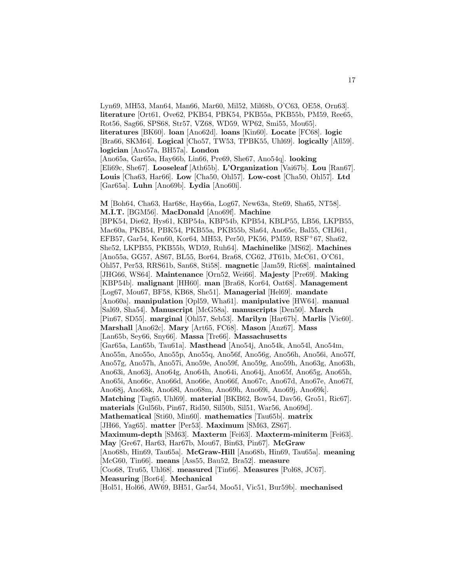Lyn69, MH53, Man64, Man66, Mar60, Mil52, Mil68b, O'C63, OE58, Orn63]. **literature** [Ort61, Ove62, PKB54, PBK54, PKB55a, PKB55b, PM59, Ree65, Rot56, Sag66, SPS68, Str57, VZ68, WD59, WP62, Smi55, Mou65]. **literatures** [BK60]. **loan** [Ano62d]. **loans** [Kin60]. **Locate** [FC68]. **logic** [Bra66, SKM64]. **Logical** [Cho57, TW53, TPBK55, Uhl69]. **logically** [All59]. **logician** [Ano57a, BH57a]. **London** [Ano65a, Gar65a, Hay66b, Lin66, Pre69, She67, Ano54q]. **looking** [Eli69c, She67]. **Looseleaf** [Ath65b]. **L'Organization** [Vai67b]. **Lou** [Ran67]. **Louis** [Cha63, Har66]. **Low** [Cha50, Ohl57]. **Low-cost** [Cha50, Ohl57]. **Ltd** [Gar65a]. **Luhn** [Ano69b]. **Lydia** [Ano60i].

**M** [Boh64, Cha63, Har68c, Hay66a, Log67, New63a, Ste69, Sha65, NT58]. **M.I.T.** [BGM56]. **MacDonald** [Ano69f]. **Machine** [BPK54, Die62, Hys61, KBP54a, KBP54b, KPB54, KBLP55, LB56, LKPB55, Mac60a, PKB54, PBK54, PKB55a, PKB55b, Sla64, Ano65c, Bal55, CHJ61, EFB57, Gar54, Ken60, Kor64, MH53, Per50, PK56, PM59, RSF<sup>+</sup>67, Sha62, She52, LKPB55, PKB55b, WD59, Ruh64]. **Machinelike** [MS62]. **Machines** [Ano55a, GG57, AS67, BL55, Bor64, Bra68, CG62, JT61b, McC61, O'C61, Ohl57, Per53, RRS61b, San68, Sti58]. **magnetic** [Jam59, Ric68]. **maintained** [JHG66, WS64]. **Maintenance** [Orn52, Wei66]. **Majesty** [Pre69]. **Making** [KBP54b]. **malignant** [HH60]. **man** [Bra68, Kor64, Oat68]. **Management** [Log67, Mou67, BF58, KB68, She51]. **Managerial** [Hel69]. **mandate** [Ano60a]. **manipulation** [Opl59, Wha61]. **manipulative** [HW64]. **manual** [Sal69, Sha54]. **Manuscript** [McG58a]. **manuscripts** [Den50]. **March** [Pin67, SD55]. **marginal** [Ohl57, Seb53]. **Marilyn** [Har67b]. **Marlis** [Vic60]. **Marshall** [Ano62c]. **Mary** [Art65, FC68]. **Mason** [Anz67]. **Mass** [Lan65b, Sey66, Sny66]. **Massa** [Tre66]. **Massachusetts** [Gar65a, Lan65b, Tau61a]. **Masthead** [Ano54j, Ano54k, Ano54l, Ano54m, Ano55n, Ano55o, Ano55p, Ano55q, Ano56f, Ano56g, Ano56h, Ano56i, Ano57f, Ano57g, Ano57h, Ano57i, Ano59e, Ano59f, Ano59g, Ano59h, Ano63g, Ano63h, Ano63i, Ano63j, Ano64g, Ano64h, Ano64i, Ano64j, Ano65f, Ano65g, Ano65h, Ano65i, Ano66c, Ano66d, Ano66e, Ano66f, Ano67c, Ano67d, Ano67e, Ano67f, Ano68j, Ano68k, Ano68l, Ano68m, Ano69h, Ano69i, Ano69j, Ano69k]. **Matching** [Tag65, Uhl69]. **material** [BKB62, Bow54, Dav56, Gro51, Ric67]. **materials** [Gul56b, Pin67, Rid50, Sil50b, Sil51, War56, Ano69d]. **Mathematical** [Sti60, Min60]. **mathematics** [Tau65b]. **matrix** [JH66, Yag65]. **matter** [Per53]. **Maximum** [SM63, ZS67]. **Maximum-depth** [SM63]. **Maxterm** [Fei63]. **Maxterm-miniterm** [Fei63]. **May** [Gre67, Har63, Har67b, Mou67, Bin63, Pin67]. **McGraw** [Ano68b, Hin69, Tau65a]. **McGraw-Hill** [Ano68b, Hin69, Tau65a]. **meaning** [McG60, Tin66]. **means** [Ass55, Bau52, Bra52]. **measure** [Coo68, Tru65, Uhl68]. **measured** [Tin66]. **Measures** [Pol68, JC67]. **Measuring** [Bor64]. **Mechanical** [Hol51, Hol66, AW69, BH51, Gar54, Moo51, Vic51, Bur59b]. **mechanised**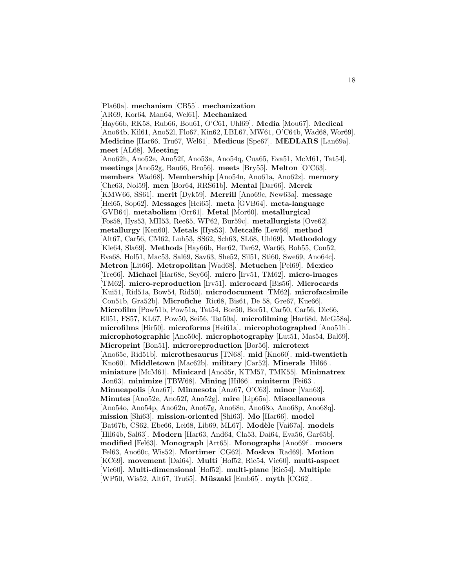[Pla60a]. **mechanism** [CB55]. **mechanization** [AR69, Kor64, Man64, Wel61]. **Mechanized** [Hay66b, RK58, Rub66, Bou61, O'C61, Uhl69]. **Media** [Mou67]. **Medical** [Ano64b, Kil61, Ano52l, Flo67, Kin62, LBL67, MW61, O'C64b, Wad68, Wor69]. **Medicine** [Har66, Tru67, Wel61]. **Medicus** [Spe67]. **MEDLARS** [Lan69a]. **meet** [AL68]. **Meeting** [Ano62h, Ano52e, Ano52f, Ano53a, Ano54q, Cua65, Eva51, McM61, Tat54]. **meetings** [Ano52g, Bau66, Bro56]. **meets** [Bry55]. **Melton** [O'C63]. **members** [Wad68]. **Membership** [Ano54n, Ano61a, Ano62z]. **memory** [Che63, Nol59]. **men** [Bor64, RRS61b]. **Mental** [Dar66]. **Merck** [KMW66, SS61]. **merit** [Dyk59]. **Merrill** [Ano69c, New63a]. **message** [Hei65, Sop62]. **Messages** [Hei65]. **meta** [GVB64]. **meta-language** [GVB64]. **metabolism** [Orr61]. **Metal** [Mor60]. **metallurgical** [Fos58, Hys53, MH53, Ree65, WP62, Bur59c]. **metallurgists** [Ove62]. **metallurgy** [Ken60]. **Metals** [Hys53]. **Metcalfe** [Lew66]. **method** [Alt67, Car56, CM62, Luh53, SS62, Sch63, SL68, Uhl69]. **Methodology** [Kle64, Sla69]. **Methods** [Hay66b, Her62, Tar62, War66, Boh55, Con52, Eva68, Hol51, Mac53, Sal69, Sav63, She52, Sil51, Sti60, Swe69, Ano64c]. **Metron** [Lit66]. **Metropolitan** [Wad68]. **Metuchen** [Pel69]. **Mexico** [Tre66]. **Michael** [Har68c, Sey66]. **micro** [Irv51, TM62]. **micro-images** [TM62]. **micro-reproduction** [Irv51]. **microcard** [Bis56]. **Microcards** [Kui51, Rid51a, Bow54, Rid50]. **microdocument** [TM62]. **microfacsimile** [Con51b, Gra52b]. **Microfiche** [Ric68, Bis61, De 58, Gre67, Kue66]. **Microfilm** [Pow51b, Pow51a, Tat54, Bor50, Bor51, Car50, Car56, Dic66, Ell51, FS57, KL67, Pow50, Sei56, Tat50a]. **microfilming** [Har68d, McG58a]. **microfilms** [Hir50]. **microforms** [Hei61a]. **microphotographed** [Ano51h]. **microphotographic** [Ano50e]. **microphotography** [Lut51, Mas54, Bal69]. **Microprint** [Bon51]. **microreproduction** [Bor56]. **microtext** [Ano65c, Rid51b]. **microthesaurus** [TN68]. **mid** [Kno60]. **mid-twentieth** [Kno60]. **Middletown** [Mac62b]. **military** [Car52]. **Minerals** [Hil66]. **miniature** [McM61]. **Minicard** [Ano55r, KTM57, TMK55]. **Minimatrex** [Jon63]. **minimize** [TBW68]. **Mining** [Hil66]. **miniterm** [Fei63]. **Minneapolis** [Anz67]. **Minnesota** [Anz67, O'C63]. **minor** [Van63]. **Minutes** [Ano52e, Ano52f, Ano52g]. **mire** [Lip65a]. **Miscellaneous** [Ano54o, Ano54p, Ano62n, Ano67g, Ano68n, Ano68o, Ano68p, Ano68q]. **mission** [Shi63]. **mission-oriented** [Shi63]. **Mo** [Har66]. **model** [Bat67b, CS62, Ebe66, Lei68, Lib69, ML67]. Modèle [Vai67a]. models [Hil64b, Sal63]. **Modern** [Har63, And64, Cla53, Dai64, Eva56, Gar65b]. **modified** [Fel63]. **Monograph** [Art65]. **Monographs** [Ano69f]. **mooers** [Fel63, Ano60c, Wis52]. **Mortimer** [CG62]. **Moskva** [Rad69]. **Motion** [KC69]. **movement** [Dai64]. **Multi** [Hof52, Ric54, Vic60]. **multi-aspect** [Vic60]. **Multi-dimensional** [Hof52]. **multi-plane** [Ric54]. **Multiple** [WP50, Wis52, Alt67, Tru65]. **M¨uszaki** [Emb65]. **myth** [CG62].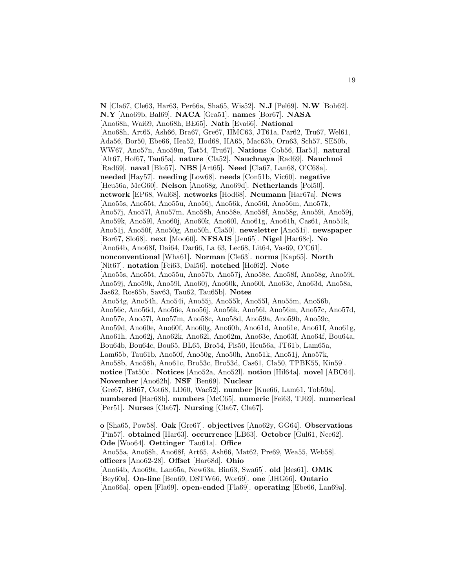**N** [Cla67, Cle63, Har63, Per66a, Sha65, Wis52]. **N.J** [Pel69]. **N.W** [Boh62]. **N.Y** [Ano69b, Bal69]. **NACA** [Gra51]. **names** [Bor67]. **NASA** [Ano68h, Wai69, Ano68h, BE65]. **Nath** [Eva66]. **National** [Ano68h, Art65, Ash66, Bra67, Gre67, HMC63, JT61a, Par62, Tru67, Wel61, Ada56, Bor50, Ebe66, Hea52, Hod68, HA65, Mac63b, Orn63, Sch57, SE50b, WW67, Ano57n, Ano59m, Tat54, Tru67]. **Nations** [Cob56, Har51]. **natural** [Alt67, Hof67, Tau65a]. **nature** [Cla52]. **Nauchnaya** [Rad69]. **Nauchnoi** [Rad69]. **naval** [Blo57]. **NBS** [Art65]. **Need** [Cla67, Lan68, O'C68a]. **needed** [Hay57]. **needing** [Low68]. **needs** [Con51b, Vic60]. **negative** [Heu56a, McG60]. **Nelson** [Ano68g, Ano69d]. **Netherlands** [Pol50]. **network** [EP68, Wal68]. **networks** [Hod68]. **Neumann** [Har67a]. **News** [Ano55s, Ano55t, Ano55u, Ano56j, Ano56k, Ano56l, Ano56m, Ano57k, Ano57j, Ano57l, Ano57m, Ano58h, Ano58e, Ano58f, Ano58g, Ano59i, Ano59j, Ano59k, Ano59l, Ano60j, Ano60k, Ano60l, Ano61g, Ano61h, Cas61, Ano51k, Ano51j, Ano50f, Ano50g, Ano50h, Cla50]. **newsletter** [Ano51i]. **newspaper** [Bor67, Slo68]. **next** [Moo60]. **NFSAIS** [Jen65]. **Nigel** [Har68c]. **No** [Ano64b, Ano68f, Dai64, Dar66, La 63, Lec68, Lit64, Vas69, O'C61]. **nonconventional** [Wha61]. **Norman** [Cle63]. **norms** [Kap65]. **North** [Nit67]. **notation** [Fei63, Dai56]. **notched** [Hof62]. **Note** [Ano55s, Ano55t, Ano55u, Ano57b, Ano57j, Ano58e, Ano58f, Ano58g, Ano59i, Ano59j, Ano59k, Ano59l, Ano60j, Ano60k, Ano60l, Ano63c, Ano63d, Ano58a, Jas62, Ros65b, Sav63, Tau62, Tau65b]. **Notes** [Ano54g, Ano54h, Ano54i, Ano55j, Ano55k, Ano55l, Ano55m, Ano56b, Ano56c, Ano56d, Ano56e, Ano56j, Ano56k, Ano56l, Ano56m, Ano57c, Ano57d, Ano57e, Ano57l, Ano57m, Ano58c, Ano58d, Ano59a, Ano59b, Ano59c, Ano59d, Ano60e, Ano60f, Ano60g, Ano60h, Ano61d, Ano61e, Ano61f, Ano61g, Ano61h, Ano62j, Ano62k, Ano62l, Ano62m, Ano63e, Ano63f, Ano64f, Bou64a, Bou64b, Bou64c, Bou65, BL65, Bro54, Fis50, Heu56a, JT61b, Lam65a, Lam65b, Tau61b, Ano50f, Ano50g, Ano50h, Ano51k, Ano51j, Ano57k, Ano58b, Ano58h, Ano61c, Bro53c, Bro53d, Cas61, Cla50, TPBK55, Kin59]. **notice** [Tat50c]. **Notices** [Ano52a, Ano52l]. **notion** [Hil64a]. **novel** [ABC64]. **November** [Ano62h]. **NSF** [Ben69]. **Nuclear** [Gre67, BH67, Cot68, LD60, Wac52]. **number** [Kue66, Lam61, Tob59a]. **numbered** [Har68b]. **numbers** [McC65]. **numeric** [Fei63, TJ69]. **numerical** [Per51]. **Nurses** [Cla67]. **Nursing** [Cla67, Cla67]. **o** [Sha65, Pow58]. **Oak** [Gre67]. **objectives** [Ano62y, GG64]. **Observations**

[Pin57]. **obtained** [Har63]. **occurrence** [LB63]. **October** [Gul61, Nee62]. **Ode** [Woo64]. **Oettinger** [Tau61a]. **Office** [Ano55a, Ano68h, Ano68f, Art65, Ash66, Mat62, Pre69, Wea55, Web58]. **officers** [Ano62-28]. **Offset** [Har68d]. **Ohio** [Ano64b, Ano69a, Lan65a, New63a, Bin63, Swa65]. **old** [Bes61]. **OMK** [Bey60a]. **On-line** [Ben69, DSTW66, Wor69]. **one** [JHG66]. **Ontario** [Ano66a]. **open** [Fla69]. **open-ended** [Fla69]. **operating** [Ebe66, Lan69a].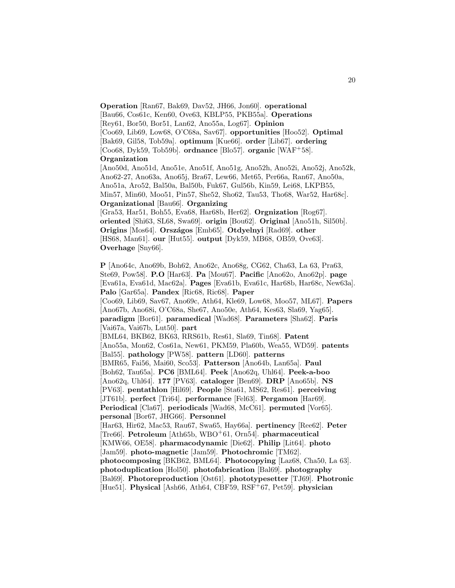**Operation** [Ran67, Bak69, Dav52, JH66, Jon60]. **operational** [Bau66, Cos61c, Ken60, Ove63, KBLP55, PKB55a]. **Operations** [Rey61, Bor50, Bor51, Lan62, Ano55a, Log67]. **Opinion** [Coo69, Lib69, Low68, O'C68a, Sav67]. **opportunities** [Hoo52]. **Optimal** [Bak69, Gil58, Tob59a]. **optimum** [Kue66]. **order** [Lib67]. **ordering** [Coo68, Dyk59, Tob59b]. **ordnance** [Blo57]. **organic** [WAF<sup>+</sup>58]. **Organization**

[Ano50d, Ano51d, Ano51e, Ano51f, Ano51g, Ano52h, Ano52i, Ano52j, Ano52k, Ano62-27, Ano63a, Ano65j, Bra67, Lew66, Met65, Per66a, Ran67, Ano50a, Ano51a, Aro52, Bal50a, Bal50b, Fuk67, Gul56b, Kin59, Lei68, LKPB55, Min57, Min60, Moo51, Pin57, She52, Sho62, Tau53, Tho68, War52, Har68c]. **Organizational** [Bau66]. **Organizing**

[Gra53, Har51, Boh55, Eva68, Har68b, Her62]. **Orgnization** [Rog67]. **oriented** [Shi63, SL68, Swa69]. **origin** [Bou62]. **Original** [Ano51h, Sil50b]. **Origins** [Mos64]. **Orsz´agos** [Emb65]. **Otdyelnyi** [Rad69]. **other** [HS68, Man61]. **our** [Hut55]. **output** [Dyk59, MB68, OB59, Ove63]. **Overhage** [Sny66].

**P** [Ano64c, Ano69b, Boh62, Ano62c, Ano68g, CG62, Cha63, La 63, Pra63, Ste69, Pow58]. **P.O** [Har63]. **Pa** [Mou67]. **Pacific** [Ano62o, Ano62p]. **page** [Eva61a, Eva61d, Mac62a]. **Pages** [Eva61b, Eva61c, Har68b, Har68c, New63a]. **Palo** [Gar65a]. **Pandex** [Ric68, Ric68]. **Paper** [Coo69, Lib69, Sav67, Ano69c, Ath64, Kle69, Low68, Moo57, ML67]. **Papers** [Ano67b, Ano68i, O'C68a, She67, Ano50e, Ath64, Kes63, Sla69, Yag65]. **paradigm** [Bor61]. **paramedical** [Wad68]. **Parameters** [Sha62]. **Paris** [Vai67a, Vai67b, Lut50]. **part** [BML64, BKB62, BK63, RRS61b, Res61, Sla69, Tin68]. **Patent** [Ano55a, Mon62, Cos61a, New61, PKM59, Pla60b, Wea55, WD59]. **patents** [Bal55]. **pathology** [PW58]. **pattern** [LD60]. **patterns** [BMR65, Fai56, Mai60, Sco53]. **Patterson** [Ano64b, Lan65a]. **Paul** [Boh62, Tau65a]. **PC6** [BML64]. **Peek** [Ano62q, Uhl64]. **Peek-a-boo** [Ano62q, Uhl64]. **177** [PV63]. **cataloger** [Ben69]. **DRP** [Ano65b]. **NS** [PV63]. **pentathlon** [Hil69]. **People** [Sta61, MS62, Res61]. **perceiving** [JT61b]. **perfect** [Tri64]. **performance** [Fel63]. **Pergamon** [Har69]. **Periodical** [Cla67]. **periodicals** [Wad68, McC61]. **permuted** [Vor65]. **personal** [Bor67, JHG66]. **Personnel** [Har63, Hir62, Mac53, Rau67, Swa65, Hay66a]. **pertinency** [Ree62]. **Peter** [Tre66]. **Petroleum** [Ath65b, WBO<sup>+</sup>61, Orn54]. **pharmaceutical** [KMW66, OE58]. **pharmacodynamic** [Die62]. **Philip** [Lit64]. **photo** [Jam59]. **photo-magnetic** [Jam59]. **Photochromic** [TM62]. **photocomposing** [BKB62, BML64]. **Photocopying** [Laz68, Cha50, La 63]. **photoduplication** [Hol50]. **photofabrication** [Bal69]. **photography** [Bal69]. **Photoreproduction** [Ost61]. **phototypesetter** [TJ69]. **Photronic** [Hue51]. **Physical** [Ash66, Ath64, CBF59, RSF<sup>+</sup>67, Pet59]. **physician**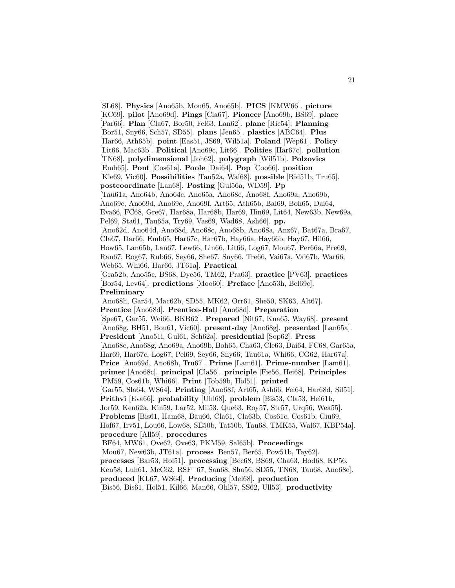[SL68]. **Physics** [Ano65b, Mou65, Ano65b]. **PICS** [KMW66]. **picture** [KC69]. **pilot** [Ano69d]. **Pings** [Cla67]. **Pioneer** [Ano69b, BS69]. **place** [Par66]. **Plan** [Cla67, Bor50, Fel63, Lan62]. **plane** [Ric54]. **Planning** [Bor51, Sny66, Sch57, SD55]. **plans** [Jen65]. **plastics** [ABC64]. **Plus** [Har66, Ath65b]. **point** [Eas51, JS69, Wil51a]. **Poland** [Wep61]. **Policy** [Lit66, Mac63b]. **Political** [Ano69c, Lit66]. **Polities** [Har67c]. **pollution** [TN68]. **polydimensional** [Joh62]. **polygraph** [Wil51b]. **Polzovics** [Emb65]. **Pont** [Cos61a]. **Poole** [Dai64]. **Pop** [Coo66]. **position** [Kle69, Vic60]. **Possibilities** [Tau52a, Wal68]. **possible** [Rid51b, Tru65]. **postcoordinate** [Lan68]. **Posting** [Gul56a, WD59]. **Pp** [Tau61a, Ano64b, Ano64c, Ano65a, Ano68e, Ano68f, Ano69a, Ano69b, Ano69c, Ano69d, Ano69e, Ano69f, Art65, Ath65b, Bal69, Boh65, Dai64, Eva66, FC68, Gre67, Har68a, Har68b, Har69, Hin69, Lit64, New63b, New69a, Pel69, Sta61, Tau65a, Try69, Vas69, Wad68, Ash66]. **pp.** [Ano62d, Ano64d, Ano68d, Ano68c, Ano68b, Ano68a, Anz67, Bat67a, Bra67, Cla67, Dar66, Emb65, Har67c, Har67b, Hay66a, Hay66b, Hay67, Hil66, How65, Lan65b, Lan67, Lew66, Lin66, Lit66, Log67, Mou67, Per66a, Pre69, Ran67, Rog67, Rub66, Sey66, She67, Sny66, Tre66, Vai67a, Vai67b, War66, Web65, Whi66, Har66, JT61a]. **Practical** [Gra52b, Ano55c, BS68, Dye56, TM62, Pra63]. **practice** [PV63]. **practices** [Bor54, Lev64]. **predictions** [Moo60]. **Preface** [Ano53h, Bel69c]. **Preliminary** [Ano68h, Gar54, Mac62b, SD55, MK62, Orr61, She50, SK63, Alt67]. **Prentice** [Ano68d]. **Prentice-Hall** [Ano68d]. **Preparation** [Spe67, Gar55, Wei66, BKB62]. **Prepared** [Nit67, Kna65, Way68]. **present** [Ano68g, BH51, Bou61, Vic60]. **present-day** [Ano68g]. **presented** [Lan65a]. **President** [Ano51i, Gul61, Sch62a]. **presidential** [Sop62]. **Press** [Ano68c, Ano68g, Ano69a, Ano69b, Boh65, Cha63, Cle63, Dai64, FC68, Gar65a, Har69, Har67c, Log67, Pel69, Sey66, Sny66, Tau61a, Whi66, CG62, Har67a]. **Price** [Ano69d, Ano68h, Tru67]. **Prime** [Lam61]. **Prime-number** [Lam61]. **primer** [Ano68c]. **principal** [Cla56]. **principle** [Fie56, Hei68]. **Principles** [PM59, Cos61b, Whi66]. **Print** [Tob59b, Hol51]. **printed** [Gar55, Sla64, WS64]. **Printing** [Ano68f, Art65, Ash66, Fel64, Har68d, Sil51]. **Prithvi** [Eva66]. **probability** [Uhl68]. **problem** [Bis53, Cla53, Hei61b, Jor59, Ken62a, Kin59, Lar52, Mil53, Que63, Roy57, Str57, Urq56, Wea55]. **Problems** [Bis61, Ham68, Bau66, Cla61, Cla63b, Cos61c, Cos61b, Giu69, Hof67, Irv51, Lou66, Low68, SE50b, Tat50b, Tau68, TMK55, Wal67, KBP54a]. **procedure** [All59]. **procedures** [BF64, MW61, Ove62, Ove63, PKM59, Sal65b]. **Proceedings** [Mou67, New63b, JT61a]. **process** [Ben57, Ber65, Pow51b, Tay62]. **processes** [Bar53, Hol51]. **processing** [Bec68, BS69, Cha63, Hod68, KP56, Ken58, Luh61, McC62, RSF+67, San68, Sha56, SD55, TN68, Tau68, Ano68e]. **produced** [KL67, WS64]. **Producing** [Mel68]. **production**

[Bis56, Bis61, Hol51, Kil66, Man66, Ohl57, SS62, Ull53]. **productivity**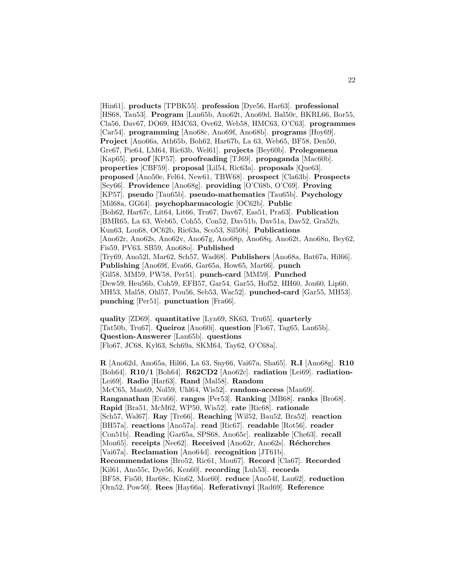[Hin61]. **products** [TPBK55]. **profession** [Dye56, Har63]. **professional** [HS68, Tau53]. **Program** [Lan65b, Ano62t, Ano69d, Bal50c, BKRL66, Bor55, Cla56, Dav67, DO69, HMC63, Ove62, Web58, HMC63, O'C63]. **programmes** [Car54]. **programming** [Ano68c, Ano69f, Ano68b]. **programs** [Hoy69]. **Project** [Ano66a, Ath65b, Boh62, Har67b, La 63, Web65, BF58, Den50, Gre67, Pie64, LM64, Ric63b, Wel61]. **projects** [Bey60b]. **Prolegomena** [Kap65]. **proof** [KP57]. **proofreading** [TJ69]. **propaganda** [Mac60b]. **properties** [CBF59]. **proposal** [Lil54, Ric63a]. **proposals** [Que63]. **proposed** [Ano50e, Fel64, New61, TBW68]. **prospect** [Cla63b]. **Prospects** [Sey66]. **Providence** [Ano68g]. **providing** [O'C68b, O'C69]. **Proving** [KP57]. **pseudo** [Tau65b]. **pseudo-mathematics** [Tau65b]. **Psychology** [Mil68a, GG64]. **psychopharmacologic** [OC62b]. **Public** [Boh62, Har67c, Lit64, Lit66, Tru67, Dav67, Eas51, Pra63]. **Publication** [BMR65, La 63, Web65, Coh55, Con52, Dav51b, Dav51a, Dav52, Gra52b, Kun63, Lon68, OC62b, Ric63a, Sco53, Sil50b]. **Publications** [Ano62r, Ano62s, Ano62v, Ano67g, Ano68p, Ano68q, Ano62t, Ano68n, Bey62, Fis59, PV63, SB59, Ano68o]. **Published** [Try69, Ano52l, Mar62, Sch57, Wad68]. **Publishers** [Ano68a, Bat67a, Hil66]. **Publishing** [Ano69f, Eva66, Gar65a, How65, Mar66]. **punch** [Gil58, MM59, PW58, Per51]. **punch-card** [MM59]. **Punched** [Dew59, Heu56b, Coh59, EFB57, Gar54, Gar55, Hof52, HH60, Jon60, Lip60, MH53, Mal58, Ohl57, Pou56, Seb53, Wac52]. **punched-card** [Gar55, MH53]. **punching** [Per51]. **punctuation** [Fra66].

**quality** [ZD69]. **quantitative** [Lyn69, SK63, Tru65]. **quarterly** [Tat50b, Tru67]. **Queiroz** [Ano60i]. **question** [Flo67, Tag65, Lan65b]. **Question-Answerer** [Lan65b]. **questions** [Flo67, JC68, Kyl63, Sch69a, SKM64, Tay62, O'C68a].

**R** [Ano62d, Ano65a, Hil66, La 63, Sny66, Vai67a, Sha65]. **R.I** [Ano68g]. **R10** [Boh64]. **R10/1** [Boh64]. **R62CD2** [Ano62c]. **radiation** [Lei69]. **radiation-** [Lei69]. **Radio** [Har63]. **Rand** [Mal58]. **Random** [McC65, Man69, Nol59, Uhl64, Wis52]. **random-access** [Man69]. **Ranganathan** [Eva66]. **ranges** [Per53]. **Ranking** [MB68]. **ranks** [Bro68]. **Rapid** [Bra51, McM62, WP50, Wis52]. **rate** [Ric68]. **rationale** [Sch57, Wal67]. **Ray** [Tre66]. **Reaching** [Wil52, Bau52, Bra52]. **reaction** [BH57a]. **reactions** [Ano57a]. **read** [Ric67]. **readable** [Rot56]. **reader** [Con51b]. **Reading** [Gar65a, SPS68, Ano65c]. **realizable** [Che63]. **recall** [Mon65]. **receipts** [Nee62]. **Received** [Ano62r, Ano62s]. **Récherches** [Vai67a]. **Reclamation** [Ano64d]. **recognition** [JT61b]. **Recommendations** [Bro52, Ric61, Mou67]. **Record** [Cla67]. **Recorded** [Kil61, Ano55c, Dye56, Ken60]. **recording** [Luh53]. **records** [BF58, Fis50, Har68c, Kin62, Mor60]. **reduce** [Ano54f, Lan62]. **reduction** [Orn52, Pow50]. **Rees** [Hay66a]. **Referativnyi** [Rad69]. **Reference**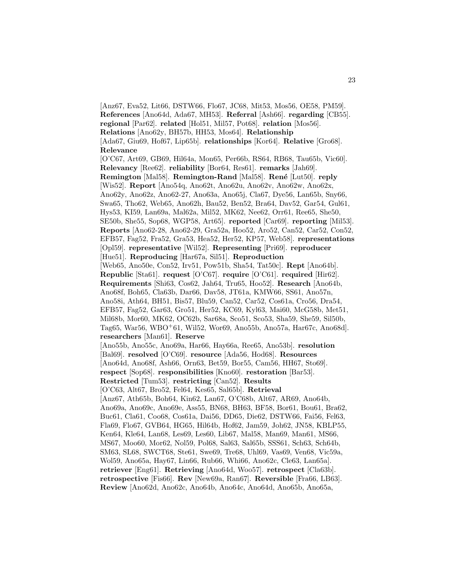[Anz67, Eva52, Lit66, DSTW66, Flo67, JC68, Mit53, Mos56, OE58, PM59]. **References** [Ano64d, Ada67, MH53]. **Referral** [Ash66]. **regarding** [CB55]. **regional** [Par62]. **related** [Hol51, Mil57, Pot68]. **relation** [Mos56]. **Relations** [Ano62y, BH57b, HH53, Mos64]. **Relationship** [Ada67, Giu69, Hof67, Lip65b]. **relationships** [Kor64]. **Relative** [Gro68]. **Relevance** [O'C67, Art69, GB69, Hil64a, Mon65, Per66b, RS64, RB68, Tau65b, Vic60]. **Relevancy** [Ree62]. **reliability** [Bor64, Res61]. **remarks** [Jah69]. **Remington** [Mal58]. **Remington-Rand** [Mal58]. **René** [Lut50]. **reply** [Wis52]. **Report** [Ano54q, Ano62t, Ano62u, Ano62v, Ano62w, Ano62x, Ano62y, Ano62z, Ano62-27, Ano63a, Ano65j, Cla67, Dye56, Lan65b, Sny66, Swa65, Tho62, Web65, Ano62h, Bau52, Ben52, Bra64, Dav52, Gar54, Gul61, Hys53, KI59, Lan69a, Mal62a, Mil52, MK62, Nee62, Orr61, Ree65, She50, SE50b, She55, Sop68, WGP58, Art65]. **reported** [Car69]. **reporting** [Mil53]. **Reports** [Ano62-28, Ano62-29, Gra52a, Hoo52, Aro52, Can52, Car52, Con52, EFB57, Fag52, Fra52, Gra53, Hea52, Her52, KP57, Web58]. **representations** [Opl59]. **representative** [Wil52]. **Representing** [Pri69]. **reproducer** [Hue51]. **Reproducing** [Har67a, Sil51]. **Reproduction** [Web65, Ano50e, Con52, Irv51, Pow51b, Sha54, Tat50c]. **Rept** [Ano64b]. **Republic** [Sta61]. **request** [O'C67]. **require** [O'C61]. **required** [Hir62]. **Requirements** [Shi63, Cos62, Jah64, Tru65, Hoo52]. **Research** [Ano64b, Ano68f, Boh65, Cla63b, Dar66, Dav58, JT61a, KMW66, SS61, Ano57n, Ano58i, Ath64, BH51, Bis57, Blu59, Can52, Car52, Cos61a, Cro56, Dra54, EFB57, Fag52, Gar63, Gro51, Her52, KC69, Kyl63, Mai60, McG58b, Met51, Mil68b, Mor60, MK62, OC62b, Sar68a, Sco51, Sco53, Sha59, She59, Sil50b, Tag65, War56, WBO<sup>+</sup>61, Wil52, Wor69, Ano55b, Ano57a, Har67c, Ano68d]. **researchers** [Man61]. **Reserve** [Ano55b, Ano55c, Ano69a, Har66, Hay66a, Ree65, Ano53b]. **resolution** [Bal69]. **resolved** [O'C69]. **resource** [Ada56, Hod68]. **Resources** [Ano64d, Ano68f, Ash66, Orn63, Bet59, Bor55, Cam56, HH67, Sto69]. **respect** [Sop68]. **responsibilities** [Kno60]. **restoration** [Bar53]. **Restricted** [Tum53]. **restricting** [Can52]. **Results** [O'C63, Alt67, Bro52, Fel64, Kes65, Sal65b]. **Retrieval** [Anz67, Ath65b, Boh64, Kin62, Lan67, O'C68b, Alt67, AR69, Ano64b, Ano69a, Ano69c, Ano69e, Ass55, BN68, BH63, BF58, Bor61, Bou61, Bra62, Buc61, Cla61, Coo68, Cos61a, Dai56, DD65, Die62, DSTW66, Fai56, Fel63, Fla69, Flo67, GVB64, HG65, Hil64b, Hof62, Jam59, Joh62, JN58, KBLP55, Ken64, Kle64, Lan68, Les69, Les60, Lib67, Mal58, Man69, Man61, MS66, MS67, Moo60, Mor62, Nol59, Pol68, Sal63, Sal65b, SSS61, Sch63, Sch64b, SM63, SL68, SWCT68, Ste61, Swe69, Tre68, Uhl69, Vas69, Ven68, Vic59a, Wol59, Ano65a, Hay67, Lin66, Rub66, Whi66, Ano62c, Cle63, Lan65a]. **retriever** [Eng61]. **Retrieving** [Ano64d, Woo57]. **retrospect** [Cla63b]. **retrospective** [Fis66]. **Rev** [New69a, Ran67]. **Reversible** [Fra66, LB63]. **Review** [Ano62d, Ano62c, Ano64b, Ano64c, Ano64d, Ano65b, Ano65a,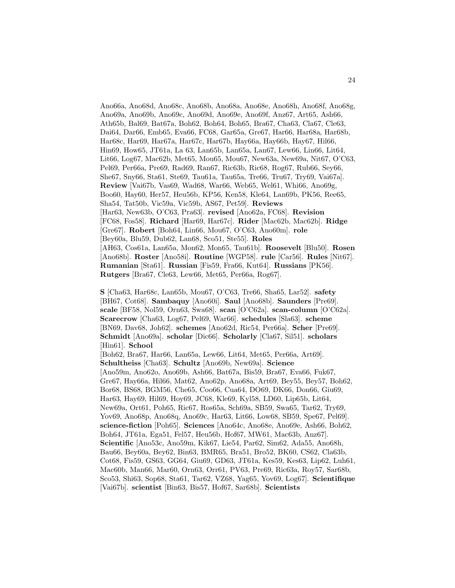Ano66a, Ano68d, Ano68c, Ano68b, Ano68a, Ano68e, Ano68h, Ano68f, Ano68g, Ano69a, Ano69b, Ano69c, Ano69d, Ano69e, Ano69f, Anz67, Art65, Ash66, Ath65b, Bal69, Bat67a, Boh62, Boh64, Boh65, Bra67, Cha63, Cla67, Cle63, Dai64, Dar66, Emb65, Eva66, FC68, Gar65a, Gre67, Har66, Har68a, Har68b, Har68c, Har69, Har67a, Har67c, Har67b, Hay66a, Hay66b, Hay67, Hil66, Hin69, How65, JT61a, La 63, Lan65b, Lan65a, Lan67, Lew66, Lin66, Lit64, Lit66, Log67, Mac62b, Met65, Mou65, Mou67, New63a, New69a, Nit67, O'C63, Pel69, Per66a, Pre69, Rad69, Ran67, Ric63b, Ric68, Rog67, Rub66, Sey66, She67, Sny66, Sta61, Ste69, Tau61a, Tau65a, Tre66, Tru67, Try69, Vai67a]. **Review** [Vai67b, Vas69, Wad68, War66, Web65, Wel61, Whi66, Ano69g, Boo60, Hay60, Her57, Heu56b, KP56, Ken58, Kle64, Lan69b, PK56, Ree65, Sha54, Tat50b, Vic59a, Vic59b, AS67, Pet59]. **Reviews** [Har63, New63b, O'C63, Pra63]. **revised** [Ano62a, FC68]. **Revision** [FC68, Fos58]. **Richard** [Har69, Har67c]. **Rider** [Mac62b, Mac62b]. **Ridge** [Gre67]. **Robert** [Boh64, Lin66, Mou67, O'C63, Ano60m]. **role** [Bey60a, Blu59, Dub62, Lan68, Sco51, Ste55]. **Roles** [AH63, Cos61a, Lan65a, Mon62, Mon65, Tau61b]. **Roosevelt** [Blu50]. **Rosen** [Ano68b]. **Roster** [Ano58i]. **Routine** [WGP58]. **rule** [Car56]. **Rules** [Nit67]. **Rumanian** [Sta61]. **Russian** [Fis59, Fra66, Kut64]. **Russians** [PK56]. **Rutgers** [Bra67, Cle63, Lew66, Met65, Per66a, Rog67].

**S** [Cha63, Har68c, Lan65b, Mou67, O'C63, Tre66, Sha65, Lar52]. **safety** [BH67, Cot68]. **Sambaquy** [Ano60i]. **Saul** [Ano68b]. **Saunders** [Pre69]. **scale** [BF58, Nol59, Orn63, Swa68]. **scan** [O'C62a]. **scan-column** [O'C62a]. **Scarecrow** [Cha63, Log67, Pel69, War66]. **schedules** [Sla63]. **scheme** [BN69, Dav68, Joh62]. **schemes** [Ano62d, Ric54, Per66a]. **Scher** [Pre69]. **Schmidt** [Ano69a]. **scholar** [Dic66]. **Scholarly** [Cla67, Sil51]. **scholars** [Hin61]. **School** [Boh62, Bra67, Har66, Lan65a, Lew66, Lit64, Met65, Per66a, Art69]. **Schultheiss** [Cha63]. **Schultz** [Ano69b, New69a]. **Science** [Ano59m, Ano62o, Ano69b, Ash66, Bat67a, Bis59, Bra67, Eva66, Fuk67, Gre67, Hay66a, Hil66, Mat62, Ano62p, Ano68a, Art69, Bey55, Bey57, Boh62, Bor68, BS68, BGM56, Che65, Coo66, Cua64, DO69, DK66, Don66, Giu69, Har63, Hay69, Hil69, Hoy69, JC68, Kle69, Kyl58, LD60, Lip65b, Lit64, New69a, Ort61, Poh65, Ric67, Ros65a, Sch69a, SB59, Swa65, Tar62, Try69, Yov69, Ano68p, Ano68q, Ano69c, Har63, Lit66, Low68, SB59, Spe67, Pel69]. **science-fiction** [Poh65]. **Sciences** [Ano64c, Ano68e, Ano69e, Ash66, Boh62, Boh64, JT61a, Ega51, Fel57, Heu56b, Hof67, MW61, Mac63b, Anz67]. **Scientific** [Ano53c, Ano59m, Kik67, Lie54, Par62, Sim62, Ada55, Ano68h, Bau66, Bey60a, Bey62, Bin63, BMR65, Bra51, Bro52, BK60, CS62, Cla63b, Cot68, Fis59, GS63, GG64, Giu69, GD63, JT61a, Kes59, Kes63, Lip62, Luh61, Mac60b, Man66, Mar60, Orn63, Orr61, PV63, Pre69, Ric63a, Roy57, Sar68b, Sco53, Shi63, Sop68, Sta61, Tar62, VZ68, Yag65, Yov69, Log67]. **Scientifique** [Vai67b]. **scientist** [Bin63, Bis57, Hof67, Sar68b]. **Scientists**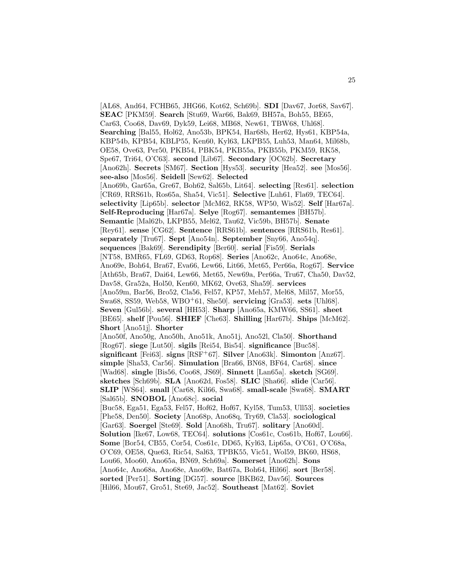[AL68, And64, FCHB65, JHG66, Kot62, Sch69b]. **SDI** [Dav67, Jor68, Sav67]. **SEAC** [PKM59]. **Search** [Stu69, War66, Bak69, BH57a, Boh55, BE65, Car63, Coo68, Dav69, Dyk59, Lei68, MB68, New61, TBW68, Uhl68]. **Searching** [Bal55, Hol62, Ano53b, BPK54, Har68b, Her62, Hys61, KBP54a, KBP54b, KPB54, KBLP55, Ken60, Kyl63, LKPB55, Luh53, Man64, Mil68b, OE58, Ove63, Per50, PKB54, PBK54, PKB55a, PKB55b, PKM59, RK58, Spe67, Tri64, O'C63]. **second** [Lib67]. **Secondary** [OC62b]. **Secretary** [Ano62h]. **Secrets** [SM67]. **Section** [Hys53]. **security** [Hea52]. **see** [Mos56]. **see-also** [Mos56]. **Seidell** [Sew62]. **Selected** [Ano69b, Gar65a, Gre67, Boh62, Sal65b, Lit64]. **selecting** [Res61]. **selection** [CR69, RRS61b, Ros65a, Sha54, Vic51]. **Selective** [Luh61, Fla69, TEC64]. **selectivity** [Lip65b]. **selector** [McM62, RK58, WP50, Wis52]. **Self** [Har67a]. **Self-Reproducing** [Har67a]. **Selye** [Rog67]. **semantemes** [BH57b]. **Semantic** [Mal62b, LKPB55, Mel62, Tau62, Vic59b, BH57b]. **Senate** [Rey61]. **sense** [CG62]. **Sentence** [RRS61b]. **sentences** [RRS61b, Res61]. **separately** [Tru67]. **Sept** [Ano54n]. **September** [Sny66, Ano54q]. **sequences** [Bak69]. **Serendipity** [Ber60]. **serial** [Fis59]. **Serials** [NT58, BMR65, FL69, GD63, Rop68]. **Series** [Ano62c, Ano64c, Ano68e, Ano69e, Boh64, Bra67, Eva66, Lew66, Lit66, Met65, Per66a, Rog67]. **Service** [Ath65b, Bra67, Dai64, Lew66, Met65, New69a, Per66a, Tru67, Cha50, Dav52, Dav58, Gra52a, Hol50, Ken60, MK62, Ove63, Sha59]. **services** [Ano59m, Bar56, Bro52, Cla56, Fel57, KP57, Meh57, Mel68, Mil57, Mor55, Swa68, SS59, Web58, WBO<sup>+</sup>61, She50]. **servicing** [Gra53]. **sets** [Uhl68]. **Seven** [Gul56b]. **several** [HH53]. **Sharp** [Ano65a, KMW66, SS61]. **sheet** [BE65]. **shelf** [Pou56]. **SHIEF** [Che63]. **Shilling** [Har67b]. **Ships** [McM62]. **Short** [Ano51j]. **Shorter** [Ano50f, Ano50g, Ano50h, Ano51k, Ano51j, Ano52l, Cla50]. **Shorthand** [Rog67]. **siege** [Lut50]. **sigils** [Rei54, Bis54]. **significance** [Buc58]. **significant** [Fei63]. **signs** [RSF<sup>+</sup>67]. **Silver** [Ano63k]. **Simonton** [Anz67]. **simple** [Sha53, Car56]. **Simulation** [Bra66, BN68, BF64, Car68]. **since** [Wad68]. **single** [Bis56, Coo68, JS69]. **Sinnett** [Lan65a]. **sketch** [SG69]. **sketches** [Sch69b]. **SLA** [Ano62d, Fos58]. **SLIC** [Sha66]. **slide** [Car56]. **SLIP** [WS64]. **small** [Car68, Kil66, Swa68]. **small-scale** [Swa68]. **SMART** [Sal65b]. **SNOBOL** [Ano68c]. **social** [Buc58, Ega51, Ega53, Fel57, Hof62, Hof67, Kyl58, Tum53, Ull53]. **societies** [Phe58, Den50]. **Society** [Ano68p, Ano68q, Try69, Cla53]. **sociological** [Gar63]. **Soergel** [Ste69]. **Sold** [Ano68h, Tru67]. **solitary** [Ano60d]. **Solution** [Ike67, Low68, TEC64]. **solutions** [Cos61c, Cos61b, Hof67, Lou66]. **Some** [Bor54, CB55, Cor54, Cos61c, DD65, Kyl63, Lip65a, O'C61, O'C68a, O'C69, OE58, Que63, Ric54, Sal63, TPBK55, Vic51, Wol59, BK60, HS68, Lou66, Moo60, Ano65a, BN69, Sch69a]. **Somerset** [Ano62h]. **Sons** [Ano64c, Ano68a, Ano68e, Ano69e, Bat67a, Boh64, Hil66]. **sort** [Ber58]. **sorted** [Per51]. **Sorting** [DG57]. **source** [BKB62, Dav56]. **Sources** [Hil66, Mou67, Gro51, Ste69, Jac52]. **Southeast** [Mat62]. **Soviet**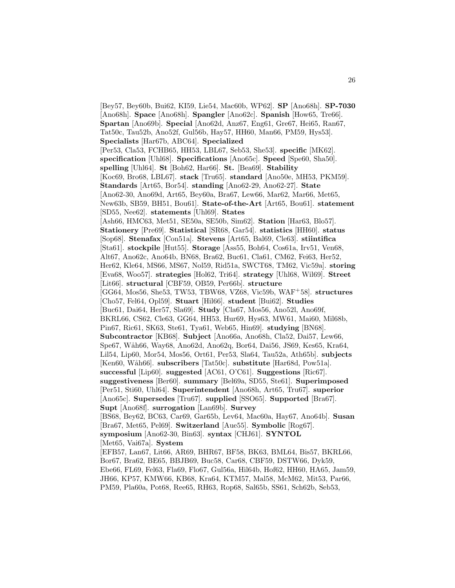[Bey57, Bey60b, Bui62, KI59, Lie54, Mac60b, WP62]. **SP** [Ano68h]. **SP-7030** [Ano68h]. **Space** [Ano68h]. **Spangler** [Ano62c]. **Spanish** [How65, Tre66]. **Spartan** [Ano69b]. **Special** [Ano62d, Anz67, Eng61, Gre67, Hei65, Ran67, Tat50c, Tau52b, Ano52f, Gul56b, Hay57, HH60, Man66, PM59, Hys53]. **Specialists** [Har67b, ABC64]. **Specialized** [Per53, Cla53, FCHB65, HH53, LBL67, Seb53, She53]. **specific** [MK62]. **specification** [Uhl68]. **Specifications** [Ano65c]. **Speed** [Spe60, Sha50]. **spelling** [Uhl64]. **St** [Boh62, Har66]. **St.** [Bea69]. **Stability** [Koc69, Bro68, LBL67]. **stack** [Tru65]. **standard** [Ano50e, MH53, PKM59]. **Standards** [Art65, Bor54]. **standing** [Ano62-29, Ano62-27]. **State** [Ano62-30, Ano69d, Art65, Bey60a, Bra67, Lew66, Mar62, Mar66, Met65, New63b, SB59, BH51, Bou61]. **State-of-the-Art** [Art65, Bou61]. **statement** [SD55, Nee62]. **statements** [Uhl69]. **States** [Ash66, HMC63, Met51, SE50a, SE50b, Sim62]. **Station** [Har63, Blo57]. **Stationery** [Pre69]. **Statistical** [SR68, Gar54]. **statistics** [HH60]. **status** [Sop68]. **Stenafax** [Con51a]. **Stevens** [Art65, Bal69, Cle63]. **stiintifica** [Sta61]. **stockpile** [Hut55]. **Storage** [Ass55, Boh64, Cos61a, Irv51, Ven68, Alt67, Ano62c, Ano64b, BN68, Bra62, Buc61, Cla61, CM62, Fei63, Her52, Her62, Kle64, MS66, MS67, Nol59, Rid51a, SWCT68, TM62, Vic59a]. **storing** [Eva68, Woo57]. **strategies** [Hol62, Tri64]. **strategy** [Uhl68, Wil69]. **Street** [Lit66]. **structural** [CBF59, OB59, Per66b]. **structure** [GG64, Mos56, She53, TW53, TBW68, VZ68, Vic59b, WAF<sup>+</sup>58]. **structures** [Cho57, Fel64, Opl59]. **Stuart** [Hil66]. **student** [Bui62]. **Studies** [Buc61, Dai64, Her57, Sla69]. **Study** [Cla67, Mos56, Ano52l, Ano69f, BKRL66, CS62, Cle63, GG64, HH53, Hur69, Hys63, MW61, Mai60, Mil68b, Pin67, Ric61, SK63, Ste61, Tya61, Web65, Hin69]. **studying** [BN68]. **Subcontractor** [KB68]. **Subject** [Ano66a, Ano68h, Cla52, Dai57, Lew66, Spe67, Wåh66, Way68, Ano62d, Ano62q, Bor64, Dai56, JS69, Kes65, Kra64, Lil54, Lip60, Mor54, Mos56, Ort61, Per53, Sla64, Tau52a, Ath65b]. **subjects** [Ken60, W˚ah66]. **subscribers** [Tat50c]. **substitute** [Har68d, Pow51a]. **successful** [Lip60]. **suggested** [AC61, O'C61]. **Suggestions** [Ric67]. **suggestiveness** [Ber60]. **summary** [Bel69a, SD55, Ste61]. **Superimposed** [Per51, Sti60, Uhl64]. **Superintendent** [Ano68h, Art65, Tru67]. **superior** [Ano65c]. **Supersedes** [Tru67]. **supplied** [SSO65]. **Supported** [Bra67]. **Supt** [Ano68f]. **surrogation** [Lan69b]. **Survey** [BS68, Bey62, BC63, Car69, Gar65b, Lev64, Mac60a, Hay67, Ano64b]. **Susan** [Bra67, Met65, Pel69]. **Switzerland** [Aue55]. **Symbolic** [Rog67]. **symposium** [Ano62-30, Bin63]. **syntax** [CHJ61]. **SYNTOL** [Met65, Vai67a]. **System** [EFB57, Lan67, Lit66, AR69, BHR67, BF58, BK63, BML64, Bis57, BKRL66, Bor67, Bra62, BE65, BBJB69, Buc58, Car68, CBF59, DSTW66, Dyk59, Ebe66, FL69, Fel63, Fla69, Flo67, Gul56a, Hil64b, Hof62, HH60, HA65, Jam59, JH66, KP57, KMW66, KB68, Kra64, KTM57, Mal58, McM62, Mit53, Par66,

PM59, Pla60a, Pot68, Ree65, RH63, Rop68, Sal65b, SS61, Sch62b, Seb53,

26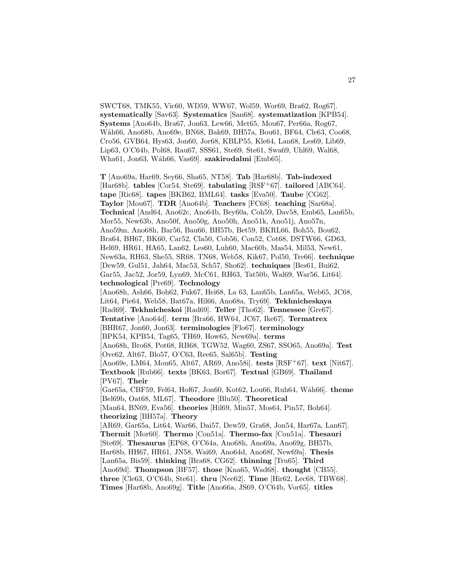SWCT68, TMK55, Vic60, WD59, WW67, Wol59, Wor69, Bra62, Rog67]. **systematically** [Sav63]. **Systematics** [San68]. **systematization** [KPB54]. **Systems** [Ano64b, Bra67, Jon63, Lew66, Met65, Mou67, Per66a, Rog67, W˚ah66, Ano68b, Ano69e, BN68, Bak69, BH57a, Bou61, BF64, Cle63, Coo68, Cro56, GVB64, Hys63, Jon60, Jor68, KBLP55, Kle64, Lan68, Les69, Lib69, Lip63, O'C64b, Pol68, Rau67, SSS61, Ste69, Ste61, Swa69, Uhl69, Wal68, Wha61, Jon63, Wåh66, Vas69]. **szakirodalmi** [Emb65].

**T** [Ano69a, Har69, Sey66, Sha65, NT58]. **Tab** [Har68b]. **Tab-indexed** [Har68b]. **tables** [Cor54, Ste69]. **tabulating** [RSF<sup>+</sup>67]. **tailored** [ABC64]. **tape** [Ric68]. **tapes** [BKB62, BML64]. **tasks** [Eva50]. **Taube** [CG62]. **Taylor** [Mou67]. **TDR** [Ano64b]. **Teachers** [FC68]. **teaching** [Sar68a]. **Technical** [And64, Ano62c, Ano64b, Bey60a, Coh59, Dav58, Emb65, Lan65b, Mor55, New63b, Ano50f, Ano50g, Ano50h, Ano51k, Ano51j, Ano57n, Ano59m, Ano68h, Bar56, Bau66, BH57b, Bet59, BKRL66, Boh55, Bou62, Bra64, BH67, BK60, Car52, Cla50, Cob56, Con52, Cot68, DSTW66, GD63, Hel69, HR61, HA65, Lan62, Les60, Luh60, Mac60b, Mas54, Mil53, New61, New63a, RH63, She55, SR68, TN68, Web58, Kik67, Pol50, Tre66]. **technique** [Dew59, Gul51, Jah64, Mac53, Sch57, Sho62]. **techniques** [Bes61, Bui62, Gar55, Jac52, Jor59, Lyn69, McC61, RH63, Tat50b, Wal69, War56, Lit64]. **technological** [Pre69]. **Technology** [Ano68h, Ash66, Boh62, Fuk67, Hei68, La 63, Lan65b, Lan65a, Web65, JC68, Lit64, Pie64, Web58, Bat67a, Hil66, Ano68a, Try69]. **Tekhnicheskaya** [Rad69]. **Tekhnicheskoi** [Rad69]. **Teller** [Tho62]. **Tennessee** [Gre67]. **Tentative** [Ano64d]. **term** [Bra66, HW64, JC67, Ike67]. **Termatrex** [BHR67, Jon60, Jon63]. **terminologies** [Flo67]. **terminology** [BPK54, KPB54, Tag65, TH69, How65, New69a]. **terms** [Ano68h, Bro68, Pot68, RB68, TGW52, Wag60, ZS67, SSO65, Ano69a]. **Test** [Ove62, Alt67, Blo57, O'C63, Ree65, Sal65b]. **Testing** [Ano69e, LM64, Mon65, Alt67, AR69, Ano58i]. **tests** [RSF<sup>+</sup>67]. **text** [Nit67]. **Textbook** [Rub66]. **texts** [BK63, Bor67]. **Textual** [GB69]. **Thailand** [PV67]. **Their** [Gar65a, CBF59, Fel64, Hof67, Jon60, Kot62, Lou66, Ruh64, W˚ah66]. **theme** [Bel69b, Oat68, ML67]. **Theodore** [Blu50]. **Theoretical** [Man64, BN69, Eva56]. **theories** [Hil69, Min57, Mos64, Pin57, Boh64]. **theorizing** [BH57a]. **Theory** [AR69, Gar65a, Lit64, War66, Dai57, Dew59, Gra68, Jon54, Har67a, Lan67]. **Thermit** [Mor60]. **Thermo** [Con51a]. **Thermo-fax** [Con51a]. **Thesauri** [Ste69]. **Thesaurus** [EP68, O'C64a, Ano68h, Ano69a, Ano69g, BH57b, Har68b, HH67, HR61, JN58, Wai69, Ano64d, Ano68f, New69a]. **Thesis** [Lan65a, Bis59]. **thinking** [Bra68, CG62]. **thinning** [Tru65]. **Third** [Ano69d]. **Thompson** [BF57]. **those** [Kna65, Wad68]. **thought** [CB55]. **three** [Cle63, O'C64b, Ste61]. **thru** [Nee62]. **Time** [Hir62, Lec68, TBW68].

**Times** [Har68b, Ano69g]. **Title** [Ano66a, JS69, O'C64b, Vor65]. **titles**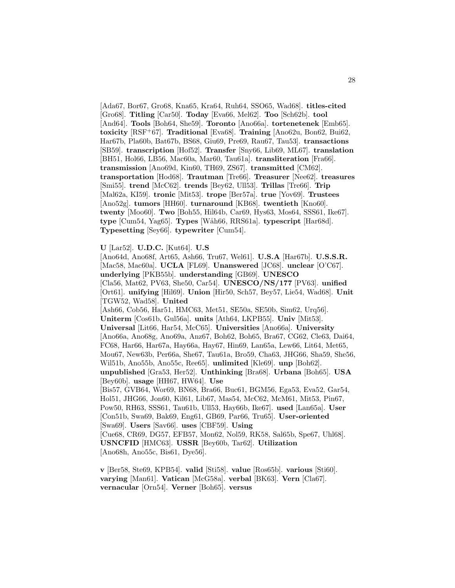[Ada67, Bor67, Gro68, Kna65, Kra64, Ruh64, SSO65, Wad68]. **titles-cited** [Gro68]. **Titling** [Car50]. **Today** [Eva66, Mel62]. **Too** [Sch62b]. **tool** [And64]. **Tools** [Boh64, She59]. **Toronto** [Ano66a]. **tortenetenek** [Emb65]. **toxicity** [RSF<sup>+</sup>67]. **Traditional** [Eva68]. **Training** [Ano62u, Bon62, Bui62, Har67b, Pla60b, Bat67b, BS68, Giu69, Pre69, Rau67, Tau53]. **transactions** [SB59]. **transcription** [Hof52]. **Transfer** [Sny66, Lib69, ML67]. **translation** [BH51, Hol66, LB56, Mac60a, Mar60, Tau61a]. **transliteration** [Fra66]. **transmission** [Ano69d, Kin60, TH69, ZS67]. **transmitted** [CM62]. **transportation** [Hod68]. **Trautman** [Tre66]. **Treasurer** [Nee62]. **treasures** [Smi55]. **trend** [McC62]. **trends** [Bey62, Ull53]. **Trillas** [Tre66]. **Trip** [Mal62a, KI59]. **tronic** [Mit53]. **trope** [Ber57a]. **true** [Yov69]. **Trustees** [Ano52g]. **tumors** [HH60]. **turnaround** [KB68]. **twentieth** [Kno60]. **twenty** [Moo60]. **Two** [Boh55, Hil64b, Car69, Hys63, Mos64, SSS61, Ike67]. **type** [Cum54, Yag65]. **Types** [W˚ah66, RRS61a]. **typescript** [Har68d]. **Typesetting** [Sey66]. **typewriter** [Cum54].

**U** [Lar52]. **U.D.C.** [Kut64]. **U.S**

[Ano64d, Ano68f, Art65, Ash66, Tru67, Wel61]. **U.S.A** [Har67b]. **U.S.S.R.** [Mac58, Mac60a]. **UCLA** [FL69]. **Unanswered** [JC68]. **unclear** [O'C67]. **underlying** [PKB55b]. **understanding** [GB69]. **UNESCO** [Cla56, Mat62, PV63, She50, Car54]. **UNESCO/NS/177** [PV63]. **unified** [Ort61]. **unifying** [Hil69]. **Union** [Hir50, Sch57, Bey57, Lie54, Wad68]. **Unit** [TGW52, Wad58]. **United** [Ash66, Cob56, Har51, HMC63, Met51, SE50a, SE50b, Sim62, Urq56]. **Uniterm** [Cos61b, Gul56a]. **units** [Ath64, LKPB55]. **Univ** [Mit53]. **Universal** [Lit66, Har54, McC65]. **Universities** [Ano66a]. **University** [Ano66a, Ano68g, Ano69a, Anz67, Boh62, Boh65, Bra67, CG62, Cle63, Dai64, FC68, Har66, Har67a, Hay66a, Hay67, Hin69, Lan65a, Lew66, Lit64, Met65, Mou67, New63b, Per66a, She67, Tau61a, Bro59, Cha63, JHG66, Sha59, She56, Wil51b, Ano55b, Ano55c, Ree65]. **unlimited** [Kle69]. **unp** [Boh62]. **unpublished** [Gra53, Her52]. **Unthinking** [Bra68]. **Urbana** [Boh65]. **USA** [Bey60b]. **usage** [HH67, HW64]. **Use** [Bis57, GVB64, Wor69, BN68, Bra66, Buc61, BGM56, Ega53, Eva52, Gar54, Hol51, JHG66, Jon60, Kil61, Lib67, Mas54, McC62, McM61, Mit53, Pin67, Pow50, RH63, SSS61, Tau61b, Ull53, Hay66b, Ike67]. **used** [Lan65a]. **User** [Con51b, Swa69, Bak69, Eng61, GB69, Par66, Tru65]. **User-oriented** [Swa69]. **Users** [Sav66]. **uses** [CBF59]. **Using** [Cue68, CR69, DG57, EFB57, Mon62, Nol59, RK58, Sal65b, Spe67, Uhl68]. **USNCFID** [HMC63]. **USSR** [Bey60b, Tar62]. **Utilization** [Ano68h, Ano55c, Bis61, Dye56].

**v** [Ber58, Ste69, KPB54]. **valid** [Sti58]. **value** [Ros65b]. **various** [Sti60]. **varying** [Man61]. **Vatican** [McG58a]. **verbal** [BK63]. **Vern** [Cla67]. **vernacular** [Orn54]. **Verner** [Boh65]. **versus**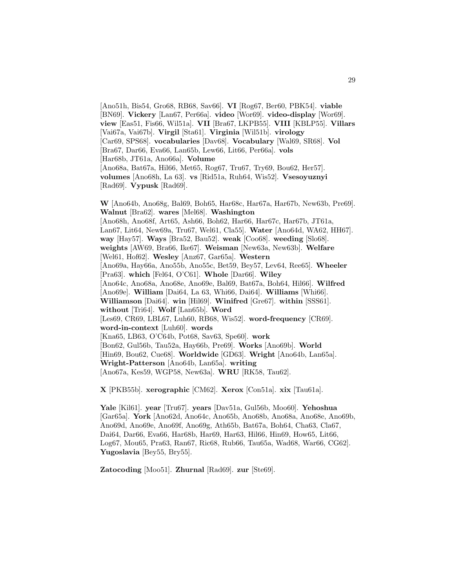[Ano51h, Bis54, Gro68, RB68, Sav66]. **VI** [Rog67, Ber60, PBK54]. **viable** [BN69]. **Vickery** [Lan67, Per66a]. **video** [Wor69]. **video-display** [Wor69]. **view** [Eas51, Fis66, Wil51a]. **VII** [Bra67, LKPB55]. **VIII** [KBLP55]. **Villars** [Vai67a, Vai67b]. **Virgil** [Sta61]. **Virginia** [Wil51b]. **virology** [Car69, SPS68]. **vocabularies** [Dav68]. **Vocabulary** [Wal69, SR68]. **Vol** [Bra67, Dar66, Eva66, Lan65b, Lew66, Lit66, Per66a]. **vols** [Har68b, JT61a, Ano66a]. **Volume** [Ano68a, Bat67a, Hil66, Met65, Rog67, Tru67, Try69, Bou62, Her57]. **volumes** [Ano68h, La 63]. **vs** [Rid51a, Ruh64, Wis52]. **Vsesoyuznyi** [Rad69]. **Vypusk** [Rad69].

**W** [Ano64b, Ano68g, Bal69, Boh65, Har68c, Har67a, Har67b, New63b, Pre69]. **Walnut** [Bra62]. **wares** [Mel68]. **Washington** [Ano68h, Ano68f, Art65, Ash66, Boh62, Har66, Har67c, Har67b, JT61a, Lan67, Lit64, New69a, Tru67, Wel61, Cla55]. **Water** [Ano64d, WA62, HH67]. **way** [Hay57]. **Ways** [Bra52, Bau52]. **weak** [Coo68]. **weeding** [Slo68]. **weights** [AW69, Bra66, Ike67]. **Weisman** [New63a, New63b]. **Welfare** [Wel61, Hof62]. **Wesley** [Anz67, Gar65a]. **Western** [Ano69a, Hay66a, Ano55b, Ano55c, Bet59, Bey57, Lev64, Ree65]. **Wheeler** [Pra63]. **which** [Fel64, O'C61]. **Whole** [Dar66]. **Wiley** [Ano64c, Ano68a, Ano68e, Ano69e, Bal69, Bat67a, Boh64, Hil66]. **Wilfred** [Ano69e]. **William** [Dai64, La 63, Whi66, Dai64]. **Williams** [Whi66]. **Williamson** [Dai64]. **win** [Hil69]. **Winifred** [Gre67]. **within** [SSS61]. **without** [Tri64]. **Wolf** [Lan65b]. **Word** [Les69, CR69, LBL67, Luh60, RB68, Wis52]. **word-frequency** [CR69]. **word-in-context** [Luh60]. **words** [Kna65, LB63, O'C64b, Pot68, Sav63, Spe60]. **work** [Bon62, Gul56b, Tau52a, Hay66b, Pre69]. **Works** [Ano69b]. **World** [Hin69, Bou62, Cue68]. **Worldwide** [GD63]. **Wright** [Ano64b, Lan65a]. **Wright-Patterson** [Ano64b, Lan65a]. **writing** [Ano67a, Kes59, WGP58, New63a]. **WRU** [RK58, Tau62].

**X** [PKB55b]. **xerographic** [CM62]. **Xerox** [Con51a]. **xix** [Tau61a].

**Yale** [Kil61]. **year** [Tru67]. **years** [Dav51a, Gul56b, Moo60]. **Yehoshua** [Gar65a]. **York** [Ano62d, Ano64c, Ano65b, Ano68b, Ano68a, Ano68e, Ano69b, Ano69d, Ano69e, Ano69f, Ano69g, Ath65b, Bat67a, Boh64, Cha63, Cla67, Dai64, Dar66, Eva66, Har68b, Har69, Har63, Hil66, Hin69, How65, Lit66, Log67, Mou65, Pra63, Ran67, Ric68, Rub66, Tau65a, Wad68, War66, CG62]. **Yugoslavia** [Bey55, Bry55].

**Zatocoding** [Moo51]. **Zhurnal** [Rad69]. **zur** [Ste69].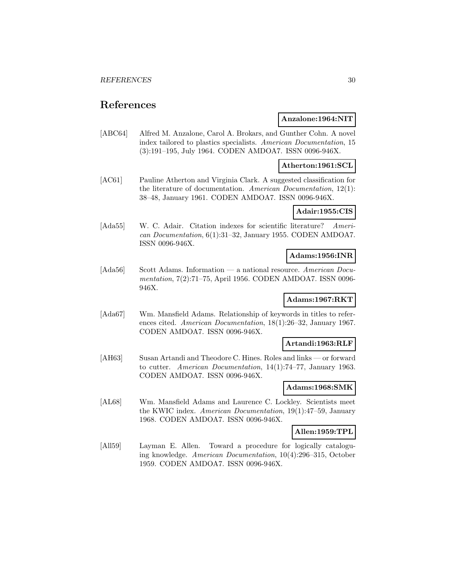## **References**

## **Anzalone:1964:NIT**

[ABC64] Alfred M. Anzalone, Carol A. Brokars, and Gunther Cohn. A novel index tailored to plastics specialists. American Documentation, 15 (3):191–195, July 1964. CODEN AMDOA7. ISSN 0096-946X.

## **Atherton:1961:SCL**

[AC61] Pauline Atherton and Virginia Clark. A suggested classification for the literature of documentation. American Documentation, 12(1): 38–48, January 1961. CODEN AMDOA7. ISSN 0096-946X.

## **Adair:1955:CIS**

[Ada55] W. C. Adair. Citation indexes for scientific literature? American Documentation, 6(1):31–32, January 1955. CODEN AMDOA7. ISSN 0096-946X.

## **Adams:1956:INR**

[Ada56] Scott Adams. Information — a national resource. American Documentation, 7(2):71–75, April 1956. CODEN AMDOA7. ISSN 0096- 946X.

## **Adams:1967:RKT**

[Ada67] Wm. Mansfield Adams. Relationship of keywords in titles to references cited. American Documentation, 18(1):26–32, January 1967. CODEN AMDOA7. ISSN 0096-946X.

## **Artandi:1963:RLF**

[AH63] Susan Artandi and Theodore C. Hines. Roles and links — or forward to cutter. American Documentation, 14(1):74–77, January 1963. CODEN AMDOA7. ISSN 0096-946X.

#### **Adams:1968:SMK**

[AL68] Wm. Mansfield Adams and Laurence C. Lockley. Scientists meet the KWIC index. American Documentation, 19(1):47–59, January 1968. CODEN AMDOA7. ISSN 0096-946X.

## **Allen:1959:TPL**

[All59] Layman E. Allen. Toward a procedure for logically cataloguing knowledge. American Documentation, 10(4):296–315, October 1959. CODEN AMDOA7. ISSN 0096-946X.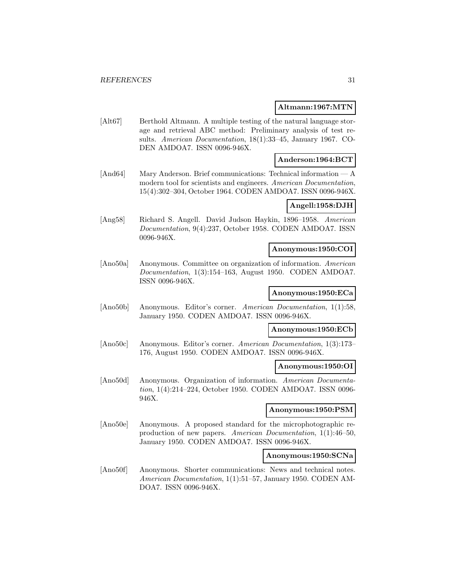## **Altmann:1967:MTN**

[Alt67] Berthold Altmann. A multiple testing of the natural language storage and retrieval ABC method: Preliminary analysis of test results. American Documentation, 18(1):33–45, January 1967. CO-DEN AMDOA7. ISSN 0096-946X.

## **Anderson:1964:BCT**

[And64] Mary Anderson. Brief communications: Technical information — A modern tool for scientists and engineers. American Documentation, 15(4):302–304, October 1964. CODEN AMDOA7. ISSN 0096-946X.

## **Angell:1958:DJH**

[Ang58] Richard S. Angell. David Judson Haykin, 1896–1958. American Documentation, 9(4):237, October 1958. CODEN AMDOA7. ISSN 0096-946X.

## **Anonymous:1950:COI**

[Ano50a] Anonymous. Committee on organization of information. American Documentation, 1(3):154–163, August 1950. CODEN AMDOA7. ISSN 0096-946X.

## **Anonymous:1950:ECa**

[Ano50b] Anonymous. Editor's corner. American Documentation, 1(1):58, January 1950. CODEN AMDOA7. ISSN 0096-946X.

## **Anonymous:1950:ECb**

[Ano50c] Anonymous. Editor's corner. American Documentation, 1(3):173– 176, August 1950. CODEN AMDOA7. ISSN 0096-946X.

## **Anonymous:1950:OI**

[Ano50d] Anonymous. Organization of information. American Documentation, 1(4):214–224, October 1950. CODEN AMDOA7. ISSN 0096- 946X.

## **Anonymous:1950:PSM**

[Ano50e] Anonymous. A proposed standard for the microphotographic reproduction of new papers. American Documentation, 1(1):46–50, January 1950. CODEN AMDOA7. ISSN 0096-946X.

## **Anonymous:1950:SCNa**

[Ano50f] Anonymous. Shorter communications: News and technical notes. American Documentation, 1(1):51–57, January 1950. CODEN AM-DOA7. ISSN 0096-946X.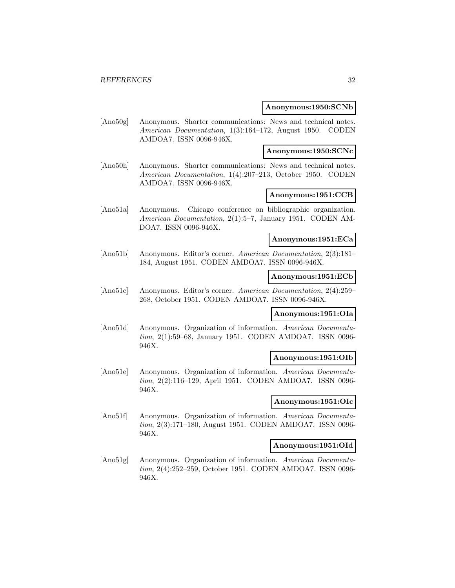#### **Anonymous:1950:SCNb**

[Ano50g] Anonymous. Shorter communications: News and technical notes. American Documentation, 1(3):164–172, August 1950. CODEN AMDOA7. ISSN 0096-946X.

## **Anonymous:1950:SCNc**

[Ano50h] Anonymous. Shorter communications: News and technical notes. American Documentation, 1(4):207–213, October 1950. CODEN AMDOA7. ISSN 0096-946X.

## **Anonymous:1951:CCB**

[Ano51a] Anonymous. Chicago conference on bibliographic organization. American Documentation, 2(1):5–7, January 1951. CODEN AM-DOA7. ISSN 0096-946X.

## **Anonymous:1951:ECa**

[Ano51b] Anonymous. Editor's corner. American Documentation, 2(3):181– 184, August 1951. CODEN AMDOA7. ISSN 0096-946X.

## **Anonymous:1951:ECb**

[Ano51c] Anonymous. Editor's corner. American Documentation, 2(4):259– 268, October 1951. CODEN AMDOA7. ISSN 0096-946X.

#### **Anonymous:1951:OIa**

[Ano51d] Anonymous. Organization of information. American Documentation, 2(1):59–68, January 1951. CODEN AMDOA7. ISSN 0096- 946X.

## **Anonymous:1951:OIb**

[Ano51e] Anonymous. Organization of information. American Documentation, 2(2):116–129, April 1951. CODEN AMDOA7. ISSN 0096- 946X.

#### **Anonymous:1951:OIc**

[Ano51f] Anonymous. Organization of information. American Documentation, 2(3):171–180, August 1951. CODEN AMDOA7. ISSN 0096- 946X.

#### **Anonymous:1951:OId**

[Ano51g] Anonymous. Organization of information. American Documentation, 2(4):252–259, October 1951. CODEN AMDOA7. ISSN 0096- 946X.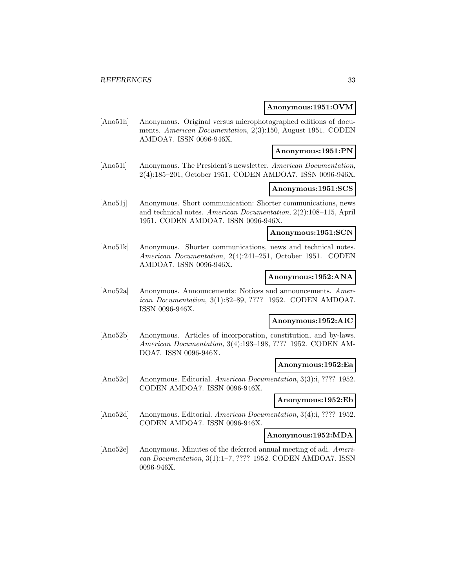#### **Anonymous:1951:OVM**

[Ano51h] Anonymous. Original versus microphotographed editions of documents. American Documentation, 2(3):150, August 1951. CODEN AMDOA7. ISSN 0096-946X.

## **Anonymous:1951:PN**

[Ano51i] Anonymous. The President's newsletter. American Documentation, 2(4):185–201, October 1951. CODEN AMDOA7. ISSN 0096-946X.

## **Anonymous:1951:SCS**

[Ano51j] Anonymous. Short communication: Shorter communications, news and technical notes. American Documentation, 2(2):108–115, April 1951. CODEN AMDOA7. ISSN 0096-946X.

## **Anonymous:1951:SCN**

[Ano51k] Anonymous. Shorter communications, news and technical notes. American Documentation, 2(4):241–251, October 1951. CODEN AMDOA7. ISSN 0096-946X.

### **Anonymous:1952:ANA**

[Ano52a] Anonymous. Announcements: Notices and announcements. American Documentation, 3(1):82–89, ???? 1952. CODEN AMDOA7. ISSN 0096-946X.

### **Anonymous:1952:AIC**

[Ano52b] Anonymous. Articles of incorporation, constitution, and by-laws. American Documentation, 3(4):193–198, ???? 1952. CODEN AM-DOA7. ISSN 0096-946X.

#### **Anonymous:1952:Ea**

[Ano52c] Anonymous. Editorial. American Documentation, 3(3):i, ???? 1952. CODEN AMDOA7. ISSN 0096-946X.

#### **Anonymous:1952:Eb**

[Ano52d] Anonymous. Editorial. American Documentation, 3(4):i, ???? 1952. CODEN AMDOA7. ISSN 0096-946X.

**Anonymous:1952:MDA**

[Ano52e] Anonymous. Minutes of the deferred annual meeting of adi. American Documentation, 3(1):1–7, ???? 1952. CODEN AMDOA7. ISSN 0096-946X.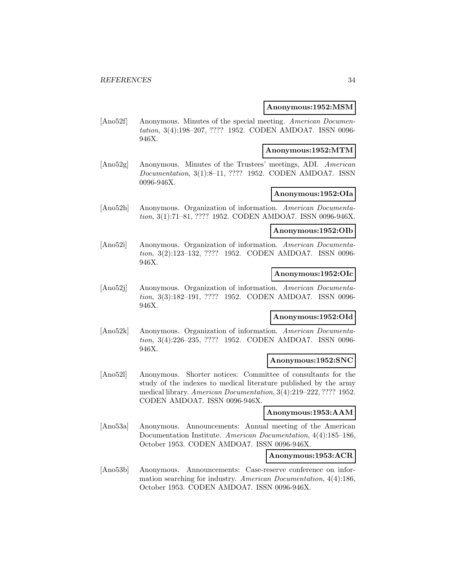#### **Anonymous:1952:MSM**

[Ano52f] Anonymous. Minutes of the special meeting. American Documentation, 3(4):198–207, ???? 1952. CODEN AMDOA7. ISSN 0096- 946X.

## **Anonymous:1952:MTM**

[Ano52g] Anonymous. Minutes of the Trustees' meetings, ADI. American Documentation, 3(1):8–11, ???? 1952. CODEN AMDOA7. ISSN 0096-946X.

## **Anonymous:1952:OIa**

[Ano52h] Anonymous. Organization of information. American Documentation, 3(1):71–81, ???? 1952. CODEN AMDOA7. ISSN 0096-946X.

#### **Anonymous:1952:OIb**

[Ano52i] Anonymous. Organization of information. American Documentation, 3(2):123–132, ???? 1952. CODEN AMDOA7. ISSN 0096- 946X.

#### **Anonymous:1952:OIc**

[Ano52j] Anonymous. Organization of information. American Documentation, 3(3):182–191, ???? 1952. CODEN AMDOA7. ISSN 0096- 946X.

## **Anonymous:1952:OId**

[Ano52k] Anonymous. Organization of information. American Documentation, 3(4):226–235, ???? 1952. CODEN AMDOA7. ISSN 0096- 946X.

#### **Anonymous:1952:SNC**

[Ano52l] Anonymous. Shorter notices: Committee of consultants for the study of the indexes to medical literature published by the army medical library. American Documentation, 3(4):219–222, ???? 1952. CODEN AMDOA7. ISSN 0096-946X.

#### **Anonymous:1953:AAM**

[Ano53a] Anonymous. Announcements: Annual meeting of the American Documentation Institute. American Documentation, 4(4):185–186, October 1953. CODEN AMDOA7. ISSN 0096-946X.

#### **Anonymous:1953:ACR**

[Ano53b] Anonymous. Announcements: Case-reserve conference on information searching for industry. American Documentation, 4(4):186, October 1953. CODEN AMDOA7. ISSN 0096-946X.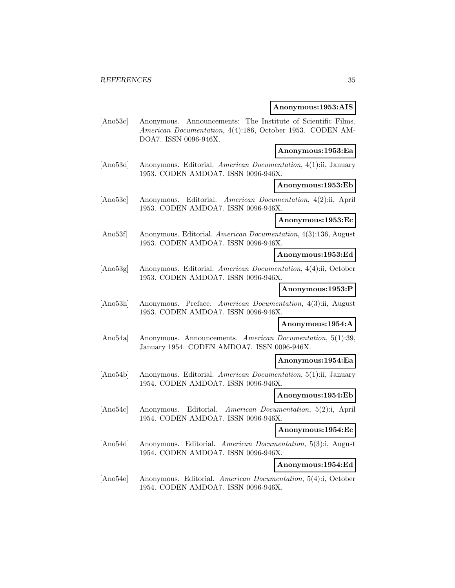#### **Anonymous:1953:AIS**

[Ano53c] Anonymous. Announcements: The Institute of Scientific Films. American Documentation, 4(4):186, October 1953. CODEN AM-DOA7. ISSN 0096-946X.

## **Anonymous:1953:Ea**

[Ano53d] Anonymous. Editorial. American Documentation, 4(1):ii, January 1953. CODEN AMDOA7. ISSN 0096-946X.

#### **Anonymous:1953:Eb**

[Ano53e] Anonymous. Editorial. American Documentation, 4(2):ii, April 1953. CODEN AMDOA7. ISSN 0096-946X.

## **Anonymous:1953:Ec**

[Ano53f] Anonymous. Editorial. American Documentation, 4(3):136, August 1953. CODEN AMDOA7. ISSN 0096-946X.

## **Anonymous:1953:Ed**

[Ano53g] Anonymous. Editorial. American Documentation, 4(4):ii, October 1953. CODEN AMDOA7. ISSN 0096-946X.

## **Anonymous:1953:P**

[Ano53h] Anonymous. Preface. American Documentation, 4(3):ii, August 1953. CODEN AMDOA7. ISSN 0096-946X.

#### **Anonymous:1954:A**

[Ano54a] Anonymous. Announcements. American Documentation, 5(1):39, January 1954. CODEN AMDOA7. ISSN 0096-946X.

#### **Anonymous:1954:Ea**

[Ano54b] Anonymous. Editorial. American Documentation, 5(1):ii, January 1954. CODEN AMDOA7. ISSN 0096-946X.

## **Anonymous:1954:Eb**

[Ano54c] Anonymous. Editorial. American Documentation, 5(2):i, April 1954. CODEN AMDOA7. ISSN 0096-946X.

## **Anonymous:1954:Ec**

[Ano54d] Anonymous. Editorial. American Documentation, 5(3):i, August 1954. CODEN AMDOA7. ISSN 0096-946X.

**Anonymous:1954:Ed**

[Ano54e] Anonymous. Editorial. American Documentation, 5(4):i, October 1954. CODEN AMDOA7. ISSN 0096-946X.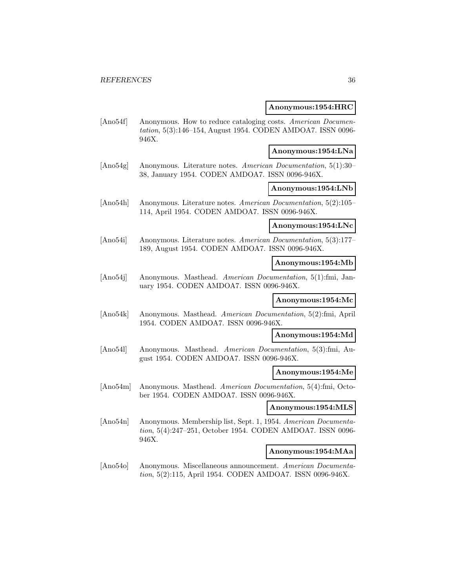#### **Anonymous:1954:HRC**

[Ano54f] Anonymous. How to reduce cataloging costs. American Documentation, 5(3):146–154, August 1954. CODEN AMDOA7. ISSN 0096- 946X.

## **Anonymous:1954:LNa**

[Ano54g] Anonymous. Literature notes. American Documentation, 5(1):30– 38, January 1954. CODEN AMDOA7. ISSN 0096-946X.

## **Anonymous:1954:LNb**

[Ano54h] Anonymous. Literature notes. American Documentation, 5(2):105– 114, April 1954. CODEN AMDOA7. ISSN 0096-946X.

## **Anonymous:1954:LNc**

[Ano54i] Anonymous. Literature notes. American Documentation, 5(3):177– 189, August 1954. CODEN AMDOA7. ISSN 0096-946X.

#### **Anonymous:1954:Mb**

[Ano54j] Anonymous. Masthead. American Documentation, 5(1):fmi, January 1954. CODEN AMDOA7. ISSN 0096-946X.

## **Anonymous:1954:Mc**

[Ano54k] Anonymous. Masthead. American Documentation, 5(2):fmi, April 1954. CODEN AMDOA7. ISSN 0096-946X.

## **Anonymous:1954:Md**

[Ano54l] Anonymous. Masthead. American Documentation, 5(3):fmi, August 1954. CODEN AMDOA7. ISSN 0096-946X.

#### **Anonymous:1954:Me**

[Ano54m] Anonymous. Masthead. American Documentation, 5(4):fmi, October 1954. CODEN AMDOA7. ISSN 0096-946X.

#### **Anonymous:1954:MLS**

[Ano54n] Anonymous. Membership list, Sept. 1, 1954. American Documentation, 5(4):247–251, October 1954. CODEN AMDOA7. ISSN 0096- 946X.

#### **Anonymous:1954:MAa**

[Ano54o] Anonymous. Miscellaneous announcement. American Documentation, 5(2):115, April 1954. CODEN AMDOA7. ISSN 0096-946X.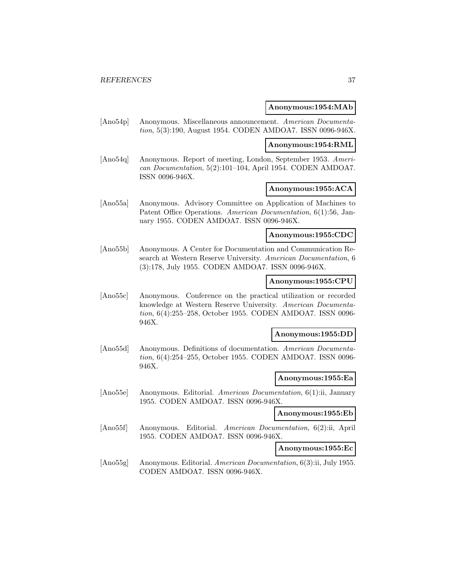### **Anonymous:1954:MAb**

[Ano54p] Anonymous. Miscellaneous announcement. American Documentation, 5(3):190, August 1954. CODEN AMDOA7. ISSN 0096-946X.

### **Anonymous:1954:RML**

[Ano54q] Anonymous. Report of meeting, London, September 1953. American Documentation, 5(2):101–104, April 1954. CODEN AMDOA7. ISSN 0096-946X.

# **Anonymous:1955:ACA**

[Ano55a] Anonymous. Advisory Committee on Application of Machines to Patent Office Operations. American Documentation, 6(1):56, January 1955. CODEN AMDOA7. ISSN 0096-946X.

### **Anonymous:1955:CDC**

[Ano55b] Anonymous. A Center for Documentation and Communication Research at Western Reserve University. American Documentation, 6 (3):178, July 1955. CODEN AMDOA7. ISSN 0096-946X.

### **Anonymous:1955:CPU**

[Ano55c] Anonymous. Conference on the practical utilization or recorded knowledge at Western Reserve University. American Documentation, 6(4):255–258, October 1955. CODEN AMDOA7. ISSN 0096- 946X.

### **Anonymous:1955:DD**

[Ano55d] Anonymous. Definitions of documentation. American Documentation, 6(4):254–255, October 1955. CODEN AMDOA7. ISSN 0096- 946X.

#### **Anonymous:1955:Ea**

[Ano55e] Anonymous. Editorial. American Documentation, 6(1):ii, January 1955. CODEN AMDOA7. ISSN 0096-946X.

#### **Anonymous:1955:Eb**

[Ano55f] Anonymous. Editorial. American Documentation, 6(2):ii, April 1955. CODEN AMDOA7. ISSN 0096-946X.

#### **Anonymous:1955:Ec**

[Ano55g] Anonymous. Editorial. American Documentation, 6(3):ii, July 1955. CODEN AMDOA7. ISSN 0096-946X.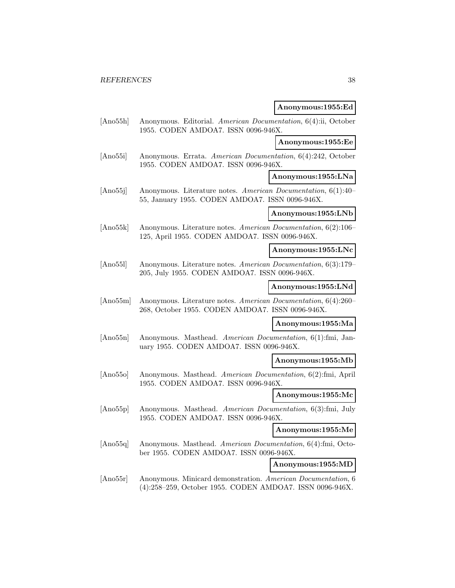### **Anonymous:1955:Ed**

[Ano55h] Anonymous. Editorial. American Documentation, 6(4):ii, October 1955. CODEN AMDOA7. ISSN 0096-946X.

#### **Anonymous:1955:Ee**

[Ano55i] Anonymous. Errata. American Documentation, 6(4):242, October 1955. CODEN AMDOA7. ISSN 0096-946X.

**Anonymous:1955:LNa**

[Ano55j] Anonymous. Literature notes. American Documentation, 6(1):40– 55, January 1955. CODEN AMDOA7. ISSN 0096-946X.

#### **Anonymous:1955:LNb**

[Ano55k] Anonymous. Literature notes. American Documentation, 6(2):106– 125, April 1955. CODEN AMDOA7. ISSN 0096-946X.

**Anonymous:1955:LNc**

[Ano55l] Anonymous. Literature notes. American Documentation, 6(3):179– 205, July 1955. CODEN AMDOA7. ISSN 0096-946X.

### **Anonymous:1955:LNd**

[Ano55m] Anonymous. Literature notes. American Documentation, 6(4):260– 268, October 1955. CODEN AMDOA7. ISSN 0096-946X.

# **Anonymous:1955:Ma**

[Ano55n] Anonymous. Masthead. American Documentation, 6(1):fmi, January 1955. CODEN AMDOA7. ISSN 0096-946X.

#### **Anonymous:1955:Mb**

[Ano55o] Anonymous. Masthead. American Documentation, 6(2):fmi, April 1955. CODEN AMDOA7. ISSN 0096-946X.

### **Anonymous:1955:Mc**

[Ano55p] Anonymous. Masthead. American Documentation, 6(3):fmi, July 1955. CODEN AMDOA7. ISSN 0096-946X.

# **Anonymous:1955:Me**

[Ano55q] Anonymous. Masthead. American Documentation, 6(4):fmi, October 1955. CODEN AMDOA7. ISSN 0096-946X.

**Anonymous:1955:MD**

[Ano55r] Anonymous. Minicard demonstration. American Documentation, 6 (4):258–259, October 1955. CODEN AMDOA7. ISSN 0096-946X.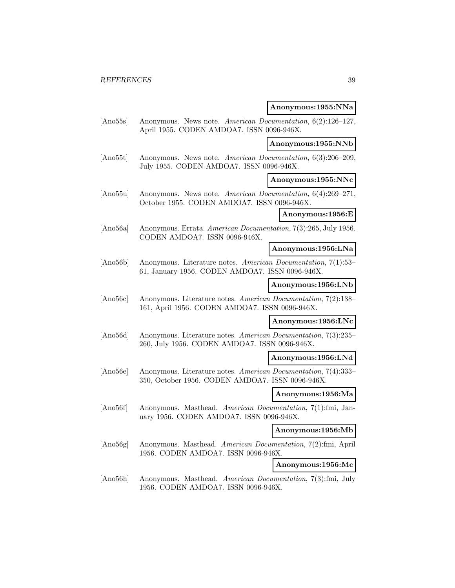# **Anonymous:1955:NNa**

| [Ano55s] | Anonymous. News note. American Documentation, 6(2):126-127,<br>April 1955. CODEN AMDOA7. ISSN 0096-946X.           |                    |
|----------|--------------------------------------------------------------------------------------------------------------------|--------------------|
|          |                                                                                                                    | Anonymous:1955:NNb |
| [Ano55t] | Anonymous. News note. American Documentation, 6(3):206-209,<br>July 1955. CODEN AMDOA7. ISSN 0096-946X.            |                    |
|          |                                                                                                                    | Anonymous:1955:NNc |
| [Ano55u] | Anonymous. News note. American Documentation, 6(4):269-271,<br>October 1955. CODEN AMDOA7. ISSN 0096-946X.         |                    |
|          |                                                                                                                    | Anonymous:1956:E   |
| [Ano56a] | Anonymous. Errata. American Documentation, 7(3):265, July 1956.<br>CODEN AMDOA7. ISSN 0096-946X.                   |                    |
|          |                                                                                                                    | Anonymous:1956:LNa |
| [Ano56b] | Anonymous. Literature notes. American Documentation, 7(1):53-<br>61, January 1956. CODEN AMDOA7. ISSN 0096-946X.   |                    |
|          |                                                                                                                    | Anonymous:1956:LNb |
| [Ano56c] | Anonymous. Literature notes. American Documentation, 7(2):138-<br>161, April 1956. CODEN AMDOA7. ISSN 0096-946X.   |                    |
|          |                                                                                                                    | Anonymous:1956:LNc |
| [Ano56d] | Anonymous. Literature notes. American Documentation, 7(3):235–<br>260, July 1956. CODEN AMDOA7. ISSN 0096-946X.    |                    |
|          |                                                                                                                    | Anonymous:1956:LNd |
| [Ano56e] | Anonymous. Literature notes. American Documentation, 7(4):333-<br>350, October 1956. CODEN AMDOA7. ISSN 0096-946X. |                    |
|          |                                                                                                                    | Anonymous:1956:Ma  |
| [Ano56f] | Anonymous. Masthead. American Documentation, 7(1):fmi, Jan-<br>uary 1956. CODEN AMDOA7. ISSN 0096-946X.            |                    |
|          |                                                                                                                    | Anonymous:1956:Mb  |
| [Ano56g] | Anonymous. Masthead. American Documentation, 7(2):fmi, April<br>1956. CODEN AMDOA7. ISSN 0096-946X.                |                    |
|          |                                                                                                                    | Anonymous:1956:Mc  |
| [Ano56h] | Anonymous. Masthead. American Documentation, 7(3):fmi, July<br>1956. CODEN AMDOA7. ISSN 0096-946X.                 |                    |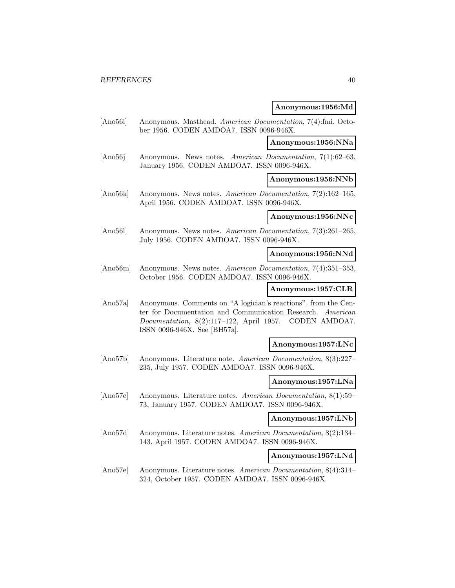### **Anonymous:1956:Md**

[Ano56i] Anonymous. Masthead. American Documentation, 7(4):fmi, October 1956. CODEN AMDOA7. ISSN 0096-946X.

#### **Anonymous:1956:NNa**

[Ano56j] Anonymous. News notes. American Documentation, 7(1):62–63, January 1956. CODEN AMDOA7. ISSN 0096-946X.

**Anonymous:1956:NNb**

[Ano56k] Anonymous. News notes. American Documentation, 7(2):162–165, April 1956. CODEN AMDOA7. ISSN 0096-946X.

#### **Anonymous:1956:NNc**

[Ano56l] Anonymous. News notes. American Documentation, 7(3):261–265, July 1956. CODEN AMDOA7. ISSN 0096-946X.

### **Anonymous:1956:NNd**

[Ano56m] Anonymous. News notes. American Documentation, 7(4):351–353, October 1956. CODEN AMDOA7. ISSN 0096-946X.

# **Anonymous:1957:CLR**

[Ano57a] Anonymous. Comments on "A logician's reactions". from the Center for Documentation and Communication Research. American Documentation, 8(2):117–122, April 1957. CODEN AMDOA7. ISSN 0096-946X. See [BH57a].

### **Anonymous:1957:LNc**

[Ano57b] Anonymous. Literature note. American Documentation, 8(3):227– 235, July 1957. CODEN AMDOA7. ISSN 0096-946X.

### **Anonymous:1957:LNa**

[Ano57c] Anonymous. Literature notes. American Documentation, 8(1):59– 73, January 1957. CODEN AMDOA7. ISSN 0096-946X.

### **Anonymous:1957:LNb**

[Ano57d] Anonymous. Literature notes. American Documentation, 8(2):134– 143, April 1957. CODEN AMDOA7. ISSN 0096-946X.

#### **Anonymous:1957:LNd**

[Ano57e] Anonymous. Literature notes. American Documentation, 8(4):314– 324, October 1957. CODEN AMDOA7. ISSN 0096-946X.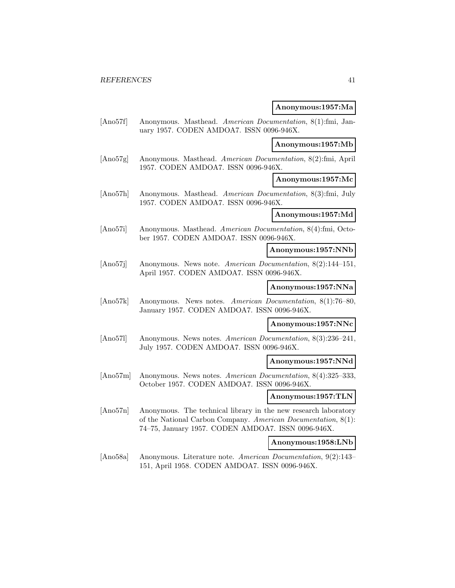### **Anonymous:1957:Ma**

[Ano57f] Anonymous. Masthead. American Documentation, 8(1):fmi, January 1957. CODEN AMDOA7. ISSN 0096-946X.

### **Anonymous:1957:Mb**

[Ano57g] Anonymous. Masthead. American Documentation, 8(2):fmi, April 1957. CODEN AMDOA7. ISSN 0096-946X.

**Anonymous:1957:Mc**

[Ano57h] Anonymous. Masthead. American Documentation, 8(3):fmi, July 1957. CODEN AMDOA7. ISSN 0096-946X.

### **Anonymous:1957:Md**

[Ano57i] Anonymous. Masthead. American Documentation, 8(4):fmi, October 1957. CODEN AMDOA7. ISSN 0096-946X.

#### **Anonymous:1957:NNb**

[Ano57j] Anonymous. News note. American Documentation, 8(2):144–151, April 1957. CODEN AMDOA7. ISSN 0096-946X.

#### **Anonymous:1957:NNa**

[Ano57k] Anonymous. News notes. American Documentation, 8(1):76–80, January 1957. CODEN AMDOA7. ISSN 0096-946X.

#### **Anonymous:1957:NNc**

[Ano57l] Anonymous. News notes. American Documentation, 8(3):236–241, July 1957. CODEN AMDOA7. ISSN 0096-946X.

#### **Anonymous:1957:NNd**

[Ano57m] Anonymous. News notes. American Documentation, 8(4):325–333, October 1957. CODEN AMDOA7. ISSN 0096-946X.

#### **Anonymous:1957:TLN**

[Ano57n] Anonymous. The technical library in the new research laboratory of the National Carbon Company. American Documentation, 8(1): 74–75, January 1957. CODEN AMDOA7. ISSN 0096-946X.

#### **Anonymous:1958:LNb**

[Ano58a] Anonymous. Literature note. American Documentation, 9(2):143– 151, April 1958. CODEN AMDOA7. ISSN 0096-946X.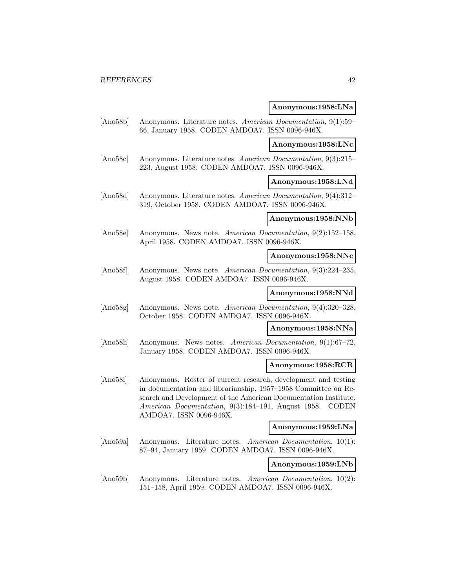**Anonymous:1958:LNa**

[Ano58b] Anonymous. Literature notes. American Documentation, 9(1):59– 66, January 1958. CODEN AMDOA7. ISSN 0096-946X.

**Anonymous:1958:LNc**

[Ano58c] Anonymous. Literature notes. American Documentation, 9(3):215– 223, August 1958. CODEN AMDOA7. ISSN 0096-946X.

**Anonymous:1958:LNd**

[Ano58d] Anonymous. Literature notes. American Documentation, 9(4):312– 319, October 1958. CODEN AMDOA7. ISSN 0096-946X.

# **Anonymous:1958:NNb**

[Ano58e] Anonymous. News note. American Documentation, 9(2):152–158, April 1958. CODEN AMDOA7. ISSN 0096-946X.

# **Anonymous:1958:NNc**

[Ano58f] Anonymous. News note. American Documentation, 9(3):224–235, August 1958. CODEN AMDOA7. ISSN 0096-946X.

# **Anonymous:1958:NNd**

[Ano58g] Anonymous. News note. American Documentation, 9(4):320–328, October 1958. CODEN AMDOA7. ISSN 0096-946X.

#### **Anonymous:1958:NNa**

[Ano58h] Anonymous. News notes. American Documentation, 9(1):67–72, January 1958. CODEN AMDOA7. ISSN 0096-946X.

## **Anonymous:1958:RCR**

[Ano58i] Anonymous. Roster of current research, development and testing in documentation and librarianship, 1957–1958 Committee on Research and Development of the American Documentation Institute. American Documentation, 9(3):184–191, August 1958. CODEN AMDOA7. ISSN 0096-946X.

#### **Anonymous:1959:LNa**

[Ano59a] Anonymous. Literature notes. American Documentation, 10(1): 87–94, January 1959. CODEN AMDOA7. ISSN 0096-946X.

# **Anonymous:1959:LNb**

[Ano59b] Anonymous. Literature notes. American Documentation, 10(2): 151–158, April 1959. CODEN AMDOA7. ISSN 0096-946X.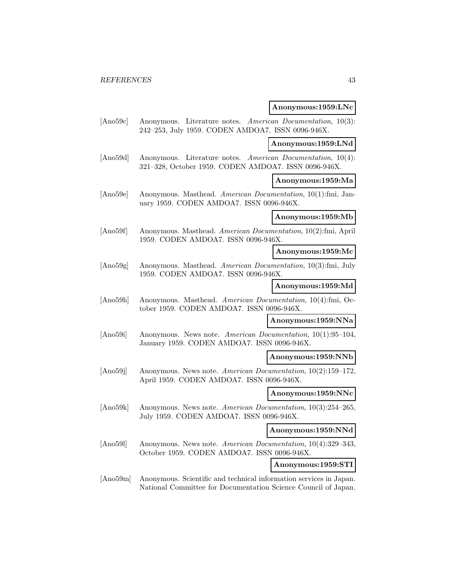### **Anonymous:1959:LNc**

[Ano59c] Anonymous. Literature notes. American Documentation, 10(3): 242–253, July 1959. CODEN AMDOA7. ISSN 0096-946X.

# **Anonymous:1959:LNd**

[Ano59d] Anonymous. Literature notes. American Documentation, 10(4): 321–328, October 1959. CODEN AMDOA7. ISSN 0096-946X.

### **Anonymous:1959:Ma**

[Ano59e] Anonymous. Masthead. American Documentation, 10(1):fmi, January 1959. CODEN AMDOA7. ISSN 0096-946X.

#### **Anonymous:1959:Mb**

[Ano59f] Anonymous. Masthead. American Documentation, 10(2):fmi, April 1959. CODEN AMDOA7. ISSN 0096-946X.

#### **Anonymous:1959:Mc**

[Ano59g] Anonymous. Masthead. American Documentation, 10(3):fmi, July 1959. CODEN AMDOA7. ISSN 0096-946X.

### **Anonymous:1959:Md**

[Ano59h] Anonymous. Masthead. American Documentation, 10(4):fmi, October 1959. CODEN AMDOA7. ISSN 0096-946X.

#### **Anonymous:1959:NNa**

[Ano59i] Anonymous. News note. American Documentation, 10(1):95–104, January 1959. CODEN AMDOA7. ISSN 0096-946X.

#### **Anonymous:1959:NNb**

[Ano59j] Anonymous. News note. American Documentation, 10(2):159–172, April 1959. CODEN AMDOA7. ISSN 0096-946X.

### **Anonymous:1959:NNc**

[Ano59k] Anonymous. News note. American Documentation, 10(3):254–265, July 1959. CODEN AMDOA7. ISSN 0096-946X.

### **Anonymous:1959:NNd**

[Ano59l] Anonymous. News note. American Documentation, 10(4):329–343, October 1959. CODEN AMDOA7. ISSN 0096-946X.

**Anonymous:1959:STI**

[Ano59m] Anonymous. Scientific and technical information services in Japan. National Committee for Documentation Science Council of Japan.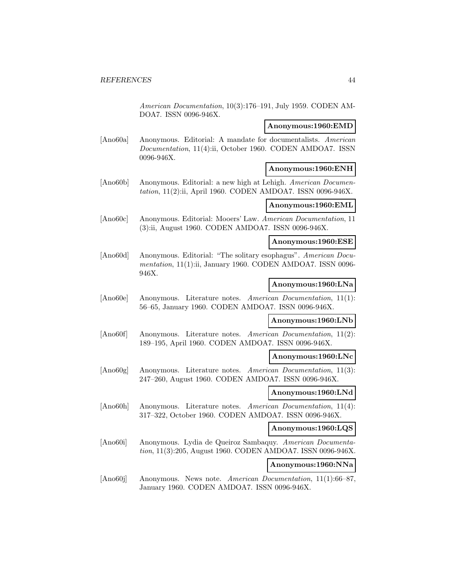American Documentation, 10(3):176–191, July 1959. CODEN AM-DOA7. ISSN 0096-946X.

# **Anonymous:1960:EMD**

[Ano60a] Anonymous. Editorial: A mandate for documentalists. American Documentation, 11(4):ii, October 1960. CODEN AMDOA7. ISSN 0096-946X.

#### **Anonymous:1960:ENH**

[Ano60b] Anonymous. Editorial: a new high at Lehigh. American Documentation, 11(2):ii, April 1960. CODEN AMDOA7. ISSN 0096-946X.

#### **Anonymous:1960:EML**

[Ano60c] Anonymous. Editorial: Mooers' Law. American Documentation, 11 (3):ii, August 1960. CODEN AMDOA7. ISSN 0096-946X.

# **Anonymous:1960:ESE**

[Ano60d] Anonymous. Editorial: "The solitary esophagus". American Documentation, 11(1):ii, January 1960. CODEN AMDOA7. ISSN 0096-946X.

### **Anonymous:1960:LNa**

[Ano60e] Anonymous. Literature notes. American Documentation, 11(1): 56–65, January 1960. CODEN AMDOA7. ISSN 0096-946X.

#### **Anonymous:1960:LNb**

[Ano60f] Anonymous. Literature notes. American Documentation, 11(2): 189–195, April 1960. CODEN AMDOA7. ISSN 0096-946X.

#### **Anonymous:1960:LNc**

[Ano60g] Anonymous. Literature notes. American Documentation, 11(3): 247–260, August 1960. CODEN AMDOA7. ISSN 0096-946X.

# **Anonymous:1960:LNd**

[Ano60h] Anonymous. Literature notes. American Documentation, 11(4): 317–322, October 1960. CODEN AMDOA7. ISSN 0096-946X.

### **Anonymous:1960:LQS**

[Ano60i] Anonymous. Lydia de Queiroz Sambaquy. American Documentation, 11(3):205, August 1960. CODEN AMDOA7. ISSN 0096-946X.

# **Anonymous:1960:NNa**

[Ano60j] Anonymous. News note. American Documentation, 11(1):66–87, January 1960. CODEN AMDOA7. ISSN 0096-946X.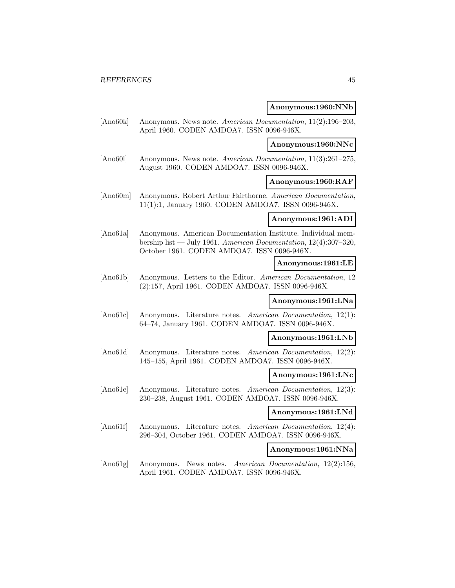### **Anonymous:1960:NNb**

[Ano60k] Anonymous. News note. American Documentation, 11(2):196–203, April 1960. CODEN AMDOA7. ISSN 0096-946X.

# **Anonymous:1960:NNc**

[Ano60l] Anonymous. News note. American Documentation, 11(3):261–275, August 1960. CODEN AMDOA7. ISSN 0096-946X.

# **Anonymous:1960:RAF**

[Ano60m] Anonymous. Robert Arthur Fairthorne. American Documentation, 11(1):1, January 1960. CODEN AMDOA7. ISSN 0096-946X.

# **Anonymous:1961:ADI**

[Ano61a] Anonymous. American Documentation Institute. Individual membership list — July 1961. American Documentation,  $12(4):307-320$ , October 1961. CODEN AMDOA7. ISSN 0096-946X.

#### **Anonymous:1961:LE**

[Ano61b] Anonymous. Letters to the Editor. American Documentation, 12 (2):157, April 1961. CODEN AMDOA7. ISSN 0096-946X.

#### **Anonymous:1961:LNa**

[Ano61c] Anonymous. Literature notes. American Documentation, 12(1): 64–74, January 1961. CODEN AMDOA7. ISSN 0096-946X.

### **Anonymous:1961:LNb**

[Ano61d] Anonymous. Literature notes. American Documentation, 12(2): 145–155, April 1961. CODEN AMDOA7. ISSN 0096-946X.

#### **Anonymous:1961:LNc**

[Ano61e] Anonymous. Literature notes. American Documentation, 12(3): 230–238, August 1961. CODEN AMDOA7. ISSN 0096-946X.

#### **Anonymous:1961:LNd**

[Ano61f] Anonymous. Literature notes. American Documentation, 12(4): 296–304, October 1961. CODEN AMDOA7. ISSN 0096-946X.

### **Anonymous:1961:NNa**

[Ano61g] Anonymous. News notes. American Documentation, 12(2):156, April 1961. CODEN AMDOA7. ISSN 0096-946X.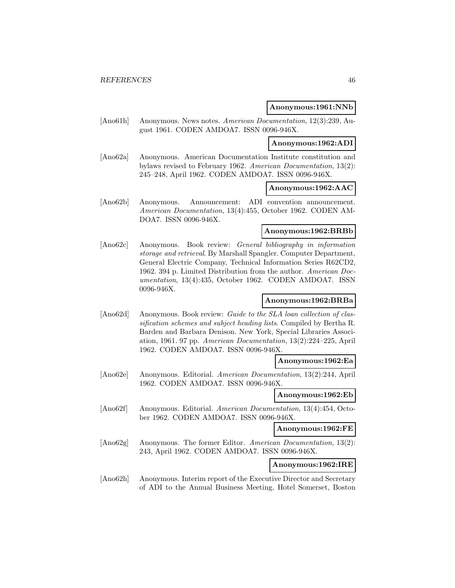### **Anonymous:1961:NNb**

[Ano61h] Anonymous. News notes. American Documentation, 12(3):239, August 1961. CODEN AMDOA7. ISSN 0096-946X.

# **Anonymous:1962:ADI**

[Ano62a] Anonymous. American Documentation Institute constitution and bylaws revised to February 1962. American Documentation, 13(2): 245–248, April 1962. CODEN AMDOA7. ISSN 0096-946X.

### **Anonymous:1962:AAC**

[Ano62b] Anonymous. Announcement: ADI convention announcement. American Documentation, 13(4):455, October 1962. CODEN AM-DOA7. ISSN 0096-946X.

#### **Anonymous:1962:BRBb**

[Ano62c] Anonymous. Book review: General bibliography in information storage and retrieval. By Marshall Spangler. Computer Department, General Electric Company, Technical Information Series R62CD2, 1962. 394 p. Limited Distribution from the author. American Documentation, 13(4):435, October 1962. CODEN AMDOA7. ISSN 0096-946X.

# **Anonymous:1962:BRBa**

[Ano62d] Anonymous. Book review: Guide to the SLA loan collection of classification schemes and subject heading lists. Compiled by Bertha R. Barden and Barbara Denison. New York, Special Libraries Association, 1961. 97 pp. American Documentation, 13(2):224–225, April 1962. CODEN AMDOA7. ISSN 0096-946X.

#### **Anonymous:1962:Ea**

[Ano62e] Anonymous. Editorial. American Documentation, 13(2):244, April 1962. CODEN AMDOA7. ISSN 0096-946X.

### **Anonymous:1962:Eb**

[Ano62f] Anonymous. Editorial. American Documentation, 13(4):454, October 1962. CODEN AMDOA7. ISSN 0096-946X.

# **Anonymous:1962:FE**

[Ano62g] Anonymous. The former Editor. American Documentation, 13(2): 243, April 1962. CODEN AMDOA7. ISSN 0096-946X.

# **Anonymous:1962:IRE**

[Ano62h] Anonymous. Interim report of the Executive Director and Secretary of ADI to the Annual Business Meeting, Hotel Somerset, Boston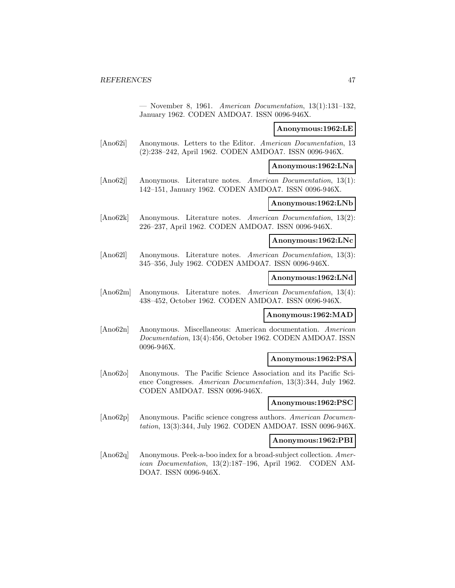— November 8, 1961. American Documentation, 13(1):131–132, January 1962. CODEN AMDOA7. ISSN 0096-946X.

#### **Anonymous:1962:LE**

[Ano62i] Anonymous. Letters to the Editor. American Documentation, 13 (2):238–242, April 1962. CODEN AMDOA7. ISSN 0096-946X.

#### **Anonymous:1962:LNa**

[Ano62j] Anonymous. Literature notes. American Documentation, 13(1): 142–151, January 1962. CODEN AMDOA7. ISSN 0096-946X.

#### **Anonymous:1962:LNb**

[Ano62k] Anonymous. Literature notes. American Documentation, 13(2): 226–237, April 1962. CODEN AMDOA7. ISSN 0096-946X.

#### **Anonymous:1962:LNc**

[Ano62l] Anonymous. Literature notes. American Documentation, 13(3): 345–356, July 1962. CODEN AMDOA7. ISSN 0096-946X.

### **Anonymous:1962:LNd**

[Ano62m] Anonymous. Literature notes. American Documentation, 13(4): 438–452, October 1962. CODEN AMDOA7. ISSN 0096-946X.

#### **Anonymous:1962:MAD**

[Ano62n] Anonymous. Miscellaneous: American documentation. American Documentation, 13(4):456, October 1962. CODEN AMDOA7. ISSN 0096-946X.

### **Anonymous:1962:PSA**

[Ano62o] Anonymous. The Pacific Science Association and its Pacific Science Congresses. American Documentation, 13(3):344, July 1962. CODEN AMDOA7. ISSN 0096-946X.

### **Anonymous:1962:PSC**

[Ano62p] Anonymous. Pacific science congress authors. American Documentation, 13(3):344, July 1962. CODEN AMDOA7. ISSN 0096-946X.

# **Anonymous:1962:PBI**

[Ano62q] Anonymous. Peek-a-boo index for a broad-subject collection. American Documentation, 13(2):187–196, April 1962. CODEN AM-DOA7. ISSN 0096-946X.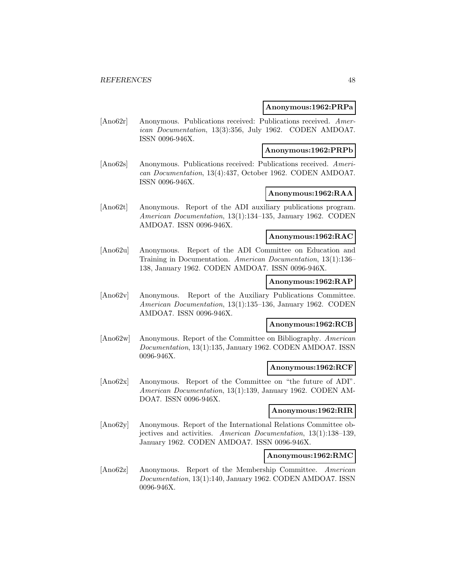### **Anonymous:1962:PRPa**

[Ano62r] Anonymous. Publications received: Publications received. American Documentation, 13(3):356, July 1962. CODEN AMDOA7. ISSN 0096-946X.

# **Anonymous:1962:PRPb**

[Ano62s] Anonymous. Publications received: Publications received. American Documentation, 13(4):437, October 1962. CODEN AMDOA7. ISSN 0096-946X.

### **Anonymous:1962:RAA**

[Ano62t] Anonymous. Report of the ADI auxiliary publications program. American Documentation, 13(1):134–135, January 1962. CODEN AMDOA7. ISSN 0096-946X.

# **Anonymous:1962:RAC**

[Ano62u] Anonymous. Report of the ADI Committee on Education and Training in Documentation. American Documentation, 13(1):136– 138, January 1962. CODEN AMDOA7. ISSN 0096-946X.

#### **Anonymous:1962:RAP**

[Ano62v] Anonymous. Report of the Auxiliary Publications Committee. American Documentation, 13(1):135–136, January 1962. CODEN AMDOA7. ISSN 0096-946X.

### **Anonymous:1962:RCB**

[Ano62w] Anonymous. Report of the Committee on Bibliography. American Documentation, 13(1):135, January 1962. CODEN AMDOA7. ISSN 0096-946X.

### **Anonymous:1962:RCF**

[Ano62x] Anonymous. Report of the Committee on "the future of ADI". American Documentation, 13(1):139, January 1962. CODEN AM-DOA7. ISSN 0096-946X.

#### **Anonymous:1962:RIR**

[Ano62y] Anonymous. Report of the International Relations Committee objectives and activities. American Documentation, 13(1):138–139, January 1962. CODEN AMDOA7. ISSN 0096-946X.

#### **Anonymous:1962:RMC**

[Ano62z] Anonymous. Report of the Membership Committee. American Documentation, 13(1):140, January 1962. CODEN AMDOA7. ISSN 0096-946X.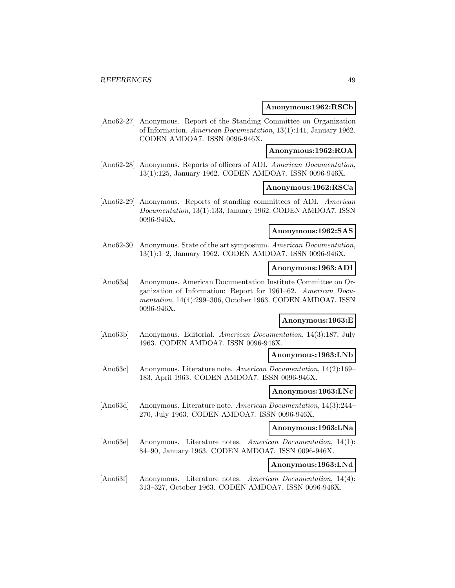### **Anonymous:1962:RSCb**

[Ano62-27] Anonymous. Report of the Standing Committee on Organization of Information. American Documentation, 13(1):141, January 1962. CODEN AMDOA7. ISSN 0096-946X.

# **Anonymous:1962:ROA**

[Ano62-28] Anonymous. Reports of officers of ADI. American Documentation, 13(1):125, January 1962. CODEN AMDOA7. ISSN 0096-946X.

#### **Anonymous:1962:RSCa**

[Ano62-29] Anonymous. Reports of standing committees of ADI. American Documentation, 13(1):133, January 1962. CODEN AMDOA7. ISSN 0096-946X.

#### **Anonymous:1962:SAS**

[Ano62-30] Anonymous. State of the art symposium. American Documentation, 13(1):1–2, January 1962. CODEN AMDOA7. ISSN 0096-946X.

# **Anonymous:1963:ADI**

[Ano63a] Anonymous. American Documentation Institute Committee on Organization of Information: Report for 1961–62. American Documentation, 14(4):299–306, October 1963. CODEN AMDOA7. ISSN 0096-946X.

# **Anonymous:1963:E**

[Ano63b] Anonymous. Editorial. American Documentation, 14(3):187, July 1963. CODEN AMDOA7. ISSN 0096-946X.

## **Anonymous:1963:LNb**

[Ano63c] Anonymous. Literature note. American Documentation, 14(2):169– 183, April 1963. CODEN AMDOA7. ISSN 0096-946X.

### **Anonymous:1963:LNc**

[Ano63d] Anonymous. Literature note. American Documentation, 14(3):244– 270, July 1963. CODEN AMDOA7. ISSN 0096-946X.

# **Anonymous:1963:LNa**

[Ano63e] Anonymous. Literature notes. American Documentation, 14(1): 84–90, January 1963. CODEN AMDOA7. ISSN 0096-946X.

# **Anonymous:1963:LNd**

[Ano63f] Anonymous. Literature notes. American Documentation, 14(4): 313–327, October 1963. CODEN AMDOA7. ISSN 0096-946X.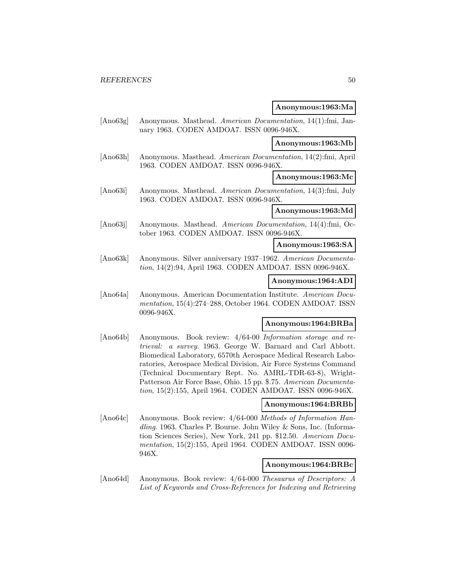**Anonymous:1963:Ma**

[Ano63g] Anonymous. Masthead. American Documentation, 14(1):fmi, January 1963. CODEN AMDOA7. ISSN 0096-946X.

# **Anonymous:1963:Mb**

[Ano63h] Anonymous. Masthead. American Documentation, 14(2):fmi, April 1963. CODEN AMDOA7. ISSN 0096-946X.

**Anonymous:1963:Mc**

[Ano63i] Anonymous. Masthead. American Documentation, 14(3):fmi, July 1963. CODEN AMDOA7. ISSN 0096-946X.

### **Anonymous:1963:Md**

[Ano63j] Anonymous. Masthead. American Documentation, 14(4):fmi, October 1963. CODEN AMDOA7. ISSN 0096-946X.

# **Anonymous:1963:SA**

[Ano63k] Anonymous. Silver anniversary 1937–1962. American Documentation, 14(2):94, April 1963. CODEN AMDOA7. ISSN 0096-946X.

### **Anonymous:1964:ADI**

[Ano64a] Anonymous. American Documentation Institute. American Documentation, 15(4):274–288, October 1964. CODEN AMDOA7. ISSN 0096-946X.

### **Anonymous:1964:BRBa**

[Ano64b] Anonymous. Book review: 4/64-00 Information storage and retrieval: a survey. 1963. George W. Barnard and Carl Abbott. Biomedical Laboratory, 6570th Aerospace Medical Research Laboratories, Aerospace Medical Division, Air Force Systems Command (Technical Documentary Rept. No. AMRL-TDR-63-8), Wright-Patterson Air Force Base, Ohio. 15 pp. \$.75. American Documentation, 15(2):155, April 1964. CODEN AMDOA7. ISSN 0096-946X.

# **Anonymous:1964:BRBb**

[Ano64c] Anonymous. Book review: 4/64-000 Methods of Information Handling. 1963. Charles P. Bourne. John Wiley & Sons, Inc. (Information Sciences Series), New York, 241 pp. \$12.50. American Documentation, 15(2):155, April 1964. CODEN AMDOA7. ISSN 0096- 946X.

# **Anonymous:1964:BRBc**

[Ano64d] Anonymous. Book review: 4/64-000 Thesaurus of Descriptors: A List of Keywords and Cross-References for Indexing and Retrieving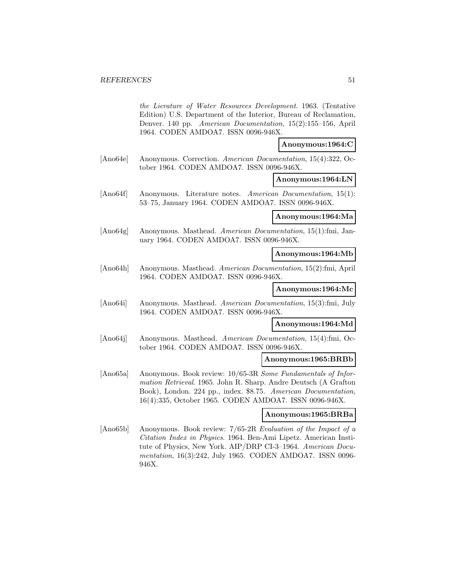the Lierature of Water Resources Development. 1963. (Tentative Edition) U.S. Department of the Interior, Bureau of Reclamation, Denver. 140 pp. American Documentation, 15(2):155–156, April 1964. CODEN AMDOA7. ISSN 0096-946X.

### **Anonymous:1964:C**

[Ano64e] Anonymous. Correction. American Documentation, 15(4):322, October 1964. CODEN AMDOA7. ISSN 0096-946X.

**Anonymous:1964:LN**

[Ano64f] Anonymous. Literature notes. American Documentation, 15(1): 53–75, January 1964. CODEN AMDOA7. ISSN 0096-946X.

#### **Anonymous:1964:Ma**

[Ano64g] Anonymous. Masthead. American Documentation, 15(1):fmi, January 1964. CODEN AMDOA7. ISSN 0096-946X.

# **Anonymous:1964:Mb**

[Ano64h] Anonymous. Masthead. American Documentation, 15(2):fmi, April 1964. CODEN AMDOA7. ISSN 0096-946X.

### **Anonymous:1964:Mc**

[Ano64i] Anonymous. Masthead. American Documentation, 15(3):fmi, July 1964. CODEN AMDOA7. ISSN 0096-946X.

#### **Anonymous:1964:Md**

[Ano64j] Anonymous. Masthead. American Documentation, 15(4):fmi, October 1964. CODEN AMDOA7. ISSN 0096-946X.

# **Anonymous:1965:BRBb**

[Ano65a] Anonymous. Book review: 10/65-3R Some Fundamentals of Information Retrieval. 1965. John R. Sharp. Andre Deutsch (A Grafton Book), London. 224 pp., index. \$8.75. American Documentation, 16(4):335, October 1965. CODEN AMDOA7. ISSN 0096-946X.

#### **Anonymous:1965:BRBa**

[Ano65b] Anonymous. Book review: 7/65-2R Evaluation of the Impact of a Citation Index in Physics. 1964. Ben-Ami Lipetz. American Institute of Physics, New York. AIP/DRP CI-3–1964. American Documentation, 16(3):242, July 1965. CODEN AMDOA7. ISSN 0096- 946X.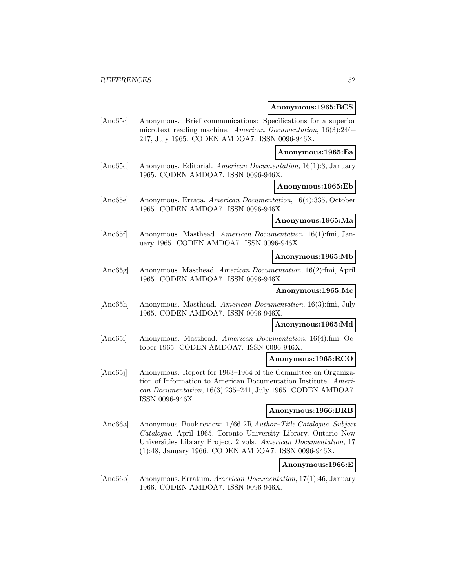### **Anonymous:1965:BCS**

[Ano65c] Anonymous. Brief communications: Specifications for a superior microtext reading machine. American Documentation, 16(3):246– 247, July 1965. CODEN AMDOA7. ISSN 0096-946X.

#### **Anonymous:1965:Ea**

[Ano65d] Anonymous. Editorial. American Documentation, 16(1):3, January 1965. CODEN AMDOA7. ISSN 0096-946X.

# **Anonymous:1965:Eb**

[Ano65e] Anonymous. Errata. American Documentation, 16(4):335, October 1965. CODEN AMDOA7. ISSN 0096-946X.

# **Anonymous:1965:Ma**

[Ano65f] Anonymous. Masthead. American Documentation, 16(1):fmi, January 1965. CODEN AMDOA7. ISSN 0096-946X.

# **Anonymous:1965:Mb**

[Ano65g] Anonymous. Masthead. American Documentation, 16(2):fmi, April 1965. CODEN AMDOA7. ISSN 0096-946X.

# **Anonymous:1965:Mc**

[Ano65h] Anonymous. Masthead. American Documentation, 16(3):fmi, July 1965. CODEN AMDOA7. ISSN 0096-946X.

#### **Anonymous:1965:Md**

[Ano65i] Anonymous. Masthead. American Documentation, 16(4):fmi, October 1965. CODEN AMDOA7. ISSN 0096-946X.

# **Anonymous:1965:RCO**

[Ano65j] Anonymous. Report for 1963–1964 of the Committee on Organization of Information to American Documentation Institute. American Documentation, 16(3):235–241, July 1965. CODEN AMDOA7. ISSN 0096-946X.

#### **Anonymous:1966:BRB**

[Ano66a] Anonymous. Book review: 1/66-2R Author–Title Catalogue. Subject Catalogue. April 1965. Toronto University Library, Ontario New Universities Library Project. 2 vols. American Documentation, 17 (1):48, January 1966. CODEN AMDOA7. ISSN 0096-946X.

### **Anonymous:1966:E**

[Ano66b] Anonymous. Erratum. American Documentation, 17(1):46, January 1966. CODEN AMDOA7. ISSN 0096-946X.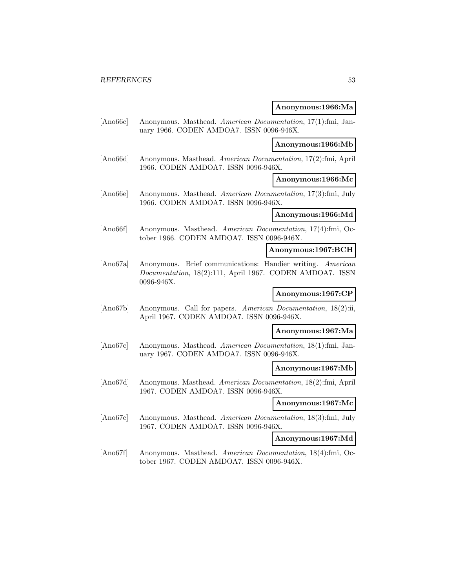### **Anonymous:1966:Ma**

[Ano66c] Anonymous. Masthead. American Documentation, 17(1):fmi, January 1966. CODEN AMDOA7. ISSN 0096-946X.

# **Anonymous:1966:Mb**

[Ano66d] Anonymous. Masthead. American Documentation, 17(2):fmi, April 1966. CODEN AMDOA7. ISSN 0096-946X.

**Anonymous:1966:Mc**

[Ano66e] Anonymous. Masthead. American Documentation, 17(3):fmi, July 1966. CODEN AMDOA7. ISSN 0096-946X.

### **Anonymous:1966:Md**

[Ano66f] Anonymous. Masthead. American Documentation, 17(4):fmi, October 1966. CODEN AMDOA7. ISSN 0096-946X.

#### **Anonymous:1967:BCH**

[Ano67a] Anonymous. Brief communications: Handier writing. American Documentation, 18(2):111, April 1967. CODEN AMDOA7. ISSN 0096-946X.

# **Anonymous:1967:CP**

[Ano67b] Anonymous. Call for papers. American Documentation, 18(2):ii, April 1967. CODEN AMDOA7. ISSN 0096-946X.

# **Anonymous:1967:Ma**

[Ano67c] Anonymous. Masthead. American Documentation, 18(1):fmi, January 1967. CODEN AMDOA7. ISSN 0096-946X.

#### **Anonymous:1967:Mb**

[Ano67d] Anonymous. Masthead. American Documentation, 18(2):fmi, April 1967. CODEN AMDOA7. ISSN 0096-946X.

# **Anonymous:1967:Mc**

[Ano67e] Anonymous. Masthead. American Documentation, 18(3):fmi, July 1967. CODEN AMDOA7. ISSN 0096-946X.

#### **Anonymous:1967:Md**

[Ano67f] Anonymous. Masthead. American Documentation, 18(4):fmi, October 1967. CODEN AMDOA7. ISSN 0096-946X.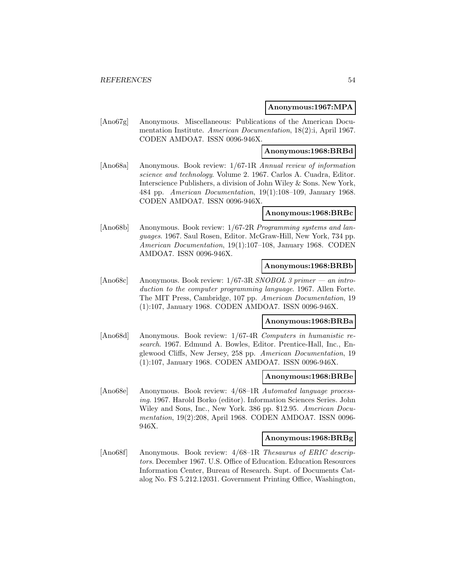### **Anonymous:1967:MPA**

[Ano67g] Anonymous. Miscellaneous: Publications of the American Documentation Institute. American Documentation, 18(2):i, April 1967. CODEN AMDOA7. ISSN 0096-946X.

# **Anonymous:1968:BRBd**

[Ano68a] Anonymous. Book review: 1/67-1R Annual review of information science and technology. Volume 2. 1967. Carlos A. Cuadra, Editor. Interscience Publishers, a division of John Wiley & Sons. New York, 484 pp. American Documentation, 19(1):108–109, January 1968. CODEN AMDOA7. ISSN 0096-946X.

# **Anonymous:1968:BRBc**

[Ano68b] Anonymous. Book review: 1/67-2R Programming systems and languages. 1967. Saul Rosen, Editor. McGraw-Hill, New York, 734 pp. American Documentation, 19(1):107–108, January 1968. CODEN AMDOA7. ISSN 0096-946X.

#### **Anonymous:1968:BRBb**

[Ano68c] Anonymous. Book review: 1/67-3R SNOBOL 3 primer — an introduction to the computer programming language. 1967. Allen Forte. The MIT Press, Cambridge, 107 pp. American Documentation, 19 (1):107, January 1968. CODEN AMDOA7. ISSN 0096-946X.

# **Anonymous:1968:BRBa**

[Ano68d] Anonymous. Book review: 1/67-4R Computers in humanistic research. 1967. Edmund A. Bowles, Editor. Prentice-Hall, Inc., Englewood Cliffs, New Jersey, 258 pp. American Documentation, 19 (1):107, January 1968. CODEN AMDOA7. ISSN 0096-946X.

#### **Anonymous:1968:BRBe**

[Ano68e] Anonymous. Book review: 4/68–1R Automated language processing. 1967. Harold Borko (editor). Information Sciences Series. John Wiley and Sons, Inc., New York. 386 pp. \$12.95. American Documentation, 19(2):208, April 1968. CODEN AMDOA7. ISSN 0096- 946X.

#### **Anonymous:1968:BRBg**

[Ano68f] Anonymous. Book review: 4/68–1R Thesaurus of ERIC descriptors. December 1967. U.S. Office of Education. Education Resources Information Center, Bureau of Research. Supt. of Documents Catalog No. FS 5.212.12031. Government Printing Office, Washington,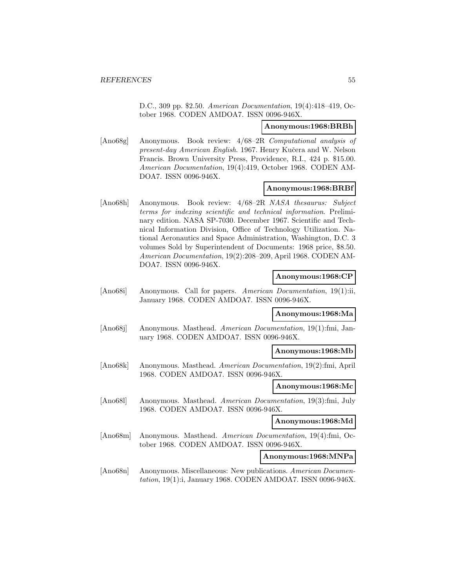D.C., 309 pp. \$2.50. American Documentation, 19(4):418–419, October 1968. CODEN AMDOA7. ISSN 0096-946X.

#### **Anonymous:1968:BRBh**

[Ano68g] Anonymous. Book review: 4/68–2R Computational analysis of present-day American English. 1967. Henry Kučera and W. Nelson Francis. Brown University Press, Providence, R.I., 424 p. \$15.00. American Documentation, 19(4):419, October 1968. CODEN AM-DOA7. ISSN 0096-946X.

# **Anonymous:1968:BRBf**

[Ano68h] Anonymous. Book review: 4/68–2R NASA thesaurus: Subject terms for indexing scientific and technical information. Preliminary edition. NASA SP-7030. December 1967. Scientific and Technical Information Division, Office of Technology Utilization. National Aeronautics and Space Administration, Washington, D.C. 3 volumes Sold by Superintendent of Documents: 1968 price, \$8.50. American Documentation, 19(2):208–209, April 1968. CODEN AM-DOA7. ISSN 0096-946X.

### **Anonymous:1968:CP**

[Ano68i] Anonymous. Call for papers. American Documentation, 19(1):ii, January 1968. CODEN AMDOA7. ISSN 0096-946X.

#### **Anonymous:1968:Ma**

[Ano68j] Anonymous. Masthead. American Documentation, 19(1):fmi, January 1968. CODEN AMDOA7. ISSN 0096-946X.

### **Anonymous:1968:Mb**

[Ano68k] Anonymous. Masthead. American Documentation, 19(2):fmi, April 1968. CODEN AMDOA7. ISSN 0096-946X.

#### **Anonymous:1968:Mc**

[Ano68l] Anonymous. Masthead. American Documentation, 19(3):fmi, July 1968. CODEN AMDOA7. ISSN 0096-946X.

# **Anonymous:1968:Md**

[Ano68m] Anonymous. Masthead. American Documentation, 19(4):fmi, October 1968. CODEN AMDOA7. ISSN 0096-946X.

**Anonymous:1968:MNPa**

[Ano68n] Anonymous. Miscellaneous: New publications. American Documentation, 19(1):i, January 1968. CODEN AMDOA7. ISSN 0096-946X.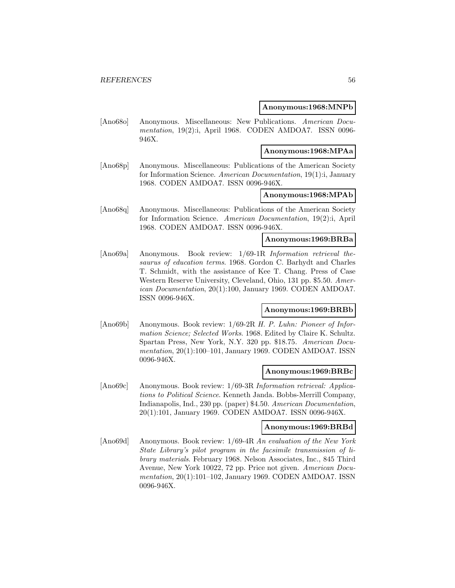### **Anonymous:1968:MNPb**

[Ano68o] Anonymous. Miscellaneous: New Publications. American Documentation, 19(2):i, April 1968. CODEN AMDOA7. ISSN 0096-946X.

# **Anonymous:1968:MPAa**

[Ano68p] Anonymous. Miscellaneous: Publications of the American Society for Information Science. American Documentation, 19(1):i, January 1968. CODEN AMDOA7. ISSN 0096-946X.

# **Anonymous:1968:MPAb**

[Ano68q] Anonymous. Miscellaneous: Publications of the American Society for Information Science. American Documentation, 19(2):i, April 1968. CODEN AMDOA7. ISSN 0096-946X.

### **Anonymous:1969:BRBa**

[Ano69a] Anonymous. Book review: 1/69-1R Information retrieval thesaurus of education terms. 1968. Gordon C. Barhydt and Charles T. Schmidt, with the assistance of Kee T. Chang. Press of Case Western Reserve University, Cleveland, Ohio, 131 pp. \$5.50. American Documentation, 20(1):100, January 1969. CODEN AMDOA7. ISSN 0096-946X.

# **Anonymous:1969:BRBb**

[Ano69b] Anonymous. Book review: 1/69-2R H. P. Luhn: Pioneer of Information Science; Selected Works. 1968. Edited by Claire K. Schultz. Spartan Press, New York, N.Y. 320 pp. \$18.75. American Documentation, 20(1):100–101, January 1969. CODEN AMDOA7. ISSN 0096-946X.

#### **Anonymous:1969:BRBc**

[Ano69c] Anonymous. Book review: 1/69-3R Information retrieval: Applications to Political Science. Kenneth Janda. Bobbs-Merrill Company, Indianapolis, Ind., 230 pp. (paper) \$4.50. American Documentation, 20(1):101, January 1969. CODEN AMDOA7. ISSN 0096-946X.

#### **Anonymous:1969:BRBd**

[Ano69d] Anonymous. Book review: 1/69-4R An evaluation of the New York State Library's pilot program in the facsimile transmission of library materials. February 1968. Nelson Associates, Inc., 845 Third Avenue, New York 10022, 72 pp. Price not given. American Documentation, 20(1):101–102, January 1969. CODEN AMDOA7. ISSN 0096-946X.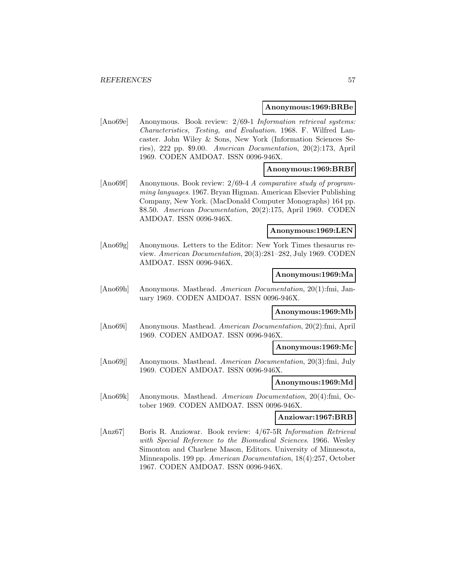#### **Anonymous:1969:BRBe**

[Ano69e] Anonymous. Book review: 2/69-1 Information retrieval systems: Characteristics, Testing, and Evaluation. 1968. F. Wilfred Lancaster. John Wiley & Sons, New York (Information Sciences Series), 222 pp. \$9.00. American Documentation, 20(2):173, April 1969. CODEN AMDOA7. ISSN 0096-946X.

### **Anonymous:1969:BRBf**

[Ano69f] Anonymous. Book review: 2/69-4 A comparative study of programming languages. 1967. Bryan Higman. American Elsevier Publishing Company, New York. (MacDonald Computer Monographs) 164 pp. \$8.50. American Documentation, 20(2):175, April 1969. CODEN AMDOA7. ISSN 0096-946X.

#### **Anonymous:1969:LEN**

[Ano69g] Anonymous. Letters to the Editor: New York Times thesaurus review. American Documentation, 20(3):281–282, July 1969. CODEN AMDOA7. ISSN 0096-946X.

#### **Anonymous:1969:Ma**

[Ano69h] Anonymous. Masthead. American Documentation, 20(1):fmi, January 1969. CODEN AMDOA7. ISSN 0096-946X.

#### **Anonymous:1969:Mb**

[Ano69i] Anonymous. Masthead. American Documentation, 20(2):fmi, April 1969. CODEN AMDOA7. ISSN 0096-946X.

### **Anonymous:1969:Mc**

[Ano69j] Anonymous. Masthead. American Documentation, 20(3):fmi, July 1969. CODEN AMDOA7. ISSN 0096-946X.

### **Anonymous:1969:Md**

[Ano69k] Anonymous. Masthead. American Documentation, 20(4):fmi, October 1969. CODEN AMDOA7. ISSN 0096-946X.

### **Anziowar:1967:BRB**

[Anz67] Boris R. Anziowar. Book review: 4/67-5R Information Retrieval with Special Reference to the Biomedical Sciences. 1966. Wesley Simonton and Charlene Mason, Editors. University of Minnesota, Minneapolis. 199 pp. American Documentation, 18(4):257, October 1967. CODEN AMDOA7. ISSN 0096-946X.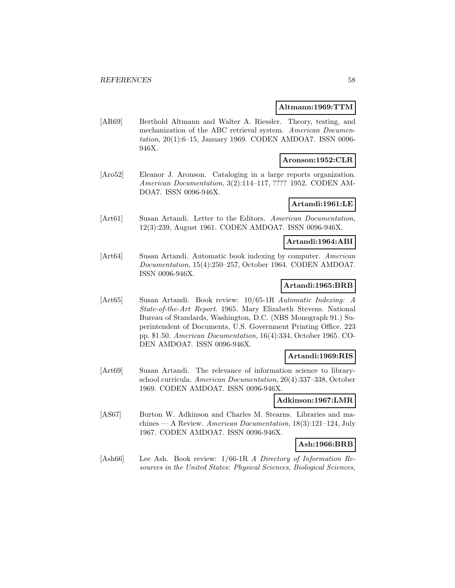### **Altmann:1969:TTM**

[AR69] Berthold Altmann and Walter A. Riessler. Theory, testing, and mechanization of the ABC retrieval system. American Documentation, 20(1):6–15, January 1969. CODEN AMDOA7. ISSN 0096- 946X.

# **Aronson:1952:CLR**

[Aro52] Eleanor J. Aronson. Cataloging in a large reports organization. American Documentation, 3(2):114–117, ???? 1952. CODEN AM-DOA7. ISSN 0096-946X.

# **Artandi:1961:LE**

[Art61] Susan Artandi. Letter to the Editors. American Documentation, 12(3):239, August 1961. CODEN AMDOA7. ISSN 0096-946X.

# **Artandi:1964:ABI**

[Art64] Susan Artandi. Automatic book indexing by computer. American Documentation, 15(4):250–257, October 1964. CODEN AMDOA7. ISSN 0096-946X.

# **Artandi:1965:BRB**

[Art65] Susan Artandi. Book review: 10/65-1R Automatic Indexing: A State-of-the-Art Report. 1965. Mary Elizabeth Stevens. National Bureau of Standards, Washington, D.C. (NBS Monograph 91.) Superintendent of Documents, U.S. Government Printing Office. 223 pp. \$1.50. American Documentation, 16(4):334, October 1965. CO-DEN AMDOA7. ISSN 0096-946X.

# **Artandi:1969:RIS**

[Art69] Susan Artandi. The relevance of information science to libraryschool curricula. American Documentation, 20(4):337–338, October 1969. CODEN AMDOA7. ISSN 0096-946X.

#### **Adkinson:1967:LMR**

[AS67] Burton W. Adkinson and Charles M. Stearns. Libraries and machines — A Review. American Documentation, 18(3):121–124, July 1967. CODEN AMDOA7. ISSN 0096-946X.

# **Ash:1966:BRB**

[Ash66] Lee Ash. Book review: 1/66-1R A Directory of Information Resources in the United States: Physical Sciences, Biological Sciences,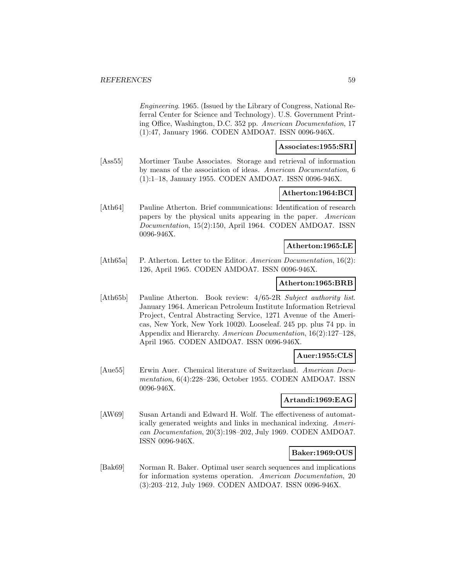Engineering. 1965. (Issued by the Library of Congress, National Referral Center for Science and Technology). U.S. Government Printing Office, Washington, D.C. 352 pp. American Documentation, 17 (1):47, January 1966. CODEN AMDOA7. ISSN 0096-946X.

# **Associates:1955:SRI**

[Ass55] Mortimer Taube Associates. Storage and retrieval of information by means of the association of ideas. American Documentation, 6 (1):1–18, January 1955. CODEN AMDOA7. ISSN 0096-946X.

# **Atherton:1964:BCI**

[Ath64] Pauline Atherton. Brief communications: Identification of research papers by the physical units appearing in the paper. American Documentation, 15(2):150, April 1964. CODEN AMDOA7. ISSN 0096-946X.

### **Atherton:1965:LE**

[Ath65a] P. Atherton. Letter to the Editor. American Documentation, 16(2): 126, April 1965. CODEN AMDOA7. ISSN 0096-946X.

#### **Atherton:1965:BRB**

[Ath65b] Pauline Atherton. Book review:  $4/65-2R$  Subject authority list. January 1964. American Petroleum Institute Information Retrieval Project, Central Abstracting Service, 1271 Avenue of the Americas, New York, New York 10020. Looseleaf. 245 pp. plus 74 pp. in Appendix and Hierarchy. American Documentation, 16(2):127–128, April 1965. CODEN AMDOA7. ISSN 0096-946X.

# **Auer:1955:CLS**

[Aue55] Erwin Auer. Chemical literature of Switzerland. American Documentation, 6(4):228–236, October 1955. CODEN AMDOA7. ISSN 0096-946X.

### **Artandi:1969:EAG**

[AW69] Susan Artandi and Edward H. Wolf. The effectiveness of automatically generated weights and links in mechanical indexing. American Documentation, 20(3):198–202, July 1969. CODEN AMDOA7. ISSN 0096-946X.

### **Baker:1969:OUS**

[Bak69] Norman R. Baker. Optimal user search sequences and implications for information systems operation. American Documentation, 20 (3):203–212, July 1969. CODEN AMDOA7. ISSN 0096-946X.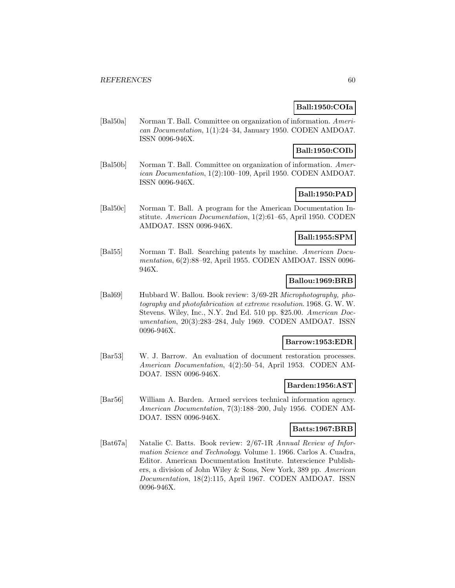# **Ball:1950:COIa**

[Bal50a] Norman T. Ball. Committee on organization of information. American Documentation, 1(1):24–34, January 1950. CODEN AMDOA7. ISSN 0096-946X.

# **Ball:1950:COIb**

[Bal50b] Norman T. Ball. Committee on organization of information. American Documentation, 1(2):100–109, April 1950. CODEN AMDOA7. ISSN 0096-946X.

# **Ball:1950:PAD**

[Bal50c] Norman T. Ball. A program for the American Documentation Institute. American Documentation, 1(2):61–65, April 1950. CODEN AMDOA7. ISSN 0096-946X.

# **Ball:1955:SPM**

[Bal55] Norman T. Ball. Searching patents by machine. American Documentation, 6(2):88–92, April 1955. CODEN AMDOA7. ISSN 0096- 946X.

# **Ballou:1969:BRB**

[Bal69] Hubbard W. Ballou. Book review: 3/69-2R Microphotography, photography and photofabrication at extreme resolution. 1968. G. W. W. Stevens. Wiley, Inc., N.Y. 2nd Ed. 510 pp. \$25.00. American Documentation, 20(3):283–284, July 1969. CODEN AMDOA7. ISSN 0096-946X.

# **Barrow:1953:EDR**

[Bar53] W. J. Barrow. An evaluation of document restoration processes. American Documentation, 4(2):50–54, April 1953. CODEN AM-DOA7. ISSN 0096-946X.

# **Barden:1956:AST**

[Bar56] William A. Barden. Armed services technical information agency. American Documentation, 7(3):188–200, July 1956. CODEN AM-DOA7. ISSN 0096-946X.

# **Batts:1967:BRB**

[Bat67a] Natalie C. Batts. Book review: 2/67-1R Annual Review of Information Science and Technology. Volume 1. 1966. Carlos A. Cuadra, Editor. American Documentation Institute. Interscience Publishers, a division of John Wiley & Sons, New York, 389 pp. American Documentation, 18(2):115, April 1967. CODEN AMDOA7. ISSN 0096-946X.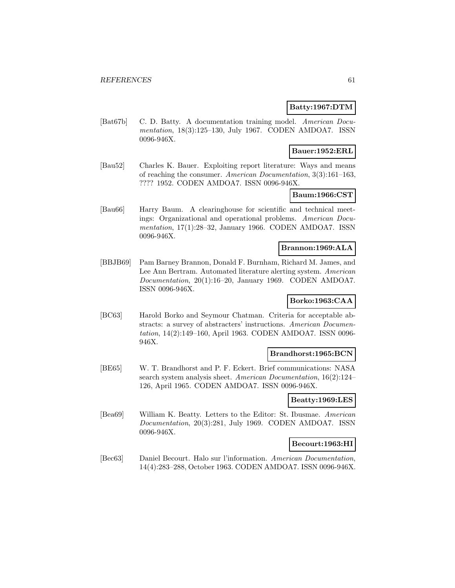# **Batty:1967:DTM**

[Bat67b] C. D. Batty. A documentation training model. American Documentation, 18(3):125–130, July 1967. CODEN AMDOA7. ISSN 0096-946X.

# **Bauer:1952:ERL**

[Bau52] Charles K. Bauer. Exploiting report literature: Ways and means of reaching the consumer. American Documentation, 3(3):161–163, ???? 1952. CODEN AMDOA7. ISSN 0096-946X.

# **Baum:1966:CST**

[Bau66] Harry Baum. A clearinghouse for scientific and technical meetings: Organizational and operational problems. American Documentation, 17(1):28–32, January 1966. CODEN AMDOA7. ISSN 0096-946X.

# **Brannon:1969:ALA**

[BBJB69] Pam Barney Brannon, Donald F. Burnham, Richard M. James, and Lee Ann Bertram. Automated literature alerting system. American Documentation, 20(1):16–20, January 1969. CODEN AMDOA7. ISSN 0096-946X.

# **Borko:1963:CAA**

[BC63] Harold Borko and Seymour Chatman. Criteria for acceptable abstracts: a survey of abstracters' instructions. American Documentation, 14(2):149–160, April 1963. CODEN AMDOA7. ISSN 0096- 946X.

### **Brandhorst:1965:BCN**

[BE65] W. T. Brandhorst and P. F. Eckert. Brief communications: NASA search system analysis sheet. American Documentation, 16(2):124– 126, April 1965. CODEN AMDOA7. ISSN 0096-946X.

### **Beatty:1969:LES**

[Bea69] William K. Beatty. Letters to the Editor: St. Ibusmae. American Documentation, 20(3):281, July 1969. CODEN AMDOA7. ISSN 0096-946X.

### **Becourt:1963:HI**

[Bec63] Daniel Becourt. Halo sur l'information. American Documentation, 14(4):283–288, October 1963. CODEN AMDOA7. ISSN 0096-946X.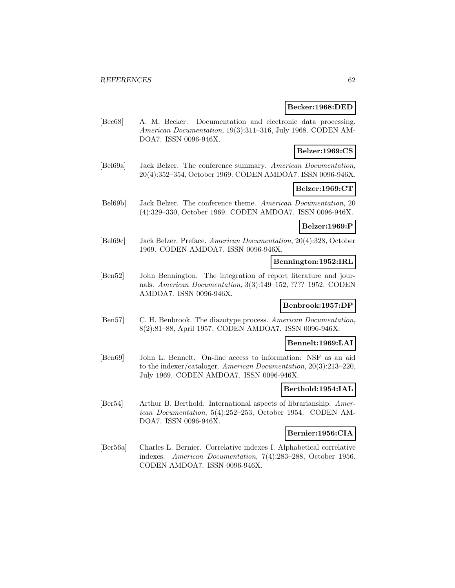### **Becker:1968:DED**

[Bec68] A. M. Becker. Documentation and electronic data processing. American Documentation, 19(3):311–316, July 1968. CODEN AM-DOA7. ISSN 0096-946X.

# **Belzer:1969:CS**

[Bel69a] Jack Belzer. The conference summary. American Documentation, 20(4):352–354, October 1969. CODEN AMDOA7. ISSN 0096-946X.

# **Belzer:1969:CT**

[Bel69b] Jack Belzer. The conference theme. American Documentation, 20 (4):329–330, October 1969. CODEN AMDOA7. ISSN 0096-946X.

#### **Belzer:1969:P**

[Bel69c] Jack Belzer. Preface. American Documentation, 20(4):328, October 1969. CODEN AMDOA7. ISSN 0096-946X.

# **Bennington:1952:IRL**

[Ben52] John Bennington. The integration of report literature and journals. American Documentation, 3(3):149–152, ???? 1952. CODEN AMDOA7. ISSN 0096-946X.

### **Benbrook:1957:DP**

[Ben57] C. H. Benbrook. The diazotype process. American Documentation, 8(2):81–88, April 1957. CODEN AMDOA7. ISSN 0096-946X.

# **Bennelt:1969:LAI**

[Ben69] John L. Bennelt. On-line access to information: NSF as an aid to the indexer/cataloger. American Documentation, 20(3):213–220, July 1969. CODEN AMDOA7. ISSN 0096-946X.

### **Berthold:1954:IAL**

[Ber54] Arthur B. Berthold. International aspects of librarianship. American Documentation, 5(4):252–253, October 1954. CODEN AM-DOA7. ISSN 0096-946X.

### **Bernier:1956:CIA**

[Ber56a] Charles L. Bernier. Correlative indexes I. Alphabetical correlative indexes. American Documentation, 7(4):283–288, October 1956. CODEN AMDOA7. ISSN 0096-946X.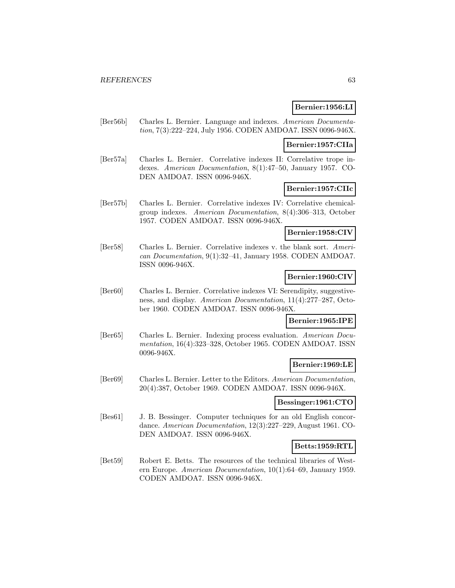# **Bernier:1956:LI**

[Ber56b] Charles L. Bernier. Language and indexes. American Documentation, 7(3):222–224, July 1956. CODEN AMDOA7. ISSN 0096-946X.

#### **Bernier:1957:CIIa**

[Ber57a] Charles L. Bernier. Correlative indexes II: Correlative trope indexes. American Documentation, 8(1):47–50, January 1957. CO-DEN AMDOA7. ISSN 0096-946X.

# **Bernier:1957:CIIc**

[Ber57b] Charles L. Bernier. Correlative indexes IV: Correlative chemicalgroup indexes. American Documentation, 8(4):306–313, October 1957. CODEN AMDOA7. ISSN 0096-946X.

# **Bernier:1958:CIV**

[Ber58] Charles L. Bernier. Correlative indexes v. the blank sort. American Documentation, 9(1):32–41, January 1958. CODEN AMDOA7. ISSN 0096-946X.

# **Bernier:1960:CIV**

[Ber60] Charles L. Bernier. Correlative indexes VI: Serendipity, suggestiveness, and display. American Documentation, 11(4):277–287, October 1960. CODEN AMDOA7. ISSN 0096-946X.

### **Bernier:1965:IPE**

[Ber65] Charles L. Bernier. Indexing process evaluation. American Documentation, 16(4):323–328, October 1965. CODEN AMDOA7. ISSN 0096-946X.

## **Bernier:1969:LE**

[Ber69] Charles L. Bernier. Letter to the Editors. American Documentation, 20(4):387, October 1969. CODEN AMDOA7. ISSN 0096-946X.

## **Bessinger:1961:CTO**

[Bes61] J. B. Bessinger. Computer techniques for an old English concordance. American Documentation, 12(3):227–229, August 1961. CO-DEN AMDOA7. ISSN 0096-946X.

#### **Betts:1959:RTL**

[Bet59] Robert E. Betts. The resources of the technical libraries of Western Europe. American Documentation, 10(1):64–69, January 1959. CODEN AMDOA7. ISSN 0096-946X.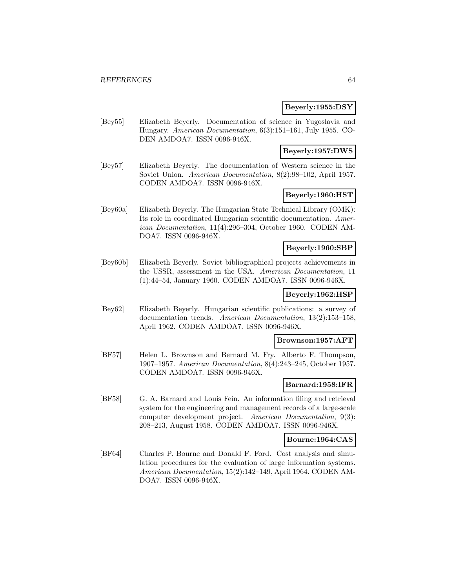### **Beyerly:1955:DSY**

[Bey55] Elizabeth Beyerly. Documentation of science in Yugoslavia and Hungary. American Documentation, 6(3):151–161, July 1955. CO-DEN AMDOA7. ISSN 0096-946X.

# **Beyerly:1957:DWS**

[Bey57] Elizabeth Beyerly. The documentation of Western science in the Soviet Union. American Documentation, 8(2):98–102, April 1957. CODEN AMDOA7. ISSN 0096-946X.

# **Beyerly:1960:HST**

[Bey60a] Elizabeth Beyerly. The Hungarian State Technical Library (OMK): Its role in coordinated Hungarian scientific documentation. American Documentation, 11(4):296–304, October 1960. CODEN AM-DOA7. ISSN 0096-946X.

# **Beyerly:1960:SBP**

[Bey60b] Elizabeth Beyerly. Soviet bibliographical projects achievements in the USSR, assessment in the USA. American Documentation, 11 (1):44–54, January 1960. CODEN AMDOA7. ISSN 0096-946X.

# **Beyerly:1962:HSP**

[Bey62] Elizabeth Beyerly. Hungarian scientific publications: a survey of documentation trends. American Documentation, 13(2):153–158, April 1962. CODEN AMDOA7. ISSN 0096-946X.

#### **Brownson:1957:AFT**

[BF57] Helen L. Brownson and Bernard M. Fry. Alberto F. Thompson, 1907–1957. American Documentation, 8(4):243–245, October 1957. CODEN AMDOA7. ISSN 0096-946X.

# **Barnard:1958:IFR**

[BF58] G. A. Barnard and Louis Fein. An information filing and retrieval system for the engineering and management records of a large-scale computer development project. American Documentation, 9(3): 208–213, August 1958. CODEN AMDOA7. ISSN 0096-946X.

### **Bourne:1964:CAS**

[BF64] Charles P. Bourne and Donald F. Ford. Cost analysis and simulation procedures for the evaluation of large information systems. American Documentation, 15(2):142–149, April 1964. CODEN AM-DOA7. ISSN 0096-946X.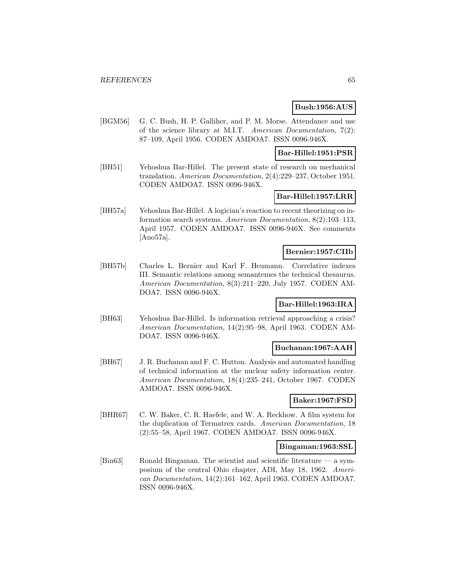# **Bush:1956:AUS**

[BGM56] G. C. Bush, H. P. Galliher, and P. M. Morse. Attendance and use of the science library at M.I.T. American Documentation, 7(2): 87–109, April 1956. CODEN AMDOA7. ISSN 0096-946X.

### **Bar-Hillel:1951:PSR**

[BH51] Yehoshua Bar-Hillel. The present state of research on mechanical translation. American Documentation, 2(4):229–237, October 1951. CODEN AMDOA7. ISSN 0096-946X.

# **Bar-Hillel:1957:LRR**

[BH57a] Yehoshua Bar-Hillel. A logician's reaction to recent theorizing on information search systems. American Documentation, 8(2):103–113, April 1957. CODEN AMDOA7. ISSN 0096-946X. See comments [Ano57a].

### **Bernier:1957:CIIb**

[BH57b] Charles L. Bernier and Karl F. Heumann. Correlative indexes III. Semantic relations among semantemes the technical thesaurus. American Documentation, 8(3):211–220, July 1957. CODEN AM-DOA7. ISSN 0096-946X.

# **Bar-Hillel:1963:IRA**

[BH63] Yehoshua Bar-Hillel. Is information retrieval approaching a crisis? American Documentation, 14(2):95–98, April 1963. CODEN AM-DOA7. ISSN 0096-946X.

#### **Buchanan:1967:AAH**

[BH67] J. R. Buchanan and F. C. Hutton. Analysis and automated handling of technical information at the nuclear safety information center. American Documentation, 18(4):235–241, October 1967. CODEN AMDOA7. ISSN 0096-946X.

# **Baker:1967:FSD**

[BHR67] C. W. Baker, C. R. Haefele, and W. A. Reckhow. A film system for the duplication of Termatrex cards. American Documentation, 18 (2):55–58, April 1967. CODEN AMDOA7. ISSN 0096-946X.

#### **Bingaman:1963:SSL**

[Bin63] Ronald Bingaman. The scientist and scientific literature — a symposium of the central Ohio chapter, ADI, May 18, 1962. American Documentation, 14(2):161–162, April 1963. CODEN AMDOA7. ISSN 0096-946X.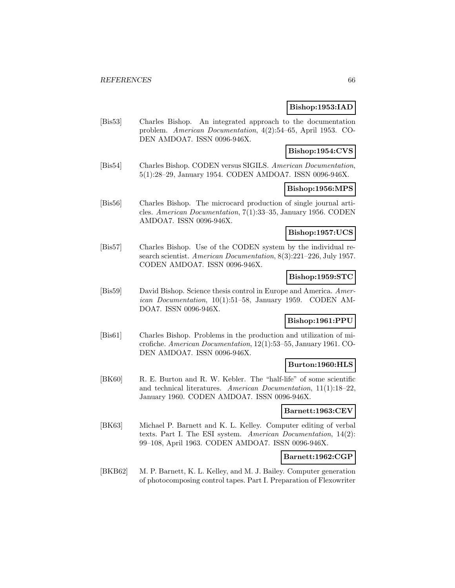# **Bishop:1953:IAD**

[Bis53] Charles Bishop. An integrated approach to the documentation problem. American Documentation, 4(2):54–65, April 1953. CO-DEN AMDOA7. ISSN 0096-946X.

# **Bishop:1954:CVS**

[Bis54] Charles Bishop. CODEN versus SIGILS. American Documentation, 5(1):28–29, January 1954. CODEN AMDOA7. ISSN 0096-946X.

# **Bishop:1956:MPS**

[Bis56] Charles Bishop. The microcard production of single journal articles. American Documentation, 7(1):33–35, January 1956. CODEN AMDOA7. ISSN 0096-946X.

# **Bishop:1957:UCS**

[Bis57] Charles Bishop. Use of the CODEN system by the individual research scientist. American Documentation, 8(3):221–226, July 1957. CODEN AMDOA7. ISSN 0096-946X.

# **Bishop:1959:STC**

[Bis59] David Bishop. Science thesis control in Europe and America. American Documentation, 10(1):51–58, January 1959. CODEN AM-DOA7. ISSN 0096-946X.

# **Bishop:1961:PPU**

[Bis61] Charles Bishop. Problems in the production and utilization of microfiche. American Documentation, 12(1):53–55, January 1961. CO-DEN AMDOA7. ISSN 0096-946X.

### **Burton:1960:HLS**

[BK60] R. E. Burton and R. W. Kebler. The "half-life" of some scientific and technical literatures. American Documentation, 11(1):18–22, January 1960. CODEN AMDOA7. ISSN 0096-946X.

#### **Barnett:1963:CEV**

[BK63] Michael P. Barnett and K. L. Kelley. Computer editing of verbal texts. Part I. The ESI system. American Documentation, 14(2): 99–108, April 1963. CODEN AMDOA7. ISSN 0096-946X.

## **Barnett:1962:CGP**

[BKB62] M. P. Barnett, K. L. Kelley, and M. J. Bailey. Computer generation of photocomposing control tapes. Part I. Preparation of Flexowriter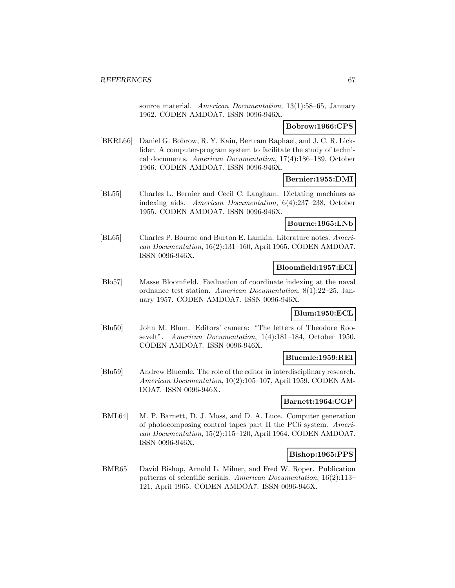source material. American Documentation, 13(1):58-65, January 1962. CODEN AMDOA7. ISSN 0096-946X.

# **Bobrow:1966:CPS**

[BKRL66] Daniel G. Bobrow, R. Y. Kain, Bertram Raphael, and J. C. R. Licklider. A computer-program system to facilitate the study of technical documents. American Documentation, 17(4):186–189, October 1966. CODEN AMDOA7. ISSN 0096-946X.

### **Bernier:1955:DMI**

[BL55] Charles L. Bernier and Cecil C. Langham. Dictating machines as indexing aids. American Documentation, 6(4):237–238, October 1955. CODEN AMDOA7. ISSN 0096-946X.

# **Bourne:1965:LNb**

[BL65] Charles P. Bourne and Burton E. Lamkin. Literature notes. American Documentation, 16(2):131–160, April 1965. CODEN AMDOA7. ISSN 0096-946X.

### **Bloomfield:1957:ECI**

[Blo57] Masse Bloomfield. Evaluation of coordinate indexing at the naval ordnance test station. American Documentation, 8(1):22–25, January 1957. CODEN AMDOA7. ISSN 0096-946X.

### **Blum:1950:ECL**

[Blu50] John M. Blum. Editors' camera: "The letters of Theodore Roosevelt". American Documentation, 1(4):181–184, October 1950. CODEN AMDOA7. ISSN 0096-946X.

### **Bluemle:1959:REI**

[Blu59] Andrew Bluemle. The role of the editor in interdisciplinary research. American Documentation, 10(2):105–107, April 1959. CODEN AM-DOA7. ISSN 0096-946X.

## **Barnett:1964:CGP**

[BML64] M. P. Barnett, D. J. Moss, and D. A. Luce. Computer generation of photocomposing control tapes part II the PC6 system. American Documentation, 15(2):115–120, April 1964. CODEN AMDOA7. ISSN 0096-946X.

### **Bishop:1965:PPS**

[BMR65] David Bishop, Arnold L. Milner, and Fred W. Roper. Publication patterns of scientific serials. American Documentation, 16(2):113– 121, April 1965. CODEN AMDOA7. ISSN 0096-946X.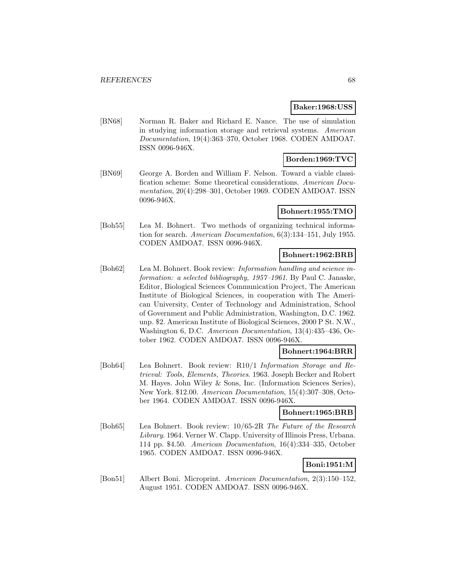### **Baker:1968:USS**

[BN68] Norman R. Baker and Richard E. Nance. The use of simulation in studying information storage and retrieval systems. American Documentation, 19(4):363–370, October 1968. CODEN AMDOA7. ISSN 0096-946X.

# **Borden:1969:TVC**

[BN69] George A. Borden and William F. Nelson. Toward a viable classification scheme: Some theoretical considerations. American Documentation, 20(4):298–301, October 1969. CODEN AMDOA7. ISSN 0096-946X.

# **Bohnert:1955:TMO**

[Boh55] Lea M. Bohnert. Two methods of organizing technical information for search. American Documentation, 6(3):134–151, July 1955. CODEN AMDOA7. ISSN 0096-946X.

# **Bohnert:1962:BRB**

[Boh62] Lea M. Bohnert. Book review: *Information handling and science in*formation: a selected bibliography, 1957–1961. By Paul C. Janaske, Editor, Biological Sciences Communication Project, The American Institute of Biological Sciences, in cooperation with The American University, Center of Technology and Administration, School of Government and Public Administration, Washington, D.C. 1962. unp. \$2. American Institute of Biological Sciences, 2000 P St. N.W., Washington 6, D.C. American Documentation, 13(4):435–436, October 1962. CODEN AMDOA7. ISSN 0096-946X.

# **Bohnert:1964:BRR**

[Boh64] Lea Bohnert. Book review: R10/1 Information Storage and Retrieval: Tools, Elements, Theories. 1963. Joseph Becker and Robert M. Hayes. John Wiley & Sons, Inc. (Information Sciences Series), New York. \$12.00. American Documentation, 15(4):307–308, October 1964. CODEN AMDOA7. ISSN 0096-946X.

### **Bohnert:1965:BRB**

[Boh65] Lea Bohnert. Book review: 10/65-2R The Future of the Research Library. 1964. Verner W. Clapp. University of Illinois Press, Urbana. 114 pp. \$4.50. American Documentation, 16(4):334–335, October 1965. CODEN AMDOA7. ISSN 0096-946X.

# **Boni:1951:M**

[Bon51] Albert Boni. Microprint. American Documentation, 2(3):150–152, August 1951. CODEN AMDOA7. ISSN 0096-946X.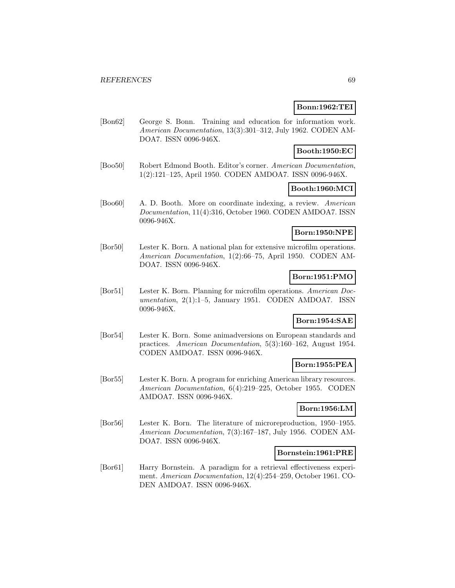# **Bonn:1962:TEI**

[Bon62] George S. Bonn. Training and education for information work. American Documentation, 13(3):301–312, July 1962. CODEN AM-DOA7. ISSN 0096-946X.

# **Booth:1950:EC**

[Boo50] Robert Edmond Booth. Editor's corner. American Documentation, 1(2):121–125, April 1950. CODEN AMDOA7. ISSN 0096-946X.

# **Booth:1960:MCI**

[Boo60] A. D. Booth. More on coordinate indexing, a review. American Documentation, 11(4):316, October 1960. CODEN AMDOA7. ISSN 0096-946X.

# **Born:1950:NPE**

[Bor50] Lester K. Born. A national plan for extensive microfilm operations. American Documentation, 1(2):66–75, April 1950. CODEN AM-DOA7. ISSN 0096-946X.

# **Born:1951:PMO**

[Bor51] Lester K. Born. Planning for microfilm operations. American Documentation, 2(1):1–5, January 1951. CODEN AMDOA7. ISSN 0096-946X.

# **Born:1954:SAE**

[Bor54] Lester K. Born. Some animadversions on European standards and practices. American Documentation, 5(3):160–162, August 1954. CODEN AMDOA7. ISSN 0096-946X.

## **Born:1955:PEA**

[Bor55] Lester K. Born. A program for enriching American library resources. American Documentation, 6(4):219–225, October 1955. CODEN AMDOA7. ISSN 0096-946X.

# **Born:1956:LM**

[Bor56] Lester K. Born. The literature of microreproduction, 1950–1955. American Documentation, 7(3):167–187, July 1956. CODEN AM-DOA7. ISSN 0096-946X.

### **Bornstein:1961:PRE**

[Bor61] Harry Bornstein. A paradigm for a retrieval effectiveness experiment. American Documentation, 12(4):254–259, October 1961. CO-DEN AMDOA7. ISSN 0096-946X.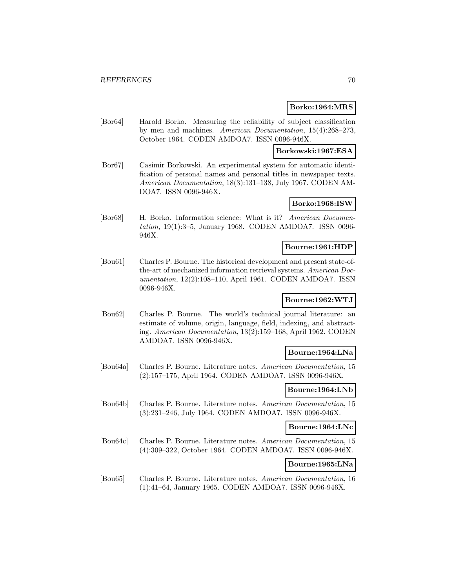### **Borko:1964:MRS**

[Bor64] Harold Borko. Measuring the reliability of subject classification by men and machines. American Documentation, 15(4):268–273, October 1964. CODEN AMDOA7. ISSN 0096-946X.

# **Borkowski:1967:ESA**

[Bor67] Casimir Borkowski. An experimental system for automatic identification of personal names and personal titles in newspaper texts. American Documentation, 18(3):131–138, July 1967. CODEN AM-DOA7. ISSN 0096-946X.

# **Borko:1968:ISW**

[Bor68] H. Borko. Information science: What is it? American Documentation, 19(1):3–5, January 1968. CODEN AMDOA7. ISSN 0096- 946X.

# **Bourne:1961:HDP**

[Bou61] Charles P. Bourne. The historical development and present state-ofthe-art of mechanized information retrieval systems. American Documentation, 12(2):108–110, April 1961. CODEN AMDOA7. ISSN 0096-946X.

# **Bourne:1962:WTJ**

[Bou62] Charles P. Bourne. The world's technical journal literature: an estimate of volume, origin, language, field, indexing, and abstracting. American Documentation, 13(2):159–168, April 1962. CODEN AMDOA7. ISSN 0096-946X.

### **Bourne:1964:LNa**

[Bou64a] Charles P. Bourne. Literature notes. American Documentation, 15 (2):157–175, April 1964. CODEN AMDOA7. ISSN 0096-946X.

### **Bourne:1964:LNb**

[Bou64b] Charles P. Bourne. Literature notes. American Documentation, 15 (3):231–246, July 1964. CODEN AMDOA7. ISSN 0096-946X.

### **Bourne:1964:LNc**

[Bou64c] Charles P. Bourne. Literature notes. American Documentation, 15 (4):309–322, October 1964. CODEN AMDOA7. ISSN 0096-946X.

### **Bourne:1965:LNa**

[Bou65] Charles P. Bourne. Literature notes. American Documentation, 16 (1):41–64, January 1965. CODEN AMDOA7. ISSN 0096-946X.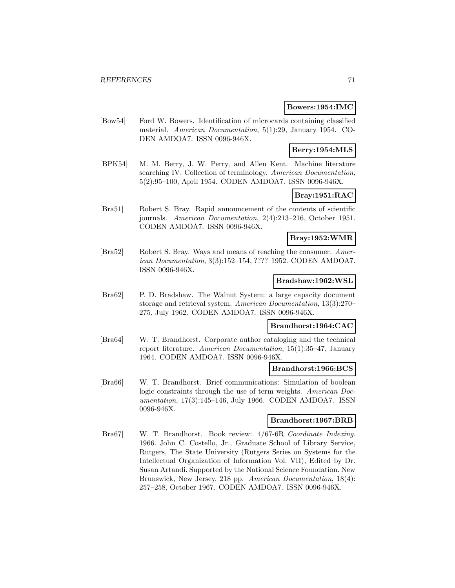# **Bowers:1954:IMC**

[Bow54] Ford W. Bowers. Identification of microcards containing classified material. American Documentation, 5(1):29, January 1954. CO-DEN AMDOA7. ISSN 0096-946X.

# **Berry:1954:MLS**

[BPK54] M. M. Berry, J. W. Perry, and Allen Kent. Machine literature searching IV. Collection of terminology. American Documentation, 5(2):95–100, April 1954. CODEN AMDOA7. ISSN 0096-946X.

# **Bray:1951:RAC**

[Bra51] Robert S. Bray. Rapid announcement of the contents of scientific journals. American Documentation, 2(4):213–216, October 1951. CODEN AMDOA7. ISSN 0096-946X.

# **Bray:1952:WMR**

[Bra52] Robert S. Bray. Ways and means of reaching the consumer. American Documentation, 3(3):152–154, ???? 1952. CODEN AMDOA7. ISSN 0096-946X.

# **Bradshaw:1962:WSL**

[Bra62] P. D. Bradshaw. The Walnut System: a large capacity document storage and retrieval system. American Documentation, 13(3):270– 275, July 1962. CODEN AMDOA7. ISSN 0096-946X.

### **Brandhorst:1964:CAC**

[Bra64] W. T. Brandhorst. Corporate author cataloging and the technical report literature. American Documentation, 15(1):35–47, January 1964. CODEN AMDOA7. ISSN 0096-946X.

# **Brandhorst:1966:BCS**

[Bra66] W. T. Brandhorst. Brief communications: Simulation of boolean logic constraints through the use of term weights. American Documentation, 17(3):145–146, July 1966. CODEN AMDOA7. ISSN 0096-946X.

# **Brandhorst:1967:BRB**

[Bra67] W. T. Brandhorst. Book review: 4/67-6R Coordinate Indexing. 1966. John C. Costello, Jr., Graduate School of Library Service, Rutgers, The State University (Rutgers Series on Systems for the Intellectual Organization of Information Vol. VII), Edited by Dr. Susan Artandi. Supported by the National Science Foundation. New Brunswick, New Jersey. 218 pp. American Documentation, 18(4): 257–258, October 1967. CODEN AMDOA7. ISSN 0096-946X.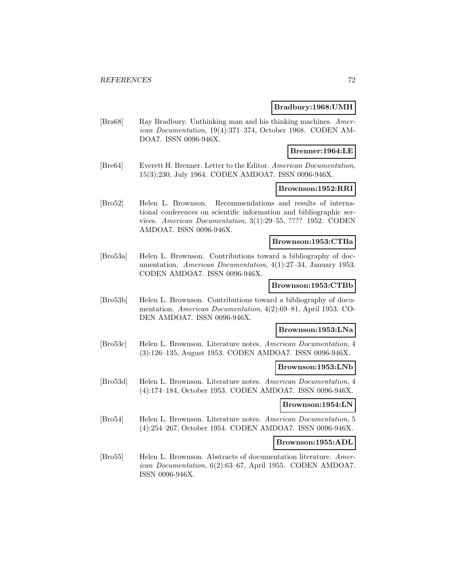### **Bradbury:1968:UMH**

[Bra68] Ray Bradbury. Unthinking man and his thinking machines. American Documentation, 19(4):371–374, October 1968. CODEN AM-DOA7. ISSN 0096-946X.

# **Brenner:1964:LE**

[Bre64] Everett H. Brenner. Letter to the Editor. American Documentation, 15(3):230, July 1964. CODEN AMDOA7. ISSN 0096-946X.

### **Brownson:1952:RRI**

[Bro52] Helen L. Brownson. Recommendations and results of international conferences on scientific information and bibliographic services. American Documentation, 3(1):29–55, ???? 1952. CODEN AMDOA7. ISSN 0096-946X.

# **Brownson:1953:CTBa**

[Bro53a] Helen L. Brownson. Contributions toward a bibliography of documentation. American Documentation, 4(1):27–34, January 1953. CODEN AMDOA7. ISSN 0096-946X.

### **Brownson:1953:CTBb**

[Bro53b] Helen L. Brownson. Contributions toward a bibliography of documentation. American Documentation, 4(2):69–81, April 1953. CO-DEN AMDOA7. ISSN 0096-946X.

# **Brownson:1953:LNa**

[Bro53c] Helen L. Brownson. Literature notes. American Documentation, 4 (3):126–135, August 1953. CODEN AMDOA7. ISSN 0096-946X.

### **Brownson:1953:LNb**

[Bro53d] Helen L. Brownson. Literature notes. American Documentation, 4 (4):174–184, October 1953. CODEN AMDOA7. ISSN 0096-946X.

#### **Brownson:1954:LN**

[Bro54] Helen L. Brownson. Literature notes. American Documentation, 5 (4):254–267, October 1954. CODEN AMDOA7. ISSN 0096-946X.

#### **Brownson:1955:ADL**

[Bro55] Helen L. Brownson. Abstracts of documentation literature. American Documentation, 6(2):63–67, April 1955. CODEN AMDOA7. ISSN 0096-946X.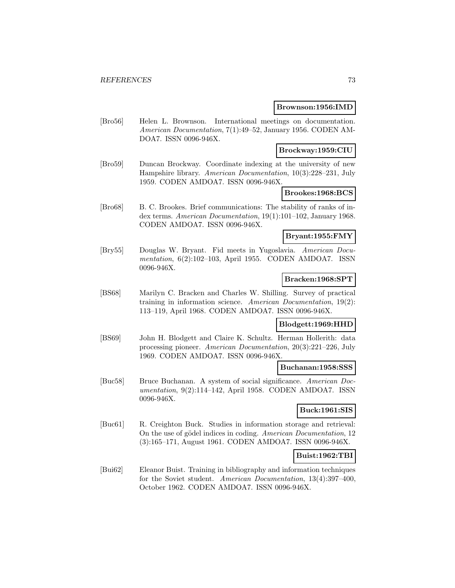#### **Brownson:1956:IMD**

[Bro56] Helen L. Brownson. International meetings on documentation. American Documentation, 7(1):49–52, January 1956. CODEN AM-DOA7. ISSN 0096-946X.

### **Brockway:1959:CIU**

[Bro59] Duncan Brockway. Coordinate indexing at the university of new Hampshire library. American Documentation, 10(3):228–231, July 1959. CODEN AMDOA7. ISSN 0096-946X.

### **Brookes:1968:BCS**

[Bro68] B. C. Brookes. Brief communications: The stability of ranks of index terms. American Documentation, 19(1):101–102, January 1968. CODEN AMDOA7. ISSN 0096-946X.

## **Bryant:1955:FMY**

[Bry55] Douglas W. Bryant. Fid meets in Yugoslavia. American Documentation, 6(2):102–103, April 1955. CODEN AMDOA7. ISSN 0096-946X.

#### **Bracken:1968:SPT**

[BS68] Marilyn C. Bracken and Charles W. Shilling. Survey of practical training in information science. American Documentation, 19(2): 113–119, April 1968. CODEN AMDOA7. ISSN 0096-946X.

### **Blodgett:1969:HHD**

[BS69] John H. Blodgett and Claire K. Schultz. Herman Hollerith: data processing pioneer. American Documentation, 20(3):221–226, July 1969. CODEN AMDOA7. ISSN 0096-946X.

### **Buchanan:1958:SSS**

[Buc58] Bruce Buchanan. A system of social significance. American Documentation, 9(2):114–142, April 1958. CODEN AMDOA7. ISSN 0096-946X.

### **Buck:1961:SIS**

[Buc61] R. Creighton Buck. Studies in information storage and retrieval: On the use of gödel indices in coding. American Documentation, 12 (3):165–171, August 1961. CODEN AMDOA7. ISSN 0096-946X.

### **Buist:1962:TBI**

[Bui62] Eleanor Buist. Training in bibliography and information techniques for the Soviet student. American Documentation, 13(4):397–400, October 1962. CODEN AMDOA7. ISSN 0096-946X.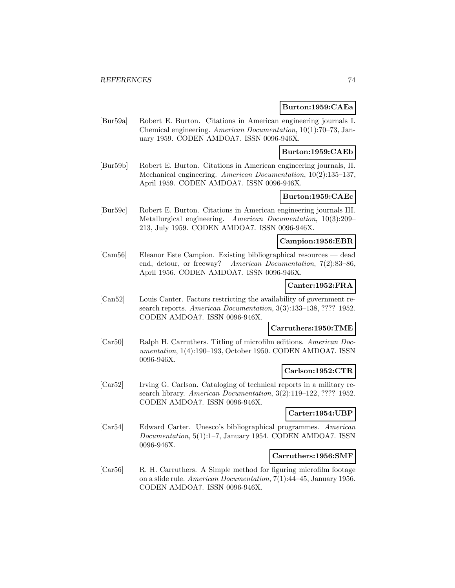### **Burton:1959:CAEa**

[Bur59a] Robert E. Burton. Citations in American engineering journals I. Chemical engineering. American Documentation, 10(1):70–73, January 1959. CODEN AMDOA7. ISSN 0096-946X.

**Burton:1959:CAEb**

[Bur59b] Robert E. Burton. Citations in American engineering journals, II. Mechanical engineering. American Documentation, 10(2):135–137, April 1959. CODEN AMDOA7. ISSN 0096-946X.

## **Burton:1959:CAEc**

[Bur59c] Robert E. Burton. Citations in American engineering journals III. Metallurgical engineering. American Documentation, 10(3):209– 213, July 1959. CODEN AMDOA7. ISSN 0096-946X.

#### **Campion:1956:EBR**

[Cam56] Eleanor Este Campion. Existing bibliographical resources — dead end, detour, or freeway? American Documentation, 7(2):83–86, April 1956. CODEN AMDOA7. ISSN 0096-946X.

### **Canter:1952:FRA**

[Can52] Louis Canter. Factors restricting the availability of government research reports. American Documentation, 3(3):133–138, ???? 1952. CODEN AMDOA7. ISSN 0096-946X.

#### **Carruthers:1950:TME**

[Car50] Ralph H. Carruthers. Titling of microfilm editions. American Documentation, 1(4):190–193, October 1950. CODEN AMDOA7. ISSN 0096-946X.

### **Carlson:1952:CTR**

[Car52] Irving G. Carlson. Cataloging of technical reports in a military research library. American Documentation, 3(2):119–122, ???? 1952. CODEN AMDOA7. ISSN 0096-946X.

#### **Carter:1954:UBP**

[Car54] Edward Carter. Unesco's bibliographical programmes. American Documentation, 5(1):1–7, January 1954. CODEN AMDOA7. ISSN 0096-946X.

### **Carruthers:1956:SMF**

[Car56] R. H. Carruthers. A Simple method for figuring microfilm footage on a slide rule. American Documentation, 7(1):44–45, January 1956. CODEN AMDOA7. ISSN 0096-946X.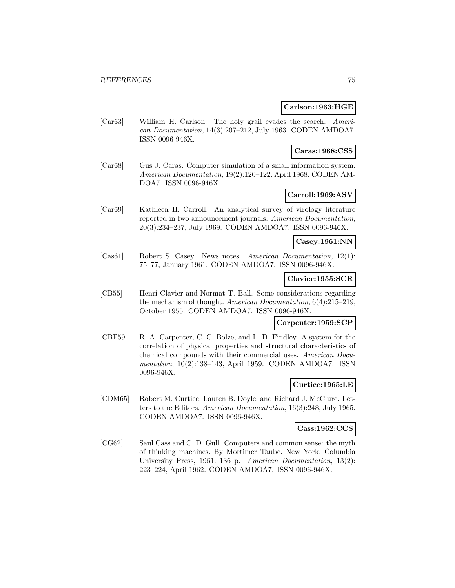### **Carlson:1963:HGE**

[Car63] William H. Carlson. The holy grail evades the search. American Documentation, 14(3):207–212, July 1963. CODEN AMDOA7. ISSN 0096-946X.

### **Caras:1968:CSS**

[Car68] Gus J. Caras. Computer simulation of a small information system. American Documentation, 19(2):120–122, April 1968. CODEN AM-DOA7. ISSN 0096-946X.

## **Carroll:1969:ASV**

[Car69] Kathleen H. Carroll. An analytical survey of virology literature reported in two announcement journals. American Documentation, 20(3):234–237, July 1969. CODEN AMDOA7. ISSN 0096-946X.

### **Casey:1961:NN**

[Cas61] Robert S. Casey. News notes. American Documentation, 12(1): 75–77, January 1961. CODEN AMDOA7. ISSN 0096-946X.

### **Clavier:1955:SCR**

[CB55] Henri Clavier and Normat T. Ball. Some considerations regarding the mechanism of thought. American Documentation, 6(4):215–219, October 1955. CODEN AMDOA7. ISSN 0096-946X.

## **Carpenter:1959:SCP**

[CBF59] R. A. Carpenter, C. C. Bolze, and L. D. Findley. A system for the correlation of physical properties and structural characteristics of chemical compounds with their commercial uses. American Documentation, 10(2):138–143, April 1959. CODEN AMDOA7. ISSN 0096-946X.

### **Curtice:1965:LE**

[CDM65] Robert M. Curtice, Lauren B. Doyle, and Richard J. McClure. Letters to the Editors. American Documentation, 16(3):248, July 1965. CODEN AMDOA7. ISSN 0096-946X.

## **Cass:1962:CCS**

[CG62] Saul Cass and C. D. Gull. Computers and common sense: the myth of thinking machines. By Mortimer Taube. New York, Columbia University Press, 1961. 136 p. American Documentation, 13(2): 223–224, April 1962. CODEN AMDOA7. ISSN 0096-946X.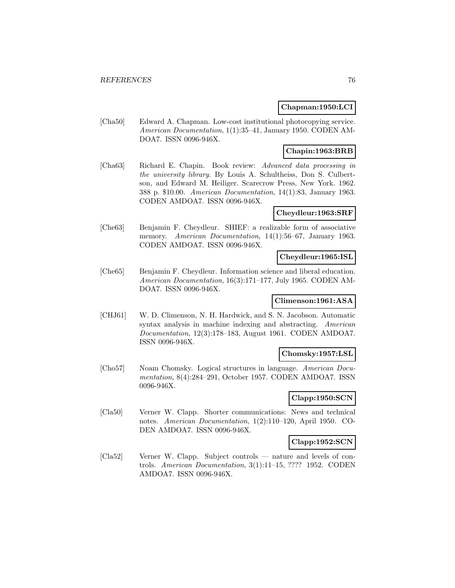### **Chapman:1950:LCI**

[Cha50] Edward A. Chapman. Low-cost institutional photocopying service. American Documentation, 1(1):35–41, January 1950. CODEN AM-DOA7. ISSN 0096-946X.

### **Chapin:1963:BRB**

[Cha63] Richard E. Chapin. Book review: Advanced data processing in the university library. By Louis A. Schultheiss, Don S. Culbertson, and Edward M. Heiliger. Scarecrow Press, New York. 1962. 388 p. \$10.00. American Documentation, 14(1):83, January 1963. CODEN AMDOA7. ISSN 0096-946X.

### **Cheydleur:1963:SRF**

[Che63] Benjamin F. Cheydleur. SHIEF: a realizable form of associative memory. American Documentation, 14(1):56–67, January 1963. CODEN AMDOA7. ISSN 0096-946X.

## **Cheydleur:1965:ISL**

[Che65] Benjamin F. Cheydleur. Information science and liberal education. American Documentation, 16(3):171–177, July 1965. CODEN AM-DOA7. ISSN 0096-946X.

### **Climenson:1961:ASA**

[CHJ61] W. D. Climenson, N. H. Hardwick, and S. N. Jacobson. Automatic syntax analysis in machine indexing and abstracting. American Documentation, 12(3):178–183, August 1961. CODEN AMDOA7. ISSN 0096-946X.

### **Chomsky:1957:LSL**

[Cho57] Noam Chomsky. Logical structures in language. American Documentation, 8(4):284–291, October 1957. CODEN AMDOA7. ISSN 0096-946X.

## **Clapp:1950:SCN**

[Cla50] Verner W. Clapp. Shorter communications: News and technical notes. American Documentation, 1(2):110–120, April 1950. CO-DEN AMDOA7. ISSN 0096-946X.

# **Clapp:1952:SCN**

[Cla52] Verner W. Clapp. Subject controls — nature and levels of controls. American Documentation, 3(1):11–15, ???? 1952. CODEN AMDOA7. ISSN 0096-946X.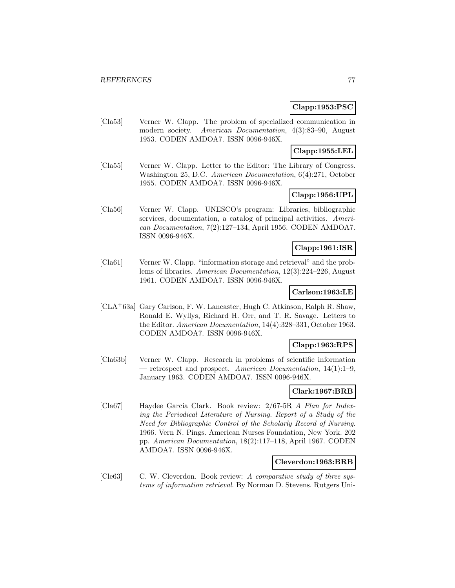## **Clapp:1953:PSC**

[Cla53] Verner W. Clapp. The problem of specialized communication in modern society. American Documentation, 4(3):83–90, August 1953. CODEN AMDOA7. ISSN 0096-946X.

## **Clapp:1955:LEL**

[Cla55] Verner W. Clapp. Letter to the Editor: The Library of Congress. Washington 25, D.C. American Documentation, 6(4):271, October 1955. CODEN AMDOA7. ISSN 0096-946X.

# **Clapp:1956:UPL**

[Cla56] Verner W. Clapp. UNESCO's program: Libraries, bibliographic services, documentation, a catalog of principal activities. American Documentation, 7(2):127–134, April 1956. CODEN AMDOA7. ISSN 0096-946X.

## **Clapp:1961:ISR**

[Cla61] Verner W. Clapp. "information storage and retrieval" and the problems of libraries. American Documentation, 12(3):224–226, August 1961. CODEN AMDOA7. ISSN 0096-946X.

# **Carlson:1963:LE**

[CLA<sup>+</sup>63a] Gary Carlson, F. W. Lancaster, Hugh C. Atkinson, Ralph R. Shaw, Ronald E. Wyllys, Richard H. Orr, and T. R. Savage. Letters to the Editor. American Documentation, 14(4):328–331, October 1963. CODEN AMDOA7. ISSN 0096-946X.

## **Clapp:1963:RPS**

[Cla63b] Verner W. Clapp. Research in problems of scientific information — retrospect and prospect. American Documentation,  $14(1):1-9$ , January 1963. CODEN AMDOA7. ISSN 0096-946X.

# **Clark:1967:BRB**

[Cla67] Haydee Garcia Clark. Book review: 2/67-5R A Plan for Indexing the Periodical Literature of Nursing. Report of a Study of the Need for Bibliographic Control of the Scholarly Record of Nursing. 1966. Vern N. Pings. American Nurses Foundation, New York. 202 pp. American Documentation, 18(2):117–118, April 1967. CODEN AMDOA7. ISSN 0096-946X.

## **Cleverdon:1963:BRB**

[Cle63] C. W. Cleverdon. Book review: A comparative study of three systems of information retrieval. By Norman D. Stevens. Rutgers Uni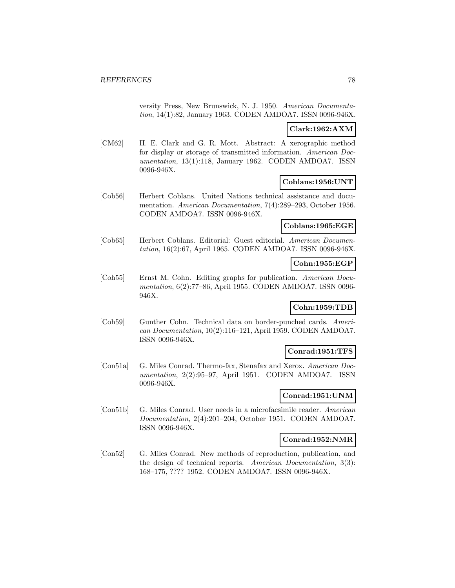versity Press, New Brunswick, N. J. 1950. American Documentation, 14(1):82, January 1963. CODEN AMDOA7. ISSN 0096-946X.

## **Clark:1962:AXM**

[CM62] H. E. Clark and G. R. Mott. Abstract: A xerographic method for display or storage of transmitted information. American Documentation, 13(1):118, January 1962. CODEN AMDOA7. ISSN 0096-946X.

## **Coblans:1956:UNT**

[Cob56] Herbert Coblans. United Nations technical assistance and documentation. American Documentation, 7(4):289–293, October 1956. CODEN AMDOA7. ISSN 0096-946X.

### **Coblans:1965:EGE**

[Cob65] Herbert Coblans. Editorial: Guest editorial. American Documentation, 16(2):67, April 1965. CODEN AMDOA7. ISSN 0096-946X.

### **Cohn:1955:EGP**

[Coh55] Ernst M. Cohn. Editing graphs for publication. American Documentation, 6(2):77–86, April 1955. CODEN AMDOA7. ISSN 0096- 946X.

## **Cohn:1959:TDB**

[Coh59] Gunther Cohn. Technical data on border-punched cards. American Documentation, 10(2):116–121, April 1959. CODEN AMDOA7. ISSN 0096-946X.

### **Conrad:1951:TFS**

[Con51a] G. Miles Conrad. Thermo-fax, Stenafax and Xerox. American Documentation, 2(2):95–97, April 1951. CODEN AMDOA7. ISSN 0096-946X.

## **Conrad:1951:UNM**

[Con51b] G. Miles Conrad. User needs in a microfacsimile reader. American Documentation, 2(4):201–204, October 1951. CODEN AMDOA7. ISSN 0096-946X.

### **Conrad:1952:NMR**

[Con52] G. Miles Conrad. New methods of reproduction, publication, and the design of technical reports. American Documentation, 3(3): 168–175, ???? 1952. CODEN AMDOA7. ISSN 0096-946X.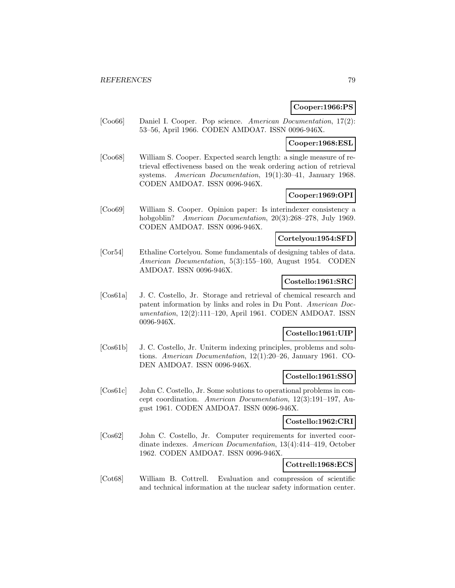### **Cooper:1966:PS**

[Coo66] Daniel I. Cooper. Pop science. American Documentation, 17(2): 53–56, April 1966. CODEN AMDOA7. ISSN 0096-946X.

# **Cooper:1968:ESL**

[Coo68] William S. Cooper. Expected search length: a single measure of retrieval effectiveness based on the weak ordering action of retrieval systems. American Documentation, 19(1):30–41, January 1968. CODEN AMDOA7. ISSN 0096-946X.

# **Cooper:1969:OPI**

[Coo69] William S. Cooper. Opinion paper: Is interindexer consistency a hobgoblin? American Documentation, 20(3):268-278, July 1969. CODEN AMDOA7. ISSN 0096-946X.

#### **Cortelyou:1954:SFD**

[Cor54] Ethaline Cortelyou. Some fundamentals of designing tables of data. American Documentation, 5(3):155–160, August 1954. CODEN AMDOA7. ISSN 0096-946X.

### **Costello:1961:SRC**

[Cos61a] J. C. Costello, Jr. Storage and retrieval of chemical research and patent information by links and roles in Du Pont. American Documentation, 12(2):111–120, April 1961. CODEN AMDOA7. ISSN 0096-946X.

## **Costello:1961:UIP**

[Cos61b] J. C. Costello, Jr. Uniterm indexing principles, problems and solutions. American Documentation, 12(1):20–26, January 1961. CO-DEN AMDOA7. ISSN 0096-946X.

### **Costello:1961:SSO**

[Cos61c] John C. Costello, Jr. Some solutions to operational problems in concept coordination. American Documentation, 12(3):191–197, August 1961. CODEN AMDOA7. ISSN 0096-946X.

#### **Costello:1962:CRI**

[Cos62] John C. Costello, Jr. Computer requirements for inverted coordinate indexes. American Documentation, 13(4):414–419, October 1962. CODEN AMDOA7. ISSN 0096-946X.

## **Cottrell:1968:ECS**

[Cot68] William B. Cottrell. Evaluation and compression of scientific and technical information at the nuclear safety information center.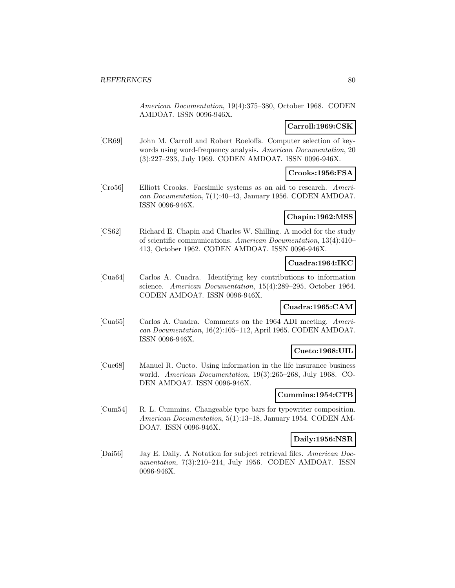American Documentation, 19(4):375–380, October 1968. CODEN AMDOA7. ISSN 0096-946X.

## **Carroll:1969:CSK**

[CR69] John M. Carroll and Robert Roeloffs. Computer selection of keywords using word-frequency analysis. American Documentation, 20 (3):227–233, July 1969. CODEN AMDOA7. ISSN 0096-946X.

# **Crooks:1956:FSA**

[Cro56] Elliott Crooks. Facsimile systems as an aid to research. American Documentation, 7(1):40–43, January 1956. CODEN AMDOA7. ISSN 0096-946X.

### **Chapin:1962:MSS**

[CS62] Richard E. Chapin and Charles W. Shilling. A model for the study of scientific communications. American Documentation, 13(4):410– 413, October 1962. CODEN AMDOA7. ISSN 0096-946X.

## **Cuadra:1964:IKC**

[Cua64] Carlos A. Cuadra. Identifying key contributions to information science. American Documentation, 15(4):289–295, October 1964. CODEN AMDOA7. ISSN 0096-946X.

## **Cuadra:1965:CAM**

[Cua65] Carlos A. Cuadra. Comments on the 1964 ADI meeting. American Documentation, 16(2):105–112, April 1965. CODEN AMDOA7. ISSN 0096-946X.

## **Cueto:1968:UIL**

[Cue68] Manuel R. Cueto. Using information in the life insurance business world. American Documentation, 19(3):265–268, July 1968. CO-DEN AMDOA7. ISSN 0096-946X.

## **Cummins:1954:CTB**

[Cum54] R. L. Cummins. Changeable type bars for typewriter composition. American Documentation, 5(1):13–18, January 1954. CODEN AM-DOA7. ISSN 0096-946X.

### **Daily:1956:NSR**

[Dai56] Jay E. Daily. A Notation for subject retrieval files. American Documentation, 7(3):210–214, July 1956. CODEN AMDOA7. ISSN 0096-946X.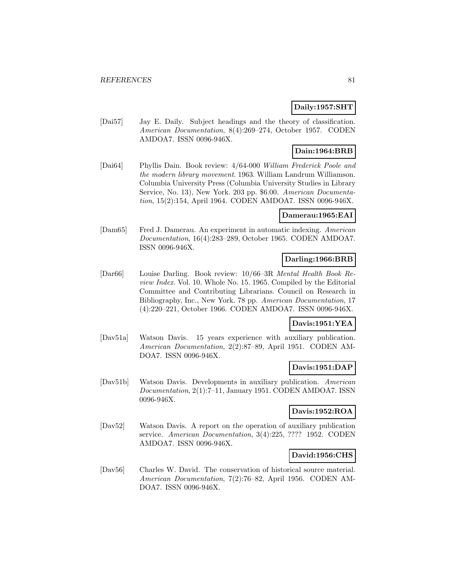## **Daily:1957:SHT**

[Dai57] Jay E. Daily. Subject headings and the theory of classification. American Documentation, 8(4):269–274, October 1957. CODEN AMDOA7. ISSN 0096-946X.

# **Dain:1964:BRB**

[Dai64] Phyllis Dain. Book review: 4/64-000 William Frederick Poole and the modern library movement. 1963. William Landrum Williamson. Columbia University Press (Columbia University Studies in Library Service, No. 13), New York. 203 pp. \$6.00. American Documentation, 15(2):154, April 1964. CODEN AMDOA7. ISSN 0096-946X.

## **Damerau:1965:EAI**

[Dam65] Fred J. Damerau. An experiment in automatic indexing. American Documentation, 16(4):283–289, October 1965. CODEN AMDOA7. ISSN 0096-946X.

## **Darling:1966:BRB**

[Dar66] Louise Darling. Book review: 10/66–3R Mental Health Book Review Index. Vol. 10. Whole No. 15. 1965. Compiled by the Editorial Committee and Contributing Librarians. Council on Research in Bibliography, Inc., New York. 78 pp. American Documentation, 17 (4):220–221, October 1966. CODEN AMDOA7. ISSN 0096-946X.

## **Davis:1951:YEA**

[Dav51a] Watson Davis. 15 years experience with auxiliary publication. American Documentation, 2(2):87–89, April 1951. CODEN AM-DOA7. ISSN 0096-946X.

## **Davis:1951:DAP**

[Dav51b] Watson Davis. Developments in auxiliary publication. American Documentation, 2(1):7–11, January 1951. CODEN AMDOA7. ISSN 0096-946X.

## **Davis:1952:ROA**

[Dav52] Watson Davis. A report on the operation of auxiliary publication service. American Documentation, 3(4):225, ???? 1952. CODEN AMDOA7. ISSN 0096-946X.

## **David:1956:CHS**

[Dav56] Charles W. David. The conservation of historical source material. American Documentation, 7(2):76–82, April 1956. CODEN AM-DOA7. ISSN 0096-946X.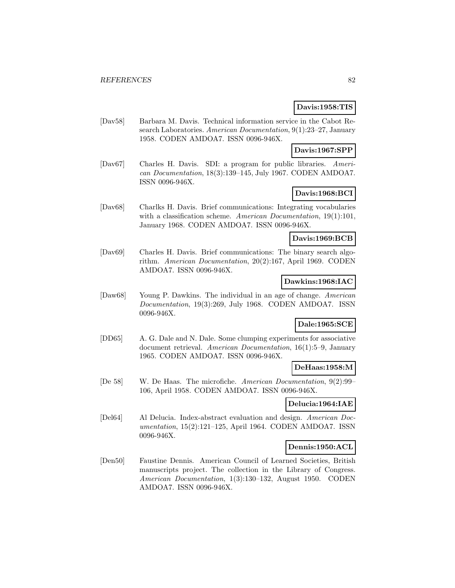## **Davis:1958:TIS**

[Dav58] Barbara M. Davis. Technical information service in the Cabot Research Laboratories. American Documentation, 9(1):23-27, January 1958. CODEN AMDOA7. ISSN 0096-946X.

### **Davis:1967:SPP**

[Dav67] Charles H. Davis. SDI: a program for public libraries. American Documentation, 18(3):139–145, July 1967. CODEN AMDOA7. ISSN 0096-946X.

## **Davis:1968:BCI**

[Dav68] Charlks H. Davis. Brief communications: Integrating vocabularies with a classification scheme. American Documentation, 19(1):101, January 1968. CODEN AMDOA7. ISSN 0096-946X.

### **Davis:1969:BCB**

[Dav69] Charles H. Davis. Brief communications: The binary search algorithm. American Documentation, 20(2):167, April 1969. CODEN AMDOA7. ISSN 0096-946X.

### **Dawkins:1968:IAC**

[Daw68] Young P. Dawkins. The individual in an age of change. American Documentation, 19(3):269, July 1968. CODEN AMDOA7. ISSN 0096-946X.

## **Dale:1965:SCE**

[DD65] A. G. Dale and N. Dale. Some clumping experiments for associative document retrieval. American Documentation, 16(1):5–9, January 1965. CODEN AMDOA7. ISSN 0096-946X.

## **DeHaas:1958:M**

[De 58] W. De Haas. The microfiche. American Documentation, 9(2):99– 106, April 1958. CODEN AMDOA7. ISSN 0096-946X.

### **Delucia:1964:IAE**

[Del64] Al Delucia. Index-abstract evaluation and design. American Documentation, 15(2):121–125, April 1964. CODEN AMDOA7. ISSN 0096-946X.

## **Dennis:1950:ACL**

[Den50] Faustine Dennis. American Council of Learned Societies, British manuscripts project. The collection in the Library of Congress. American Documentation, 1(3):130–132, August 1950. CODEN AMDOA7. ISSN 0096-946X.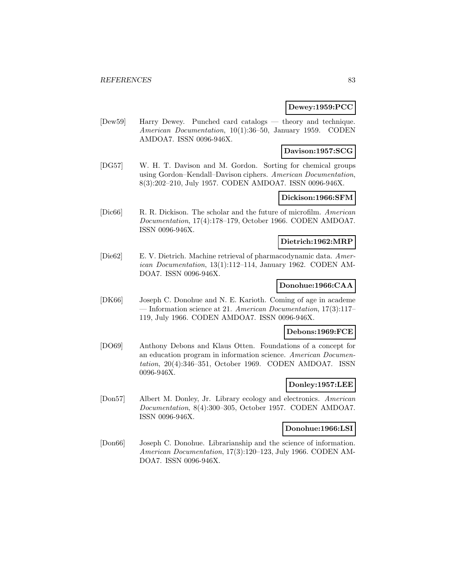### **Dewey:1959:PCC**

[Dew59] Harry Dewey. Punched card catalogs — theory and technique. American Documentation, 10(1):36–50, January 1959. CODEN AMDOA7. ISSN 0096-946X.

### **Davison:1957:SCG**

[DG57] W. H. T. Davison and M. Gordon. Sorting for chemical groups using Gordon–Kendall–Davison ciphers. American Documentation, 8(3):202–210, July 1957. CODEN AMDOA7. ISSN 0096-946X.

## **Dickison:1966:SFM**

[Dic66] R. R. Dickison. The scholar and the future of microfilm. American Documentation, 17(4):178–179, October 1966. CODEN AMDOA7. ISSN 0096-946X.

### **Dietrich:1962:MRP**

[Die62] E. V. Dietrich. Machine retrieval of pharmacodynamic data. American Documentation, 13(1):112–114, January 1962. CODEN AM-DOA7. ISSN 0096-946X.

## **Donohue:1966:CAA**

[DK66] Joseph C. Donohue and N. E. Karioth. Coming of age in academe — Information science at 21. American Documentation, 17(3):117– 119, July 1966. CODEN AMDOA7. ISSN 0096-946X.

### **Debons:1969:FCE**

[DO69] Anthony Debons and Klaus Otten. Foundations of a concept for an education program in information science. American Documentation, 20(4):346–351, October 1969. CODEN AMDOA7. ISSN 0096-946X.

### **Donley:1957:LEE**

[Don57] Albert M. Donley, Jr. Library ecology and electronics. American Documentation, 8(4):300–305, October 1957. CODEN AMDOA7. ISSN 0096-946X.

## **Donohue:1966:LSI**

[Don66] Joseph C. Donohue. Librarianship and the science of information. American Documentation, 17(3):120–123, July 1966. CODEN AM-DOA7. ISSN 0096-946X.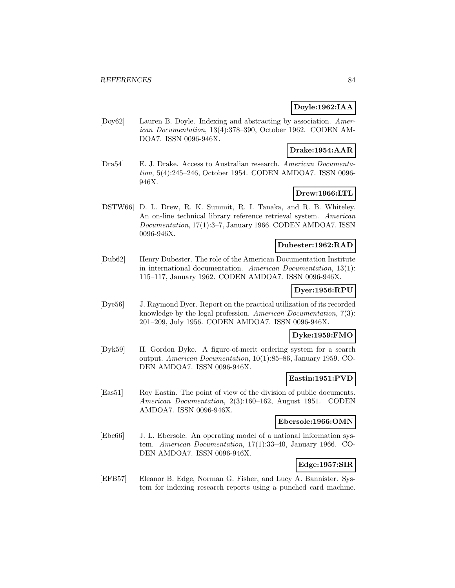## **Doyle:1962:IAA**

[Doy62] Lauren B. Doyle. Indexing and abstracting by association. American Documentation, 13(4):378–390, October 1962. CODEN AM-DOA7. ISSN 0096-946X.

### **Drake:1954:AAR**

[Dra54] E. J. Drake. Access to Australian research. American Documentation, 5(4):245–246, October 1954. CODEN AMDOA7. ISSN 0096- 946X.

### **Drew:1966:LTL**

[DSTW66] D. L. Drew, R. K. Summit, R. I. Tanaka, and R. B. Whiteley. An on-line technical library reference retrieval system. American Documentation, 17(1):3–7, January 1966. CODEN AMDOA7. ISSN 0096-946X.

## **Dubester:1962:RAD**

[Dub62] Henry Dubester. The role of the American Documentation Institute in international documentation. American Documentation, 13(1): 115–117, January 1962. CODEN AMDOA7. ISSN 0096-946X.

### **Dyer:1956:RPU**

[Dye56] J. Raymond Dyer. Report on the practical utilization of its recorded knowledge by the legal profession. American Documentation, 7(3): 201–209, July 1956. CODEN AMDOA7. ISSN 0096-946X.

### **Dyke:1959:FMO**

[Dyk59] H. Gordon Dyke. A figure-of-merit ordering system for a search output. American Documentation, 10(1):85–86, January 1959. CO-DEN AMDOA7. ISSN 0096-946X.

### **Eastin:1951:PVD**

[Eas51] Roy Eastin. The point of view of the division of public documents. American Documentation, 2(3):160–162, August 1951. CODEN AMDOA7. ISSN 0096-946X.

### **Ebersole:1966:OMN**

[Ebe66] J. L. Ebersole. An operating model of a national information system. American Documentation, 17(1):33–40, January 1966. CO-DEN AMDOA7. ISSN 0096-946X.

# **Edge:1957:SIR**

[EFB57] Eleanor B. Edge, Norman G. Fisher, and Lucy A. Bannister. System for indexing research reports using a punched card machine.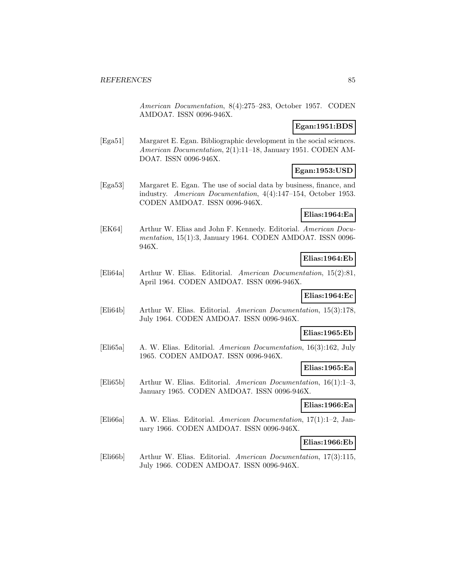American Documentation, 8(4):275–283, October 1957. CODEN AMDOA7. ISSN 0096-946X.

### **Egan:1951:BDS**

[Ega51] Margaret E. Egan. Bibliographic development in the social sciences. American Documentation, 2(1):11–18, January 1951. CODEN AM-DOA7. ISSN 0096-946X.

## **Egan:1953:USD**

[Ega53] Margaret E. Egan. The use of social data by business, finance, and industry. American Documentation, 4(4):147–154, October 1953. CODEN AMDOA7. ISSN 0096-946X.

### **Elias:1964:Ea**

[EK64] Arthur W. Elias and John F. Kennedy. Editorial. American Documentation, 15(1):3, January 1964. CODEN AMDOA7. ISSN 0096- 946X.

## **Elias:1964:Eb**

[Eli64a] Arthur W. Elias. Editorial. American Documentation, 15(2):81, April 1964. CODEN AMDOA7. ISSN 0096-946X.

### **Elias:1964:Ec**

[Eli64b] Arthur W. Elias. Editorial. American Documentation, 15(3):178, July 1964. CODEN AMDOA7. ISSN 0096-946X.

#### **Elias:1965:Eb**

[Eli65a] A. W. Elias. Editorial. American Documentation, 16(3):162, July 1965. CODEN AMDOA7. ISSN 0096-946X.

### **Elias:1965:Ea**

[Eli65b] Arthur W. Elias. Editorial. American Documentation, 16(1):1–3, January 1965. CODEN AMDOA7. ISSN 0096-946X.

### **Elias:1966:Ea**

[Eli66a] A. W. Elias. Editorial. American Documentation, 17(1):1–2, January 1966. CODEN AMDOA7. ISSN 0096-946X.

### **Elias:1966:Eb**

[Eli66b] Arthur W. Elias. Editorial. American Documentation, 17(3):115, July 1966. CODEN AMDOA7. ISSN 0096-946X.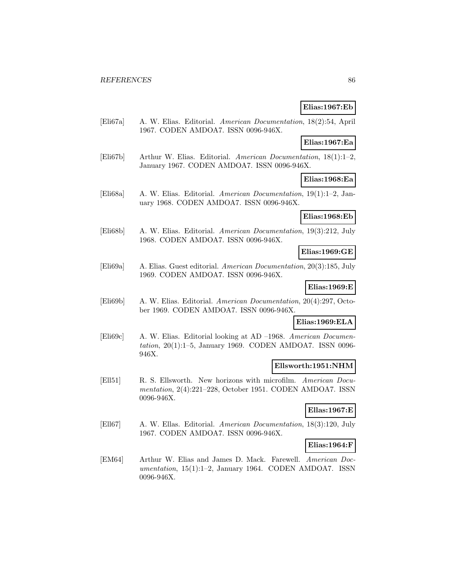## **Elias:1967:Eb**

[Eli67a] A. W. Elias. Editorial. American Documentation, 18(2):54, April 1967. CODEN AMDOA7. ISSN 0096-946X.

#### **Elias:1967:Ea**

[Eli67b] Arthur W. Elias. Editorial. American Documentation, 18(1):1–2, January 1967. CODEN AMDOA7. ISSN 0096-946X.

**Elias:1968:Ea**

[Eli68a] A. W. Elias. Editorial. American Documentation, 19(1):1–2, January 1968. CODEN AMDOA7. ISSN 0096-946X.

### **Elias:1968:Eb**

[Eli68b] A. W. Elias. Editorial. American Documentation, 19(3):212, July 1968. CODEN AMDOA7. ISSN 0096-946X.

### **Elias:1969:GE**

[Eli69a] A. Elias. Guest editorial. American Documentation, 20(3):185, July 1969. CODEN AMDOA7. ISSN 0096-946X.

### **Elias:1969:E**

[Eli69b] A. W. Elias. Editorial. American Documentation, 20(4):297, October 1969. CODEN AMDOA7. ISSN 0096-946X.

## **Elias:1969:ELA**

[Eli69c] A. W. Elias. Editorial looking at AD –1968. American Documentation, 20(1):1–5, January 1969. CODEN AMDOA7. ISSN 0096- 946X.

#### **Ellsworth:1951:NHM**

[Ell51] R. S. Ellsworth. New horizons with microfilm. American Documentation, 2(4):221–228, October 1951. CODEN AMDOA7. ISSN 0096-946X.

### **Ellas:1967:E**

[Ell67] A. W. Ellas. Editorial. American Documentation, 18(3):120, July 1967. CODEN AMDOA7. ISSN 0096-946X.

### **Elias:1964:F**

[EM64] Arthur W. Elias and James D. Mack. Farewell. American Documentation, 15(1):1–2, January 1964. CODEN AMDOA7. ISSN 0096-946X.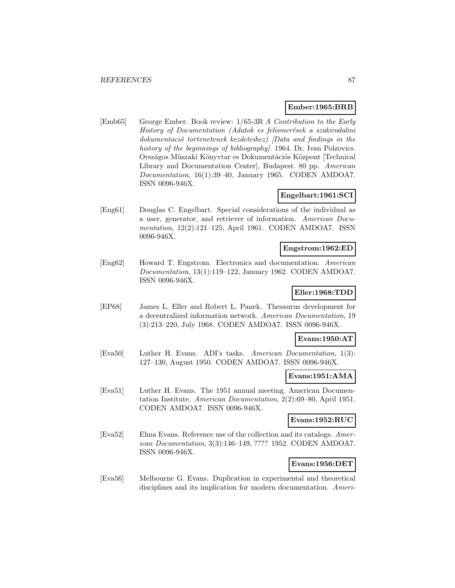### **Ember:1965:BRB**

[Emb65] George Ember. Book review: 1/65-3R A Contribution to the Early History of Documentation (Adatok es felismerések a szakirodalmi  $dokumentació$  tortenetenek kezdeteihez)  $\langle Data \t{ and } \t{ findings \t{ in the} }$ history of the beginnings of bibliography]. 1964. Dr. Ivan Polzovics. Országos Müszaki Könyvtar es Dokumentációs Központ [Technical] Library and Documentation Center], Budapest. 80 pp. American Documentation, 16(1):39–40, January 1965. CODEN AMDOA7. ISSN 0096-946X.

### **Engelbart:1961:SCI**

[Eng61] Douglas C. Engelbart. Special considerations of the individual as a user, generator, and retriever of information. American Documentation, 12(2):121–125, April 1961. CODEN AMDOA7. ISSN 0096-946X.

## **Engstrom:1962:ED**

[Eng62] Howard T. Engstrom. Electronics and documentation. American Documentation, 13(1):119–122, January 1962. CODEN AMDOA7. ISSN 0096-946X.

## **Eller:1968:TDD**

[EP68] James L. Eller and Robert L. Panek. Thesaurus development for a decentralized information network. American Documentation, 19 (3):213–220, July 1968. CODEN AMDOA7. ISSN 0096-946X.

### **Evans:1950:AT**

[Eva50] Luther H. Evans. ADI's tasks. American Documentation, 1(3): 127–130, August 1950. CODEN AMDOA7. ISSN 0096-946X.

### **Evans:1951:AMA**

[Eva51] Luther H. Evans. The 1951 annual meeting. American Documentation Institute. American Documentation, 2(2):69–80, April 1951. CODEN AMDOA7. ISSN 0096-946X.

# **Evans:1952:RUC**

[Eva52] Elma Evans. Reference use of the collection and its catalogs. American Documentation, 3(3):146–149, ???? 1952. CODEN AMDOA7. ISSN 0096-946X.

## **Evans:1956:DET**

[Eva56] Melbourne G. Evans. Duplication in experimental and theoretical disciplines and its implication for modern documentation. Ameri-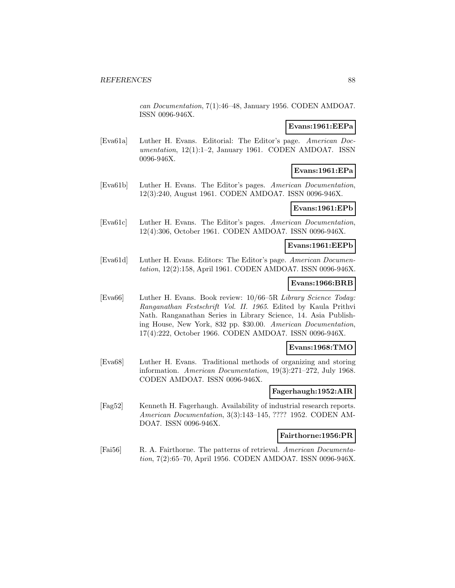can Documentation, 7(1):46–48, January 1956. CODEN AMDOA7. ISSN 0096-946X.

#### **Evans:1961:EEPa**

[Eva61a] Luther H. Evans. Editorial: The Editor's page. American Documentation, 12(1):1–2, January 1961. CODEN AMDOA7. ISSN 0096-946X.

## **Evans:1961:EPa**

[Eva61b] Luther H. Evans. The Editor's pages. American Documentation, 12(3):240, August 1961. CODEN AMDOA7. ISSN 0096-946X.

# **Evans:1961:EPb**

[Eva61c] Luther H. Evans. The Editor's pages. American Documentation, 12(4):306, October 1961. CODEN AMDOA7. ISSN 0096-946X.

### **Evans:1961:EEPb**

[Eva61d] Luther H. Evans. Editors: The Editor's page. American Documentation, 12(2):158, April 1961. CODEN AMDOA7. ISSN 0096-946X.

### **Evans:1966:BRB**

[Eva66] Luther H. Evans. Book review: 10/66–5R Library Science Today: Ranganathan Festschrift Vol. II. 1965. Edited by Kaula Prithvi Nath. Ranganathan Series in Library Science, 14. Asia Publishing House, New York, 832 pp. \$30.00. American Documentation, 17(4):222, October 1966. CODEN AMDOA7. ISSN 0096-946X.

### **Evans:1968:TMO**

[Eva68] Luther H. Evans. Traditional methods of organizing and storing information. American Documentation, 19(3):271–272, July 1968. CODEN AMDOA7. ISSN 0096-946X.

## **Fagerhaugh:1952:AIR**

[Fag52] Kenneth H. Fagerhaugh. Availability of industrial research reports. American Documentation, 3(3):143–145, ???? 1952. CODEN AM-DOA7. ISSN 0096-946X.

#### **Fairthorne:1956:PR**

[Fai56] R. A. Fairthorne. The patterns of retrieval. American Documentation, 7(2):65–70, April 1956. CODEN AMDOA7. ISSN 0096-946X.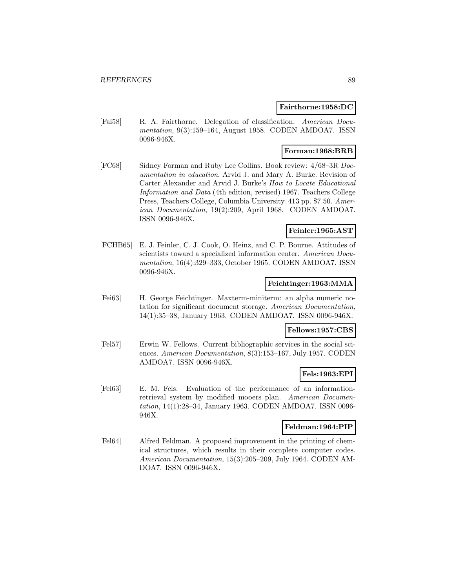### **Fairthorne:1958:DC**

[Fai58] R. A. Fairthorne. Delegation of classification. American Documentation, 9(3):159–164, August 1958. CODEN AMDOA7. ISSN 0096-946X.

### **Forman:1968:BRB**

[FC68] Sidney Forman and Ruby Lee Collins. Book review: 4/68–3R Documentation in education. Arvid J. and Mary A. Burke. Revision of Carter Alexander and Arvid J. Burke's How to Locate Educational Information and Data (4th edition, revised) 1967. Teachers College Press, Teachers College, Columbia University. 413 pp. \$7.50. American Documentation, 19(2):209, April 1968. CODEN AMDOA7. ISSN 0096-946X.

### **Feinler:1965:AST**

[FCHB65] E. J. Feinler, C. J. Cook, O. Heinz, and C. P. Bourne. Attitudes of scientists toward a specialized information center. American Documentation, 16(4):329–333, October 1965. CODEN AMDOA7. ISSN 0096-946X.

## **Feichtinger:1963:MMA**

[Fei63] H. George Feichtinger. Maxterm-miniterm: an alpha numeric notation for significant document storage. American Documentation, 14(1):35–38, January 1963. CODEN AMDOA7. ISSN 0096-946X.

## **Fellows:1957:CBS**

[Fel57] Erwin W. Fellows. Current bibliographic services in the social sciences. American Documentation, 8(3):153–167, July 1957. CODEN AMDOA7. ISSN 0096-946X.

## **Fels:1963:EPI**

[Fel63] E. M. Fels. Evaluation of the performance of an informationretrieval system by modified mooers plan. American Documentation, 14(1):28–34, January 1963. CODEN AMDOA7. ISSN 0096- 946X.

### **Feldman:1964:PIP**

[Fel64] Alfred Feldman. A proposed improvement in the printing of chemical structures, which results in their complete computer codes. American Documentation, 15(3):205–209, July 1964. CODEN AM-DOA7. ISSN 0096-946X.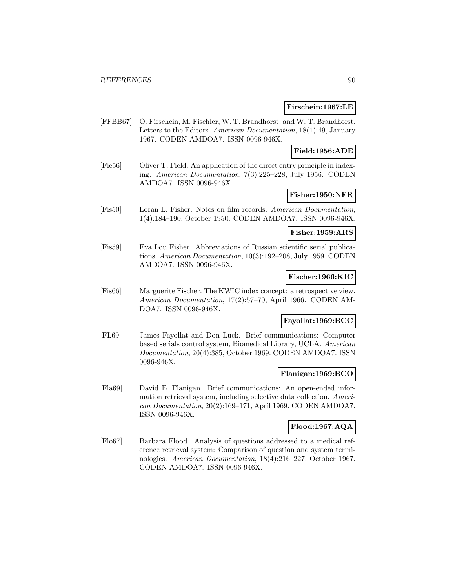### **Firschein:1967:LE**

[FFBB67] O. Firschein, M. Fischler, W. T. Brandhorst, and W. T. Brandhorst. Letters to the Editors. American Documentation, 18(1):49, January 1967. CODEN AMDOA7. ISSN 0096-946X.

### **Field:1956:ADE**

[Fie56] Oliver T. Field. An application of the direct entry principle in indexing. American Documentation, 7(3):225–228, July 1956. CODEN AMDOA7. ISSN 0096-946X.

# **Fisher:1950:NFR**

[Fis50] Loran L. Fisher. Notes on film records. American Documentation, 1(4):184–190, October 1950. CODEN AMDOA7. ISSN 0096-946X.

## **Fisher:1959:ARS**

[Fis59] Eva Lou Fisher. Abbreviations of Russian scientific serial publications. American Documentation, 10(3):192–208, July 1959. CODEN AMDOA7. ISSN 0096-946X.

### **Fischer:1966:KIC**

[Fis66] Marguerite Fischer. The KWIC index concept: a retrospective view. American Documentation, 17(2):57–70, April 1966. CODEN AM-DOA7. ISSN 0096-946X.

## **Fayollat:1969:BCC**

[FL69] James Fayollat and Don Luck. Brief communications: Computer based serials control system, Biomedical Library, UCLA. American Documentation, 20(4):385, October 1969. CODEN AMDOA7. ISSN 0096-946X.

### **Flanigan:1969:BCO**

[Fla69] David E. Flanigan. Brief communications: An open-ended information retrieval system, including selective data collection. American Documentation, 20(2):169–171, April 1969. CODEN AMDOA7. ISSN 0096-946X.

### **Flood:1967:AQA**

[Flo67] Barbara Flood. Analysis of questions addressed to a medical reference retrieval system: Comparison of question and system terminologies. American Documentation, 18(4):216–227, October 1967. CODEN AMDOA7. ISSN 0096-946X.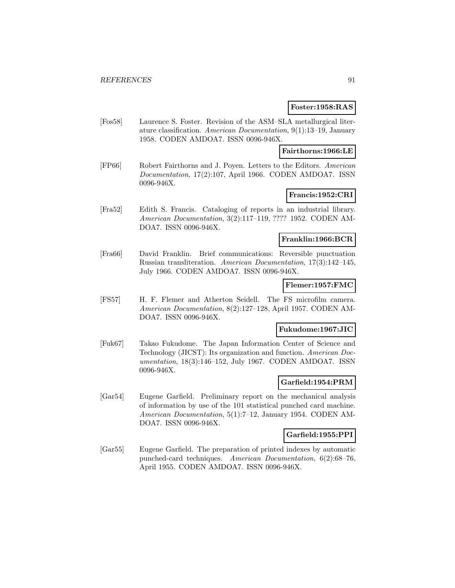### **Foster:1958:RAS**

[Fos58] Laurence S. Foster. Revision of the ASM–SLA metallurgical literature classification. American Documentation, 9(1):13–19, January 1958. CODEN AMDOA7. ISSN 0096-946X.

### **Fairthorns:1966:LE**

[FP66] Robert Fairthorns and J. Poyen. Letters to the Editors. American Documentation, 17(2):107, April 1966. CODEN AMDOA7. ISSN 0096-946X.

# **Francis:1952:CRI**

[Fra52] Edith S. Francis. Cataloging of reports in an industrial library. American Documentation, 3(2):117–119, ???? 1952. CODEN AM-DOA7. ISSN 0096-946X.

### **Franklin:1966:BCR**

[Fra66] David Franklin. Brief communications: Reversible punctuation Russian transliteration. American Documentation, 17(3):142–145, July 1966. CODEN AMDOA7. ISSN 0096-946X.

### **Flemer:1957:FMC**

[FS57] H. F. Flemer and Atherton Seidell. The FS microfilm camera. American Documentation, 8(2):127–128, April 1957. CODEN AM-DOA7. ISSN 0096-946X.

### **Fukudome:1967:JIC**

[Fuk67] Takao Fukudome. The Japan Information Center of Science and Technology (JICST): Its organization and function. American Documentation, 18(3):146–152, July 1967. CODEN AMDOA7. ISSN 0096-946X.

# **Garfield:1954:PRM**

[Gar54] Eugene Garfield. Preliminary report on the mechanical analysis of information by use of the 101 statistical punched card machine. American Documentation, 5(1):7–12, January 1954. CODEN AM-DOA7. ISSN 0096-946X.

### **Garfield:1955:PPI**

[Gar55] Eugene Garfield. The preparation of printed indexes by automatic punched-card techniques. American Documentation, 6(2):68–76, April 1955. CODEN AMDOA7. ISSN 0096-946X.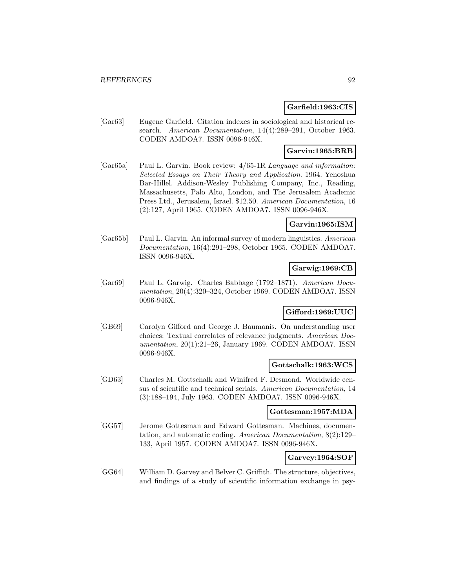## **Garfield:1963:CIS**

[Gar63] Eugene Garfield. Citation indexes in sociological and historical research. American Documentation, 14(4):289–291, October 1963. CODEN AMDOA7. ISSN 0096-946X.

## **Garvin:1965:BRB**

[Gar65a] Paul L. Garvin. Book review: 4/65-1R Language and information: Selected Essays on Their Theory and Application. 1964. Yehoshua Bar-Hillel. Addison-Wesley Publishing Company, Inc., Reading, Massachusetts, Palo Alto, London, and The Jerusalem Academic Press Ltd., Jerusalem, Israel. \$12.50. American Documentation, 16 (2):127, April 1965. CODEN AMDOA7. ISSN 0096-946X.

## **Garvin:1965:ISM**

[Gar65b] Paul L. Garvin. An informal survey of modern linguistics. American Documentation, 16(4):291–298, October 1965. CODEN AMDOA7. ISSN 0096-946X.

## **Garwig:1969:CB**

[Gar69] Paul L. Garwig. Charles Babbage (1792–1871). American Documentation, 20(4):320–324, October 1969. CODEN AMDOA7. ISSN 0096-946X.

## **Gifford:1969:UUC**

[GB69] Carolyn Gifford and George J. Baumanis. On understanding user choices: Textual correlates of relevance judgments. American Documentation, 20(1):21–26, January 1969. CODEN AMDOA7. ISSN 0096-946X.

### **Gottschalk:1963:WCS**

[GD63] Charles M. Gottschalk and Winifred F. Desmond. Worldwide census of scientific and technical serials. American Documentation, 14 (3):188–194, July 1963. CODEN AMDOA7. ISSN 0096-946X.

### **Gottesman:1957:MDA**

[GG57] Jerome Gottesman and Edward Gottesman. Machines, documentation, and automatic coding. American Documentation, 8(2):129– 133, April 1957. CODEN AMDOA7. ISSN 0096-946X.

### **Garvey:1964:SOF**

[GG64] William D. Garvey and Belver C. Griffith. The structure, objectives, and findings of a study of scientific information exchange in psy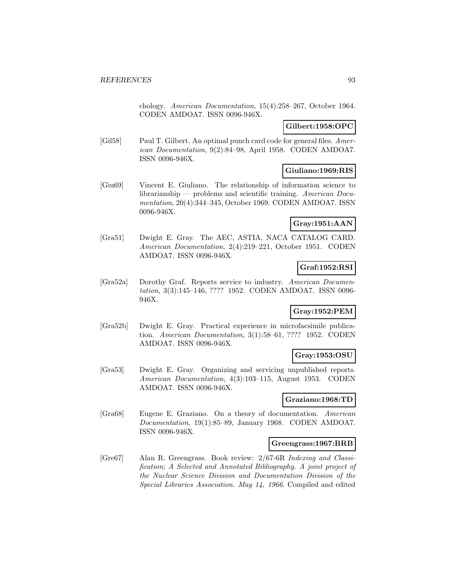chology. American Documentation, 15(4):258–267, October 1964. CODEN AMDOA7. ISSN 0096-946X.

## **Gilbert:1958:OPC**

[Gil58] Paul T. Gilbert. An optimal punch card code for general files. American Documentation, 9(2):84–98, April 1958. CODEN AMDOA7. ISSN 0096-946X.

### **Giuliano:1969:RIS**

[Giu69] Vincent E. Giuliano. The relationship of information science to librarianship — problems and scientific training. American Documentation, 20(4):344–345, October 1969. CODEN AMDOA7. ISSN 0096-946X.

## **Gray:1951:AAN**

[Gra51] Dwight E. Gray. The AEC, ASTIA, NACA CATALOG CARD. American Documentation, 2(4):219–221, October 1951. CODEN AMDOA7. ISSN 0096-946X.

## **Graf:1952:RSI**

[Gra52a] Dorothy Graf. Reports service to industry. American Documentation, 3(3):145–146, ???? 1952. CODEN AMDOA7. ISSN 0096- 946X.

## **Gray:1952:PEM**

[Gra52b] Dwight E. Gray. Practical experience in microfacsimile publication. American Documentation, 3(1):58–61, ???? 1952. CODEN AMDOA7. ISSN 0096-946X.

## **Gray:1953:OSU**

[Gra53] Dwight E. Gray. Organizing and servicing unpublished reports. American Documentation, 4(3):103–115, August 1953. CODEN AMDOA7. ISSN 0096-946X.

### **Graziano:1968:TD**

[Gra68] Eugene E. Graziano. On a theory of documentation. American Documentation, 19(1):85–89, January 1968. CODEN AMDOA7. ISSN 0096-946X.

## **Greengrass:1967:BRB**

[Gre67] Alan R. Greengrass. Book review: 2/67-6R Indexing and Classification; A Selected and Annotated Bibliography. A joint project of the Nuclear Science Division and Documentation Division of the Special Libraries Association. May 14, 1966. Compiled and edited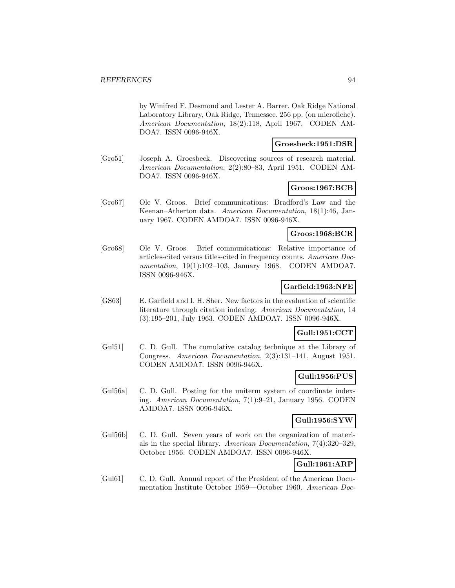by Winifred F. Desmond and Lester A. Barrer. Oak Ridge National Laboratory Library, Oak Ridge, Tennessee. 256 pp. (on microfiche). American Documentation, 18(2):118, April 1967. CODEN AM-DOA7. ISSN 0096-946X.

### **Groesbeck:1951:DSR**

[Gro51] Joseph A. Groesbeck. Discovering sources of research material. American Documentation, 2(2):80–83, April 1951. CODEN AM-DOA7. ISSN 0096-946X.

## **Groos:1967:BCB**

[Gro67] Ole V. Groos. Brief communications: Bradford's Law and the Keenan–Atherton data. American Documentation, 18(1):46, January 1967. CODEN AMDOA7. ISSN 0096-946X.

## **Groos:1968:BCR**

[Gro68] Ole V. Groos. Brief communications: Relative importance of articles-cited versus titles-cited in frequency counts. American Documentation, 19(1):102–103, January 1968. CODEN AMDOA7. ISSN 0096-946X.

### **Garfield:1963:NFE**

[GS63] E. Garfield and I. H. Sher. New factors in the evaluation of scientific literature through citation indexing. American Documentation, 14 (3):195–201, July 1963. CODEN AMDOA7. ISSN 0096-946X.

### **Gull:1951:CCT**

[Gul51] C. D. Gull. The cumulative catalog technique at the Library of Congress. American Documentation, 2(3):131–141, August 1951. CODEN AMDOA7. ISSN 0096-946X.

### **Gull:1956:PUS**

[Gul56a] C. D. Gull. Posting for the uniterm system of coordinate indexing. American Documentation, 7(1):9–21, January 1956. CODEN AMDOA7. ISSN 0096-946X.

## **Gull:1956:SYW**

[Gul56b] C. D. Gull. Seven years of work on the organization of materials in the special library. American Documentation, 7(4):320–329, October 1956. CODEN AMDOA7. ISSN 0096-946X.

# **Gull:1961:ARP**

[Gul61] C. D. Gull. Annual report of the President of the American Documentation Institute October 1959—October 1960. American Doc-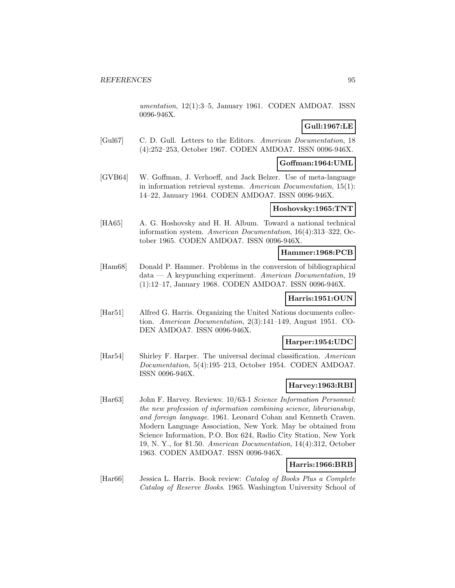umentation, 12(1):3–5, January 1961. CODEN AMDOA7. ISSN 0096-946X.

# **Gull:1967:LE**

[Gul67] C. D. Gull. Letters to the Editors. American Documentation, 18 (4):252–253, October 1967. CODEN AMDOA7. ISSN 0096-946X.

### **Goffman:1964:UML**

[GVB64] W. Goffman, J. Verhoeff, and Jack Belzer. Use of meta-language in information retrieval systems. American Documentation, 15(1): 14–22, January 1964. CODEN AMDOA7. ISSN 0096-946X.

### **Hoshovsky:1965:TNT**

[HA65] A. G. Hoshovsky and H. H. Album. Toward a national technical information system. American Documentation, 16(4):313–322, October 1965. CODEN AMDOA7. ISSN 0096-946X.

#### **Hammer:1968:PCB**

[Ham68] Donald P. Hammer. Problems in the conversion of bibliographical data — A keypunching experiment. American Documentation, 19 (1):12–17, January 1968. CODEN AMDOA7. ISSN 0096-946X.

## **Harris:1951:OUN**

[Har51] Alfred G. Harris. Organizing the United Nations documents collection. American Documentation, 2(3):141–149, August 1951. CO-DEN AMDOA7. ISSN 0096-946X.

## **Harper:1954:UDC**

[Har54] Shirley F. Harper. The universal decimal classification. American Documentation, 5(4):195–213, October 1954. CODEN AMDOA7. ISSN 0096-946X.

## **Harvey:1963:RBI**

[Har63] John F. Harvey. Reviews: 10/63-1 Science Information Personnel: the new profession of information combining science, librarianship, and foreign language. 1961. Leonard Cohan and Kenneth Craven. Modern Language Association, New York. May be obtained from Science Information, P.O. Box 624, Radio City Station, New York 19, N. Y., for \$1.50. American Documentation, 14(4):312, October 1963. CODEN AMDOA7. ISSN 0096-946X.

### **Harris:1966:BRB**

[Har66] Jessica L. Harris. Book review: Catalog of Books Plus a Complete Catalog of Reserve Books. 1965. Washington University School of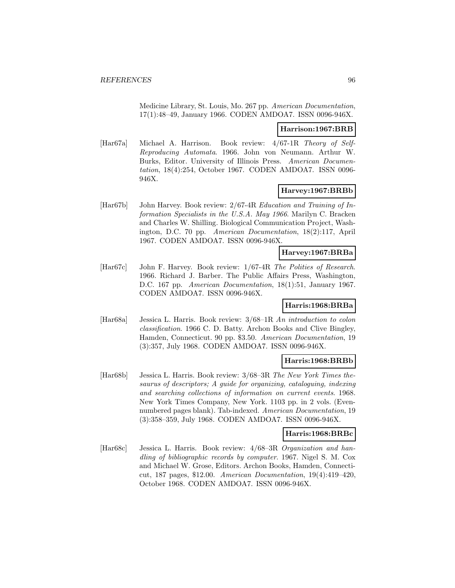Medicine Library, St. Louis, Mo. 267 pp. American Documentation, 17(1):48–49, January 1966. CODEN AMDOA7. ISSN 0096-946X.

#### **Harrison:1967:BRB**

[Har67a] Michael A. Harrison. Book review: 4/67-1R Theory of Self-Reproducing Automata. 1966. John von Neumann. Arthur W. Burks, Editor. University of Illinois Press. American Documentation, 18(4):254, October 1967. CODEN AMDOA7. ISSN 0096- 946X.

### **Harvey:1967:BRBb**

[Har67b] John Harvey. Book review: 2/67-4R Education and Training of Information Specialists in the U.S.A. May 1966. Marilyn C. Bracken and Charles W. Shilling. Biological Communication Project, Washington, D.C. 70 pp. American Documentation, 18(2):117, April 1967. CODEN AMDOA7. ISSN 0096-946X.

### **Harvey:1967:BRBa**

[Har67c] John F. Harvey. Book review: 1/67-4R The Polities of Research. 1966. Richard J. Barber. The Public Affairs Press, Washington, D.C. 167 pp. American Documentation, 18(1):51, January 1967. CODEN AMDOA7. ISSN 0096-946X.

### **Harris:1968:BRBa**

[Har68a] Jessica L. Harris. Book review: 3/68–1R An introduction to colon classification. 1966 C. D. Batty. Archon Books and Clive Bingley, Hamden, Connecticut. 90 pp. \$3.50. American Documentation, 19 (3):357, July 1968. CODEN AMDOA7. ISSN 0096-946X.

#### **Harris:1968:BRBb**

[Har68b] Jessica L. Harris. Book review: 3/68–3R The New York Times thesaurus of descriptors; A guide for organizing, cataloguing, indexing and searching collections of information on current events. 1968. New York Times Company, New York. 1103 pp. in 2 vols. (Evennumbered pages blank). Tab-indexed. American Documentation, 19 (3):358–359, July 1968. CODEN AMDOA7. ISSN 0096-946X.

#### **Harris:1968:BRBc**

[Har68c] Jessica L. Harris. Book review: 4/68–3R Organization and handling of bibliographic records by computer. 1967. Nigel S. M. Cox and Michael W. Grose, Editors. Archon Books, Hamden, Connecticut, 187 pages, \$12.00. American Documentation, 19(4):419–420, October 1968. CODEN AMDOA7. ISSN 0096-946X.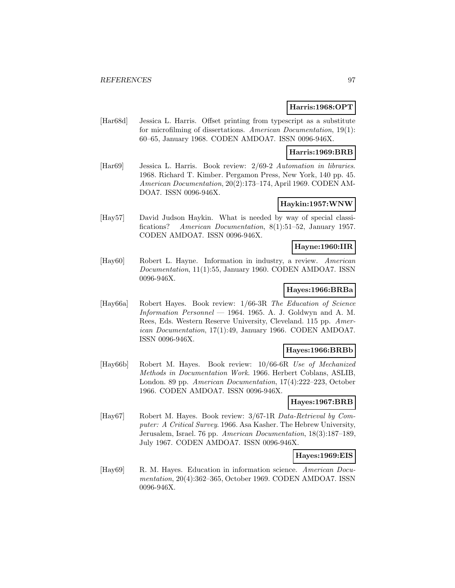### **Harris:1968:OPT**

[Har68d] Jessica L. Harris. Offset printing from typescript as a substitute for microfilming of dissertations. American Documentation, 19(1): 60–65, January 1968. CODEN AMDOA7. ISSN 0096-946X.

### **Harris:1969:BRB**

[Har69] Jessica L. Harris. Book review: 2/69-2 Automation in libraries. 1968. Richard T. Kimber. Pergamon Press, New York, 140 pp. 45. American Documentation, 20(2):173–174, April 1969. CODEN AM-DOA7. ISSN 0096-946X.

### **Haykin:1957:WNW**

[Hay57] David Judson Haykin. What is needed by way of special classifications? American Documentation, 8(1):51–52, January 1957. CODEN AMDOA7. ISSN 0096-946X.

## **Hayne:1960:IIR**

[Hay60] Robert L. Hayne. Information in industry, a review. American Documentation, 11(1):55, January 1960. CODEN AMDOA7. ISSN 0096-946X.

### **Hayes:1966:BRBa**

[Hay66a] Robert Hayes. Book review: 1/66-3R The Education of Science Information  $Personal - 1964$ . 1965. A. J. Goldwyn and A. M. Rees, Eds. Western Reserve University, Cleveland. 115 pp. American Documentation, 17(1):49, January 1966. CODEN AMDOA7. ISSN 0096-946X.

### **Hayes:1966:BRBb**

[Hay66b] Robert M. Hayes. Book review: 10/66-6R Use of Mechanized Methods in Documentation Work. 1966. Herbert Coblans, ASLIB, London. 89 pp. American Documentation, 17(4):222–223, October 1966. CODEN AMDOA7. ISSN 0096-946X.

#### **Hayes:1967:BRB**

[Hay67] Robert M. Hayes. Book review: 3/67-1R Data-Retrieval by Computer: A Critical Survey. 1966. Asa Kasher. The Hebrew University, Jerusalem, Israel. 76 pp. American Documentation, 18(3):187–189, July 1967. CODEN AMDOA7. ISSN 0096-946X.

### **Hayes:1969:EIS**

[Hay69] R. M. Hayes. Education in information science. American Documentation, 20(4):362–365, October 1969. CODEN AMDOA7. ISSN 0096-946X.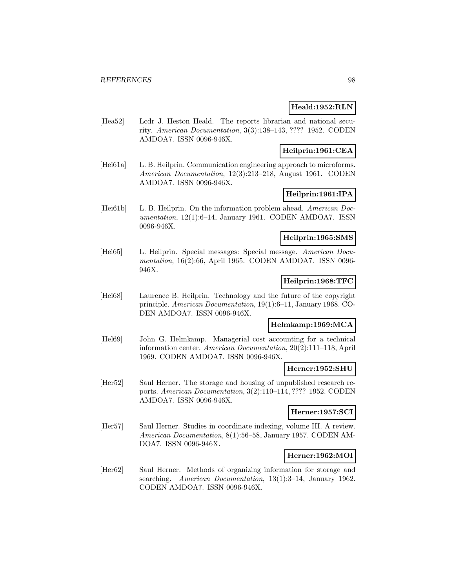## **Heald:1952:RLN**

[Hea52] Lcdr J. Heston Heald. The reports librarian and national security. American Documentation, 3(3):138–143, ???? 1952. CODEN AMDOA7. ISSN 0096-946X.

## **Heilprin:1961:CEA**

[Hei61a] L. B. Heilprin. Communication engineering approach to microforms. American Documentation, 12(3):213–218, August 1961. CODEN AMDOA7. ISSN 0096-946X.

## **Heilprin:1961:IPA**

[Hei61b] L. B. Heilprin. On the information problem ahead. American Documentation, 12(1):6–14, January 1961. CODEN AMDOA7. ISSN 0096-946X.

### **Heilprin:1965:SMS**

[Hei65] L. Heilprin. Special messages: Special message. American Documentation, 16(2):66, April 1965. CODEN AMDOA7. ISSN 0096- 946X.

## **Heilprin:1968:TFC**

[Hei68] Laurence B. Heilprin. Technology and the future of the copyright principle. American Documentation, 19(1):6–11, January 1968. CO-DEN AMDOA7. ISSN 0096-946X.

## **Helmkamp:1969:MCA**

[Hel69] John G. Helmkamp. Managerial cost accounting for a technical information center. American Documentation, 20(2):111–118, April 1969. CODEN AMDOA7. ISSN 0096-946X.

### **Herner:1952:SHU**

[Her52] Saul Herner. The storage and housing of unpublished research reports. American Documentation, 3(2):110–114, ???? 1952. CODEN AMDOA7. ISSN 0096-946X.

## **Herner:1957:SCI**

[Her57] Saul Herner. Studies in coordinate indexing, volume III. A review. American Documentation, 8(1):56–58, January 1957. CODEN AM-DOA7. ISSN 0096-946X.

## **Herner:1962:MOI**

[Her62] Saul Herner. Methods of organizing information for storage and searching. American Documentation, 13(1):3-14, January 1962. CODEN AMDOA7. ISSN 0096-946X.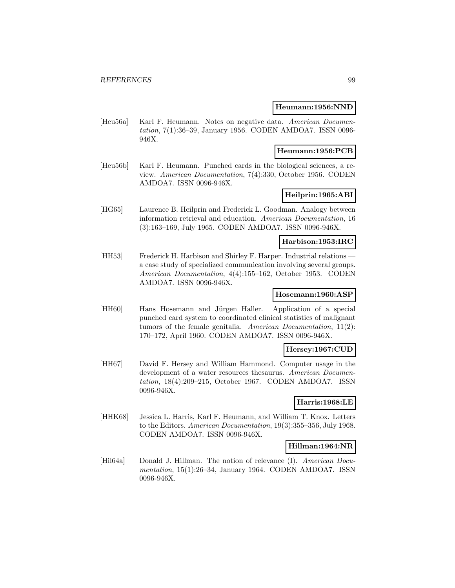#### **Heumann:1956:NND**

[Heu56a] Karl F. Heumann. Notes on negative data. American Documentation, 7(1):36–39, January 1956. CODEN AMDOA7. ISSN 0096- 946X.

### **Heumann:1956:PCB**

[Heu56b] Karl F. Heumann. Punched cards in the biological sciences, a review. American Documentation, 7(4):330, October 1956. CODEN AMDOA7. ISSN 0096-946X.

## **Heilprin:1965:ABI**

[HG65] Laurence B. Heilprin and Frederick L. Goodman. Analogy between information retrieval and education. American Documentation, 16 (3):163–169, July 1965. CODEN AMDOA7. ISSN 0096-946X.

## **Harbison:1953:IRC**

[HH53] Frederick H. Harbison and Shirley F. Harper. Industrial relations a case study of specialized communication involving several groups. American Documentation, 4(4):155–162, October 1953. CODEN AMDOA7. ISSN 0096-946X.

## **Hosemann:1960:ASP**

[HH60] Hans Hosemann and Jürgen Haller. Application of a special punched card system to coordinated clinical statistics of malignant tumors of the female genitalia. American Documentation,  $11(2)$ : 170–172, April 1960. CODEN AMDOA7. ISSN 0096-946X.

### **Hersey:1967:CUD**

[HH67] David F. Hersey and William Hammond. Computer usage in the development of a water resources thesaurus. American Documentation, 18(4):209–215, October 1967. CODEN AMDOA7. ISSN 0096-946X.

## **Harris:1968:LE**

[HHK68] Jessica L. Harris, Karl F. Heumann, and William T. Knox. Letters to the Editors. American Documentation, 19(3):355–356, July 1968. CODEN AMDOA7. ISSN 0096-946X.

### **Hillman:1964:NR**

[Hil64a] Donald J. Hillman. The notion of relevance (I). American Documentation, 15(1):26–34, January 1964. CODEN AMDOA7. ISSN 0096-946X.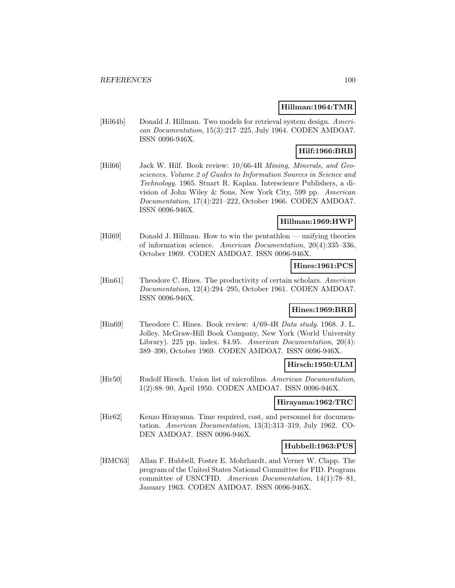### **Hillman:1964:TMR**

[Hil64b] Donald J. Hillman. Two models for retrieval system design. American Documentation, 15(3):217–225, July 1964. CODEN AMDOA7. ISSN 0096-946X.

# **Hilf:1966:BRB**

[Hil66] Jack W. Hilf. Book review: 10/66-4R Mining, Minerals, and Geosciences. Volume 2 of Guides to Information Sources in Science and Technology. 1965. Stuart R. Kaplan. Interscience Publishers, a division of John Wiley & Sons, New York City, 599 pp. American Documentation, 17(4):221–222, October 1966. CODEN AMDOA7. ISSN 0096-946X.

## **Hillman:1969:HWP**

[Hil69] Donald J. Hillman. How to win the pentathlon — unifying theories of information science. American Documentation, 20(4):335–336, October 1969. CODEN AMDOA7. ISSN 0096-946X.

### **Hines:1961:PCS**

[Hin61] Theodore C. Hines. The productivity of certain scholars. American Documentation, 12(4):294–295, October 1961. CODEN AMDOA7. ISSN 0096-946X.

### **Hines:1969:BRB**

[Hin69] Theodore C. Hines. Book review: 4/69-4R Data study. 1968. J. L. Jolley. McGraw-Hill Book Company, New York (World University Library). 225 pp. index. \$4.95. American Documentation, 20(4): 389–390, October 1969. CODEN AMDOA7. ISSN 0096-946X.

### **Hirsch:1950:ULM**

[Hir50] Rudolf Hirsch. Union list of microfilms. American Documentation, 1(2):88–90, April 1950. CODEN AMDOA7. ISSN 0096-946X.

### **Hirayama:1962:TRC**

[Hir62] Kenzo Hirayama. Time required, cost, and personnel for documentation. American Documentation, 13(3):313–319, July 1962. CO-DEN AMDOA7. ISSN 0096-946X.

### **Hubbell:1963:PUS**

[HMC63] Allan F. Hubbell, Foster E. Mohrhardt, and Verner W. Clapp. The program of the United States National Committee for FID. Program committee of USNCFID. American Documentation, 14(1):78–81, January 1963. CODEN AMDOA7. ISSN 0096-946X.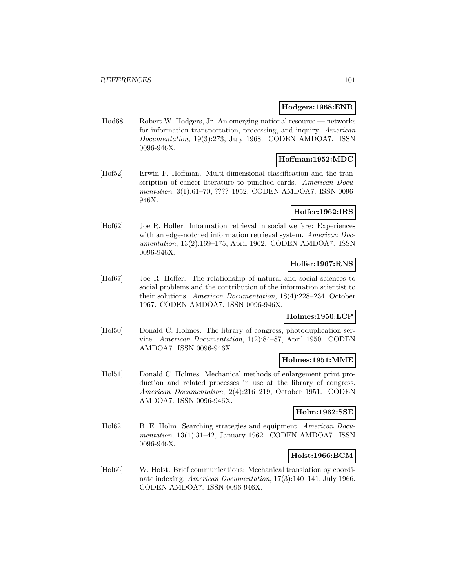### **Hodgers:1968:ENR**

[Hod68] Robert W. Hodgers, Jr. An emerging national resource — networks for information transportation, processing, and inquiry. American Documentation, 19(3):273, July 1968. CODEN AMDOA7. ISSN 0096-946X.

# **Hoffman:1952:MDC**

[Hof52] Erwin F. Hoffman. Multi-dimensional classification and the transcription of cancer literature to punched cards. American Documentation, 3(1):61–70, ???? 1952. CODEN AMDOA7. ISSN 0096- 946X.

## **Hoffer:1962:IRS**

[Hof62] Joe R. Hoffer. Information retrieval in social welfare: Experiences with an edge-notched information retrieval system. American Documentation, 13(2):169–175, April 1962. CODEN AMDOA7. ISSN 0096-946X.

# **Hoffer:1967:RNS**

[Hof67] Joe R. Hoffer. The relationship of natural and social sciences to social problems and the contribution of the information scientist to their solutions. American Documentation, 18(4):228–234, October 1967. CODEN AMDOA7. ISSN 0096-946X.

## **Holmes:1950:LCP**

[Hol50] Donald C. Holmes. The library of congress, photoduplication service. American Documentation, 1(2):84–87, April 1950. CODEN AMDOA7. ISSN 0096-946X.

## **Holmes:1951:MME**

[Hol51] Donald C. Holmes. Mechanical methods of enlargement print production and related processes in use at the library of congress. American Documentation, 2(4):216–219, October 1951. CODEN AMDOA7. ISSN 0096-946X.

**Holm:1962:SSE**

[Hol62] B. E. Holm. Searching strategies and equipment. American Documentation, 13(1):31–42, January 1962. CODEN AMDOA7. ISSN 0096-946X.

## **Holst:1966:BCM**

[Hol66] W. Holst. Brief communications: Mechanical translation by coordinate indexing. American Documentation, 17(3):140–141, July 1966. CODEN AMDOA7. ISSN 0096-946X.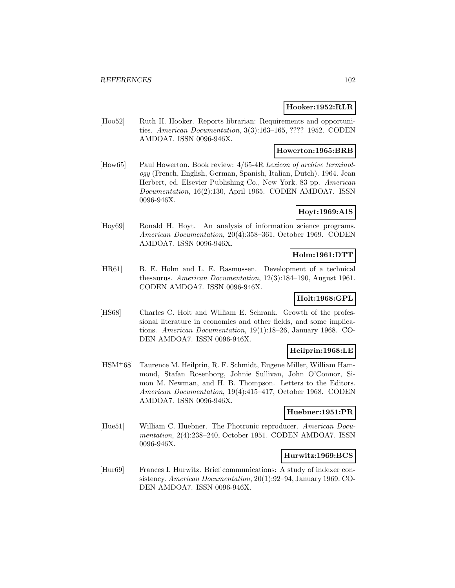### **Hooker:1952:RLR**

[Hoo52] Ruth H. Hooker. Reports librarian: Requirements and opportunities. American Documentation, 3(3):163–165, ???? 1952. CODEN AMDOA7. ISSN 0096-946X.

### **Howerton:1965:BRB**

[How65] Paul Howerton. Book review: 4/65-4R Lexicon of archive terminology (French, English, German, Spanish, Italian, Dutch). 1964. Jean Herbert, ed. Elsevier Publishing Co., New York. 83 pp. American Documentation, 16(2):130, April 1965. CODEN AMDOA7. ISSN 0096-946X.

# **Hoyt:1969:AIS**

[Hoy69] Ronald H. Hoyt. An analysis of information science programs. American Documentation, 20(4):358–361, October 1969. CODEN AMDOA7. ISSN 0096-946X.

#### **Holm:1961:DTT**

[HR61] B. E. Holm and L. E. Rasmussen. Development of a technical thesaurus. American Documentation, 12(3):184–190, August 1961. CODEN AMDOA7. ISSN 0096-946X.

# **Holt:1968:GPL**

[HS68] Charles C. Holt and William E. Schrank. Growth of the professional literature in economics and other fields, and some implications. American Documentation, 19(1):18–26, January 1968. CO-DEN AMDOA7. ISSN 0096-946X.

## **Heilprin:1968:LE**

[HSM<sup>+</sup>68] Taurence M. Heilprin, R. F. Schmidt, Eugene Miller, William Hammond, Stafan Rosenborg, Johnie Sullivan, John O'Connor, Simon M. Newman, and H. B. Thompson. Letters to the Editors. American Documentation, 19(4):415–417, October 1968. CODEN AMDOA7. ISSN 0096-946X.

### **Huebner:1951:PR**

[Hue51] William C. Huebner. The Photronic reproducer. American Documentation, 2(4):238–240, October 1951. CODEN AMDOA7. ISSN 0096-946X.

### **Hurwitz:1969:BCS**

[Hur69] Frances I. Hurwitz. Brief communications: A study of indexer consistency. American Documentation, 20(1):92–94, January 1969. CO-DEN AMDOA7. ISSN 0096-946X.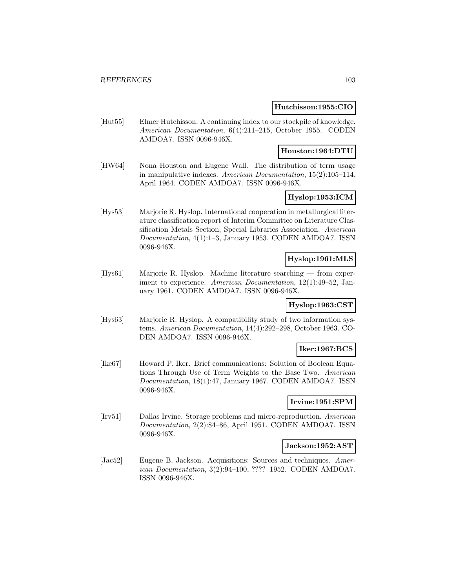### **Hutchisson:1955:CIO**

[Hut55] Elmer Hutchisson. A continuing index to our stockpile of knowledge. American Documentation, 6(4):211–215, October 1955. CODEN AMDOA7. ISSN 0096-946X.

## **Houston:1964:DTU**

[HW64] Nona Houston and Eugene Wall. The distribution of term usage in manipulative indexes. American Documentation, 15(2):105–114, April 1964. CODEN AMDOA7. ISSN 0096-946X.

## **Hyslop:1953:ICM**

[Hys53] Marjorie R. Hyslop. International cooperation in metallurgical literature classification report of Interim Committee on Literature Classification Metals Section, Special Libraries Association. American Documentation, 4(1):1–3, January 1953. CODEN AMDOA7. ISSN 0096-946X.

## **Hyslop:1961:MLS**

[Hys61] Marjorie R. Hyslop. Machine literature searching — from experiment to experience. American Documentation, 12(1):49-52, January 1961. CODEN AMDOA7. ISSN 0096-946X.

### **Hyslop:1963:CST**

[Hys63] Marjorie R. Hyslop. A compatibility study of two information systems. American Documentation, 14(4):292–298, October 1963. CO-DEN AMDOA7. ISSN 0096-946X.

## **Iker:1967:BCS**

[Ike67] Howard P. Iker. Brief communications: Solution of Boolean Equations Through Use of Term Weights to the Base Two. American Documentation, 18(1):47, January 1967. CODEN AMDOA7. ISSN 0096-946X.

### **Irvine:1951:SPM**

[Irv51] Dallas Irvine. Storage problems and micro-reproduction. American Documentation, 2(2):84–86, April 1951. CODEN AMDOA7. ISSN 0096-946X.

### **Jackson:1952:AST**

[Jac52] Eugene B. Jackson. Acquisitions: Sources and techniques. American Documentation, 3(2):94–100, ???? 1952. CODEN AMDOA7. ISSN 0096-946X.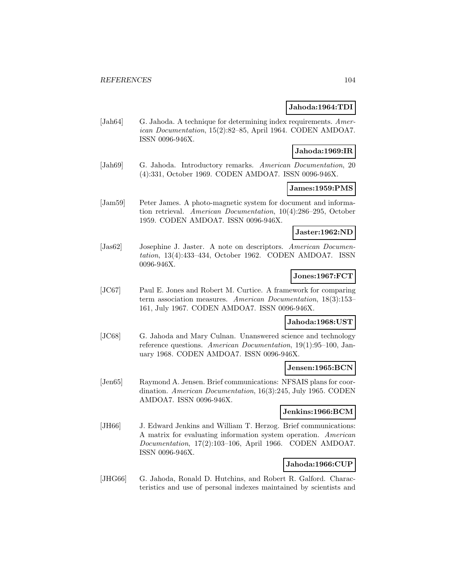### **Jahoda:1964:TDI**

[Jah64] G. Jahoda. A technique for determining index requirements. American Documentation, 15(2):82–85, April 1964. CODEN AMDOA7. ISSN 0096-946X.

### **Jahoda:1969:IR**

[Jah69] G. Jahoda. Introductory remarks. American Documentation, 20 (4):331, October 1969. CODEN AMDOA7. ISSN 0096-946X.

### **James:1959:PMS**

[Jam59] Peter James. A photo-magnetic system for document and information retrieval. American Documentation, 10(4):286–295, October 1959. CODEN AMDOA7. ISSN 0096-946X.

## **Jaster:1962:ND**

[Jas62] Josephine J. Jaster. A note on descriptors. American Documentation, 13(4):433–434, October 1962. CODEN AMDOA7. ISSN 0096-946X.

## **Jones:1967:FCT**

[JC67] Paul E. Jones and Robert M. Curtice. A framework for comparing term association measures. American Documentation, 18(3):153– 161, July 1967. CODEN AMDOA7. ISSN 0096-946X.

### **Jahoda:1968:UST**

[JC68] G. Jahoda and Mary Culnan. Unanswered science and technology reference questions. American Documentation, 19(1):95–100, January 1968. CODEN AMDOA7. ISSN 0096-946X.

### **Jensen:1965:BCN**

[Jen65] Raymond A. Jensen. Brief communications: NFSAIS plans for coordination. American Documentation, 16(3):245, July 1965. CODEN AMDOA7. ISSN 0096-946X.

### **Jenkins:1966:BCM**

[JH66] J. Edward Jenkins and William T. Herzog. Brief communications: A matrix for evaluating information system operation. American Documentation, 17(2):103–106, April 1966. CODEN AMDOA7. ISSN 0096-946X.

### **Jahoda:1966:CUP**

[JHG66] G. Jahoda, Ronald D. Hutchins, and Robert R. Galford. Characteristics and use of personal indexes maintained by scientists and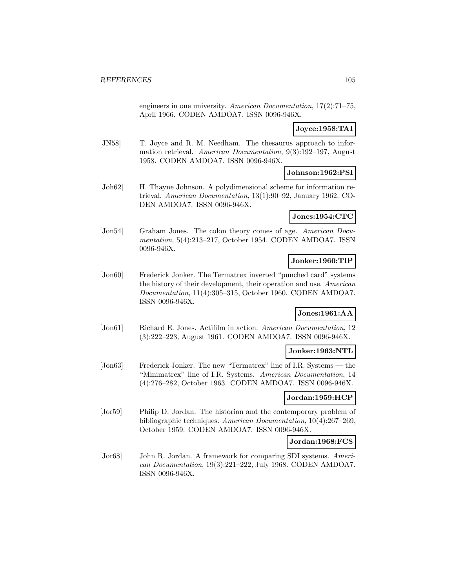engineers in one university. American Documentation, 17(2):71–75, April 1966. CODEN AMDOA7. ISSN 0096-946X.

### **Joyce:1958:TAI**

[JN58] T. Joyce and R. M. Needham. The thesaurus approach to information retrieval. American Documentation, 9(3):192–197, August 1958. CODEN AMDOA7. ISSN 0096-946X.

## **Johnson:1962:PSI**

[Joh62] H. Thayne Johnson. A polydimensional scheme for information retrieval. American Documentation, 13(1):90–92, January 1962. CO-DEN AMDOA7. ISSN 0096-946X.

### **Jones:1954:CTC**

[Jon54] Graham Jones. The colon theory comes of age. American Documentation, 5(4):213–217, October 1954. CODEN AMDOA7. ISSN 0096-946X.

## **Jonker:1960:TIP**

[Jon60] Frederick Jonker. The Termatrex inverted "punched card" systems the history of their development, their operation and use. American Documentation, 11(4):305–315, October 1960. CODEN AMDOA7. ISSN 0096-946X.

## **Jones:1961:AA**

[Jon61] Richard E. Jones. Actifilm in action. American Documentation, 12 (3):222–223, August 1961. CODEN AMDOA7. ISSN 0096-946X.

## **Jonker:1963:NTL**

[Jon63] Frederick Jonker. The new "Termatrex" line of I.R. Systems — the "Minimatrex" line of I.R. Systems. American Documentation, 14 (4):276–282, October 1963. CODEN AMDOA7. ISSN 0096-946X.

## **Jordan:1959:HCP**

[Jor59] Philip D. Jordan. The historian and the contemporary problem of bibliographic techniques. American Documentation, 10(4):267–269, October 1959. CODEN AMDOA7. ISSN 0096-946X.

## **Jordan:1968:FCS**

[Jor68] John R. Jordan. A framework for comparing SDI systems. American Documentation, 19(3):221–222, July 1968. CODEN AMDOA7. ISSN 0096-946X.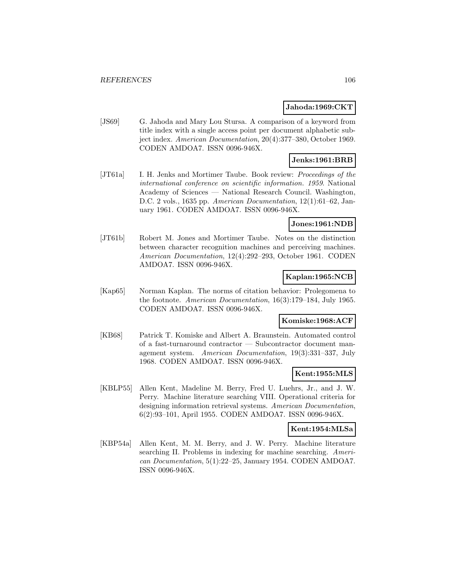### **Jahoda:1969:CKT**

[JS69] G. Jahoda and Mary Lou Stursa. A comparison of a keyword from title index with a single access point per document alphabetic subject index. American Documentation, 20(4):377–380, October 1969. CODEN AMDOA7. ISSN 0096-946X.

# **Jenks:1961:BRB**

[JT61a] I. H. Jenks and Mortimer Taube. Book review: Proceedings of the international conference on scientific information. 1959. National Academy of Sciences — National Research Council. Washington, D.C. 2 vols., 1635 pp. American Documentation, 12(1):61–62, January 1961. CODEN AMDOA7. ISSN 0096-946X.

## **Jones:1961:NDB**

[JT61b] Robert M. Jones and Mortimer Taube. Notes on the distinction between character recognition machines and perceiving machines. American Documentation, 12(4):292–293, October 1961. CODEN AMDOA7. ISSN 0096-946X.

## **Kaplan:1965:NCB**

[Kap65] Norman Kaplan. The norms of citation behavior: Prolegomena to the footnote. American Documentation, 16(3):179–184, July 1965. CODEN AMDOA7. ISSN 0096-946X.

## **Komiske:1968:ACF**

[KB68] Patrick T. Komiske and Albert A. Braunstein. Automated control of a fast-turnaround contractor — Subcontractor document management system. American Documentation, 19(3):331–337, July 1968. CODEN AMDOA7. ISSN 0096-946X.

### **Kent:1955:MLS**

[KBLP55] Allen Kent, Madeline M. Berry, Fred U. Luehrs, Jr., and J. W. Perry. Machine literature searching VIII. Operational criteria for designing information retrieval systems. American Documentation, 6(2):93–101, April 1955. CODEN AMDOA7. ISSN 0096-946X.

## **Kent:1954:MLSa**

[KBP54a] Allen Kent, M. M. Berry, and J. W. Perry. Machine literature searching II. Problems in indexing for machine searching. American Documentation, 5(1):22–25, January 1954. CODEN AMDOA7. ISSN 0096-946X.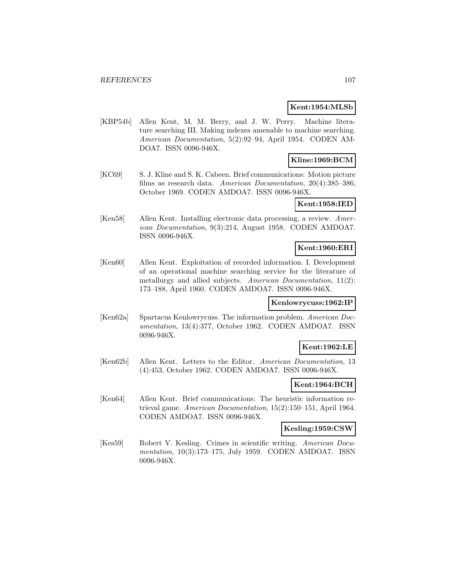### **Kent:1954:MLSb**

[KBP54b] Allen Kent, M. M. Berry, and J. W. Perry. Machine literature searching III. Making indexes amenable to machine searching. American Documentation, 5(2):92–94, April 1954. CODEN AM-DOA7. ISSN 0096-946X.

# **Kline:1969:BCM**

[KC69] S. J. Kline and S. K. Cabeen. Brief communications: Motion picture films as research data. American Documentation, 20(4):385–386, October 1969. CODEN AMDOA7. ISSN 0096-946X.

## **Kent:1958:IED**

[Ken58] Allen Kent. Installing electronic data processing, a review. American Documentation, 9(3):214, August 1958. CODEN AMDOA7. ISSN 0096-946X.

## **Kent:1960:ERI**

[Ken60] Allen Kent. Exploitation of recorded information. I. Development of an operational machine searching service for the literature of metallurgy and allied subjects. American Documentation, 11(2): 173–188, April 1960. CODEN AMDOA7. ISSN 0096-946X.

### **Kenlowrycuss:1962:IP**

[Ken62a] Spartacus Kenlowrycuss. The information problem. American Documentation, 13(4):377, October 1962. CODEN AMDOA7. ISSN 0096-946X.

## **Kent:1962:LE**

[Ken62b] Allen Kent. Letters to the Editor. American Documentation, 13 (4):453, October 1962. CODEN AMDOA7. ISSN 0096-946X.

## **Kent:1964:BCH**

[Ken64] Allen Kent. Brief communications: The heuristic information retrieval game. American Documentation, 15(2):150–151, April 1964. CODEN AMDOA7. ISSN 0096-946X.

### **Kesling:1959:CSW**

[Kes59] Robert V. Kesling. Crimes in scientific writing. American Documentation, 10(3):173–175, July 1959. CODEN AMDOA7. ISSN 0096-946X.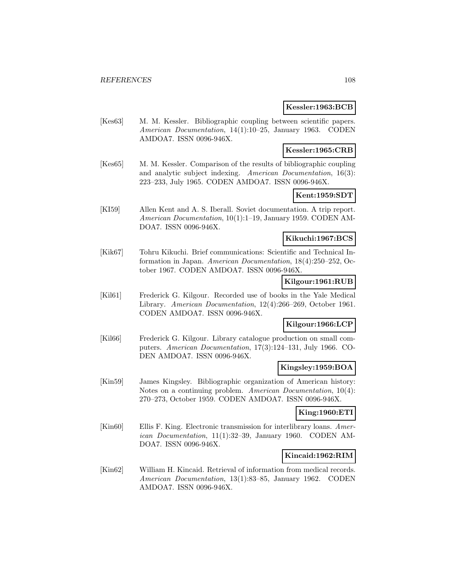### **Kessler:1963:BCB**

[Kes63] M. M. Kessler. Bibliographic coupling between scientific papers. American Documentation, 14(1):10–25, January 1963. CODEN AMDOA7. ISSN 0096-946X.

## **Kessler:1965:CRB**

[Kes65] M. M. Kessler. Comparison of the results of bibliographic coupling and analytic subject indexing. American Documentation, 16(3): 223–233, July 1965. CODEN AMDOA7. ISSN 0096-946X.

## **Kent:1959:SDT**

[KI59] Allen Kent and A. S. Iberall. Soviet documentation. A trip report. American Documentation, 10(1):1–19, January 1959. CODEN AM-DOA7. ISSN 0096-946X.

## **Kikuchi:1967:BCS**

[Kik67] Tohru Kikuchi. Brief communications: Scientific and Technical Information in Japan. American Documentation, 18(4):250–252, October 1967. CODEN AMDOA7. ISSN 0096-946X.

### **Kilgour:1961:RUB**

[Kil61] Frederick G. Kilgour. Recorded use of books in the Yale Medical Library. American Documentation, 12(4):266–269, October 1961. CODEN AMDOA7. ISSN 0096-946X.

## **Kilgour:1966:LCP**

[Kil66] Frederick G. Kilgour. Library catalogue production on small computers. American Documentation, 17(3):124–131, July 1966. CO-DEN AMDOA7. ISSN 0096-946X.

## **Kingsley:1959:BOA**

[Kin59] James Kingsley. Bibliographic organization of American history: Notes on a continuing problem. American Documentation, 10(4): 270–273, October 1959. CODEN AMDOA7. ISSN 0096-946X.

## **King:1960:ETI**

[Kin60] Ellis F. King. Electronic transmission for interlibrary loans. American Documentation, 11(1):32–39, January 1960. CODEN AM-DOA7. ISSN 0096-946X.

## **Kincaid:1962:RIM**

[Kin62] William H. Kincaid. Retrieval of information from medical records. American Documentation, 13(1):83–85, January 1962. CODEN AMDOA7. ISSN 0096-946X.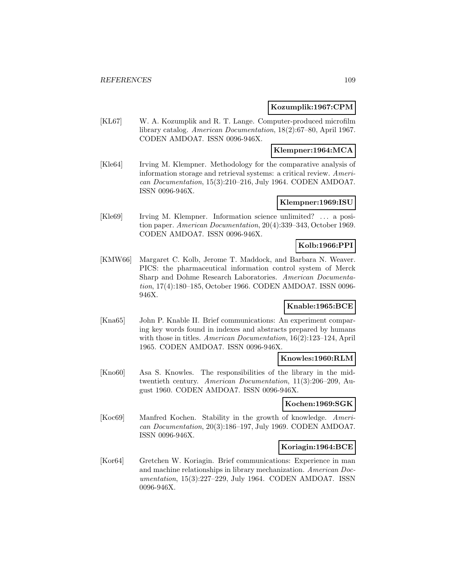### **Kozumplik:1967:CPM**

[KL67] W. A. Kozumplik and R. T. Lange. Computer-produced microfilm library catalog. American Documentation, 18(2):67–80, April 1967. CODEN AMDOA7. ISSN 0096-946X.

### **Klempner:1964:MCA**

[Kle64] Irving M. Klempner. Methodology for the comparative analysis of information storage and retrieval systems: a critical review. American Documentation, 15(3):210–216, July 1964. CODEN AMDOA7. ISSN 0096-946X.

### **Klempner:1969:ISU**

[Kle69] Irving M. Klempner. Information science unlimited? ... a position paper. American Documentation, 20(4):339–343, October 1969. CODEN AMDOA7. ISSN 0096-946X.

# **Kolb:1966:PPI**

[KMW66] Margaret C. Kolb, Jerome T. Maddock, and Barbara N. Weaver. PICS: the pharmaceutical information control system of Merck Sharp and Dohme Research Laboratories. American Documentation, 17(4):180–185, October 1966. CODEN AMDOA7. ISSN 0096- 946X.

# **Knable:1965:BCE**

[Kna65] John P. Knable II. Brief communications: An experiment comparing key words found in indexes and abstracts prepared by humans with those in titles. American Documentation, 16(2):123–124, April 1965. CODEN AMDOA7. ISSN 0096-946X.

### **Knowles:1960:RLM**

[Kno60] Asa S. Knowles. The responsibilities of the library in the midtwentieth century. American Documentation, 11(3):206–209, August 1960. CODEN AMDOA7. ISSN 0096-946X.

#### **Kochen:1969:SGK**

[Koc69] Manfred Kochen. Stability in the growth of knowledge. American Documentation, 20(3):186–197, July 1969. CODEN AMDOA7. ISSN 0096-946X.

#### **Koriagin:1964:BCE**

[Kor64] Gretchen W. Koriagin. Brief communications: Experience in man and machine relationships in library mechanization. American Documentation, 15(3):227–229, July 1964. CODEN AMDOA7. ISSN 0096-946X.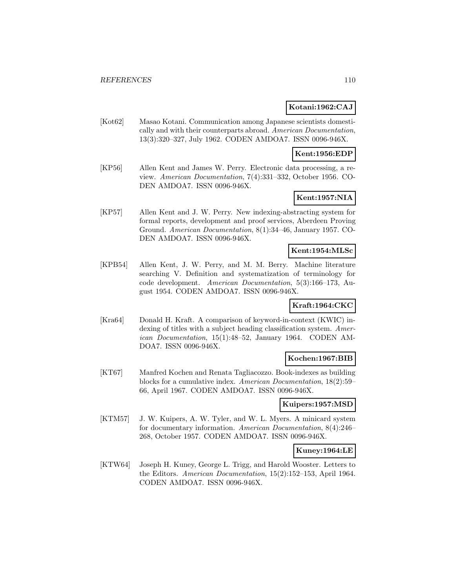### **Kotani:1962:CAJ**

[Kot62] Masao Kotani. Communication among Japanese scientists domestically and with their counterparts abroad. American Documentation, 13(3):320–327, July 1962. CODEN AMDOA7. ISSN 0096-946X.

### **Kent:1956:EDP**

[KP56] Allen Kent and James W. Perry. Electronic data processing, a review. American Documentation, 7(4):331–332, October 1956. CO-DEN AMDOA7. ISSN 0096-946X.

# **Kent:1957:NIA**

[KP57] Allen Kent and J. W. Perry. New indexing-abstracting system for formal reports, development and proof services, Aberdeen Proving Ground. American Documentation, 8(1):34–46, January 1957. CO-DEN AMDOA7. ISSN 0096-946X.

### **Kent:1954:MLSc**

[KPB54] Allen Kent, J. W. Perry, and M. M. Berry. Machine literature searching V. Definition and systematization of terminology for code development. American Documentation, 5(3):166–173, August 1954. CODEN AMDOA7. ISSN 0096-946X.

# **Kraft:1964:CKC**

[Kra64] Donald H. Kraft. A comparison of keyword-in-context (KWIC) indexing of titles with a subject heading classification system. American Documentation, 15(1):48–52, January 1964. CODEN AM-DOA7. ISSN 0096-946X.

## **Kochen:1967:BIB**

[KT67] Manfred Kochen and Renata Tagliacozzo. Book-indexes as building blocks for a cumulative index. American Documentation, 18(2):59– 66, April 1967. CODEN AMDOA7. ISSN 0096-946X.

#### **Kuipers:1957:MSD**

[KTM57] J. W. Kuipers, A. W. Tyler, and W. L. Myers. A minicard system for documentary information. American Documentation, 8(4):246– 268, October 1957. CODEN AMDOA7. ISSN 0096-946X.

### **Kuney:1964:LE**

[KTW64] Joseph H. Kuney, George L. Trigg, and Harold Wooster. Letters to the Editors. American Documentation, 15(2):152–153, April 1964. CODEN AMDOA7. ISSN 0096-946X.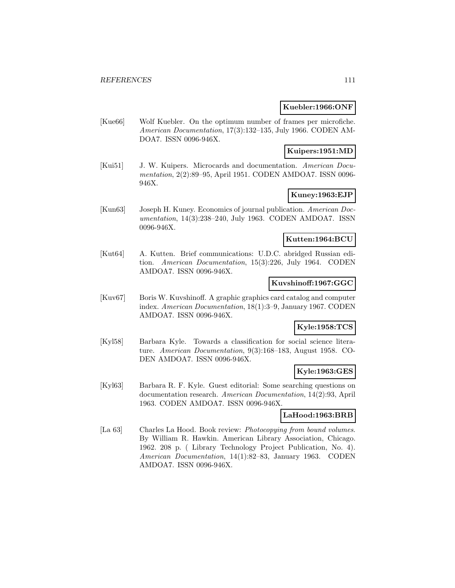### **Kuebler:1966:ONF**

[Kue66] Wolf Kuebler. On the optimum number of frames per microfiche. American Documentation, 17(3):132–135, July 1966. CODEN AM-DOA7. ISSN 0096-946X.

### **Kuipers:1951:MD**

[Kui51] J. W. Kuipers. Microcards and documentation. American Documentation, 2(2):89–95, April 1951. CODEN AMDOA7. ISSN 0096- 946X.

# **Kuney:1963:EJP**

[Kun63] Joseph H. Kuney. Economics of journal publication. American Documentation, 14(3):238–240, July 1963. CODEN AMDOA7. ISSN 0096-946X.

### **Kutten:1964:BCU**

[Kut64] A. Kutten. Brief communications: U.D.C. abridged Russian edition. American Documentation, 15(3):226, July 1964. CODEN AMDOA7. ISSN 0096-946X.

### **Kuvshinoff:1967:GGC**

[Kuv67] Boris W. Kuvshinoff. A graphic graphics card catalog and computer index. American Documentation, 18(1):3–9, January 1967. CODEN AMDOA7. ISSN 0096-946X.

### **Kyle:1958:TCS**

[Kyl58] Barbara Kyle. Towards a classification for social science literature. American Documentation, 9(3):168–183, August 1958. CO-DEN AMDOA7. ISSN 0096-946X.

#### **Kyle:1963:GES**

[Kyl63] Barbara R. F. Kyle. Guest editorial: Some searching questions on documentation research. American Documentation, 14(2):93, April 1963. CODEN AMDOA7. ISSN 0096-946X.

### **LaHood:1963:BRB**

[La 63] Charles La Hood. Book review: *Photocopying from bound volumes*. By William R. Hawkin. American Library Association, Chicago. 1962. 208 p. ( Library Technology Project Publication, No. 4). American Documentation, 14(1):82–83, January 1963. CODEN AMDOA7. ISSN 0096-946X.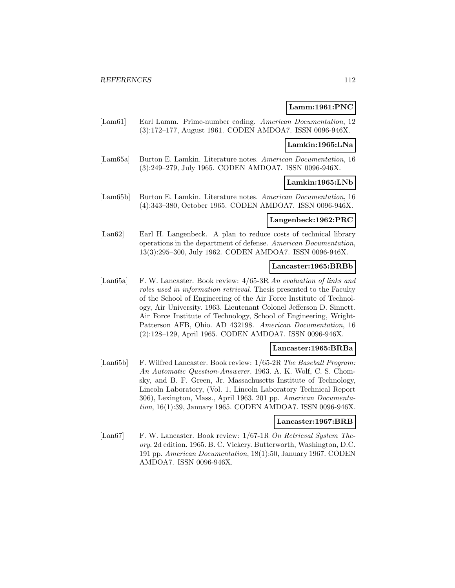#### **Lamm:1961:PNC**

[Lam61] Earl Lamm. Prime-number coding. American Documentation, 12 (3):172–177, August 1961. CODEN AMDOA7. ISSN 0096-946X.

#### **Lamkin:1965:LNa**

[Lam65a] Burton E. Lamkin. Literature notes. American Documentation, 16 (3):249–279, July 1965. CODEN AMDOA7. ISSN 0096-946X.

## **Lamkin:1965:LNb**

[Lam65b] Burton E. Lamkin. Literature notes. American Documentation, 16 (4):343–380, October 1965. CODEN AMDOA7. ISSN 0096-946X.

### **Langenbeck:1962:PRC**

[Lan62] Earl H. Langenbeck. A plan to reduce costs of technical library operations in the department of defense. American Documentation, 13(3):295–300, July 1962. CODEN AMDOA7. ISSN 0096-946X.

#### **Lancaster:1965:BRBb**

[Lan65a] F. W. Lancaster. Book review: 4/65-3R An evaluation of links and roles used in information retrieval. Thesis presented to the Faculty of the School of Engineering of the Air Force Institute of Technology, Air University. 1963. Lieutenant Colonel Jefferson D. Sinnett. Air Force Institute of Technology, School of Engineering, Wright-Patterson AFB, Ohio. AD 432198. American Documentation, 16 (2):128–129, April 1965. CODEN AMDOA7. ISSN 0096-946X.

#### **Lancaster:1965:BRBa**

[Lan65b] F. Wilfred Lancaster. Book review:  $1/65$ -2R The Baseball Program: An Automatic Question-Answerer. 1963. A. K. Wolf, C. S. Chomsky, and B. F. Green, Jr. Massachusetts Institute of Technology, Lincoln Laboratory, (Vol. 1, Lincoln Laboratory Technical Report 306), Lexington, Mass., April 1963. 201 pp. American Documentation, 16(1):39, January 1965. CODEN AMDOA7. ISSN 0096-946X.

#### **Lancaster:1967:BRB**

[Lan67] F. W. Lancaster. Book review:  $1/67$ -1R On Retrieval System Theory. 2d edition. 1965. B. C. Vickery. Butterworth, Washington, D.C. 191 pp. American Documentation, 18(1):50, January 1967. CODEN AMDOA7. ISSN 0096-946X.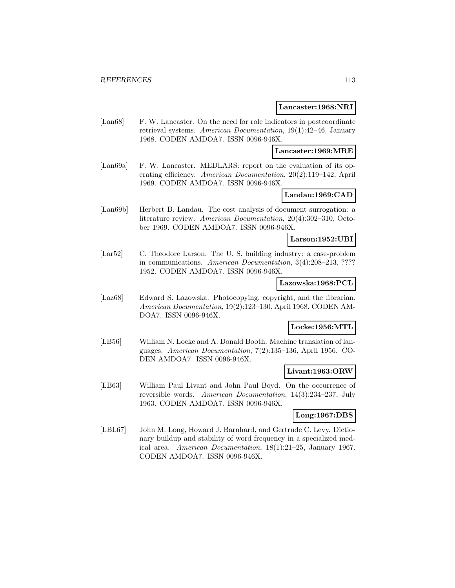#### **Lancaster:1968:NRI**

[Lan68] F. W. Lancaster. On the need for role indicators in postcoordinate retrieval systems. American Documentation, 19(1):42–46, January 1968. CODEN AMDOA7. ISSN 0096-946X.

#### **Lancaster:1969:MRE**

[Lan69a] F. W. Lancaster. MEDLARS: report on the evaluation of its operating efficiency. American Documentation, 20(2):119–142, April 1969. CODEN AMDOA7. ISSN 0096-946X.

## **Landau:1969:CAD**

[Lan69b] Herbert B. Landau. The cost analysis of document surrogation: a literature review. American Documentation, 20(4):302–310, October 1969. CODEN AMDOA7. ISSN 0096-946X.

#### **Larson:1952:UBI**

[Lar52] C. Theodore Larson. The U. S. building industry: a case-problem in communications. American Documentation, 3(4):208–213, ???? 1952. CODEN AMDOA7. ISSN 0096-946X.

#### **Lazowska:1968:PCL**

[Laz68] Edward S. Lazowska. Photocopying, copyright, and the librarian. American Documentation, 19(2):123–130, April 1968. CODEN AM-DOA7. ISSN 0096-946X.

### **Locke:1956:MTL**

[LB56] William N. Locke and A. Donald Booth. Machine translation of languages. American Documentation, 7(2):135–136, April 1956. CO-DEN AMDOA7. ISSN 0096-946X.

### **Livant:1963:ORW**

[LB63] William Paul Livant and John Paul Boyd. On the occurrence of reversible words. American Documentation, 14(3):234–237, July 1963. CODEN AMDOA7. ISSN 0096-946X.

### **Long:1967:DBS**

[LBL67] John M. Long, Howard J. Barnhard, and Gertrude C. Levy. Dictionary buildup and stability of word frequency in a specialized medical area. American Documentation, 18(1):21–25, January 1967. CODEN AMDOA7. ISSN 0096-946X.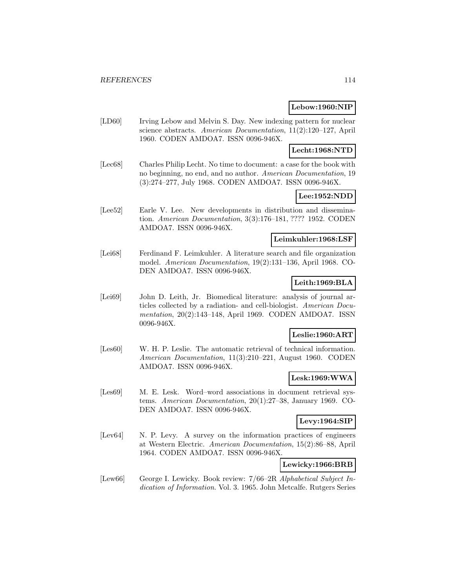### **Lebow:1960:NIP**

[LD60] Irving Lebow and Melvin S. Day. New indexing pattern for nuclear science abstracts. American Documentation, 11(2):120–127, April 1960. CODEN AMDOA7. ISSN 0096-946X.

### **Lecht:1968:NTD**

[Lec68] Charles Philip Lecht. No time to document: a case for the book with no beginning, no end, and no author. American Documentation, 19 (3):274–277, July 1968. CODEN AMDOA7. ISSN 0096-946X.

## **Lee:1952:NDD**

[Lee52] Earle V. Lee. New developments in distribution and dissemination. American Documentation, 3(3):176–181, ???? 1952. CODEN AMDOA7. ISSN 0096-946X.

#### **Leimkuhler:1968:LSF**

[Lei68] Ferdinand F. Leimkuhler. A literature search and file organization model. American Documentation, 19(2):131–136, April 1968. CO-DEN AMDOA7. ISSN 0096-946X.

## **Leith:1969:BLA**

[Lei69] John D. Leith, Jr. Biomedical literature: analysis of journal articles collected by a radiation- and cell-biologist. American Documentation, 20(2):143–148, April 1969. CODEN AMDOA7. ISSN 0096-946X.

### **Leslie:1960:ART**

[Les60] W. H. P. Leslie. The automatic retrieval of technical information. American Documentation, 11(3):210–221, August 1960. CODEN AMDOA7. ISSN 0096-946X.

### **Lesk:1969:WWA**

[Les69] M. E. Lesk. Word–word associations in document retrieval systems. American Documentation, 20(1):27–38, January 1969. CO-DEN AMDOA7. ISSN 0096-946X.

### **Levy:1964:SIP**

[Lev64] N. P. Levy. A survey on the information practices of engineers at Western Electric. American Documentation, 15(2):86–88, April 1964. CODEN AMDOA7. ISSN 0096-946X.

## **Lewicky:1966:BRB**

[Lew66] George I. Lewicky. Book review: 7/66–2R Alphabetical Subject Indication of Information. Vol. 3. 1965. John Metcalfe. Rutgers Series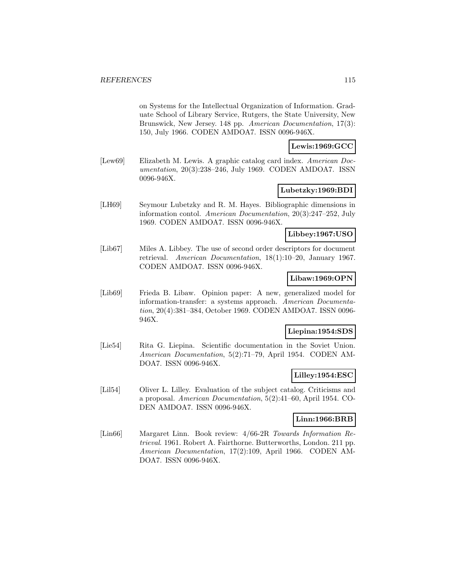on Systems for the Intellectual Organization of Information. Graduate School of Library Service, Rutgers, the State University, New Brunswick, New Jersey. 148 pp. *American Documentation*, 17(3): 150, July 1966. CODEN AMDOA7. ISSN 0096-946X.

### **Lewis:1969:GCC**

[Lew69] Elizabeth M. Lewis. A graphic catalog card index. American Documentation, 20(3):238–246, July 1969. CODEN AMDOA7. ISSN 0096-946X.

### **Lubetzky:1969:BDI**

[LH69] Seymour Lubetzky and R. M. Hayes. Bibliographic dimensions in information contol. American Documentation, 20(3):247–252, July 1969. CODEN AMDOA7. ISSN 0096-946X.

### **Libbey:1967:USO**

[Lib67] Miles A. Libbey. The use of second order descriptors for document retrieval. American Documentation, 18(1):10–20, January 1967. CODEN AMDOA7. ISSN 0096-946X.

#### **Libaw:1969:OPN**

[Lib69] Frieda B. Libaw. Opinion paper: A new, generalized model for information-transfer: a systems approach. American Documentation, 20(4):381–384, October 1969. CODEN AMDOA7. ISSN 0096- 946X.

### **Liepina:1954:SDS**

[Lie54] Rita G. Liepina. Scientific documentation in the Soviet Union. American Documentation, 5(2):71–79, April 1954. CODEN AM-DOA7. ISSN 0096-946X.

### **Lilley:1954:ESC**

[Lil54] Oliver L. Lilley. Evaluation of the subject catalog. Criticisms and a proposal. American Documentation, 5(2):41–60, April 1954. CO-DEN AMDOA7. ISSN 0096-946X.

#### **Linn:1966:BRB**

[Lin66] Margaret Linn. Book review: 4/66-2R Towards Information Retrieval. 1961. Robert A. Fairthorne. Butterworths, London. 211 pp. American Documentation, 17(2):109, April 1966. CODEN AM-DOA7. ISSN 0096-946X.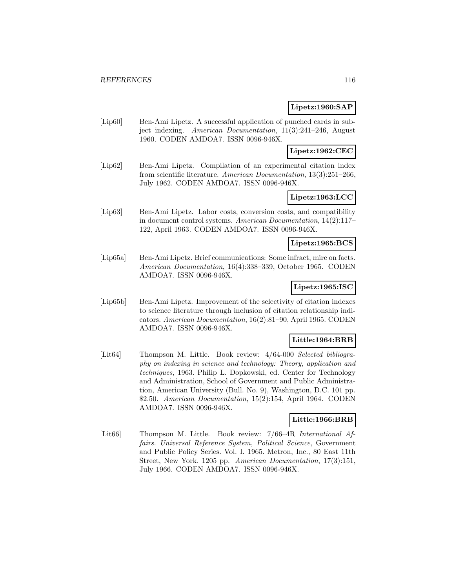### **Lipetz:1960:SAP**

[Lip60] Ben-Ami Lipetz. A successful application of punched cards in subject indexing. American Documentation, 11(3):241–246, August 1960. CODEN AMDOA7. ISSN 0096-946X.

### **Lipetz:1962:CEC**

[Lip62] Ben-Ami Lipetz. Compilation of an experimental citation index from scientific literature. American Documentation, 13(3):251–266, July 1962. CODEN AMDOA7. ISSN 0096-946X.

# **Lipetz:1963:LCC**

[Lip63] Ben-Ami Lipetz. Labor costs, conversion costs, and compatibility in document control systems. American Documentation, 14(2):117– 122, April 1963. CODEN AMDOA7. ISSN 0096-946X.

### **Lipetz:1965:BCS**

[Lip65a] Ben-Ami Lipetz. Brief communications: Some infract, mire on facts. American Documentation, 16(4):338–339, October 1965. CODEN AMDOA7. ISSN 0096-946X.

## **Lipetz:1965:ISC**

[Lip65b] Ben-Ami Lipetz. Improvement of the selectivity of citation indexes to science literature through inclusion of citation relationship indicators. American Documentation, 16(2):81–90, April 1965. CODEN AMDOA7. ISSN 0096-946X.

#### **Little:1964:BRB**

[Lit64] Thompson M. Little. Book review:  $4/64-000$  Selected bibliography on indexing in science and technology: Theory, application and techniques, 1963. Philip L. Dopkowski, ed. Center for Technology and Administration, School of Government and Public Administration, American University (Bull. No. 9), Washington, D.C. 101 pp. \$2.50. American Documentation, 15(2):154, April 1964. CODEN AMDOA7. ISSN 0096-946X.

### **Little:1966:BRB**

[Lit66] Thompson M. Little. Book review: 7/66–4R International Affairs. Universal Reference System, Political Science, Government and Public Policy Series. Vol. I. 1965. Metron, Inc., 80 East 11th Street, New York. 1205 pp. American Documentation, 17(3):151, July 1966. CODEN AMDOA7. ISSN 0096-946X.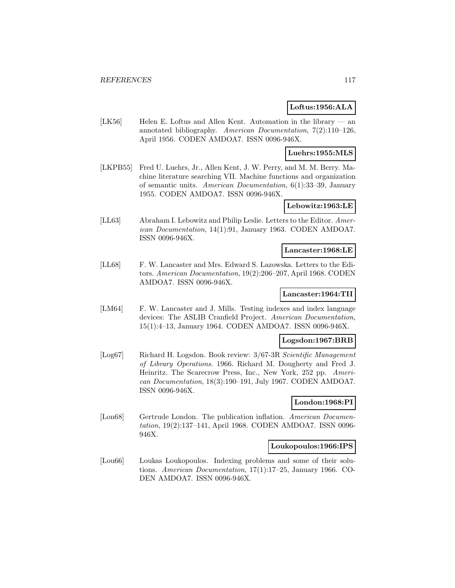### **Loftus:1956:ALA**

[LK56] Helen E. Loftus and Allen Kent. Automation in the library  $-$  an annotated bibliography. American Documentation, 7(2):110–126, April 1956. CODEN AMDOA7. ISSN 0096-946X.

**Luehrs:1955:MLS**

[LKPB55] Fred U. Luehrs, Jr., Allen Kent, J. W. Perry, and M. M. Berry. Machine literature searching VII. Machine functions and organization of semantic units. American Documentation, 6(1):33–39, January 1955. CODEN AMDOA7. ISSN 0096-946X.

**Lebowitz:1963:LE**

[LL63] Abraham I. Lebowitz and Philip Leslie. Letters to the Editor. American Documentation, 14(1):91, January 1963. CODEN AMDOA7. ISSN 0096-946X.

#### **Lancaster:1968:LE**

[LL68] F. W. Lancaster and Mrs. Edward S. Lazowska. Letters to the Editors. American Documentation, 19(2):206–207, April 1968. CODEN AMDOA7. ISSN 0096-946X.

#### **Lancaster:1964:TII**

[LM64] F. W. Lancaster and J. Mills. Testing indexes and index language devices: The ASLIB Cranfield Project. American Documentation, 15(1):4–13, January 1964. CODEN AMDOA7. ISSN 0096-946X.

#### **Logsdon:1967:BRB**

[Log67] Richard H. Logsdon. Book review: 3/67-3R Scientific Management of Library Operations. 1966. Richard M. Dougherty and Fred J. Heinritz. The Scarecrow Press, Inc., New York, 252 pp. American Documentation, 18(3):190–191, July 1967. CODEN AMDOA7. ISSN 0096-946X.

#### **London:1968:PI**

[Lon68] Gertrude London. The publication inflation. American Documentation, 19(2):137–141, April 1968. CODEN AMDOA7. ISSN 0096- 946X.

#### **Loukopoulos:1966:IPS**

[Lou66] Loukas Loukopoulos. Indexing problems and some of their solutions. American Documentation, 17(1):17–25, January 1966. CO-DEN AMDOA7. ISSN 0096-946X.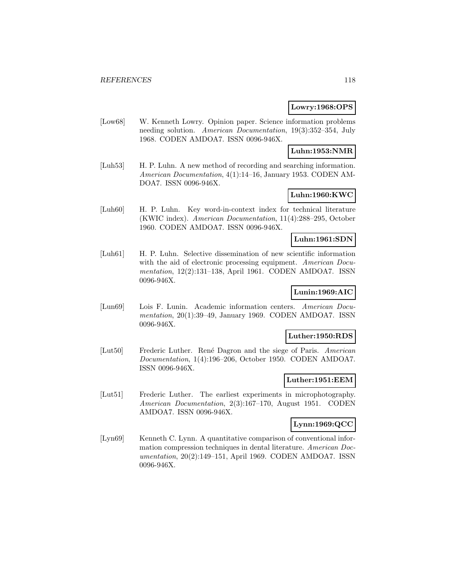### **Lowry:1968:OPS**

[Low68] W. Kenneth Lowry. Opinion paper. Science information problems needing solution. American Documentation, 19(3):352–354, July 1968. CODEN AMDOA7. ISSN 0096-946X.

#### **Luhn:1953:NMR**

[Luh53] H. P. Luhn. A new method of recording and searching information. American Documentation, 4(1):14–16, January 1953. CODEN AM-DOA7. ISSN 0096-946X.

# **Luhn:1960:KWC**

[Luh60] H. P. Luhn. Key word-in-context index for technical literature (KWIC index). American Documentation, 11(4):288–295, October 1960. CODEN AMDOA7. ISSN 0096-946X.

### **Luhn:1961:SDN**

[Luh61] H. P. Luhn. Selective dissemination of new scientific information with the aid of electronic processing equipment. American Documentation, 12(2):131–138, April 1961. CODEN AMDOA7. ISSN 0096-946X.

# **Lunin:1969:AIC**

[Lun69] Lois F. Lunin. Academic information centers. American Documentation, 20(1):39–49, January 1969. CODEN AMDOA7. ISSN 0096-946X.

#### **Luther:1950:RDS**

[Lut50] Frederic Luther. René Dagron and the siege of Paris. American Documentation, 1(4):196–206, October 1950. CODEN AMDOA7. ISSN 0096-946X.

### **Luther:1951:EEM**

[Lut51] Frederic Luther. The earliest experiments in microphotography. American Documentation, 2(3):167–170, August 1951. CODEN AMDOA7. ISSN 0096-946X.

## **Lynn:1969:QCC**

[Lyn69] Kenneth C. Lynn. A quantitative comparison of conventional information compression techniques in dental literature. American Documentation, 20(2):149–151, April 1969. CODEN AMDOA7. ISSN 0096-946X.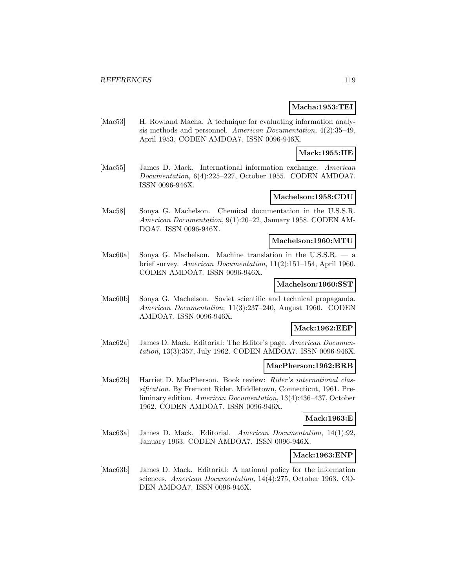### **Macha:1953:TEI**

[Mac53] H. Rowland Macha. A technique for evaluating information analysis methods and personnel. American Documentation, 4(2):35–49, April 1953. CODEN AMDOA7. ISSN 0096-946X.

#### **Mack:1955:IIE**

[Mac55] James D. Mack. International information exchange. American Documentation, 6(4):225–227, October 1955. CODEN AMDOA7. ISSN 0096-946X.

## **Machelson:1958:CDU**

[Mac58] Sonya G. Machelson. Chemical documentation in the U.S.S.R. American Documentation, 9(1):20–22, January 1958. CODEN AM-DOA7. ISSN 0096-946X.

#### **Machelson:1960:MTU**

[Mac60a] Sonya G. Machelson. Machine translation in the U.S.S.R. — a brief survey. American Documentation, 11(2):151–154, April 1960. CODEN AMDOA7. ISSN 0096-946X.

#### **Machelson:1960:SST**

[Mac60b] Sonya G. Machelson. Soviet scientific and technical propaganda. American Documentation, 11(3):237–240, August 1960. CODEN AMDOA7. ISSN 0096-946X.

#### **Mack:1962:EEP**

[Mac62a] James D. Mack. Editorial: The Editor's page. American Documentation, 13(3):357, July 1962. CODEN AMDOA7. ISSN 0096-946X.

### **MacPherson:1962:BRB**

[Mac62b] Harriet D. MacPherson. Book review: Rider's international classification. By Fremont Rider. Middletown, Connecticut, 1961. Preliminary edition. American Documentation, 13(4):436–437, October 1962. CODEN AMDOA7. ISSN 0096-946X.

#### **Mack:1963:E**

[Mac63a] James D. Mack. Editorial. American Documentation, 14(1):92, January 1963. CODEN AMDOA7. ISSN 0096-946X.

**Mack:1963:ENP**

[Mac63b] James D. Mack. Editorial: A national policy for the information sciences. American Documentation, 14(4):275, October 1963. CO-DEN AMDOA7. ISSN 0096-946X.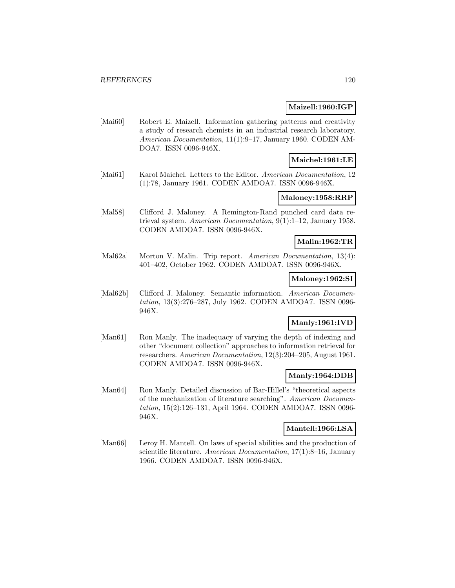#### **Maizell:1960:IGP**

[Mai60] Robert E. Maizell. Information gathering patterns and creativity a study of research chemists in an industrial research laboratory. American Documentation, 11(1):9–17, January 1960. CODEN AM-DOA7. ISSN 0096-946X.

# **Maichel:1961:LE**

[Mai61] Karol Maichel. Letters to the Editor. American Documentation, 12 (1):78, January 1961. CODEN AMDOA7. ISSN 0096-946X.

# **Maloney:1958:RRP**

[Mal58] Clifford J. Maloney. A Remington-Rand punched card data retrieval system. American Documentation, 9(1):1–12, January 1958. CODEN AMDOA7. ISSN 0096-946X.

### **Malin:1962:TR**

[Mal62a] Morton V. Malin. Trip report. American Documentation, 13(4): 401–402, October 1962. CODEN AMDOA7. ISSN 0096-946X.

#### **Maloney:1962:SI**

[Mal62b] Clifford J. Maloney. Semantic information. American Documentation, 13(3):276–287, July 1962. CODEN AMDOA7. ISSN 0096- 946X.

# **Manly:1961:IVD**

[Man61] Ron Manly. The inadequacy of varying the depth of indexing and other "document collection" approaches to information retrieval for researchers. American Documentation, 12(3):204–205, August 1961. CODEN AMDOA7. ISSN 0096-946X.

### **Manly:1964:DDB**

[Man64] Ron Manly. Detailed discussion of Bar-Hillel's "theoretical aspects of the mechanization of literature searching". American Documentation, 15(2):126–131, April 1964. CODEN AMDOA7. ISSN 0096- 946X.

### **Mantell:1966:LSA**

[Man66] Leroy H. Mantell. On laws of special abilities and the production of scientific literature. American Documentation, 17(1):8-16, January 1966. CODEN AMDOA7. ISSN 0096-946X.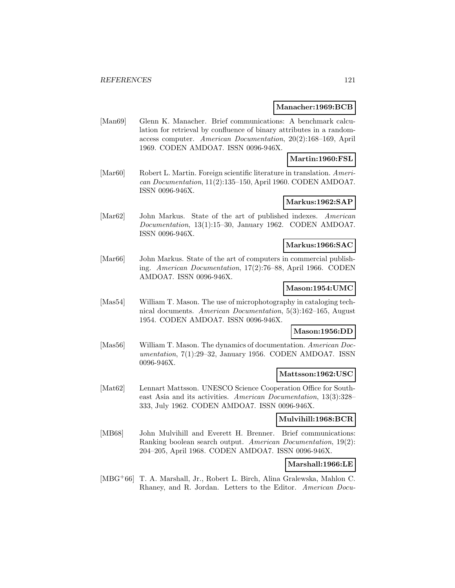#### **Manacher:1969:BCB**

[Man69] Glenn K. Manacher. Brief communications: A benchmark calculation for retrieval by confluence of binary attributes in a randomaccess computer. American Documentation, 20(2):168–169, April 1969. CODEN AMDOA7. ISSN 0096-946X.

### **Martin:1960:FSL**

[Mar60] Robert L. Martin. Foreign scientific literature in translation. American Documentation, 11(2):135–150, April 1960. CODEN AMDOA7. ISSN 0096-946X.

#### **Markus:1962:SAP**

[Mar62] John Markus. State of the art of published indexes. American Documentation, 13(1):15–30, January 1962. CODEN AMDOA7. ISSN 0096-946X.

### **Markus:1966:SAC**

[Mar<sub>66</sub>] John Markus. State of the art of computers in commercial publishing. American Documentation, 17(2):76–88, April 1966. CODEN AMDOA7. ISSN 0096-946X.

### **Mason:1954:UMC**

[Mas54] William T. Mason. The use of microphotography in cataloging technical documents. American Documentation, 5(3):162–165, August 1954. CODEN AMDOA7. ISSN 0096-946X.

## **Mason:1956:DD**

[Mas56] William T. Mason. The dynamics of documentation. American Documentation, 7(1):29–32, January 1956. CODEN AMDOA7. ISSN 0096-946X.

#### **Mattsson:1962:USC**

[Mat62] Lennart Mattsson. UNESCO Science Cooperation Office for Southeast Asia and its activities. American Documentation, 13(3):328– 333, July 1962. CODEN AMDOA7. ISSN 0096-946X.

#### **Mulvihill:1968:BCR**

[MB68] John Mulvihill and Everett H. Brenner. Brief communications: Ranking boolean search output. American Documentation, 19(2): 204–205, April 1968. CODEN AMDOA7. ISSN 0096-946X.

### **Marshall:1966:LE**

[MBG<sup>+</sup>66] T. A. Marshall, Jr., Robert L. Birch, Alina Gralewska, Mahlon C. Rhaney, and R. Jordan. Letters to the Editor. American Docu-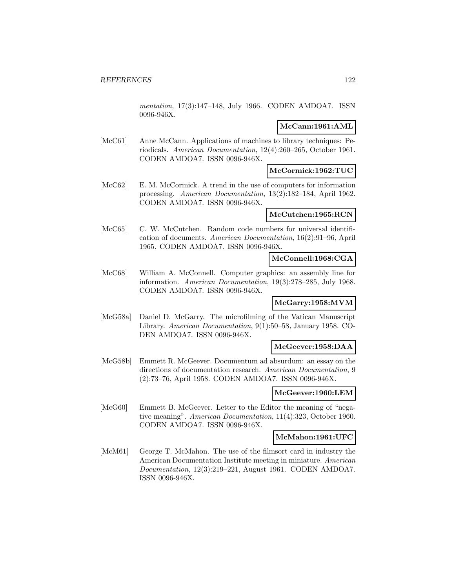mentation, 17(3):147–148, July 1966. CODEN AMDOA7. ISSN 0096-946X.

### **McCann:1961:AML**

[McC61] Anne McCann. Applications of machines to library techniques: Periodicals. American Documentation, 12(4):260–265, October 1961. CODEN AMDOA7. ISSN 0096-946X.

## **McCormick:1962:TUC**

[McC62] E. M. McCormick. A trend in the use of computers for information processing. American Documentation, 13(2):182–184, April 1962. CODEN AMDOA7. ISSN 0096-946X.

### **McCutchen:1965:RCN**

[McC65] C. W. McCutchen. Random code numbers for universal identification of documents. American Documentation, 16(2):91–96, April 1965. CODEN AMDOA7. ISSN 0096-946X.

### **McConnell:1968:CGA**

[McC68] William A. McConnell. Computer graphics: an assembly line for information. American Documentation, 19(3):278–285, July 1968. CODEN AMDOA7. ISSN 0096-946X.

### **McGarry:1958:MVM**

[McG58a] Daniel D. McGarry. The microfilming of the Vatican Manuscript Library. American Documentation, 9(1):50–58, January 1958. CO-DEN AMDOA7. ISSN 0096-946X.

### **McGeever:1958:DAA**

[McG58b] Emmett R. McGeever. Documentum ad absurdum: an essay on the directions of documentation research. American Documentation, 9 (2):73–76, April 1958. CODEN AMDOA7. ISSN 0096-946X.

### **McGeever:1960:LEM**

[McG60] Emmett B. McGeever. Letter to the Editor the meaning of "negative meaning". American Documentation, 11(4):323, October 1960. CODEN AMDOA7. ISSN 0096-946X.

#### **McMahon:1961:UFC**

[McM61] George T. McMahon. The use of the filmsort card in industry the American Documentation Institute meeting in miniature. American Documentation, 12(3):219–221, August 1961. CODEN AMDOA7. ISSN 0096-946X.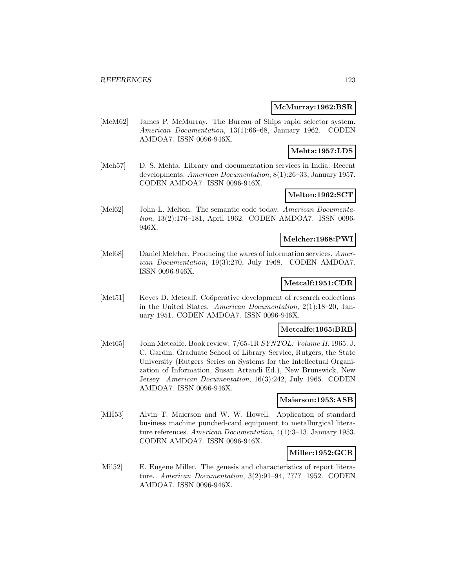#### **McMurray:1962:BSR**

[McM62] James P. McMurray. The Bureau of Ships rapid selector system. American Documentation, 13(1):66–68, January 1962. CODEN AMDOA7. ISSN 0096-946X.

### **Mehta:1957:LDS**

[Meh57] D. S. Mehta. Library and documentation services in India: Recent developments. American Documentation, 8(1):26–33, January 1957. CODEN AMDOA7. ISSN 0096-946X.

# **Melton:1962:SCT**

[Mel62] John L. Melton. The semantic code today. American Documentation, 13(2):176–181, April 1962. CODEN AMDOA7. ISSN 0096- 946X.

#### **Melcher:1968:PWI**

[Mel68] Daniel Melcher. Producing the wares of information services. American Documentation, 19(3):270, July 1968. CODEN AMDOA7. ISSN 0096-946X.

#### **Metcalf:1951:CDR**

[Met51] Keyes D. Metcalf. Coöperative development of research collections in the United States. American Documentation, 2(1):18–20, January 1951. CODEN AMDOA7. ISSN 0096-946X.

### **Metcalfe:1965:BRB**

[Met65] John Metcalfe. Book review: 7/65-1R SYNTOL: Volume II. 1965. J. C. Gardin. Graduate School of Library Service, Rutgers, the State University (Rutgers Series on Systems for the Intellectual Organization of Information, Susan Artandi Ed.), New Brunswick, New Jersey. American Documentation, 16(3):242, July 1965. CODEN AMDOA7. ISSN 0096-946X.

#### **Maierson:1953:ASB**

[MH53] Alvin T. Maierson and W. W. Howell. Application of standard business machine punched-card equipment to metallurgical literature references. American Documentation, 4(1):3–13, January 1953. CODEN AMDOA7. ISSN 0096-946X.

### **Miller:1952:GCR**

[Mil52] E. Eugene Miller. The genesis and characteristics of report literature. American Documentation, 3(2):91–94, ???? 1952. CODEN AMDOA7. ISSN 0096-946X.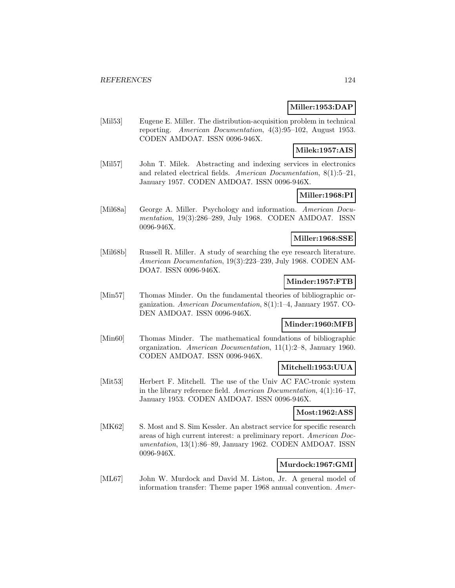### **Miller:1953:DAP**

[Mil53] Eugene E. Miller. The distribution-acquisition problem in technical reporting. American Documentation, 4(3):95–102, August 1953. CODEN AMDOA7. ISSN 0096-946X.

#### **Milek:1957:AIS**

[Mil57] John T. Milek. Abstracting and indexing services in electronics and related electrical fields. American Documentation, 8(1):5–21, January 1957. CODEN AMDOA7. ISSN 0096-946X.

# **Miller:1968:PI**

[Mil68a] George A. Miller. Psychology and information. American Documentation, 19(3):286–289, July 1968. CODEN AMDOA7. ISSN 0096-946X.

#### **Miller:1968:SSE**

[Mil68b] Russell R. Miller. A study of searching the eye research literature. American Documentation, 19(3):223–239, July 1968. CODEN AM-DOA7. ISSN 0096-946X.

## **Minder:1957:FTB**

[Min57] Thomas Minder. On the fundamental theories of bibliographic organization. American Documentation, 8(1):1–4, January 1957. CO-DEN AMDOA7. ISSN 0096-946X.

#### **Minder:1960:MFB**

[Min60] Thomas Minder. The mathematical foundations of bibliographic organization. American Documentation, 11(1):2–8, January 1960. CODEN AMDOA7. ISSN 0096-946X.

# **Mitchell:1953:UUA**

[Mit53] Herbert F. Mitchell. The use of the Univ AC FAC-tronic system in the library reference field. American Documentation, 4(1):16–17, January 1953. CODEN AMDOA7. ISSN 0096-946X.

#### **Most:1962:ASS**

[MK62] S. Most and S. Sim Kessler. An abstract service for specific research areas of high current interest: a preliminary report. American Documentation, 13(1):86–89, January 1962. CODEN AMDOA7. ISSN 0096-946X.

### **Murdock:1967:GMI**

[ML67] John W. Murdock and David M. Liston, Jr. A general model of information transfer: Theme paper 1968 annual convention. Amer-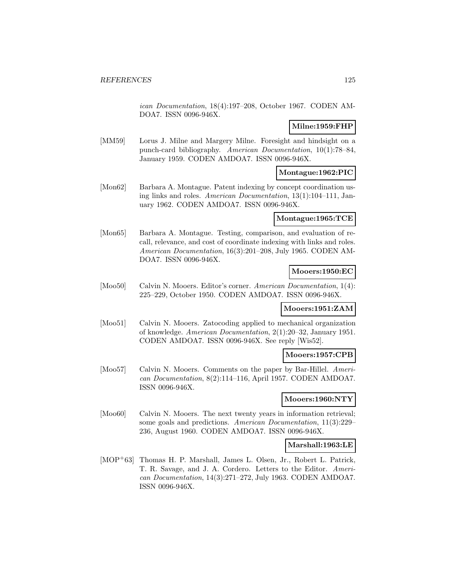ican Documentation, 18(4):197–208, October 1967. CODEN AM-DOA7. ISSN 0096-946X.

#### **Milne:1959:FHP**

[MM59] Lorus J. Milne and Margery Milne. Foresight and hindsight on a punch-card bibliography. American Documentation, 10(1):78–84, January 1959. CODEN AMDOA7. ISSN 0096-946X.

## **Montague:1962:PIC**

[Mon62] Barbara A. Montague. Patent indexing by concept coordination using links and roles. American Documentation, 13(1):104–111, January 1962. CODEN AMDOA7. ISSN 0096-946X.

#### **Montague:1965:TCE**

[Mon65] Barbara A. Montague. Testing, comparison, and evaluation of recall, relevance, and cost of coordinate indexing with links and roles. American Documentation, 16(3):201–208, July 1965. CODEN AM-DOA7. ISSN 0096-946X.

### **Mooers:1950:EC**

[Moo50] Calvin N. Mooers. Editor's corner. American Documentation, 1(4): 225–229, October 1950. CODEN AMDOA7. ISSN 0096-946X.

### **Mooers:1951:ZAM**

[Moo51] Calvin N. Mooers. Zatocoding applied to mechanical organization of knowledge. American Documentation, 2(1):20–32, January 1951. CODEN AMDOA7. ISSN 0096-946X. See reply [Wis52].

### **Mooers:1957:CPB**

[Moo57] Calvin N. Mooers. Comments on the paper by Bar-Hillel. American Documentation, 8(2):114–116, April 1957. CODEN AMDOA7. ISSN 0096-946X.

### **Mooers:1960:NTY**

[Moo60] Calvin N. Mooers. The next twenty years in information retrieval; some goals and predictions. American Documentation, 11(3):229– 236, August 1960. CODEN AMDOA7. ISSN 0096-946X.

### **Marshall:1963:LE**

[MOP<sup>+</sup>63] Thomas H. P. Marshall, James L. Olsen, Jr., Robert L. Patrick, T. R. Savage, and J. A. Cordero. Letters to the Editor. American Documentation, 14(3):271–272, July 1963. CODEN AMDOA7. ISSN 0096-946X.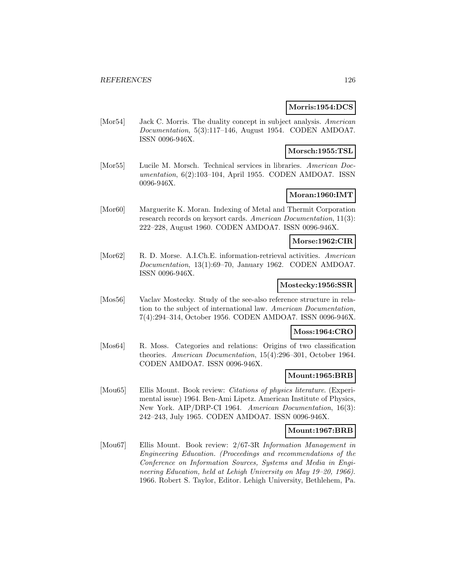### **Morris:1954:DCS**

[Mor54] Jack C. Morris. The duality concept in subject analysis. American Documentation, 5(3):117–146, August 1954. CODEN AMDOA7. ISSN 0096-946X.

### **Morsch:1955:TSL**

[Mor55] Lucile M. Morsch. Technical services in libraries. American Documentation, 6(2):103–104, April 1955. CODEN AMDOA7. ISSN 0096-946X.

# **Moran:1960:IMT**

[Mor60] Marguerite K. Moran. Indexing of Metal and Thermit Corporation research records on keysort cards. American Documentation, 11(3): 222–228, August 1960. CODEN AMDOA7. ISSN 0096-946X.

#### **Morse:1962:CIR**

[Mor62] R. D. Morse. A.I.Ch.E. information-retrieval activities. American Documentation, 13(1):69–70, January 1962. CODEN AMDOA7. ISSN 0096-946X.

### **Mostecky:1956:SSR**

[Mos56] Vaclav Mostecky. Study of the see-also reference structure in relation to the subject of international law. American Documentation, 7(4):294–314, October 1956. CODEN AMDOA7. ISSN 0096-946X.

### **Moss:1964:CRO**

[Mos64] R. Moss. Categories and relations: Origins of two classification theories. American Documentation, 15(4):296–301, October 1964. CODEN AMDOA7. ISSN 0096-946X.

#### **Mount:1965:BRB**

[Mou65] Ellis Mount. Book review: Citations of physics literature. (Experimental issue) 1964. Ben-Ami Lipetz. American Institute of Physics, New York. AIP/DRP-CI 1964. American Documentation, 16(3): 242–243, July 1965. CODEN AMDOA7. ISSN 0096-946X.

#### **Mount:1967:BRB**

[Mou67] Ellis Mount. Book review: 2/67-3R Information Management in Engineering Education. (Proceedings and recommendations of the Conference on Information Sources, Systems and Media in Engineering Education, held at Lehigh University on May 19–20, 1966). 1966. Robert S. Taylor, Editor. Lehigh University, Bethlehem, Pa.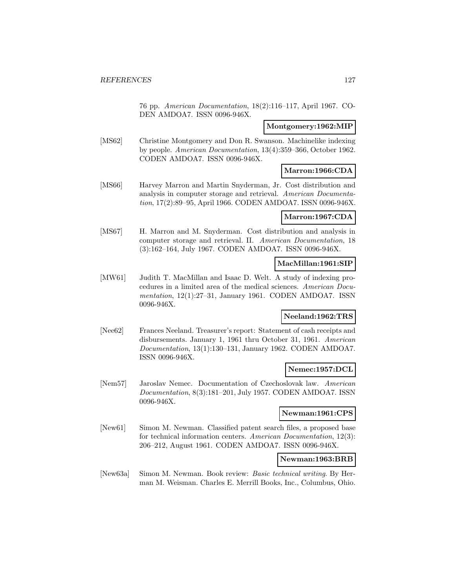76 pp. American Documentation, 18(2):116–117, April 1967. CO-DEN AMDOA7. ISSN 0096-946X.

#### **Montgomery:1962:MIP**

[MS62] Christine Montgomery and Don R. Swanson. Machinelike indexing by people. American Documentation, 13(4):359–366, October 1962. CODEN AMDOA7. ISSN 0096-946X.

## **Marron:1966:CDA**

[MS66] Harvey Marron and Martin Snyderman, Jr. Cost distribution and analysis in computer storage and retrieval. American Documentation, 17(2):89–95, April 1966. CODEN AMDOA7. ISSN 0096-946X.

### **Marron:1967:CDA**

[MS67] H. Marron and M. Snyderman. Cost distribution and analysis in computer storage and retrieval. II. American Documentation, 18 (3):162–164, July 1967. CODEN AMDOA7. ISSN 0096-946X.

### **MacMillan:1961:SIP**

[MW61] Judith T. MacMillan and Isaac D. Welt. A study of indexing procedures in a limited area of the medical sciences. American Documentation, 12(1):27–31, January 1961. CODEN AMDOA7. ISSN 0096-946X.

#### **Neeland:1962:TRS**

[Nee62] Frances Neeland. Treasurer's report: Statement of cash receipts and disbursements. January 1, 1961 thru October 31, 1961. American Documentation, 13(1):130–131, January 1962. CODEN AMDOA7. ISSN 0096-946X.

### **Nemec:1957:DCL**

[Nem57] Jaroslav Nemec. Documentation of Czechoslovak law. American Documentation, 8(3):181–201, July 1957. CODEN AMDOA7. ISSN 0096-946X.

#### **Newman:1961:CPS**

[New61] Simon M. Newman. Classified patent search files, a proposed base for technical information centers. American Documentation, 12(3): 206–212, August 1961. CODEN AMDOA7. ISSN 0096-946X.

#### **Newman:1963:BRB**

[New63a] Simon M. Newman. Book review: Basic technical writing. By Herman M. Weisman. Charles E. Merrill Books, Inc., Columbus, Ohio.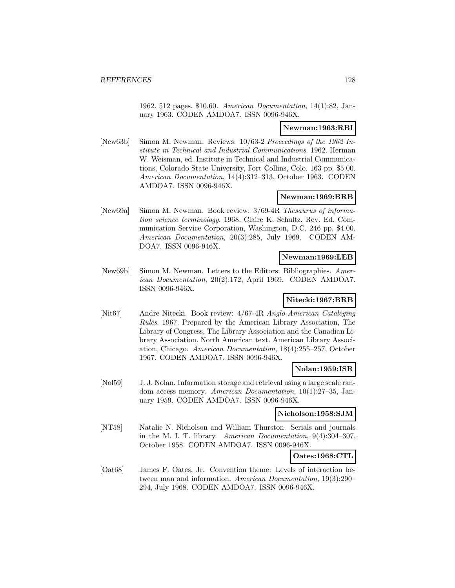1962. 512 pages. \$10.60. American Documentation, 14(1):82, January 1963. CODEN AMDOA7. ISSN 0096-946X.

## **Newman:1963:RBI**

[New63b] Simon M. Newman. Reviews: 10/63-2 Proceedings of the 1962 Institute in Technical and Industrial Communications. 1962. Herman W. Weisman, ed. Institute in Technical and Industrial Communications, Colorado State University, Fort Collins, Colo. 163 pp. \$5.00. American Documentation, 14(4):312–313, October 1963. CODEN AMDOA7. ISSN 0096-946X.

# **Newman:1969:BRB**

[New69a] Simon M. Newman. Book review: 3/69-4R Thesaurus of information science terminology. 1968. Claire K. Schultz. Rev. Ed. Communication Service Corporation, Washington, D.C. 246 pp. \$4.00. American Documentation, 20(3):285, July 1969. CODEN AM-DOA7. ISSN 0096-946X.

### **Newman:1969:LEB**

[New69b] Simon M. Newman. Letters to the Editors: Bibliographies. American Documentation, 20(2):172, April 1969. CODEN AMDOA7. ISSN 0096-946X.

#### **Nitecki:1967:BRB**

[Nit67] Andre Nitecki. Book review: 4/67-4R Anglo-American Cataloging Rules. 1967. Prepared by the American Library Association, The Library of Congress, The Library Association and the Canadian Library Association. North American text. American Library Association, Chicago. American Documentation, 18(4):255–257, October 1967. CODEN AMDOA7. ISSN 0096-946X.

### **Nolan:1959:ISR**

[Nol59] J. J. Nolan. Information storage and retrieval using a large scale random access memory. American Documentation, 10(1):27–35, January 1959. CODEN AMDOA7. ISSN 0096-946X.

#### **Nicholson:1958:SJM**

[NT58] Natalie N. Nicholson and William Thurston. Serials and journals in the M. I. T. library. American Documentation, 9(4):304–307, October 1958. CODEN AMDOA7. ISSN 0096-946X.

#### **Oates:1968:CTL**

[Oat68] James F. Oates, Jr. Convention theme: Levels of interaction between man and information. American Documentation, 19(3):290– 294, July 1968. CODEN AMDOA7. ISSN 0096-946X.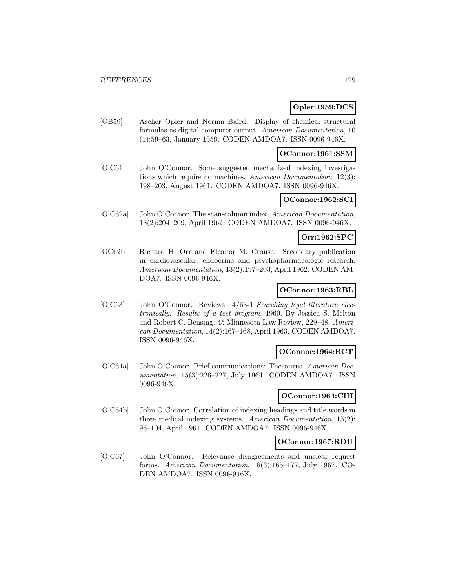### **Opler:1959:DCS**

[OB59] Ascher Opler and Norma Baird. Display of chemical structural formulas as digital computer output. American Documentation, 10 (1):59–63, January 1959. CODEN AMDOA7. ISSN 0096-946X.

#### **OConnor:1961:SSM**

[O'C61] John O'Connor. Some suggested mechanized indexing investigations which require no machines. American Documentation, 12(3): 198–203, August 1961. CODEN AMDOA7. ISSN 0096-946X.

### **OConnor:1962:SCI**

[O'C62a] John O'Connor. The scan-column index. American Documentation, 13(2):204–209, April 1962. CODEN AMDOA7. ISSN 0096-946X.

### **Orr:1962:SPC**

[OC62b] Richard H. Orr and Eleanor M. Crouse. Secondary publication in cardiovascular, endocrine and psychopharmacologic research. American Documentation, 13(2):197–203, April 1962. CODEN AM-DOA7. ISSN 0096-946X.

#### **OConnor:1963:RBL**

[O'C63] John O'Connor. Reviews: 4/63-1 Searching legal literature electronically: Results of a test program. 1960. By Jessica S. Melton and Robert C. Bensing. 45 Minnesota Law Review, 229–48. American Documentation, 14(2):167–168, April 1963. CODEN AMDOA7. ISSN 0096-946X.

#### **OConnor:1964:BCT**

[O'C64a] John O'Connor. Brief communications: Thesaurus. American Documentation, 15(3):226–227, July 1964. CODEN AMDOA7. ISSN 0096-946X.

#### **OConnor:1964:CIH**

[O'C64b] John O'Connor. Correlation of indexing headings and title words in three medical indexing systems. American Documentation, 15(2): 96–104, April 1964. CODEN AMDOA7. ISSN 0096-946X.

## **OConnor:1967:RDU**

[O'C67] John O'Connor. Relevance disagreements and unclear request forms. American Documentation, 18(3):165–177, July 1967. CO-DEN AMDOA7. ISSN 0096-946X.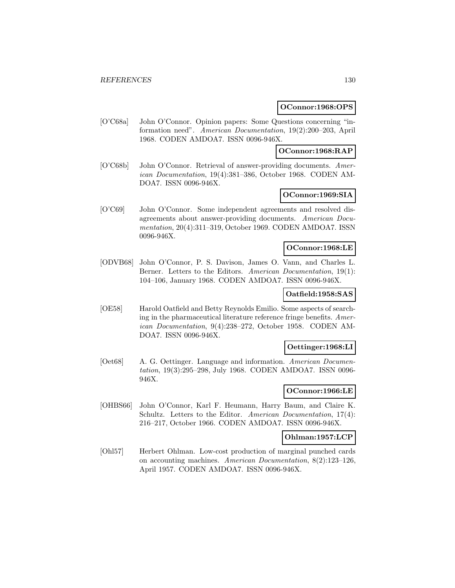#### **OConnor:1968:OPS**

[O'C68a] John O'Connor. Opinion papers: Some Questions concerning "information need". American Documentation, 19(2):200–203, April 1968. CODEN AMDOA7. ISSN 0096-946X.

### **OConnor:1968:RAP**

[O'C68b] John O'Connor. Retrieval of answer-providing documents. American Documentation, 19(4):381–386, October 1968. CODEN AM-DOA7. ISSN 0096-946X.

## **OConnor:1969:SIA**

[O'C69] John O'Connor. Some independent agreements and resolved disagreements about answer-providing documents. American Documentation, 20(4):311–319, October 1969. CODEN AMDOA7. ISSN 0096-946X.

## **OConnor:1968:LE**

[ODVB68] John O'Connor, P. S. Davison, James O. Vann, and Charles L. Berner. Letters to the Editors. American Documentation, 19(1): 104–106, January 1968. CODEN AMDOA7. ISSN 0096-946X.

## **Oatfield:1958:SAS**

[OE58] Harold Oatfield and Betty Reynolds Emilio. Some aspects of searching in the pharmaceutical literature reference fringe benefits. American Documentation, 9(4):238–272, October 1958. CODEN AM-DOA7. ISSN 0096-946X.

### **Oettinger:1968:LI**

[Oet68] A. G. Oettinger. Language and information. American Documentation, 19(3):295–298, July 1968. CODEN AMDOA7. ISSN 0096- 946X.

# **OConnor:1966:LE**

[OHBS66] John O'Connor, Karl F. Heumann, Harry Baum, and Claire K. Schultz. Letters to the Editor. American Documentation, 17(4): 216–217, October 1966. CODEN AMDOA7. ISSN 0096-946X.

#### **Ohlman:1957:LCP**

[Ohl57] Herbert Ohlman. Low-cost production of marginal punched cards on accounting machines. American Documentation, 8(2):123–126, April 1957. CODEN AMDOA7. ISSN 0096-946X.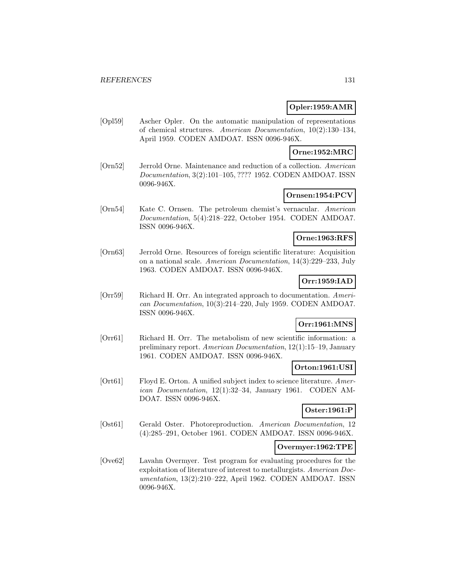### **Opler:1959:AMR**

[Opl59] Ascher Opler. On the automatic manipulation of representations of chemical structures. American Documentation, 10(2):130–134, April 1959. CODEN AMDOA7. ISSN 0096-946X.

**Orne:1952:MRC**

[Orn52] Jerrold Orne. Maintenance and reduction of a collection. American Documentation, 3(2):101–105, ???? 1952. CODEN AMDOA7. ISSN 0096-946X.

## **Ornsen:1954:PCV**

[Orn54] Kate C. Ornsen. The petroleum chemist's vernacular. American Documentation, 5(4):218–222, October 1954. CODEN AMDOA7. ISSN 0096-946X.

#### **Orne:1963:RFS**

[Orn63] Jerrold Orne. Resources of foreign scientific literature: Acquisition on a national scale. American Documentation, 14(3):229–233, July 1963. CODEN AMDOA7. ISSN 0096-946X.

# **Orr:1959:IAD**

[Orr59] Richard H. Orr. An integrated approach to documentation. American Documentation, 10(3):214–220, July 1959. CODEN AMDOA7. ISSN 0096-946X.

# **Orr:1961:MNS**

[Orr61] Richard H. Orr. The metabolism of new scientific information: a preliminary report. American Documentation, 12(1):15–19, January 1961. CODEN AMDOA7. ISSN 0096-946X.

## **Orton:1961:USI**

[Ort61] Floyd E. Orton. A unified subject index to science literature. American Documentation, 12(1):32–34, January 1961. CODEN AM-DOA7. ISSN 0096-946X.

### **Oster:1961:P**

[Ost61] Gerald Oster. Photoreproduction. American Documentation, 12 (4):285–291, October 1961. CODEN AMDOA7. ISSN 0096-946X.

#### **Overmyer:1962:TPE**

[Ove62] Lavahn Overmyer. Test program for evaluating procedures for the exploitation of literature of interest to metallurgists. American Documentation, 13(2):210–222, April 1962. CODEN AMDOA7. ISSN 0096-946X.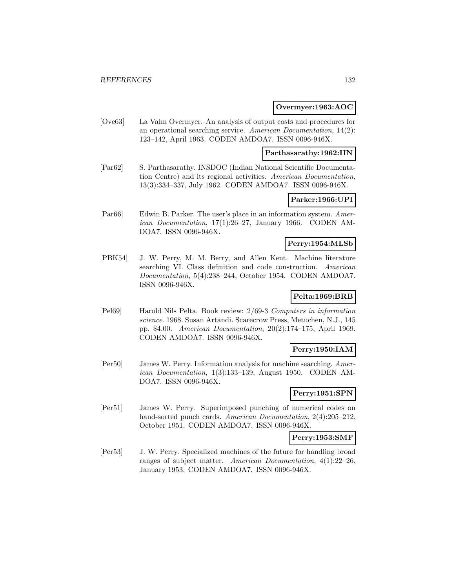#### **Overmyer:1963:AOC**

[Ove63] La Vahn Overmyer. An analysis of output costs and procedures for an operational searching service. American Documentation, 14(2): 123–142, April 1963. CODEN AMDOA7. ISSN 0096-946X.

#### **Parthasarathy:1962:IIN**

[Par62] S. Parthasarathy. INSDOC (Indian National Scientific Documentation Centre) and its regional activities. American Documentation, 13(3):334–337, July 1962. CODEN AMDOA7. ISSN 0096-946X.

### **Parker:1966:UPI**

[Par66] Edwin B. Parker. The user's place in an information system. American Documentation, 17(1):26–27, January 1966. CODEN AM-DOA7. ISSN 0096-946X.

## **Perry:1954:MLSb**

[PBK54] J. W. Perry, M. M. Berry, and Allen Kent. Machine literature searching VI. Class definition and code construction. American Documentation, 5(4):238–244, October 1954. CODEN AMDOA7. ISSN 0096-946X.

### **Pelta:1969:BRB**

[Pel69] Harold Nils Pelta. Book review: 2/69-3 Computers in information science. 1968. Susan Artandi. Scarecrow Press, Metuchen, N.J., 145 pp. \$4.00. American Documentation, 20(2):174–175, April 1969. CODEN AMDOA7. ISSN 0096-946X.

### **Perry:1950:IAM**

[Per50] James W. Perry. Information analysis for machine searching. American Documentation, 1(3):133–139, August 1950. CODEN AM-DOA7. ISSN 0096-946X.

#### **Perry:1951:SPN**

[Per51] James W. Perry. Superimposed punching of numerical codes on hand-sorted punch cards. American Documentation, 2(4):205–212, October 1951. CODEN AMDOA7. ISSN 0096-946X.

#### **Perry:1953:SMF**

[Per53] J. W. Perry. Specialized machines of the future for handling broad ranges of subject matter. American Documentation, 4(1):22–26, January 1953. CODEN AMDOA7. ISSN 0096-946X.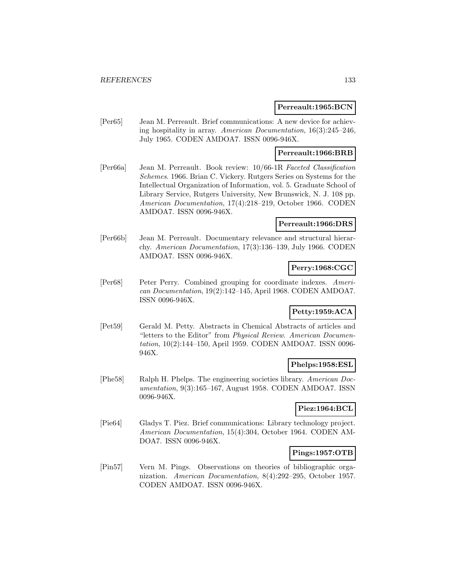#### **Perreault:1965:BCN**

[Per65] Jean M. Perreault. Brief communications: A new device for achieving hospitality in array. American Documentation, 16(3):245–246, July 1965. CODEN AMDOA7. ISSN 0096-946X.

#### **Perreault:1966:BRB**

[Per66a] Jean M. Perreault. Book review: 10/66-1R Faceted Classification Schemes. 1966. Brian C. Vickery. Rutgers Series on Systems for the Intellectual Organization of Information, vol. 5. Graduate School of Library Service, Rutgers University, New Brunswick, N. J. 108 pp. American Documentation, 17(4):218–219, October 1966. CODEN AMDOA7. ISSN 0096-946X.

## **Perreault:1966:DRS**

[Per66b] Jean M. Perreault. Documentary relevance and structural hierarchy. American Documentation, 17(3):136–139, July 1966. CODEN AMDOA7. ISSN 0096-946X.

## **Perry:1968:CGC**

[Per68] Peter Perry. Combined grouping for coordinate indexes. American Documentation, 19(2):142–145, April 1968. CODEN AMDOA7. ISSN 0096-946X.

# **Petty:1959:ACA**

[Pet59] Gerald M. Petty. Abstracts in Chemical Abstracts of articles and "letters to the Editor" from Physical Review. American Documentation, 10(2):144–150, April 1959. CODEN AMDOA7. ISSN 0096- 946X.

### **Phelps:1958:ESL**

[Phe58] Ralph H. Phelps. The engineering societies library. American Documentation, 9(3):165–167, August 1958. CODEN AMDOA7. ISSN 0096-946X.

## **Piez:1964:BCL**

[Pie64] Gladys T. Piez. Brief communications: Library technology project. American Documentation, 15(4):304, October 1964. CODEN AM-DOA7. ISSN 0096-946X.

### **Pings:1957:OTB**

[Pin57] Vern M. Pings. Observations on theories of bibliographic organization. American Documentation, 8(4):292–295, October 1957. CODEN AMDOA7. ISSN 0096-946X.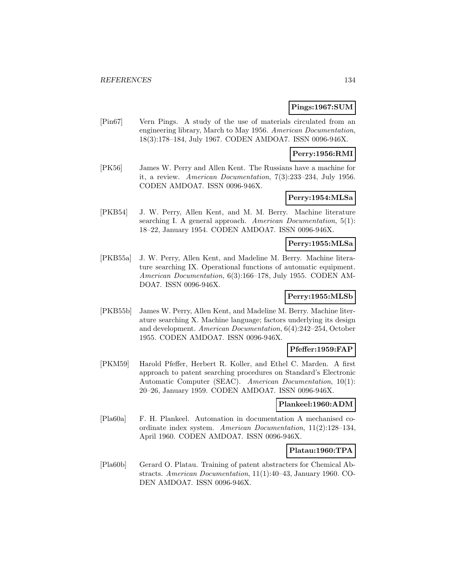### **Pings:1967:SUM**

[Pin67] Vern Pings. A study of the use of materials circulated from an engineering library, March to May 1956. American Documentation, 18(3):178–184, July 1967. CODEN AMDOA7. ISSN 0096-946X.

## **Perry:1956:RMI**

[PK56] James W. Perry and Allen Kent. The Russians have a machine for it, a review. American Documentation, 7(3):233–234, July 1956. CODEN AMDOA7. ISSN 0096-946X.

## **Perry:1954:MLSa**

[PKB54] J. W. Perry, Allen Kent, and M. M. Berry. Machine literature searching I. A general approach. American Documentation,  $5(1)$ : 18–22, January 1954. CODEN AMDOA7. ISSN 0096-946X.

# **Perry:1955:MLSa**

[PKB55a] J. W. Perry, Allen Kent, and Madeline M. Berry. Machine literature searching IX. Operational functions of automatic equipment. American Documentation, 6(3):166–178, July 1955. CODEN AM-DOA7. ISSN 0096-946X.

### **Perry:1955:MLSb**

[PKB55b] James W. Perry, Allen Kent, and Madeline M. Berry. Machine literature searching X. Machine language; factors underlying its design and development. American Documentation, 6(4):242–254, October 1955. CODEN AMDOA7. ISSN 0096-946X.

### **Pfeffer:1959:FAP**

[PKM59] Harold Pfeffer, Herbert R. Koller, and Ethel C. Marden. A first approach to patent searching procedures on Standard's Electronic Automatic Computer (SEAC). American Documentation, 10(1): 20–26, January 1959. CODEN AMDOA7. ISSN 0096-946X.

#### **Plankeel:1960:ADM**

[Pla60a] F. H. Plankeel. Automation in documentation A mechanised coordinate index system. American Documentation, 11(2):128–134, April 1960. CODEN AMDOA7. ISSN 0096-946X.

#### **Platau:1960:TPA**

[Pla60b] Gerard O. Platau. Training of patent abstracters for Chemical Abstracts. American Documentation, 11(1):40–43, January 1960. CO-DEN AMDOA7. ISSN 0096-946X.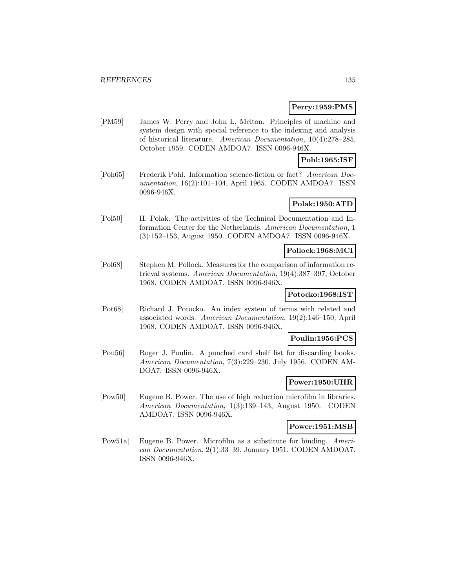### **Perry:1959:PMS**

[PM59] James W. Perry and John L. Melton. Principles of machine and system design with special reference to the indexing and analysis of historical literature. American Documentation, 10(4):278–285, October 1959. CODEN AMDOA7. ISSN 0096-946X.

### **Pohl:1965:ISF**

[Poh65] Frederik Pohl. Information science-fiction or fact? American Documentation, 16(2):101–104, April 1965. CODEN AMDOA7. ISSN 0096-946X.

# **Polak:1950:ATD**

[Pol50] H. Polak. The activities of the Technical Documentation and Information Center for the Netherlands. American Documentation, 1 (3):152–153, August 1950. CODEN AMDOA7. ISSN 0096-946X.

#### **Pollock:1968:MCI**

[Pol68] Stephen M. Pollock. Measures for the comparison of information retrieval systems. American Documentation, 19(4):387–397, October 1968. CODEN AMDOA7. ISSN 0096-946X.

### **Potocko:1968:IST**

[Pot68] Richard J. Potocko. An index system of terms with related and associated words. American Documentation, 19(2):146–150, April 1968. CODEN AMDOA7. ISSN 0096-946X.

### **Poulin:1956:PCS**

[Pou56] Roger J. Poulin. A punched card shelf list for discarding books. American Documentation, 7(3):229–230, July 1956. CODEN AM-DOA7. ISSN 0096-946X.

### **Power:1950:UHR**

[Pow50] Eugene B. Power. The use of high reduction microfilm in libraries. American Documentation, 1(3):139–143, August 1950. CODEN AMDOA7. ISSN 0096-946X.

#### **Power:1951:MSB**

[Pow51a] Eugene B. Power. Microfilm as a substitute for binding. American Documentation, 2(1):33–39, January 1951. CODEN AMDOA7. ISSN 0096-946X.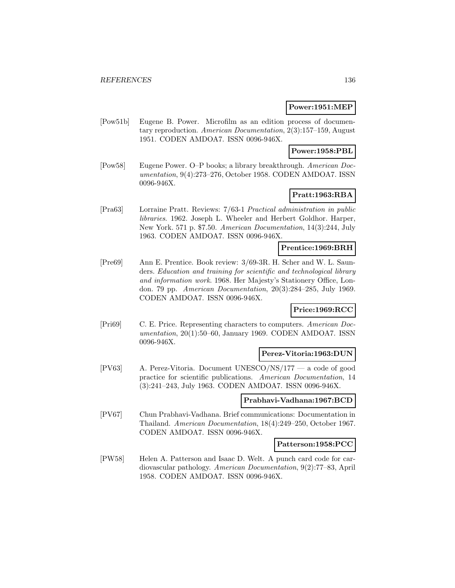#### **Power:1951:MEP**

[Pow51b] Eugene B. Power. Microfilm as an edition process of documentary reproduction. American Documentation, 2(3):157–159, August 1951. CODEN AMDOA7. ISSN 0096-946X.

### **Power:1958:PBL**

[Pow58] Eugene Power. O–P books; a library breakthrough. American Documentation, 9(4):273–276, October 1958. CODEN AMDOA7. ISSN 0096-946X.

# **Pratt:1963:RBA**

[Pra63] Lorraine Pratt. Reviews: 7/63-1 Practical administration in public libraries. 1962. Joseph L. Wheeler and Herbert Goldhor. Harper, New York. 571 p. \$7.50. American Documentation, 14(3):244, July 1963. CODEN AMDOA7. ISSN 0096-946X.

#### **Prentice:1969:BRH**

[Pre69] Ann E. Prentice. Book review: 3/69-3R. H. Scher and W. L. Saunders. Education and training for scientific and technological library and information work. 1968. Her Majesty's Stationery Office, London. 79 pp. American Documentation, 20(3):284–285, July 1969. CODEN AMDOA7. ISSN 0096-946X.

# **Price:1969:RCC**

[Pri69] C. E. Price. Representing characters to computers. American Documentation, 20(1):50–60, January 1969. CODEN AMDOA7. ISSN 0096-946X.

#### **Perez-Vitoria:1963:DUN**

[PV63] A. Perez-Vitoria. Document UNESCO/NS/177 — a code of good practice for scientific publications. American Documentation, 14 (3):241–243, July 1963. CODEN AMDOA7. ISSN 0096-946X.

#### **Prabhavi-Vadhana:1967:BCD**

[PV67] Chun Prabhavi-Vadhana. Brief communications: Documentation in Thailand. American Documentation, 18(4):249–250, October 1967. CODEN AMDOA7. ISSN 0096-946X.

#### **Patterson:1958:PCC**

[PW58] Helen A. Patterson and Isaac D. Welt. A punch card code for cardiovascular pathology. American Documentation, 9(2):77–83, April 1958. CODEN AMDOA7. ISSN 0096-946X.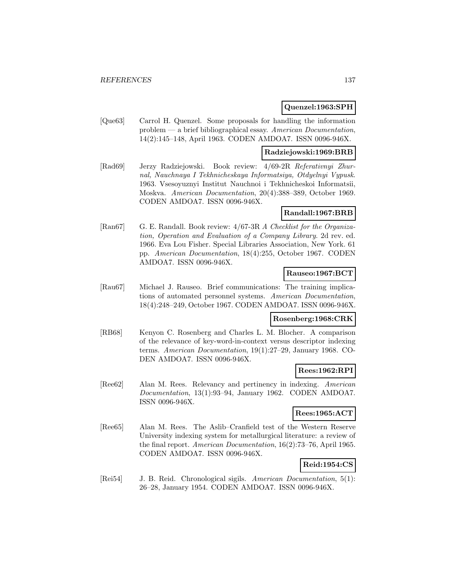#### **Quenzel:1963:SPH**

[Que63] Carrol H. Quenzel. Some proposals for handling the information problem — a brief bibliographical essay. American Documentation, 14(2):145–148, April 1963. CODEN AMDOA7. ISSN 0096-946X.

#### **Radziejowski:1969:BRB**

[Rad69] Jerzy Radziejowski. Book review: 4/69-2R Referativnyi Zhurnal, Nauchnaya I Tekhnicheskaya Informatsiya, Otdyelnyi Vypusk. 1963. Vsesoyuznyi Institut Nauchnoi i Tekhnicheskoi Informatsii, Moskva. American Documentation, 20(4):388–389, October 1969. CODEN AMDOA7. ISSN 0096-946X.

#### **Randall:1967:BRB**

[Ran67] G. E. Randall. Book review: 4/67-3R A Checklist for the Organization, Operation and Evaluation of a Company Library. 2d rev. ed. 1966. Eva Lou Fisher. Special Libraries Association, New York. 61 pp. American Documentation, 18(4):255, October 1967. CODEN AMDOA7. ISSN 0096-946X.

### **Rauseo:1967:BCT**

[Rau67] Michael J. Rauseo. Brief communications: The training implications of automated personnel systems. American Documentation, 18(4):248–249, October 1967. CODEN AMDOA7. ISSN 0096-946X.

#### **Rosenberg:1968:CRK**

[RB68] Kenyon C. Rosenberg and Charles L. M. Blocher. A comparison of the relevance of key-word-in-context versus descriptor indexing terms. American Documentation, 19(1):27–29, January 1968. CO-DEN AMDOA7. ISSN 0096-946X.

# **Rees:1962:RPI**

[Ree62] Alan M. Rees. Relevancy and pertinency in indexing. American Documentation, 13(1):93–94, January 1962. CODEN AMDOA7. ISSN 0096-946X.

#### **Rees:1965:ACT**

[Ree65] Alan M. Rees. The Aslib–Cranfield test of the Western Reserve University indexing system for metallurgical literature: a review of the final report. American Documentation, 16(2):73–76, April 1965. CODEN AMDOA7. ISSN 0096-946X.

### **Reid:1954:CS**

[Rei54] J. B. Reid. Chronological sigils. American Documentation, 5(1): 26–28, January 1954. CODEN AMDOA7. ISSN 0096-946X.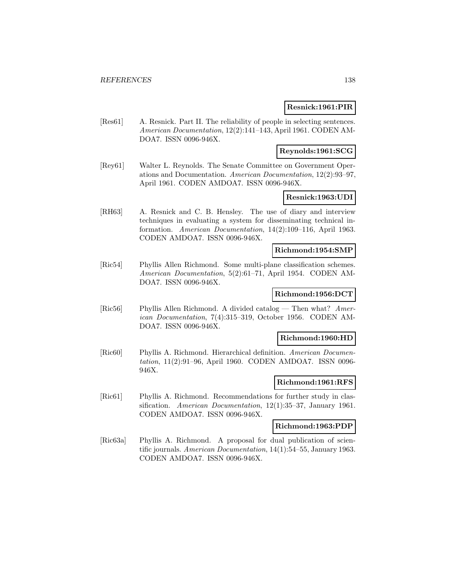### **Resnick:1961:PIR**

[Res61] A. Resnick. Part II. The reliability of people in selecting sentences. American Documentation, 12(2):141–143, April 1961. CODEN AM-DOA7. ISSN 0096-946X.

## **Reynolds:1961:SCG**

[Rey61] Walter L. Reynolds. The Senate Committee on Government Operations and Documentation. American Documentation, 12(2):93–97, April 1961. CODEN AMDOA7. ISSN 0096-946X.

## **Resnick:1963:UDI**

[RH63] A. Resnick and C. B. Hensley. The use of diary and interview techniques in evaluating a system for disseminating technical information. American Documentation, 14(2):109–116, April 1963. CODEN AMDOA7. ISSN 0096-946X.

#### **Richmond:1954:SMP**

[Ric54] Phyllis Allen Richmond. Some multi-plane classification schemes. American Documentation, 5(2):61–71, April 1954. CODEN AM-DOA7. ISSN 0096-946X.

# **Richmond:1956:DCT**

[Ric56] Phyllis Allen Richmond. A divided catalog — Then what? American Documentation, 7(4):315–319, October 1956. CODEN AM-DOA7. ISSN 0096-946X.

#### **Richmond:1960:HD**

[Ric60] Phyllis A. Richmond. Hierarchical definition. American Documentation, 11(2):91–96, April 1960. CODEN AMDOA7. ISSN 0096- 946X.

## **Richmond:1961:RFS**

[Ric61] Phyllis A. Richmond. Recommendations for further study in classification. American Documentation, 12(1):35–37, January 1961. CODEN AMDOA7. ISSN 0096-946X.

#### **Richmond:1963:PDP**

[Ric63a] Phyllis A. Richmond. A proposal for dual publication of scientific journals. American Documentation, 14(1):54–55, January 1963. CODEN AMDOA7. ISSN 0096-946X.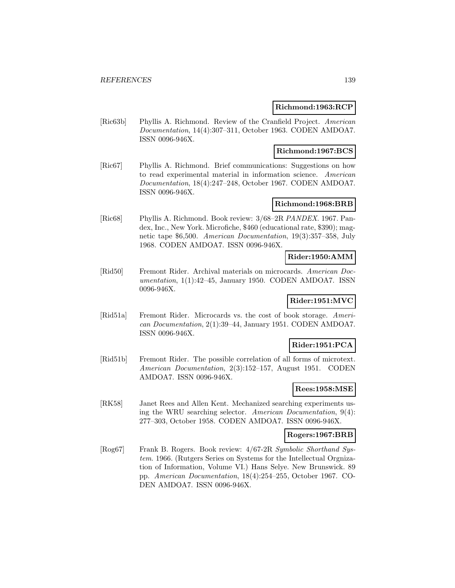#### **Richmond:1963:RCP**

[Ric63b] Phyllis A. Richmond. Review of the Cranfield Project. American Documentation, 14(4):307–311, October 1963. CODEN AMDOA7. ISSN 0096-946X.

#### **Richmond:1967:BCS**

[Ric67] Phyllis A. Richmond. Brief communications: Suggestions on how to read experimental material in information science. American Documentation, 18(4):247–248, October 1967. CODEN AMDOA7. ISSN 0096-946X.

#### **Richmond:1968:BRB**

[Ric68] Phyllis A. Richmond. Book review: 3/68–2R PANDEX. 1967. Pandex, Inc., New York. Microfiche, \$460 (educational rate, \$390); magnetic tape \$6,500. American Documentation, 19(3):357–358, July 1968. CODEN AMDOA7. ISSN 0096-946X.

## **Rider:1950:AMM**

[Rid50] Fremont Rider. Archival materials on microcards. American Documentation, 1(1):42–45, January 1950. CODEN AMDOA7. ISSN 0096-946X.

# **Rider:1951:MVC**

[Rid51a] Fremont Rider. Microcards vs. the cost of book storage. American Documentation, 2(1):39–44, January 1951. CODEN AMDOA7. ISSN 0096-946X.

### **Rider:1951:PCA**

[Rid51b] Fremont Rider. The possible correlation of all forms of microtext. American Documentation, 2(3):152–157, August 1951. CODEN AMDOA7. ISSN 0096-946X.

### **Rees:1958:MSE**

[RK58] Janet Rees and Allen Kent. Mechanized searching experiments using the WRU searching selector. American Documentation, 9(4): 277–303, October 1958. CODEN AMDOA7. ISSN 0096-946X.

#### **Rogers:1967:BRB**

[Rog67] Frank B. Rogers. Book review: 4/67-2R Symbolic Shorthand System. 1966. (Rutgers Series on Systems for the Intellectual Orgnization of Information, Volume VI.) Hans Selye. New Brunswick. 89 pp. American Documentation, 18(4):254–255, October 1967. CO-DEN AMDOA7. ISSN 0096-946X.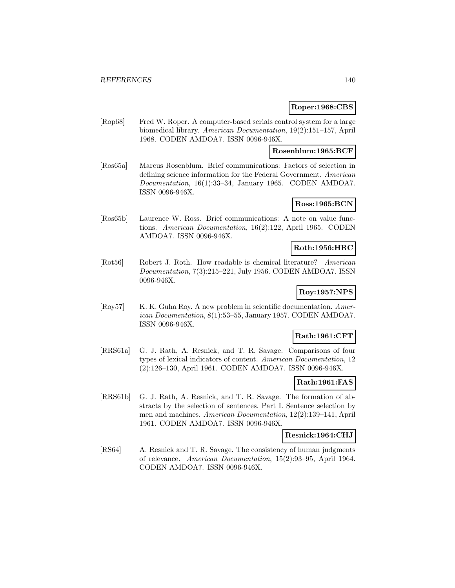### **Roper:1968:CBS**

[Rop68] Fred W. Roper. A computer-based serials control system for a large biomedical library. American Documentation, 19(2):151–157, April 1968. CODEN AMDOA7. ISSN 0096-946X.

### **Rosenblum:1965:BCF**

[Ros65a] Marcus Rosenblum. Brief communications: Factors of selection in defining science information for the Federal Government. American Documentation, 16(1):33–34, January 1965. CODEN AMDOA7. ISSN 0096-946X.

### **Ross:1965:BCN**

[Ros65b] Laurence W. Ross. Brief communications: A note on value functions. American Documentation, 16(2):122, April 1965. CODEN AMDOA7. ISSN 0096-946X.

## **Roth:1956:HRC**

[Rot56] Robert J. Roth. How readable is chemical literature? American Documentation, 7(3):215–221, July 1956. CODEN AMDOA7. ISSN 0096-946X.

## **Roy:1957:NPS**

[Roy57] K. K. Guha Roy. A new problem in scientific documentation. American Documentation, 8(1):53–55, January 1957. CODEN AMDOA7. ISSN 0096-946X.

#### **Rath:1961:CFT**

[RRS61a] G. J. Rath, A. Resnick, and T. R. Savage. Comparisons of four types of lexical indicators of content. American Documentation, 12 (2):126–130, April 1961. CODEN AMDOA7. ISSN 0096-946X.

### **Rath:1961:FAS**

[RRS61b] G. J. Rath, A. Resnick, and T. R. Savage. The formation of abstracts by the selection of sentences. Part I. Sentence selection by men and machines. American Documentation, 12(2):139–141, April 1961. CODEN AMDOA7. ISSN 0096-946X.

#### **Resnick:1964:CHJ**

[RS64] A. Resnick and T. R. Savage. The consistency of human judgments of relevance. American Documentation, 15(2):93–95, April 1964. CODEN AMDOA7. ISSN 0096-946X.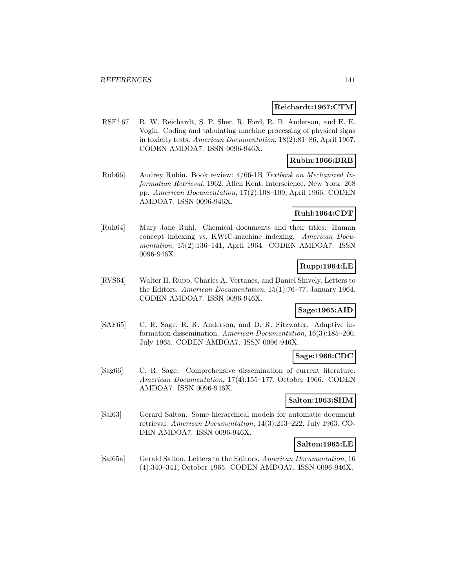#### **Reichardt:1967:CTM**

[RSF<sup>+</sup>67] R. W. Reichardt, S. P. Sher, R. Ford, R. B. Anderson, and E. E. Vogin. Coding and tabulating machine processing of physical signs in toxicity tests. American Documentation, 18(2):81–86, April 1967. CODEN AMDOA7. ISSN 0096-946X.

### **Rubin:1966:BRB**

[Rub66] Audrey Rubin. Book review: 4/66-1R Textbook on Mechanized Information Retrieval. 1962. Allen Kent. Interscience, New York. 268 pp. American Documentation, 17(2):108–109, April 1966. CODEN AMDOA7. ISSN 0096-946X.

### **Ruhl:1964:CDT**

[Ruh64] Mary Jane Ruhl. Chemical documents and their titles: Human concept indexing vs. KWIC-machine indexing. American Documentation, 15(2):136–141, April 1964. CODEN AMDOA7. ISSN 0096-946X.

### **Rupp:1964:LE**

[RVS64] Walter H. Rupp, Charles A. Vertanes, and Daniel Shively. Letters to the Editors. American Documentation, 15(1):76–77, January 1964. CODEN AMDOA7. ISSN 0096-946X.

### **Sage:1965:AID**

[SAF65] C. R. Sage, R. R. Anderson, and D. R. Fitzwater. Adaptive information dissemination. American Documentation, 16(3):185–200, July 1965. CODEN AMDOA7. ISSN 0096-946X.

#### **Sage:1966:CDC**

[Sag66] C. R. Sage. Comprehensive dissemination of current literature. American Documentation, 17(4):155–177, October 1966. CODEN AMDOA7. ISSN 0096-946X.

### **Salton:1963:SHM**

[Sal63] Gerard Salton. Some hierarchical models for automatic document retrieval. American Documentation, 14(3):213–222, July 1963. CO-DEN AMDOA7. ISSN 0096-946X.

#### **Salton:1965:LE**

[Sal65a] Gerald Salton. Letters to the Editors. American Documentation, 16 (4):340–341, October 1965. CODEN AMDOA7. ISSN 0096-946X.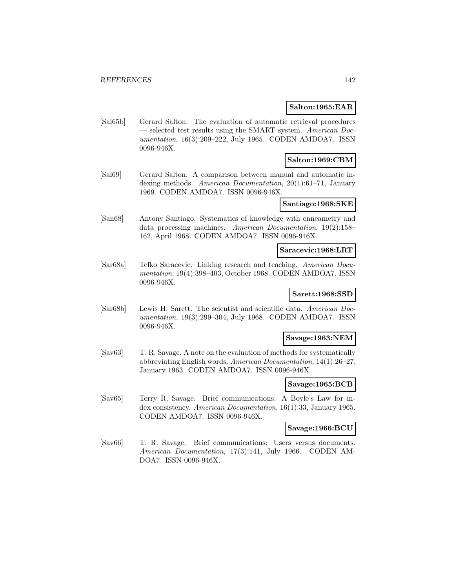#### **Salton:1965:EAR**

[Sal65b] Gerard Salton. The evaluation of automatic retrieval procedures selected test results using the SMART system. American Documentation, 16(3):209–222, July 1965. CODEN AMDOA7. ISSN 0096-946X.

### **Salton:1969:CBM**

[Sal69] Gerard Salton. A comparison between manual and automatic indexing methods. American Documentation, 20(1):61–71, January 1969. CODEN AMDOA7. ISSN 0096-946X.

#### **Santiago:1968:SKE**

[San68] Antony Santiago. Systematics of knowledge with enneametry and data processing machines. American Documentation, 19(2):158– 162, April 1968. CODEN AMDOA7. ISSN 0096-946X.

#### **Saracevic:1968:LRT**

[Sar68a] Tefko Saracevic. Linking research and teaching. American Documentation, 19(4):398–403, October 1968. CODEN AMDOA7. ISSN 0096-946X.

#### **Sarett:1968:SSD**

[Sar68b] Lewis H. Sarett. The scientist and scientific data. American Documentation, 19(3):299–304, July 1968. CODEN AMDOA7. ISSN 0096-946X.

#### **Savage:1963:NEM**

[Sav63] T. R. Savage. A note on the evaluation of methods for systematically abbreviating English words. American Documentation, 14(1):26–27, January 1963. CODEN AMDOA7. ISSN 0096-946X.

#### **Savage:1965:BCB**

[Sav65] Terry R. Savage. Brief communications: A Boyle's Law for index consistency. American Documentation, 16(1):33, January 1965. CODEN AMDOA7. ISSN 0096-946X.

### **Savage:1966:BCU**

[Sav66] T. R. Savage. Brief communications: Users versus documents. American Documentation, 17(3):141, July 1966. CODEN AM-DOA7. ISSN 0096-946X.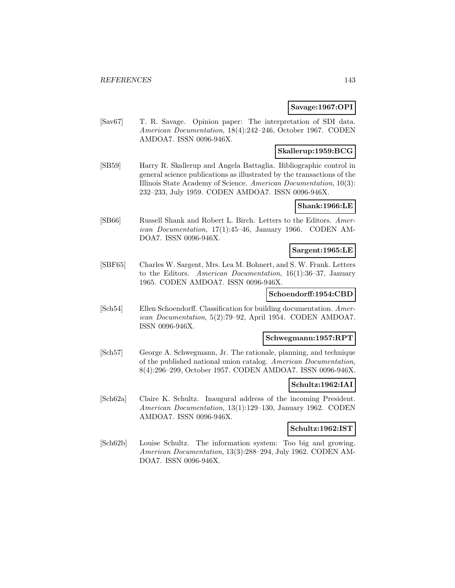### **Savage:1967:OPI**

[Sav67] T. R. Savage. Opinion paper: The interpretation of SDI data. American Documentation, 18(4):242–246, October 1967. CODEN AMDOA7. ISSN 0096-946X.

### **Skallerup:1959:BCG**

[SB59] Harry R. Skallerup and Angela Battaglia. Bibliographic control in general science publications as illustrated by the transactions of the Illinois State Academy of Science. American Documentation, 10(3): 232–233, July 1959. CODEN AMDOA7. ISSN 0096-946X.

## **Shank:1966:LE**

[SB66] Russell Shank and Robert L. Birch. Letters to the Editors. American Documentation, 17(1):45–46, January 1966. CODEN AM-DOA7. ISSN 0096-946X.

#### **Sargent:1965:LE**

[SBF65] Charles W. Sargent, Mrs. Lea M. Bohnert, and S. W. Frank. Letters to the Editors. American Documentation, 16(1):36–37, January 1965. CODEN AMDOA7. ISSN 0096-946X.

## **Schoendorff:1954:CBD**

[Sch54] Ellen Schoendorff. Classification for building documentation. American Documentation, 5(2):79–92, April 1954. CODEN AMDOA7. ISSN 0096-946X.

#### **Schwegmann:1957:RPT**

[Sch57] George A. Schwegmann, Jr. The rationale, planning, and technique of the published national union catalog. American Documentation, 8(4):296–299, October 1957. CODEN AMDOA7. ISSN 0096-946X.

### **Schultz:1962:IAI**

[Sch62a] Claire K. Schultz. Inaugural address of the incoming President. American Documentation, 13(1):129–130, January 1962. CODEN AMDOA7. ISSN 0096-946X.

### **Schultz:1962:IST**

[Sch62b] Louise Schultz. The information system: Too big and growing. American Documentation, 13(3):288–294, July 1962. CODEN AM-DOA7. ISSN 0096-946X.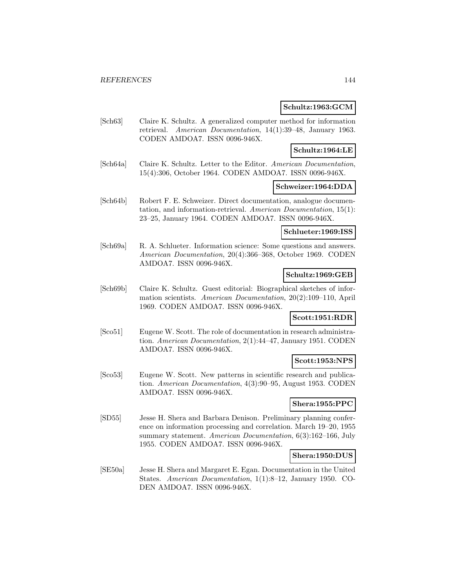### **Schultz:1963:GCM**

[Sch63] Claire K. Schultz. A generalized computer method for information retrieval. American Documentation, 14(1):39–48, January 1963. CODEN AMDOA7. ISSN 0096-946X.

### **Schultz:1964:LE**

[Sch64a] Claire K. Schultz. Letter to the Editor. American Documentation, 15(4):306, October 1964. CODEN AMDOA7. ISSN 0096-946X.

#### **Schweizer:1964:DDA**

[Sch64b] Robert F. E. Schweizer. Direct documentation, analogue documentation, and information-retrieval. American Documentation, 15(1): 23–25, January 1964. CODEN AMDOA7. ISSN 0096-946X.

#### **Schlueter:1969:ISS**

[Sch69a] R. A. Schlueter. Information science: Some questions and answers. American Documentation, 20(4):366–368, October 1969. CODEN AMDOA7. ISSN 0096-946X.

### **Schultz:1969:GEB**

[Sch69b] Claire K. Schultz. Guest editorial: Biographical sketches of information scientists. American Documentation, 20(2):109–110, April 1969. CODEN AMDOA7. ISSN 0096-946X.

# **Scott:1951:RDR**

[Sco51] Eugene W. Scott. The role of documentation in research administration. American Documentation, 2(1):44–47, January 1951. CODEN AMDOA7. ISSN 0096-946X.

### **Scott:1953:NPS**

[Sco53] Eugene W. Scott. New patterns in scientific research and publication. American Documentation, 4(3):90–95, August 1953. CODEN AMDOA7. ISSN 0096-946X.

### **Shera:1955:PPC**

[SD55] Jesse H. Shera and Barbara Denison. Preliminary planning conference on information processing and correlation. March 19–20, 1955 summary statement. American Documentation, 6(3):162-166, July 1955. CODEN AMDOA7. ISSN 0096-946X.

#### **Shera:1950:DUS**

[SE50a] Jesse H. Shera and Margaret E. Egan. Documentation in the United States. American Documentation, 1(1):8–12, January 1950. CO-DEN AMDOA7. ISSN 0096-946X.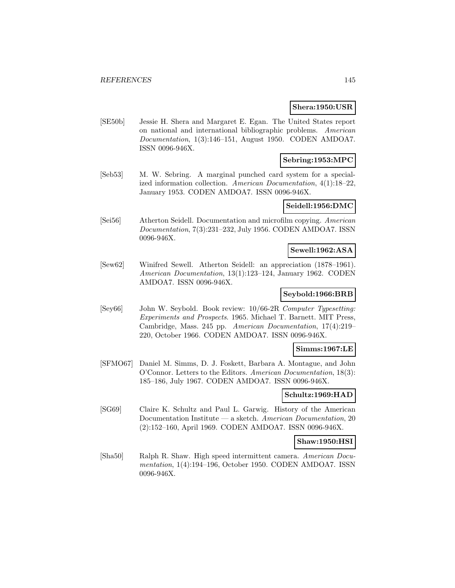### **Shera:1950:USR**

[SE50b] Jessie H. Shera and Margaret E. Egan. The United States report on national and international bibliographic problems. American Documentation, 1(3):146–151, August 1950. CODEN AMDOA7. ISSN 0096-946X.

## **Sebring:1953:MPC**

[Seb53] M. W. Sebring. A marginal punched card system for a specialized information collection. American Documentation, 4(1):18–22, January 1953. CODEN AMDOA7. ISSN 0096-946X.

#### **Seidell:1956:DMC**

[Sei56] Atherton Seidell. Documentation and microfilm copying. American Documentation, 7(3):231–232, July 1956. CODEN AMDOA7. ISSN 0096-946X.

#### **Sewell:1962:ASA**

[Sew62] Winifred Sewell. Atherton Seidell: an appreciation (1878–1961). American Documentation, 13(1):123–124, January 1962. CODEN AMDOA7. ISSN 0096-946X.

## **Seybold:1966:BRB**

[Sey66] John W. Seybold. Book review: 10/66-2R Computer Typesetting: Experiments and Prospects. 1965. Michael T. Barnett. MIT Press, Cambridge, Mass. 245 pp. American Documentation, 17(4):219– 220, October 1966. CODEN AMDOA7. ISSN 0096-946X.

### **Simms:1967:LE**

[SFMO67] Daniel M. Simms, D. J. Foskett, Barbara A. Montague, and John O'Connor. Letters to the Editors. American Documentation, 18(3): 185–186, July 1967. CODEN AMDOA7. ISSN 0096-946X.

### **Schultz:1969:HAD**

[SG69] Claire K. Schultz and Paul L. Garwig. History of the American Documentation Institute — a sketch. American Documentation, 20 (2):152–160, April 1969. CODEN AMDOA7. ISSN 0096-946X.

## **Shaw:1950:HSI**

[Sha50] Ralph R. Shaw. High speed intermittent camera. American Documentation, 1(4):194–196, October 1950. CODEN AMDOA7. ISSN 0096-946X.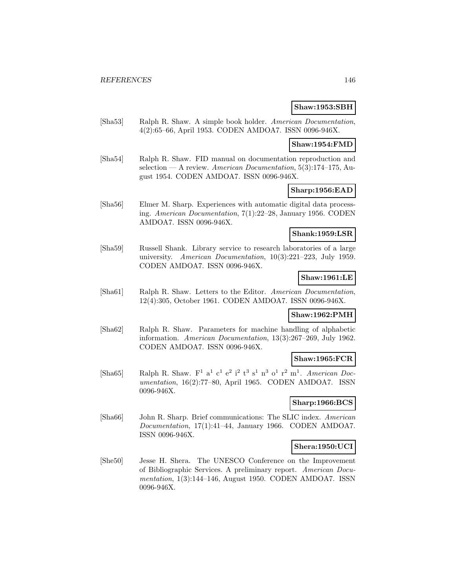#### **Shaw:1953:SBH**

[Sha53] Ralph R. Shaw. A simple book holder. American Documentation, 4(2):65–66, April 1953. CODEN AMDOA7. ISSN 0096-946X.

#### **Shaw:1954:FMD**

[Sha54] Ralph R. Shaw. FID manual on documentation reproduction and selection — A review. American Documentation,  $5(3):174-175$ , August 1954. CODEN AMDOA7. ISSN 0096-946X.

### **Sharp:1956:EAD**

[Sha56] Elmer M. Sharp. Experiences with automatic digital data processing. American Documentation, 7(1):22–28, January 1956. CODEN AMDOA7. ISSN 0096-946X.

### **Shank:1959:LSR**

[Sha59] Russell Shank. Library service to research laboratories of a large university. American Documentation, 10(3):221–223, July 1959. CODEN AMDOA7. ISSN 0096-946X.

#### **Shaw:1961:LE**

[Sha61] Ralph R. Shaw. Letters to the Editor. American Documentation, 12(4):305, October 1961. CODEN AMDOA7. ISSN 0096-946X.

#### **Shaw:1962:PMH**

[Sha62] Ralph R. Shaw. Parameters for machine handling of alphabetic information. American Documentation, 13(3):267–269, July 1962. CODEN AMDOA7. ISSN 0096-946X.

## **Shaw:1965:FCR**

[Sha65] Ralph R. Shaw.  $F^1$  a<sup>1</sup> c<sup>1</sup> e<sup>2</sup> i<sup>2</sup> t<sup>3</sup> s<sup>1</sup> n<sup>3</sup> o<sup>1</sup> r<sup>2</sup> m<sup>1</sup>. American Documentation, 16(2):77–80, April 1965. CODEN AMDOA7. ISSN 0096-946X.

### **Sharp:1966:BCS**

[Sha66] John R. Sharp. Brief communications: The SLIC index. American Documentation, 17(1):41–44, January 1966. CODEN AMDOA7. ISSN 0096-946X.

#### **Shera:1950:UCI**

[She50] Jesse H. Shera. The UNESCO Conference on the Improvement of Bibliographic Services. A preliminary report. American Documentation, 1(3):144–146, August 1950. CODEN AMDOA7. ISSN 0096-946X.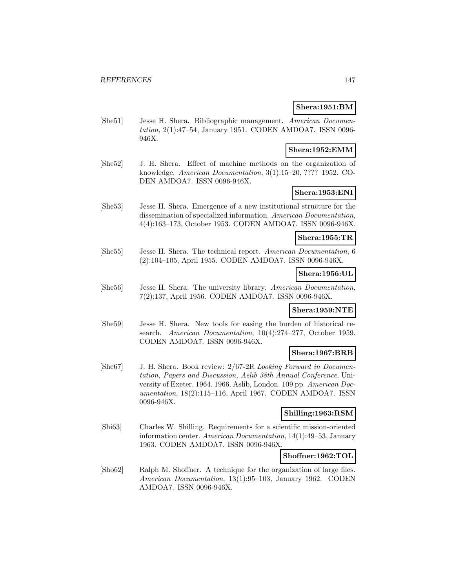## **Shera:1951:BM**

[She51] Jesse H. Shera. Bibliographic management. American Documentation, 2(1):47–54, January 1951. CODEN AMDOA7. ISSN 0096- 946X.

### **Shera:1952:EMM**

[She52] J. H. Shera. Effect of machine methods on the organization of knowledge. American Documentation, 3(1):15–20, ???? 1952. CO-DEN AMDOA7. ISSN 0096-946X.

## **Shera:1953:ENI**

[She53] Jesse H. Shera. Emergence of a new institutional structure for the dissemination of specialized information. American Documentation, 4(4):163–173, October 1953. CODEN AMDOA7. ISSN 0096-946X.

### **Shera:1955:TR**

[She55] Jesse H. Shera. The technical report. American Documentation, 6 (2):104–105, April 1955. CODEN AMDOA7. ISSN 0096-946X.

### **Shera:1956:UL**

[She56] Jesse H. Shera. The university library. American Documentation, 7(2):137, April 1956. CODEN AMDOA7. ISSN 0096-946X.

### **Shera:1959:NTE**

[She59] Jesse H. Shera. New tools for easing the burden of historical research. American Documentation, 10(4):274–277, October 1959. CODEN AMDOA7. ISSN 0096-946X.

#### **Shera:1967:BRB**

[She67] J. H. Shera. Book review: 2/67-2R Looking Forward in Documentation, Papers and Discussion, Aslib 38th Annual Conference, University of Exeter. 1964. 1966. Aslib, London. 109 pp. American Documentation, 18(2):115–116, April 1967. CODEN AMDOA7. ISSN 0096-946X.

#### **Shilling:1963:RSM**

[Shi63] Charles W. Shilling. Requirements for a scientific mission-oriented information center. American Documentation, 14(1):49–53, January 1963. CODEN AMDOA7. ISSN 0096-946X.

### **Shoffner:1962:TOL**

[Sho62] Ralph M. Shoffner. A technique for the organization of large files. American Documentation, 13(1):95–103, January 1962. CODEN AMDOA7. ISSN 0096-946X.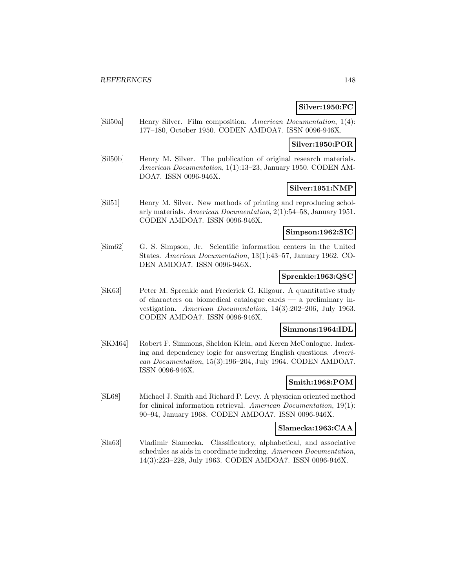## **Silver:1950:FC**

[Sil50a] Henry Silver. Film composition. American Documentation, 1(4): 177–180, October 1950. CODEN AMDOA7. ISSN 0096-946X.

### **Silver:1950:POR**

[Sil50b] Henry M. Silver. The publication of original research materials. American Documentation, 1(1):13–23, January 1950. CODEN AM-DOA7. ISSN 0096-946X.

### **Silver:1951:NMP**

[Sil51] Henry M. Silver. New methods of printing and reproducing scholarly materials. American Documentation, 2(1):54–58, January 1951. CODEN AMDOA7. ISSN 0096-946X.

### **Simpson:1962:SIC**

[Sim62] G. S. Simpson, Jr. Scientific information centers in the United States. American Documentation, 13(1):43–57, January 1962. CO-DEN AMDOA7. ISSN 0096-946X.

#### **Sprenkle:1963:QSC**

[SK63] Peter M. Sprenkle and Frederick G. Kilgour. A quantitative study of characters on biomedical catalogue cards — a preliminary investigation. American Documentation, 14(3):202–206, July 1963. CODEN AMDOA7. ISSN 0096-946X.

### **Simmons:1964:IDL**

[SKM64] Robert F. Simmons, Sheldon Klein, and Keren McConlogue. Indexing and dependency logic for answering English questions. American Documentation, 15(3):196–204, July 1964. CODEN AMDOA7. ISSN 0096-946X.

### **Smith:1968:POM**

[SL68] Michael J. Smith and Richard P. Levy. A physician oriented method for clinical information retrieval. American Documentation, 19(1): 90–94, January 1968. CODEN AMDOA7. ISSN 0096-946X.

## **Slamecka:1963:CAA**

[Sla63] Vladimir Slamecka. Classificatory, alphabetical, and associative schedules as aids in coordinate indexing. American Documentation, 14(3):223–228, July 1963. CODEN AMDOA7. ISSN 0096-946X.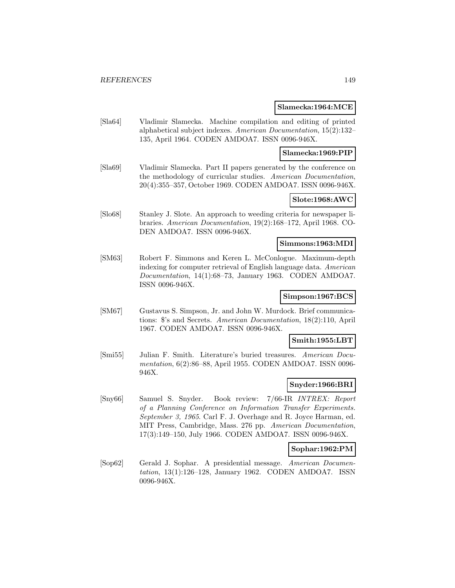#### **Slamecka:1964:MCE**

[Sla64] Vladimir Slamecka. Machine compilation and editing of printed alphabetical subject indexes. American Documentation, 15(2):132– 135, April 1964. CODEN AMDOA7. ISSN 0096-946X.

#### **Slamecka:1969:PIP**

[Sla69] Vladimir Slamecka. Part II papers generated by the conference on the methodology of curricular studies. American Documentation, 20(4):355–357, October 1969. CODEN AMDOA7. ISSN 0096-946X.

### **Slote:1968:AWC**

[Slo68] Stanley J. Slote. An approach to weeding criteria for newspaper libraries. American Documentation, 19(2):168–172, April 1968. CO-DEN AMDOA7. ISSN 0096-946X.

### **Simmons:1963:MDI**

[SM63] Robert F. Simmons and Keren L. McConlogue. Maximum-depth indexing for computer retrieval of English language data. American Documentation, 14(1):68–73, January 1963. CODEN AMDOA7. ISSN 0096-946X.

### **Simpson:1967:BCS**

[SM67] Gustavus S. Simpson, Jr. and John W. Murdock. Brief communications: \$'s and Secrets. American Documentation, 18(2):110, April 1967. CODEN AMDOA7. ISSN 0096-946X.

#### **Smith:1955:LBT**

[Smi55] Julian F. Smith. Literature's buried treasures. American Documentation, 6(2):86–88, April 1955. CODEN AMDOA7. ISSN 0096- 946X.

### **Snyder:1966:BRI**

[Sny66] Samuel S. Snyder. Book review: 7/66-IR INTREX: Report of a Planning Conference on Information Transfer Experiments. September 3, 1965. Carl F. J. Overhage and R. Joyce Harman, ed. MIT Press, Cambridge, Mass. 276 pp. American Documentation, 17(3):149–150, July 1966. CODEN AMDOA7. ISSN 0096-946X.

#### **Sophar:1962:PM**

[Sop62] Gerald J. Sophar. A presidential message. American Documentation, 13(1):126–128, January 1962. CODEN AMDOA7. ISSN 0096-946X.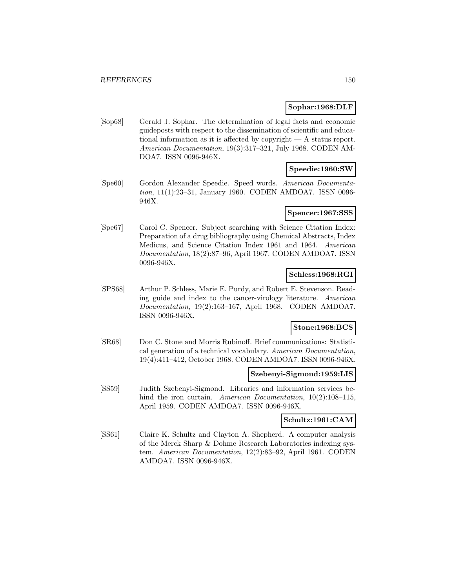### **Sophar:1968:DLF**

[Sop68] Gerald J. Sophar. The determination of legal facts and economic guideposts with respect to the dissemination of scientific and educational information as it is affected by copyright — A status report. American Documentation, 19(3):317–321, July 1968. CODEN AM-DOA7. ISSN 0096-946X.

#### **Speedie:1960:SW**

[Spe60] Gordon Alexander Speedie. Speed words. American Documentation, 11(1):23–31, January 1960. CODEN AMDOA7. ISSN 0096- 946X.

### **Spencer:1967:SSS**

[Spe67] Carol C. Spencer. Subject searching with Science Citation Index: Preparation of a drug bibliography using Chemical Abstracts, Index Medicus, and Science Citation Index 1961 and 1964. American Documentation, 18(2):87–96, April 1967. CODEN AMDOA7. ISSN 0096-946X.

### **Schless:1968:RGI**

[SPS68] Arthur P. Schless, Marie E. Purdy, and Robert E. Stevenson. Reading guide and index to the cancer-virology literature. American Documentation, 19(2):163–167, April 1968. CODEN AMDOA7. ISSN 0096-946X.

### **Stone:1968:BCS**

[SR68] Don C. Stone and Morris Rubinoff. Brief communications: Statistical generation of a technical vocabulary. American Documentation, 19(4):411–412, October 1968. CODEN AMDOA7. ISSN 0096-946X.

#### **Szebenyi-Sigmond:1959:LIS**

[SS59] Judith Szebenyi-Sigmond. Libraries and information services behind the iron curtain. American Documentation, 10(2):108–115, April 1959. CODEN AMDOA7. ISSN 0096-946X.

### **Schultz:1961:CAM**

[SS61] Claire K. Schultz and Clayton A. Shepherd. A computer analysis of the Merck Sharp & Dohme Research Laboratories indexing system. American Documentation, 12(2):83–92, April 1961. CODEN AMDOA7. ISSN 0096-946X.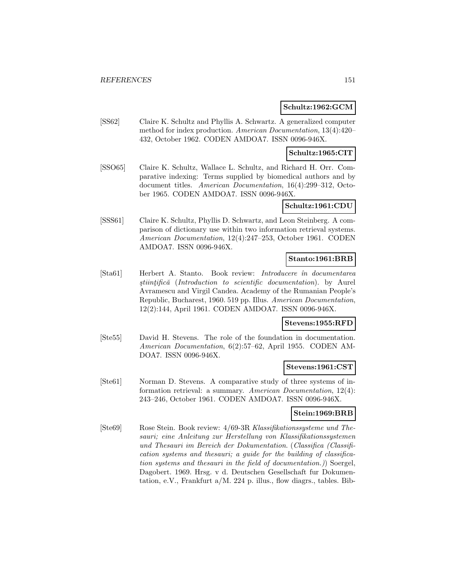### **Schultz:1962:GCM**

[SS62] Claire K. Schultz and Phyllis A. Schwartz. A generalized computer method for index production. American Documentation, 13(4):420– 432, October 1962. CODEN AMDOA7. ISSN 0096-946X.

#### **Schultz:1965:CIT**

[SSO65] Claire K. Schultz, Wallace L. Schultz, and Richard H. Orr. Comparative indexing: Terms supplied by biomedical authors and by document titles. American Documentation, 16(4):299–312, October 1965. CODEN AMDOA7. ISSN 0096-946X.

#### **Schultz:1961:CDU**

[SSS61] Claire K. Schultz, Phyllis D. Schwartz, and Leon Steinberg. A comparison of dictionary use within two information retrieval systems. American Documentation, 12(4):247–253, October 1961. CODEN AMDOA7. ISSN 0096-946X.

### **Stanto:1961:BRB**

[Sta61] Herbert A. Stanto. Book review: Introducere în documentarea stiintifică (Introduction to scientific documentation). by Aurel Avramescu and Virgil Candea. Academy of the Rumanian People's Republic, Bucharest, 1960. 519 pp. Illus. American Documentation, 12(2):144, April 1961. CODEN AMDOA7. ISSN 0096-946X.

### **Stevens:1955:RFD**

[Ste55] David H. Stevens. The role of the foundation in documentation. American Documentation, 6(2):57–62, April 1955. CODEN AM-DOA7. ISSN 0096-946X.

### **Stevens:1961:CST**

[Ste61] Norman D. Stevens. A comparative study of three systems of information retrieval: a summary. American Documentation, 12(4): 243–246, October 1961. CODEN AMDOA7. ISSN 0096-946X.

#### **Stein:1969:BRB**

[Ste69] Rose Stein. Book review: 4/69-3R Klassifikationssysteme und Thesauri; eine Anleitung zur Herstellung von Klassifikationssystemen und Thesauri im Bereich der Dokumentation. (Classifica (Classification systems and thesauri; a guide for the building of classification systems and thesauri in the field of documentation.)) Soergel, Dagobert. 1969. Hrsg. v d. Deutschen Gesellschaft fur Dokumentation, e.V., Frankfurt a/M. 224 p. illus., flow diagrs., tables. Bib-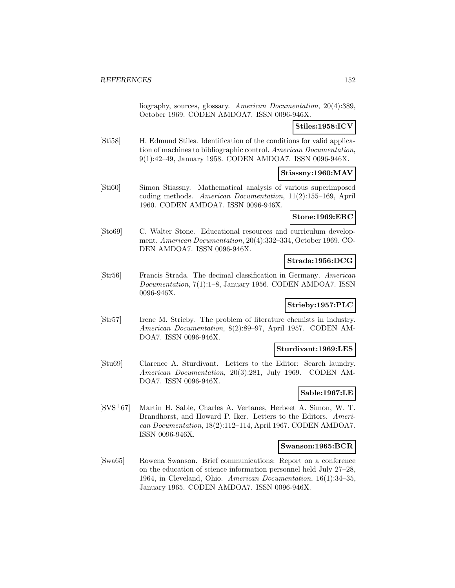liography, sources, glossary. American Documentation, 20(4):389, October 1969. CODEN AMDOA7. ISSN 0096-946X.

### **Stiles:1958:ICV**

[Sti58] H. Edmund Stiles. Identification of the conditions for valid application of machines to bibliographic control. American Documentation, 9(1):42–49, January 1958. CODEN AMDOA7. ISSN 0096-946X.

## **Stiassny:1960:MAV**

[Sti60] Simon Stiassny. Mathematical analysis of various superimposed coding methods. American Documentation, 11(2):155–169, April 1960. CODEN AMDOA7. ISSN 0096-946X.

#### **Stone:1969:ERC**

[Sto69] C. Walter Stone. Educational resources and curriculum development. American Documentation, 20(4):332–334, October 1969. CO-DEN AMDOA7. ISSN 0096-946X.

## **Strada:1956:DCG**

[Str56] Francis Strada. The decimal classification in Germany. American Documentation, 7(1):1–8, January 1956. CODEN AMDOA7. ISSN 0096-946X.

### **Strieby:1957:PLC**

[Str57] Irene M. Strieby. The problem of literature chemists in industry. American Documentation, 8(2):89–97, April 1957. CODEN AM-DOA7. ISSN 0096-946X.

#### **Sturdivant:1969:LES**

[Stu69] Clarence A. Sturdivant. Letters to the Editor: Search laundry. American Documentation, 20(3):281, July 1969. CODEN AM-DOA7. ISSN 0096-946X.

## **Sable:1967:LE**

[SVS<sup>+</sup>67] Martin H. Sable, Charles A. Vertanes, Herbeet A. Simon, W. T. Brandhorst, and Howard P. Iker. Letters to the Editors. American Documentation, 18(2):112–114, April 1967. CODEN AMDOA7. ISSN 0096-946X.

#### **Swanson:1965:BCR**

[Swa65] Rowena Swanson. Brief communications: Report on a conference on the education of science information personnel held July 27–28, 1964, in Cleveland, Ohio. American Documentation, 16(1):34–35, January 1965. CODEN AMDOA7. ISSN 0096-946X.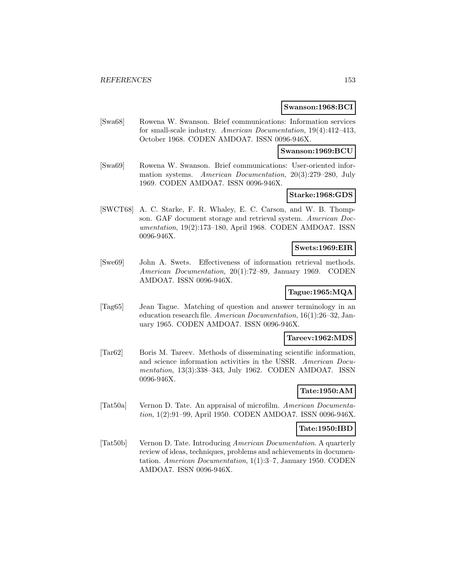#### **Swanson:1968:BCI**

[Swa68] Rowena W. Swanson. Brief communications: Information services for small-scale industry. American Documentation, 19(4):412–413, October 1968. CODEN AMDOA7. ISSN 0096-946X.

**Swanson:1969:BCU**

[Swa69] Rowena W. Swanson. Brief communications: User-oriented information systems. American Documentation, 20(3):279–280, July 1969. CODEN AMDOA7. ISSN 0096-946X.

# **Starke:1968:GDS**

[SWCT68] A. C. Starke, F. R. Whaley, E. C. Carson, and W. B. Thompson. GAF document storage and retrieval system. American Documentation, 19(2):173–180, April 1968. CODEN AMDOA7. ISSN 0096-946X.

### **Swets:1969:EIR**

[Swe69] John A. Swets. Effectiveness of information retrieval methods. American Documentation, 20(1):72–89, January 1969. CODEN AMDOA7. ISSN 0096-946X.

### **Tague:1965:MQA**

[Tag65] Jean Tague. Matching of question and answer terminology in an education research file. American Documentation, 16(1):26–32, January 1965. CODEN AMDOA7. ISSN 0096-946X.

#### **Tareev:1962:MDS**

[Tar62] Boris M. Tareev. Methods of disseminating scientific information, and science information activities in the USSR. American Documentation, 13(3):338–343, July 1962. CODEN AMDOA7. ISSN 0096-946X.

## **Tate:1950:AM**

[Tat50a] Vernon D. Tate. An appraisal of microfilm. American Documentation, 1(2):91–99, April 1950. CODEN AMDOA7. ISSN 0096-946X.

### **Tate:1950:IBD**

[Tat50b] Vernon D. Tate. Introducing American Documentation. A quarterly review of ideas, techniques, problems and achievements in documentation. American Documentation, 1(1):3–7, January 1950. CODEN AMDOA7. ISSN 0096-946X.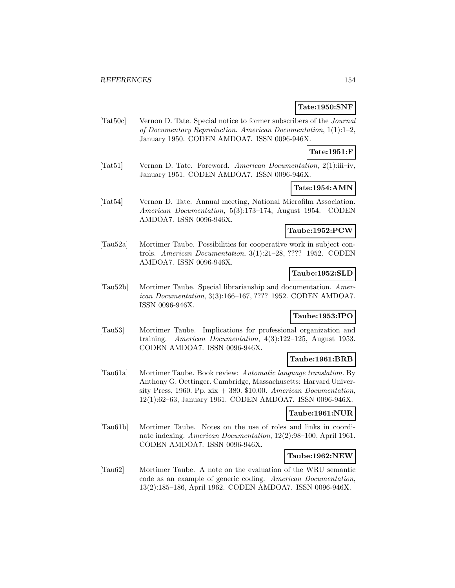### **Tate:1950:SNF**

[Tat50c] Vernon D. Tate. Special notice to former subscribers of the Journal of Documentary Reproduction. American Documentation, 1(1):1–2, January 1950. CODEN AMDOA7. ISSN 0096-946X.

## **Tate:1951:F**

[Tat51] Vernon D. Tate. Foreword. American Documentation, 2(1):iii–iv, January 1951. CODEN AMDOA7. ISSN 0096-946X.

### **Tate:1954:AMN**

[Tat54] Vernon D. Tate. Annual meeting, National Microfilm Association. American Documentation, 5(3):173–174, August 1954. CODEN AMDOA7. ISSN 0096-946X.

#### **Taube:1952:PCW**

[Tau52a] Mortimer Taube. Possibilities for cooperative work in subject controls. American Documentation, 3(1):21–28, ???? 1952. CODEN AMDOA7. ISSN 0096-946X.

### **Taube:1952:SLD**

[Tau52b] Mortimer Taube. Special librarianship and documentation. American Documentation, 3(3):166–167, ???? 1952. CODEN AMDOA7. ISSN 0096-946X.

### **Taube:1953:IPO**

[Tau53] Mortimer Taube. Implications for professional organization and training. American Documentation, 4(3):122–125, August 1953. CODEN AMDOA7. ISSN 0096-946X.

### **Taube:1961:BRB**

[Tau61a] Mortimer Taube. Book review: Automatic language translation. By Anthony G. Oettinger. Cambridge, Massachusetts: Harvard University Press, 1960. Pp.  $xix + 380$ . \$10.00. American Documentation, 12(1):62–63, January 1961. CODEN AMDOA7. ISSN 0096-946X.

#### **Taube:1961:NUR**

[Tau61b] Mortimer Taube. Notes on the use of roles and links in coordinate indexing. American Documentation, 12(2):98–100, April 1961. CODEN AMDOA7. ISSN 0096-946X.

### **Taube:1962:NEW**

[Tau62] Mortimer Taube. A note on the evaluation of the WRU semantic code as an example of generic coding. American Documentation, 13(2):185–186, April 1962. CODEN AMDOA7. ISSN 0096-946X.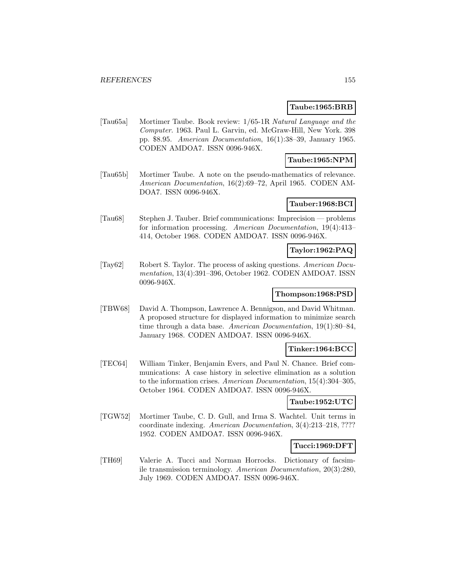### **Taube:1965:BRB**

[Tau65a] Mortimer Taube. Book review: 1/65-1R Natural Language and the Computer. 1963. Paul L. Garvin, ed. McGraw-Hill, New York. 398 pp. \$8.95. American Documentation, 16(1):38–39, January 1965. CODEN AMDOA7. ISSN 0096-946X.

### **Taube:1965:NPM**

[Tau65b] Mortimer Taube. A note on the pseudo-mathematics of relevance. American Documentation, 16(2):69–72, April 1965. CODEN AM-DOA7. ISSN 0096-946X.

### **Tauber:1968:BCI**

[Tau68] Stephen J. Tauber. Brief communications: Imprecision — problems for information processing. American Documentation, 19(4):413– 414, October 1968. CODEN AMDOA7. ISSN 0096-946X.

#### **Taylor:1962:PAQ**

[Tay62] Robert S. Taylor. The process of asking questions. American Documentation, 13(4):391–396, October 1962. CODEN AMDOA7. ISSN 0096-946X.

### **Thompson:1968:PSD**

[TBW68] David A. Thompson, Lawrence A. Bennigson, and David Whitman. A proposed structure for displayed information to minimize search time through a data base. American Documentation, 19(1):80–84, January 1968. CODEN AMDOA7. ISSN 0096-946X.

## **Tinker:1964:BCC**

[TEC64] William Tinker, Benjamin Evers, and Paul N. Chance. Brief communications: A case history in selective elimination as a solution to the information crises. American Documentation, 15(4):304–305, October 1964. CODEN AMDOA7. ISSN 0096-946X.

#### **Taube:1952:UTC**

[TGW52] Mortimer Taube, C. D. Gull, and Irma S. Wachtel. Unit terms in coordinate indexing. American Documentation, 3(4):213–218, ???? 1952. CODEN AMDOA7. ISSN 0096-946X.

#### **Tucci:1969:DFT**

[TH69] Valerie A. Tucci and Norman Horrocks. Dictionary of facsimile transmission terminology. American Documentation, 20(3):280, July 1969. CODEN AMDOA7. ISSN 0096-946X.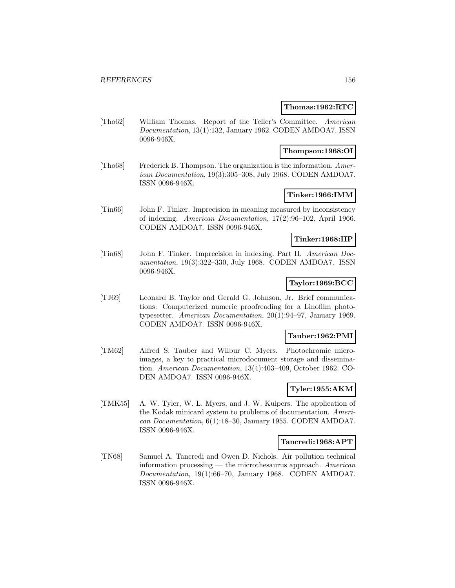#### **Thomas:1962:RTC**

[Tho62] William Thomas. Report of the Teller's Committee. American Documentation, 13(1):132, January 1962. CODEN AMDOA7. ISSN 0096-946X.

### **Thompson:1968:OI**

[Tho68] Frederick B. Thompson. The organization is the information. American Documentation, 19(3):305–308, July 1968. CODEN AMDOA7. ISSN 0096-946X.

## **Tinker:1966:IMM**

[Tin66] John F. Tinker. Imprecision in meaning measured by inconsistency of indexing. American Documentation, 17(2):96–102, April 1966. CODEN AMDOA7. ISSN 0096-946X.

#### **Tinker:1968:IIP**

[Tin68] John F. Tinker. Imprecision in indexing. Part II. American Documentation, 19(3):322–330, July 1968. CODEN AMDOA7. ISSN 0096-946X.

### **Taylor:1969:BCC**

[TJ69] Leonard B. Taylor and Gerald G. Johnson, Jr. Brief communications: Computerized numeric proofreading for a Linofilm phototypesetter. American Documentation, 20(1):94–97, January 1969. CODEN AMDOA7. ISSN 0096-946X.

### **Tauber:1962:PMI**

[TM62] Alfred S. Tauber and Wilbur C. Myers. Photochromic microimages, a key to practical microdocument storage and dissemination. American Documentation, 13(4):403–409, October 1962. CO-DEN AMDOA7. ISSN 0096-946X.

### **Tyler:1955:AKM**

[TMK55] A. W. Tyler, W. L. Myers, and J. W. Kuipers. The application of the Kodak minicard system to problems of documentation. American Documentation, 6(1):18–30, January 1955. CODEN AMDOA7. ISSN 0096-946X.

#### **Tancredi:1968:APT**

[TN68] Samuel A. Tancredi and Owen D. Nichols. Air pollution technical information processing — the microthesaurus approach. American Documentation, 19(1):66–70, January 1968. CODEN AMDOA7. ISSN 0096-946X.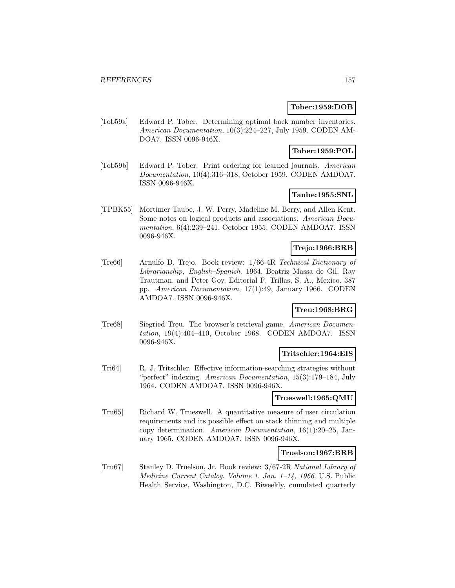### **Tober:1959:DOB**

[Tob59a] Edward P. Tober. Determining optimal back number inventories. American Documentation, 10(3):224–227, July 1959. CODEN AM-DOA7. ISSN 0096-946X.

### **Tober:1959:POL**

[Tob59b] Edward P. Tober. Print ordering for learned journals. American Documentation, 10(4):316–318, October 1959. CODEN AMDOA7. ISSN 0096-946X.

# **Taube:1955:SNL**

[TPBK55] Mortimer Taube, J. W. Perry, Madeline M. Berry, and Allen Kent. Some notes on logical products and associations. American Documentation, 6(4):239–241, October 1955. CODEN AMDOA7. ISSN 0096-946X.

### **Trejo:1966:BRB**

[Tre66] Arnulfo D. Trejo. Book review: 1/66-4R Technical Dictionary of Librarianship, English–Spanish. 1964. Beatriz Massa de Gil, Ray Trautman. and Peter Goy. Editorial F. Trillas, S. A., Mexico. 387 pp. American Documentation, 17(1):49, January 1966. CODEN AMDOA7. ISSN 0096-946X.

## **Treu:1968:BRG**

[Tre68] Siegried Treu. The browser's retrieval game. American Documentation, 19(4):404–410, October 1968. CODEN AMDOA7. ISSN 0096-946X.

#### **Tritschler:1964:EIS**

[Tri64] R. J. Tritschler. Effective information-searching strategies without "perfect" indexing. American Documentation, 15(3):179–184, July 1964. CODEN AMDOA7. ISSN 0096-946X.

#### **Trueswell:1965:QMU**

[Tru65] Richard W. Trueswell. A quantitative measure of user circulation requirements and its possible effect on stack thinning and multiple copy determination. American Documentation, 16(1):20–25, January 1965. CODEN AMDOA7. ISSN 0096-946X.

#### **Truelson:1967:BRB**

[Tru67] Stanley D. Truelson, Jr. Book review: 3/67-2R National Library of Medicine Current Catalog. Volume 1. Jan. 1–14, 1966. U.S. Public Health Service, Washington, D.C. Biweekly, cumulated quarterly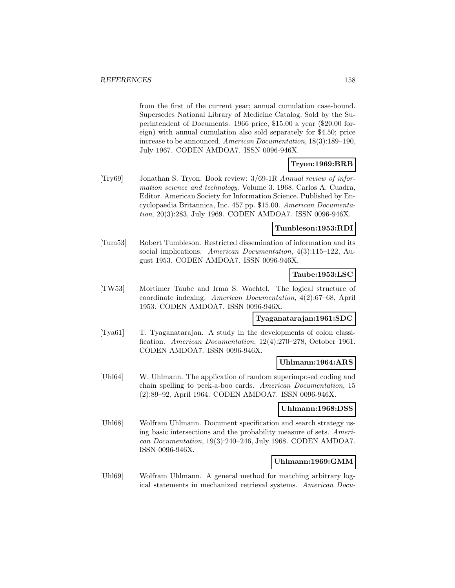from the first of the current year; annual cumulation case-bound. Supersedes National Library of Medicine Catalog. Sold by the Superintendent of Documents: 1966 price, \$15.00 a year (\$20.00 foreign) with annual cumulation also sold separately for \$4.50; price increase to be announced. American Documentation, 18(3):189–190, July 1967. CODEN AMDOA7. ISSN 0096-946X.

### **Tryon:1969:BRB**

[Try69] Jonathan S. Tryon. Book review: 3/69-1R Annual review of information science and technology. Volume 3. 1968. Carlos A. Cuadra, Editor. American Society for Information Science. Published by Encyclopaedia Britannica, Inc. 457 pp. \$15.00. American Documentation, 20(3):283, July 1969. CODEN AMDOA7. ISSN 0096-946X.

### **Tumbleson:1953:RDI**

[Tum53] Robert Tumbleson. Restricted dissemination of information and its social implications. American Documentation, 4(3):115–122, August 1953. CODEN AMDOA7. ISSN 0096-946X.

### **Taube:1953:LSC**

[TW53] Mortimer Taube and Irma S. Wachtel. The logical structure of coordinate indexing. American Documentation, 4(2):67–68, April 1953. CODEN AMDOA7. ISSN 0096-946X.

### **Tyaganatarajan:1961:SDC**

[Tya61] T. Tyaganatarajan. A study in the developments of colon classification. American Documentation, 12(4):270–278, October 1961. CODEN AMDOA7. ISSN 0096-946X.

#### **Uhlmann:1964:ARS**

[Uhl64] W. Uhlmann. The application of random superimposed coding and chain spelling to peek-a-boo cards. American Documentation, 15 (2):89–92, April 1964. CODEN AMDOA7. ISSN 0096-946X.

#### **Uhlmann:1968:DSS**

[Uhl68] Wolfram Uhlmann. Document specification and search strategy using basic intersections and the probability measure of sets. American Documentation, 19(3):240–246, July 1968. CODEN AMDOA7. ISSN 0096-946X.

#### **Uhlmann:1969:GMM**

[Uhl69] Wolfram Uhlmann. A general method for matching arbitrary logical statements in mechanized retrieval systems. American Docu-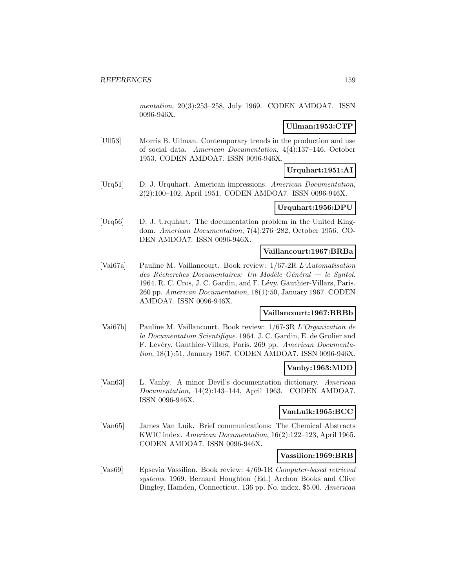mentation, 20(3):253–258, July 1969. CODEN AMDOA7. ISSN 0096-946X.

## **Ullman:1953:CTP**

[Ull53] Morris B. Ullman. Contemporary trends in the production and use of social data. American Documentation, 4(4):137–146, October 1953. CODEN AMDOA7. ISSN 0096-946X.

# **Urquhart:1951:AI**

[Urq51] D. J. Urquhart. American impressions. American Documentation, 2(2):100–102, April 1951. CODEN AMDOA7. ISSN 0096-946X.

### **Urquhart:1956:DPU**

[Urq56] D. J. Urquhart. The documentation problem in the United Kingdom. American Documentation, 7(4):276–282, October 1956. CO-DEN AMDOA7. ISSN 0096-946X.

### **Vaillancourt:1967:BRBa**

[Vai67a] Pauline M. Vaillancourt. Book review: 1/67-2R L'Automatisation des Récherches Documentaires: Un Modèle Général — le Syntol. 1964. R. C. Cros, J. C. Gardin, and F. Lévy. Gauthier-Villars, Paris. 260 pp. American Documentation, 18(1):50, January 1967. CODEN AMDOA7. ISSN 0096-946X.

### **Vaillancourt:1967:BRBb**

[Vai67b] Pauline M. Vaillancourt. Book review: 1/67-3R L'Organization de la Documentation Scientifique. 1964. J. C. Gardin, E. de Grolier and F. Levéry. Gauthier-Villars, Paris. 269 pp. American Documentation, 18(1):51, January 1967. CODEN AMDOA7. ISSN 0096-946X.

### **Vanby:1963:MDD**

[Van63] L. Vanby. A minor Devil's documentation dictionary. American Documentation, 14(2):143–144, April 1963. CODEN AMDOA7. ISSN 0096-946X.

### **VanLuik:1965:BCC**

[Van65] James Van Luik. Brief communications: The Chemical Abstracts KWIC index. American Documentation, 16(2):122–123, April 1965. CODEN AMDOA7. ISSN 0096-946X.

#### **Vassilion:1969:BRB**

[Vas69] Epsevia Vassilion. Book review: 4/69-1R Computer-based retrieval systems. 1969. Bernard Houghton (Ed.) Archon Books and Clive Bingley, Hamden, Connecticut. 136 pp. No. index. \$5.00. American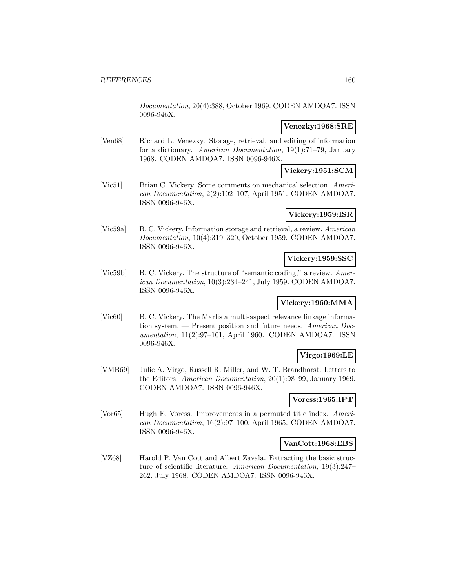Documentation, 20(4):388, October 1969. CODEN AMDOA7. ISSN 0096-946X.

### **Venezky:1968:SRE**

[Ven68] Richard L. Venezky. Storage, retrieval, and editing of information for a dictionary. American Documentation, 19(1):71–79, January 1968. CODEN AMDOA7. ISSN 0096-946X.

## **Vickery:1951:SCM**

[Vic51] Brian C. Vickery. Some comments on mechanical selection. American Documentation, 2(2):102–107, April 1951. CODEN AMDOA7. ISSN 0096-946X.

## **Vickery:1959:ISR**

[Vic59a] B. C. Vickery. Information storage and retrieval, a review. American Documentation, 10(4):319–320, October 1959. CODEN AMDOA7. ISSN 0096-946X.

### **Vickery:1959:SSC**

[Vic59b] B. C. Vickery. The structure of "semantic coding," a review. American Documentation, 10(3):234–241, July 1959. CODEN AMDOA7. ISSN 0096-946X.

### **Vickery:1960:MMA**

[Vic60] B. C. Vickery. The Marlis a multi-aspect relevance linkage information system. — Present position and future needs. American Documentation, 11(2):97–101, April 1960. CODEN AMDOA7. ISSN 0096-946X.

## **Virgo:1969:LE**

[VMB69] Julie A. Virgo, Russell R. Miller, and W. T. Brandhorst. Letters to the Editors. American Documentation, 20(1):98–99, January 1969. CODEN AMDOA7. ISSN 0096-946X.

### **Voress:1965:IPT**

[Vor65] Hugh E. Voress. Improvements in a permuted title index. American Documentation, 16(2):97–100, April 1965. CODEN AMDOA7. ISSN 0096-946X.

### **VanCott:1968:EBS**

[VZ68] Harold P. Van Cott and Albert Zavala. Extracting the basic structure of scientific literature. American Documentation, 19(3):247– 262, July 1968. CODEN AMDOA7. ISSN 0096-946X.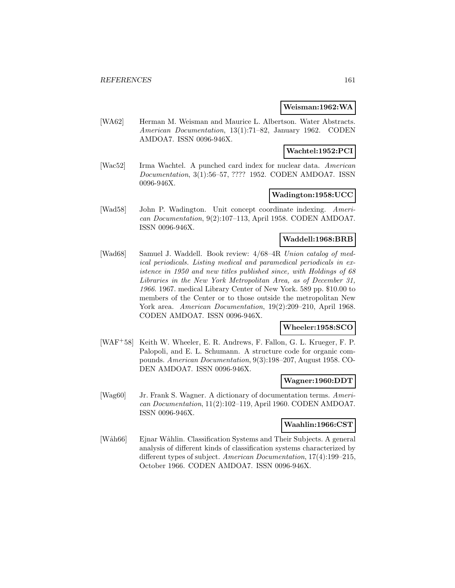#### **Weisman:1962:WA**

[WA62] Herman M. Weisman and Maurice L. Albertson. Water Abstracts. American Documentation, 13(1):71–82, January 1962. CODEN AMDOA7. ISSN 0096-946X.

#### **Wachtel:1952:PCI**

[Wac52] Irma Wachtel. A punched card index for nuclear data. American Documentation, 3(1):56–57, ???? 1952. CODEN AMDOA7. ISSN 0096-946X.

## **Wadington:1958:UCC**

[Wad58] John P. Wadington. Unit concept coordinate indexing. American Documentation, 9(2):107–113, April 1958. CODEN AMDOA7. ISSN 0096-946X.

#### **Waddell:1968:BRB**

[Wad68] Samuel J. Waddell. Book review: 4/68–4R Union catalog of medical periodicals. Listing medical and paramedical periodicals in existence in 1950 and new titles published since, with Holdings of 68 Libraries in the New York Metropolitan Area, as of December 31, 1966. 1967. medical Library Center of New York. 589 pp. \$10.00 to members of the Center or to those outside the metropolitan New York area. American Documentation, 19(2):209-210, April 1968. CODEN AMDOA7. ISSN 0096-946X.

### **Wheeler:1958:SCO**

[WAF<sup>+</sup>58] Keith W. Wheeler, E. R. Andrews, F. Fallon, G. L. Krueger, F. P. Palopoli, and E. L. Schumann. A structure code for organic compounds. American Documentation, 9(3):198–207, August 1958. CO-DEN AMDOA7. ISSN 0096-946X.

#### **Wagner:1960:DDT**

[Wag60] Jr. Frank S. Wagner. A dictionary of documentation terms. American Documentation, 11(2):102–119, April 1960. CODEN AMDOA7. ISSN 0096-946X.

#### **Waahlin:1966:CST**

[Wåh66] Ejnar Wåhlin. Classification Systems and Their Subjects. A general analysis of different kinds of classification systems characterized by different types of subject. American Documentation, 17(4):199–215, October 1966. CODEN AMDOA7. ISSN 0096-946X.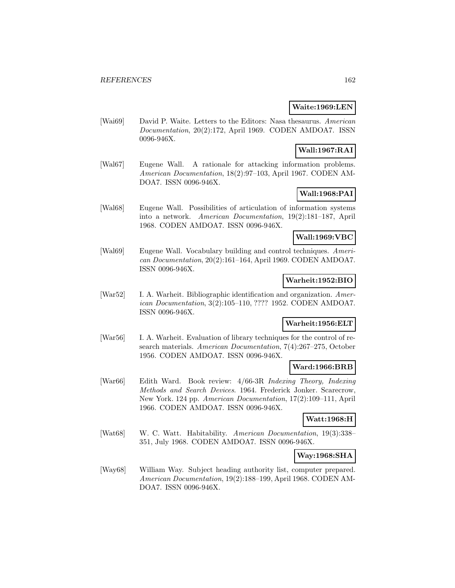### **Waite:1969:LEN**

[Wai69] David P. Waite. Letters to the Editors: Nasa thesaurus. American Documentation, 20(2):172, April 1969. CODEN AMDOA7. ISSN 0096-946X.

## **Wall:1967:RAI**

[Wal67] Eugene Wall. A rationale for attacking information problems. American Documentation, 18(2):97–103, April 1967. CODEN AM-DOA7. ISSN 0096-946X.

# **Wall:1968:PAI**

[Wal68] Eugene Wall. Possibilities of articulation of information systems into a network. American Documentation, 19(2):181–187, April 1968. CODEN AMDOA7. ISSN 0096-946X.

### **Wall:1969:VBC**

[Wal69] Eugene Wall. Vocabulary building and control techniques. American Documentation, 20(2):161–164, April 1969. CODEN AMDOA7. ISSN 0096-946X.

#### **Warheit:1952:BIO**

[War52] I. A. Warheit. Bibliographic identification and organization. American Documentation, 3(2):105–110, ???? 1952. CODEN AMDOA7. ISSN 0096-946X.

### **Warheit:1956:ELT**

[War56] I. A. Warheit. Evaluation of library techniques for the control of research materials. American Documentation, 7(4):267–275, October 1956. CODEN AMDOA7. ISSN 0096-946X.

# **Ward:1966:BRB**

[War66] Edith Ward. Book review: 4/66-3R Indexing Theory, Indexing Methods and Search Devices. 1964. Frederick Jonker. Scarecrow, New York. 124 pp. American Documentation, 17(2):109–111, April 1966. CODEN AMDOA7. ISSN 0096-946X.

#### **Watt:1968:H**

[Wat68] W. C. Watt. Habitability. American Documentation, 19(3):338– 351, July 1968. CODEN AMDOA7. ISSN 0096-946X.

#### **Way:1968:SHA**

[Way68] William Way. Subject heading authority list, computer prepared. American Documentation, 19(2):188–199, April 1968. CODEN AM-DOA7. ISSN 0096-946X.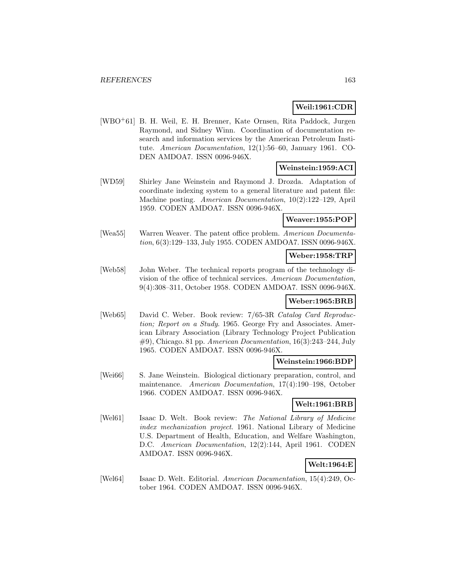### **Weil:1961:CDR**

[WBO<sup>+</sup>61] B. H. Weil, E. H. Brenner, Kate Ornsen, Rita Paddock, Jurgen Raymond, and Sidney Winn. Coordination of documentation research and information services by the American Petroleum Institute. American Documentation, 12(1):56–60, January 1961. CO-DEN AMDOA7. ISSN 0096-946X.

### **Weinstein:1959:ACI**

[WD59] Shirley Jane Weinstein and Raymond J. Drozda. Adaptation of coordinate indexing system to a general literature and patent file: Machine posting. American Documentation, 10(2):122–129, April 1959. CODEN AMDOA7. ISSN 0096-946X.

# **Weaver:1955:POP**

[Wea55] Warren Weaver. The patent office problem. American Documentation, 6(3):129–133, July 1955. CODEN AMDOA7. ISSN 0096-946X.

### **Weber:1958:TRP**

[Web58] John Weber. The technical reports program of the technology division of the office of technical services. American Documentation, 9(4):308–311, October 1958. CODEN AMDOA7. ISSN 0096-946X.

### **Weber:1965:BRB**

[Web65] David C. Weber. Book review: 7/65-3R Catalog Card Reproduction; Report on a Study. 1965. George Fry and Associates. American Library Association (Library Technology Project Publication #9), Chicago. 81 pp. American Documentation, 16(3):243–244, July 1965. CODEN AMDOA7. ISSN 0096-946X.

### **Weinstein:1966:BDP**

[Wei66] S. Jane Weinstein. Biological dictionary preparation, control, and maintenance. American Documentation, 17(4):190–198, October 1966. CODEN AMDOA7. ISSN 0096-946X.

## **Welt:1961:BRB**

[Wel61] Isaac D. Welt. Book review: The National Library of Medicine index mechanization project. 1961. National Library of Medicine U.S. Department of Health, Education, and Welfare Washington, D.C. American Documentation, 12(2):144, April 1961. CODEN AMDOA7. ISSN 0096-946X.

## **Welt:1964:E**

[Wel64] Isaac D. Welt. Editorial. American Documentation, 15(4):249, October 1964. CODEN AMDOA7. ISSN 0096-946X.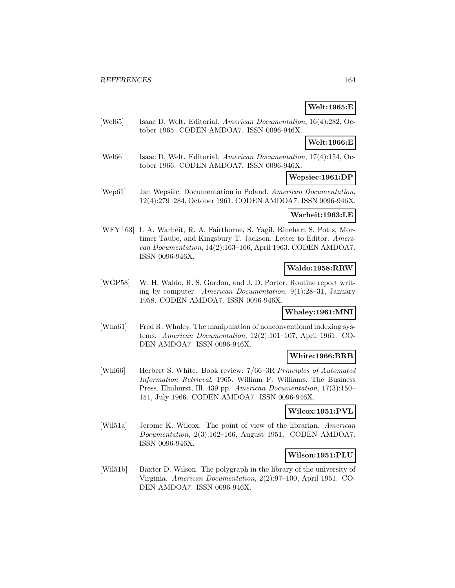# **Welt:1965:E**

[Wel65] Isaac D. Welt. Editorial. American Documentation, 16(4):282, October 1965. CODEN AMDOA7. ISSN 0096-946X.

### **Welt:1966:E**

[Wel66] Isaac D. Welt. Editorial. American Documentation, 17(4):154, October 1966. CODEN AMDOA7. ISSN 0096-946X.

### **Wepsiec:1961:DP**

[Wep61] Jan Wepsiec. Documentation in Poland. American Documentation, 12(4):279–284, October 1961. CODEN AMDOA7. ISSN 0096-946X.

#### **Warheit:1963:LE**

[WFY<sup>+</sup>63] I. A. Warheit, R. A. Fairthorne, S. Yagil, Rinehart S. Potts, Mortimer Taube, and Kingsbury T. Jackson. Letter to Editor. American Documentation, 14(2):163–166, April 1963. CODEN AMDOA7. ISSN 0096-946X.

### **Waldo:1958:RRW**

[WGP58] W. H. Waldo, R. S. Gordon, and J. D. Porter. Routine report writing by computer. American Documentation, 9(1):28–31, January 1958. CODEN AMDOA7. ISSN 0096-946X.

### **Whaley:1961:MNI**

[Wha61] Fred R. Whaley. The manipulation of nonconventional indexing systems. American Documentation, 12(2):101–107, April 1961. CO-DEN AMDOA7. ISSN 0096-946X.

### **White:1966:BRB**

[Whi66] Herbert S. White. Book review: 7/66–3R Principles of Automated Information Retrieval. 1965. William F. Williams. The Business Press. Elmhurst, Ill. 439 pp. American Documentation, 17(3):150– 151, July 1966. CODEN AMDOA7. ISSN 0096-946X.

### **Wilcox:1951:PVL**

[Wil51a] Jerome K. Wilcox. The point of view of the librarian. American Documentation, 2(3):162–166, August 1951. CODEN AMDOA7. ISSN 0096-946X.

#### **Wilson:1951:PLU**

[Wil51b] Baxter D. Wilson. The polygraph in the library of the university of Virginia. American Documentation, 2(2):97–100, April 1951. CO-DEN AMDOA7. ISSN 0096-946X.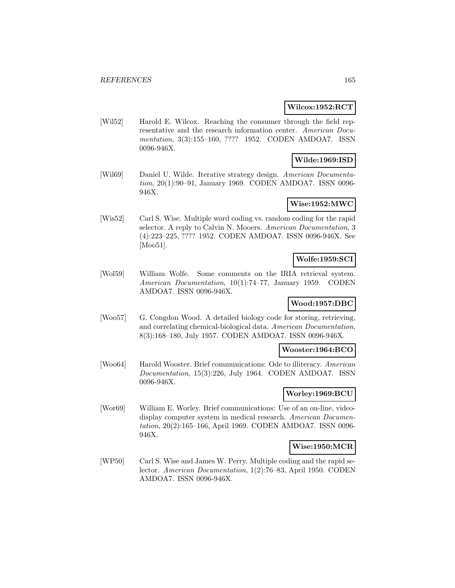#### **Wilcox:1952:RCT**

[Wil52] Harold E. Wilcox. Reaching the consumer through the field representative and the research information center. American Documentation, 3(3):155–160, ???? 1952. CODEN AMDOA7. ISSN 0096-946X.

## **Wilde:1969:ISD**

[Wil69] Daniel U. Wilde. Iterative strategy design. American Documentation, 20(1):90–91, January 1969. CODEN AMDOA7. ISSN 0096- 946X.

### **Wise:1952:MWC**

[Wis52] Carl S. Wise. Multiple word coding vs. random coding for the rapid selector. A reply to Calvin N. Mooers. American Documentation, 3 (4):223–225, ???? 1952. CODEN AMDOA7. ISSN 0096-946X. See [Moo51].

### **Wolfe:1959:SCI**

[Wol59] William Wolfe. Some comments on the IRIA retrieval system. American Documentation, 10(1):74–77, January 1959. CODEN AMDOA7. ISSN 0096-946X.

### **Wood:1957:DBC**

[Woo57] G. Congdon Wood. A detailed biology code for storing, retrieving, and correlating chemical-biological data. American Documentation, 8(3):168–180, July 1957. CODEN AMDOA7. ISSN 0096-946X.

#### **Wooster:1964:BCO**

[Woo64] Harold Wooster. Brief communications: Ode to illiteracy. American Documentation, 15(3):226, July 1964. CODEN AMDOA7. ISSN 0096-946X.

### **Worley:1969:BCU**

[Wor69] William E. Worley. Brief communications: Use of an on-line, videodisplay computer system in medical research. American Documentation, 20(2):165–166, April 1969. CODEN AMDOA7. ISSN 0096- 946X.

### **Wise:1950:MCR**

[WP50] Carl S. Wise and James W. Perry. Multiple coding and the rapid selector. American Documentation, 1(2):76–83, April 1950. CODEN AMDOA7. ISSN 0096-946X.